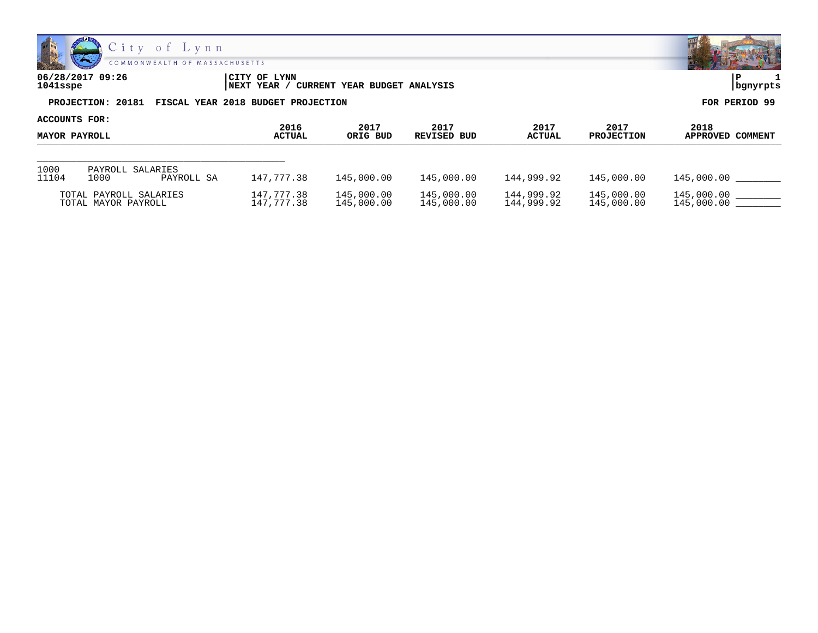

| 06/28/2017 09:26<br>1041sspe                         | CITY OF LYNN<br>NEXT YEAR / CURRENT YEAR BUDGET ANALYSIS | bgnyrpts      |
|------------------------------------------------------|----------------------------------------------------------|---------------|
| PROJECTION: 20181 FISCAL YEAR 2018 BUDGET PROJECTION |                                                          | FOR PERIOD 99 |

| ACCOUNTS FOR:<br><b>MAYOR PAYROLL</b> |                                               |                       |                          |                          |                          |                           |                          |                          |
|---------------------------------------|-----------------------------------------------|-----------------------|--------------------------|--------------------------|--------------------------|---------------------------|--------------------------|--------------------------|
|                                       |                                               | 2016<br><b>ACTUAL</b> | 2017<br>ORIG BUD         | 2017<br>REVISED BUD      | 2017<br><b>ACTUAL</b>    | 2017<br><b>PROJECTION</b> | 2018<br>APPROVED COMMENT |                          |
| 1000<br>11104                         | PAYROLL SALARIES<br>1000                      | PAYROLL SA            | 147,777.38               | 145,000.00               | 145,000.00               | 144,999.92                | 145,000.00               | 145,000.00               |
|                                       | TOTAL PAYROLL SALARIES<br>TOTAL MAYOR PAYROLL |                       | 147,777.38<br>147,777.38 | 145,000.00<br>145,000.00 | 145,000.00<br>145,000.00 | 144,999.92<br>144,999.92  | 145,000.00<br>145,000.00 | 145,000.00<br>145,000.00 |

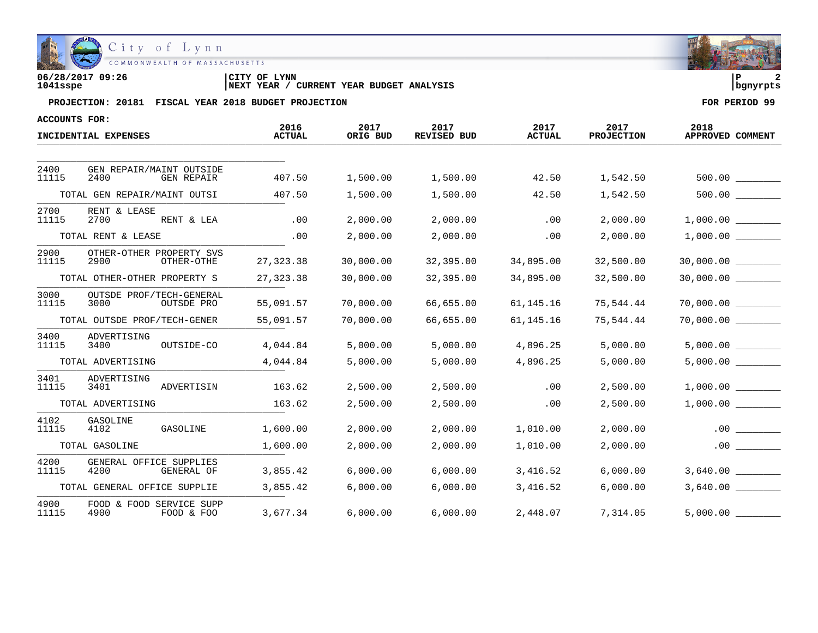

| 06/28/2017 09:26 | CITY OF LYNN                                      |          |
|------------------|---------------------------------------------------|----------|
| 1041sspe         | CURRENT YEAR BUDGET ANALYSIS<br><b>INEXT YEAR</b> | banvrpts |

| <b>ACCOUNTS FOR:</b> |                                                       |                       |                  |                            |                       |                           |                          |
|----------------------|-------------------------------------------------------|-----------------------|------------------|----------------------------|-----------------------|---------------------------|--------------------------|
|                      | INCIDENTIAL EXPENSES                                  | 2016<br><b>ACTUAL</b> | 2017<br>ORIG BUD | 2017<br><b>REVISED BUD</b> | 2017<br><b>ACTUAL</b> | 2017<br><b>PROJECTION</b> | 2018<br>APPROVED COMMENT |
|                      |                                                       |                       |                  |                            |                       |                           |                          |
| 2400<br>11115        | GEN REPAIR/MAINT OUTSIDE<br>2400<br><b>GEN REPAIR</b> | 407.50                | 1,500.00         | 1,500.00                   | 42.50                 | 1,542.50                  | 500.00                   |
|                      | TOTAL GEN REPAIR/MAINT OUTSI                          | 407.50                | 1,500.00         | 1,500.00                   | 42.50                 | 1,542.50                  |                          |
| 2700<br>11115        | RENT & LEASE<br>2700<br>RENT & LEA                    | .00                   | 2,000.00         | 2,000.00                   | .00                   | 2,000.00                  | $1,000.00$ ________      |
|                      | TOTAL RENT & LEASE                                    | .00                   | 2,000.00         | 2,000.00                   | .00                   | 2,000.00                  |                          |
| 2900<br>11115        | OTHER-OTHER PROPERTY SVS<br>2900<br>OTHER-OTHE        | 27, 323.38            | 30,000.00        | 32,395.00                  | 34,895.00             | 32,500.00                 | 30,000.00                |
|                      | TOTAL OTHER-OTHER PROPERTY S                          | 27, 323.38            | 30,000.00        | 32,395.00                  | 34,895.00             | 32,500.00                 | 30,000.00 __________     |
| 3000<br>11115        | OUTSDE PROF/TECH-GENERAL<br>3000<br>OUTSDE PRO        | 55,091.57             | 70,000.00        | 66,655.00                  | 61,145.16             | 75,544.44                 | 70,000.00                |
|                      | TOTAL OUTSDE PROF/TECH-GENER                          | 55,091.57             | 70,000.00        | 66,655.00                  | 61,145.16             | 75,544.44                 | 70,000.00                |
| 3400<br>11115        | ADVERTISING<br>3400<br>OUTSIDE-CO                     | 4,044.84              | 5,000.00         | 5,000.00                   | 4,896.25              | 5,000.00                  |                          |
|                      | TOTAL ADVERTISING                                     | 4,044.84              | 5,000.00         | 5,000.00                   | 4,896.25              | 5,000.00                  | 5,000.00                 |
| 3401<br>11115        | ADVERTISING<br>ADVERTISIN<br>3401                     | 163.62                | 2,500.00         | 2,500.00                   | .00                   | 2,500.00                  | 1,000.00                 |
|                      | TOTAL ADVERTISING                                     | 163.62                | 2,500.00         | 2,500.00                   | .00                   | 2,500.00                  | 1,000.00                 |
| 4102<br>11115        | GASOLINE<br>4102<br>GASOLINE                          | 1,600.00              | 2,000.00         | 2,000.00                   | 1,010.00              | 2,000.00                  | .00                      |
|                      | TOTAL GASOLINE                                        | 1,600.00              | 2,000.00         | 2,000.00                   | 1,010.00              | 2,000.00                  | .00                      |
| 4200<br>11115        | GENERAL OFFICE SUPPLIES<br>4200<br>GENERAL OF         | 3,855.42              | 6,000.00         | 6,000.00                   | 3,416.52              | 6,000.00                  |                          |
|                      | TOTAL GENERAL OFFICE SUPPLIE                          | 3,855.42              | 6,000.00         | 6,000.00                   | 3,416.52              | 6,000.00                  |                          |
| 4900<br>11115        | FOOD & FOOD SERVICE SUPP<br>4900<br>FOOD & FOO        | 3,677.34              | 6,000.00         | 6,000.00                   | 2,448.07              | 7,314.05                  | 5,000.00                 |

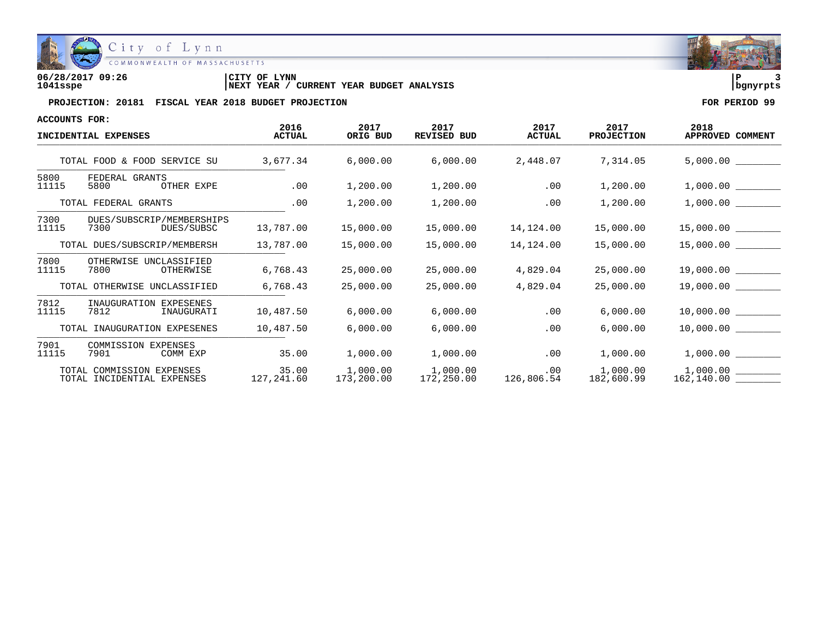

COMMONWEALTH OF MASSACHUSETTS

**06/28/2017 09:26 |CITY OF LYNN |P 3 1041sspe |NEXT YEAR / CURRENT YEAR BUDGET ANALYSIS |bgnyrpts**

| <b>ACCOUNTS FOR:</b> |                                                         |                       |                        |                            |                              |                           |                          |
|----------------------|---------------------------------------------------------|-----------------------|------------------------|----------------------------|------------------------------|---------------------------|--------------------------|
|                      | INCIDENTIAL EXPENSES                                    | 2016<br><b>ACTUAL</b> | 2017<br>ORIG BUD       | 2017<br><b>REVISED BUD</b> | 2017<br><b>ACTUAL</b>        | 2017<br><b>PROJECTION</b> | 2018<br>APPROVED COMMENT |
|                      | TOTAL FOOD & FOOD SERVICE SU                            | 3,677.34              | 6,000.00               | 6,000.00                   | 2,448.07                     | 7,314.05                  | 5,000.00                 |
| 5800<br>11115        | FEDERAL GRANTS<br>5800<br>OTHER EXPE                    | .00                   | 1,200.00               | 1,200.00                   | .00                          | 1,200.00                  |                          |
|                      | TOTAL FEDERAL GRANTS                                    | .00                   | 1,200.00               | 1,200.00                   | .00                          | 1,200.00                  | 1,000.00                 |
| 7300<br>11115        | DUES/SUBSCRIP/MEMBERSHIPS<br>7300<br>DUES/SUBSC         | 13,787.00             | 15,000.00              | 15,000.00                  | 14,124.00                    | 15,000.00                 |                          |
|                      | TOTAL DUES/SUBSCRIP/MEMBERSH                            | 13,787.00             | 15,000.00              | 15,000.00                  | 14,124.00                    | 15,000.00                 |                          |
| 7800<br>11115        | OTHERWISE UNCLASSIFIED<br>7800<br>OTHERWISE             | 6,768.43              | 25,000.00              | 25,000.00                  | 4,829.04                     | 25,000.00                 |                          |
|                      | TOTAL OTHERWISE UNCLASSIFIED                            | 6,768.43              | 25,000.00              | 25,000.00                  | 4,829.04                     | 25,000.00                 | 19,000.00                |
| 7812<br>11115        | INAUGURATION EXPESENES<br>7812<br>INAUGURATI            | 10,487.50             | 6,000.00               | 6,000.00                   | $.00 \,$                     | 6,000.00                  |                          |
|                      | TOTAL INAUGURATION EXPESENES                            | 10,487.50             | 6,000.00               | 6,000.00                   | .00                          | 6,000.00                  | 10,000.00                |
| 7901<br>11115        | <b>COMMISSION EXPENSES</b><br>7901<br>COMM EXP          | 35.00                 | 1,000.00               | 1,000.00                   | .00                          | 1,000.00                  |                          |
|                      | TOTAL COMMISSION EXPENSES<br>TOTAL INCIDENTIAL EXPENSES | 35.00<br>127,241.60   | 1,000.00<br>173,200.00 | 1,000.00                   | .00<br>172,250.00 126,806.54 | 1,000.00<br>182,600.99    | 1,000.00                 |

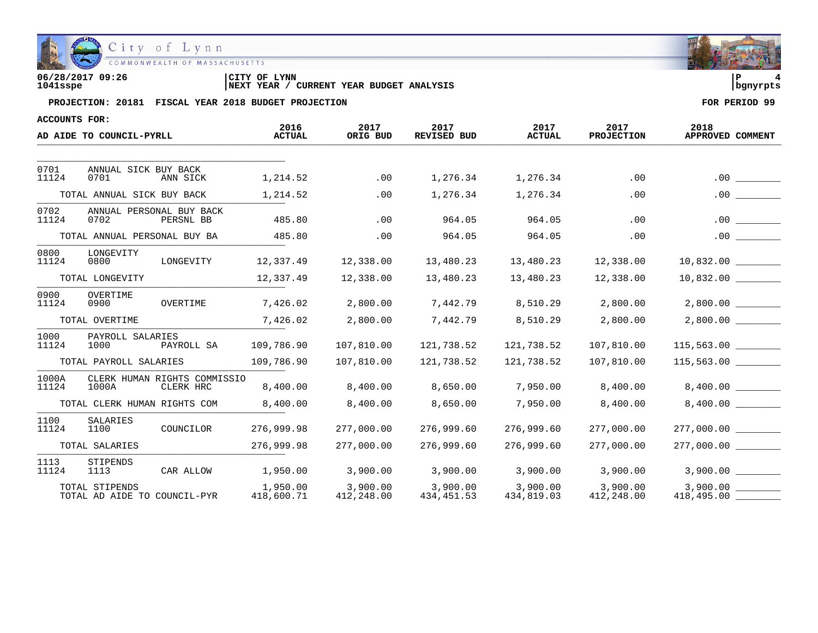

**06/28/2017 09:26 |CITY OF LYNN |P 4 1041sspe |NEXT YEAR / CURRENT YEAR BUDGET ANALYSIS |bgnyrpts**

| ACCOUNTS FOR:   |                                                    |            |                        |                        |                            |                        |                           |                          |
|-----------------|----------------------------------------------------|------------|------------------------|------------------------|----------------------------|------------------------|---------------------------|--------------------------|
|                 | AD AIDE TO COUNCIL-PYRLL                           |            | 2016<br><b>ACTUAL</b>  | 2017<br>ORIG BUD       | 2017<br><b>REVISED BUD</b> | 2017<br><b>ACTUAL</b>  | 2017<br><b>PROJECTION</b> | 2018<br>APPROVED COMMENT |
|                 |                                                    |            |                        |                        |                            |                        |                           |                          |
| 0701<br>11124   | ANNUAL SICK BUY BACK<br>0701<br>ANN SICK           |            | 1,214.52               | .00                    | 1,276.34                   | 1,276.34               | .00                       |                          |
|                 | TOTAL ANNUAL SICK BUY BACK                         |            | 1,214.52               | .00                    | 1,276.34                   | 1,276.34               | .00                       | .00                      |
| 0702<br>11124   | ANNUAL PERSONAL BUY BACK<br>0702<br>PERSNL BB      |            | 485.80                 | .00                    | 964.05                     | 964.05                 | .00                       | .00                      |
|                 | TOTAL ANNUAL PERSONAL BUY BA                       |            | 485.80                 | .00                    | 964.05                     | 964.05                 | .00                       | .00                      |
| 0800<br>11124   | LONGEVITY<br>0800                                  | LONGEVITY  | 12,337.49              | 12,338.00              | 13,480.23                  | 13,480.23              | 12,338.00                 | 10,832.00                |
| TOTAL LONGEVITY |                                                    |            | 12,337.49              | 12,338.00              | 13,480.23                  | 13,480.23              | 12,338.00                 | 10,832.00                |
| 0900<br>11124   | OVERTIME<br>OVERTIME<br>0900                       |            | 7,426.02               | 2,800.00               | 7,442.79                   | 8,510.29               | 2,800.00                  | 2,800.00                 |
|                 | TOTAL OVERTIME                                     |            | 7,426.02               | 2,800.00               | 7,442.79                   | 8,510.29               | 2,800.00                  | 2,800.00                 |
| 1000<br>11124   | PAYROLL SALARIES<br>1000                           | PAYROLL SA | 109,786.90             | 107,810.00             | 121,738.52                 | 121,738.52             | 107,810.00                |                          |
|                 | TOTAL PAYROLL SALARIES                             |            | 109,786.90             | 107,810.00             | 121,738.52                 | 121,738.52             | 107,810.00                |                          |
| 1000A<br>11124  | CLERK HUMAN RIGHTS COMMISSIO<br>1000A<br>CLERK HRC |            | 8,400.00               | 8,400.00               | 8,650.00                   | 7,950.00               | 8,400.00                  | 8,400.00                 |
|                 | TOTAL CLERK HUMAN RIGHTS COM                       |            | 8,400.00               | 8,400.00               | 8,650.00                   | 7,950.00               | 8,400.00                  |                          |
| 1100<br>11124   | SALARIES<br>1100                                   | COUNCILOR  | 276,999.98             | 277,000.00             | 276,999.60                 | 276,999.60             | 277,000.00                | 277,000.00               |
|                 | TOTAL SALARIES                                     |            | 276,999.98             | 277,000.00             | 276,999.60                 | 276,999.60             | 277,000.00                | $277,000.00$ _________   |
| 1113<br>11124   | STIPENDS<br>1113<br>CAR ALLOW                      |            | 1,950.00               | 3,900.00               | 3,900.00                   | 3,900.00               | 3,900.00                  | 3,900.00                 |
|                 | TOTAL STIPENDS<br>TOTAL AD AIDE TO COUNCIL-PYR     |            | 1,950.00<br>418,600.71 | 3,900.00<br>412,248.00 | 3,900.00<br>434,451.53     | 3,900.00<br>434,819.03 | 3,900.00<br>412,248.00    | 3,900.00                 |

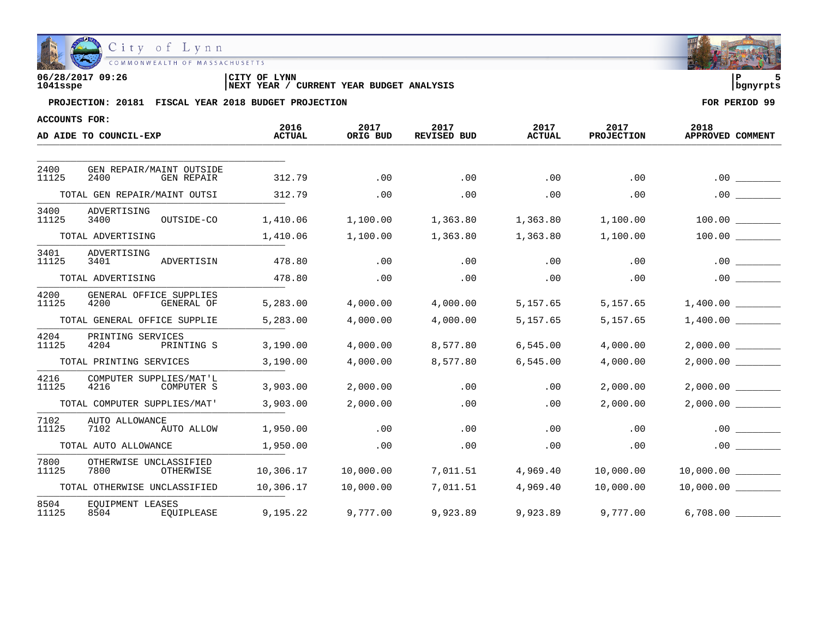

| 06/28/2017 09:26 | CITY OF LYNN                                           |          |
|------------------|--------------------------------------------------------|----------|
| 1041sspe         | YEAR BUDGET ANALYSIS<br>YEAR<br>CURRENT<br><b>NEXT</b> | banvrpts |

| ACCOUNTS FOR: |                                                       |                       |                  |                     |                       |                           |                          |
|---------------|-------------------------------------------------------|-----------------------|------------------|---------------------|-----------------------|---------------------------|--------------------------|
|               | AD AIDE TO COUNCIL-EXP                                | 2016<br><b>ACTUAL</b> | 2017<br>ORIG BUD | 2017<br>REVISED BUD | 2017<br><b>ACTUAL</b> | 2017<br><b>PROJECTION</b> | 2018<br>APPROVED COMMENT |
|               |                                                       |                       |                  |                     |                       |                           |                          |
| 2400<br>11125 | GEN REPAIR/MAINT OUTSIDE<br>2400<br><b>GEN REPAIR</b> | 312.79                | .00              | .00                 | .00                   | .00                       | .00                      |
|               | TOTAL GEN REPAIR/MAINT OUTSI                          | 312.79                | .00              | .00                 | .00                   | .00                       | .00                      |
| 3400<br>11125 | ADVERTISING<br>OUTSIDE-CO<br>3400                     | 1,410.06              | 1,100.00         | 1,363.80            | 1,363.80              | 1,100.00                  | 100.00                   |
|               | TOTAL ADVERTISING                                     | 1,410.06              | 1,100.00         | 1,363.80            | 1,363.80              | 1,100.00                  | 100.00                   |
| 3401<br>11125 | ADVERTISING<br>3401<br>ADVERTISIN                     | 478.80                | .00              | .00                 | .00                   | .00                       | .00                      |
|               | TOTAL ADVERTISING                                     | 478.80                | .00              | .00                 | .00                   | .00                       | .00                      |
| 4200<br>11125 | GENERAL OFFICE SUPPLIES<br>4200<br>GENERAL OF         | 5,283.00              | 4,000.00         | 4,000.00            | 5,157.65              | 5,157.65                  | 1,400.00                 |
|               | TOTAL GENERAL OFFICE SUPPLIE                          | 5,283.00              | 4,000.00         | 4,000.00            | 5,157.65              | 5,157.65                  | 1,400.00                 |
| 4204<br>11125 | PRINTING SERVICES<br>4204<br>PRINTING S               | 3,190.00              | 4,000.00         | 8,577.80            | 6,545.00              | 4,000.00                  | 2,000.00                 |
|               | TOTAL PRINTING SERVICES                               | 3,190.00              | 4,000.00         | 8,577.80            | 6,545.00              | 4,000.00                  | 2,000.00                 |
| 4216<br>11125 | COMPUTER SUPPLIES/MAT'L<br>4216<br>COMPUTER S         | 3,903.00              | 2,000.00         | .00                 | .00                   | 2,000.00                  | 2,000.00                 |
|               | TOTAL COMPUTER SUPPLIES/MAT'                          | 3,903.00              | 2,000.00         | .00                 | .00                   | 2,000.00                  | 2,000.00                 |
| 7102<br>11125 | AUTO ALLOWANCE<br>7102<br>AUTO ALLOW                  | 1,950.00              | .00              | .00                 | .00                   | .00                       | .00                      |
|               | TOTAL AUTO ALLOWANCE                                  | 1,950.00              | .00              | .00                 | .00                   | .00                       | .00                      |
| 7800<br>11125 | OTHERWISE UNCLASSIFIED<br>7800<br>OTHERWISE           | 10,306.17             | 10,000.00        | 7,011.51            | 4,969.40              | 10,000.00                 | 10,000.00                |
|               | TOTAL OTHERWISE UNCLASSIFIED                          | 10,306.17             | 10,000.00        | 7,011.51            | 4,969.40              | 10,000.00                 | 10,000.00                |
| 8504<br>11125 | EOUIPMENT LEASES<br>EOUIPLEASE<br>8504                | 9,195.22              | 9,777.00         | 9,923.89            | 9,923.89              | 9,777.00                  | 6,708.00                 |

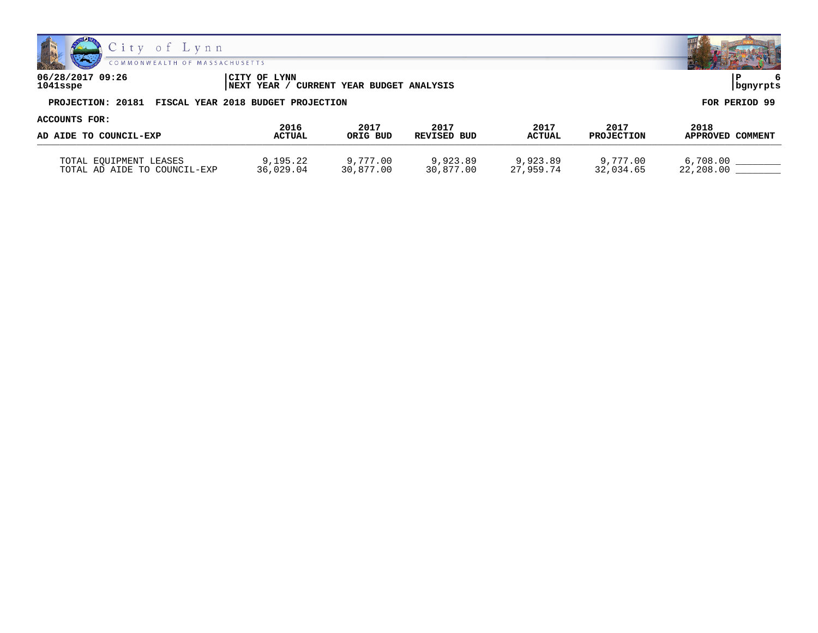



**06/28/2017 09:26 |CITY OF LYNN |P 6 1041sspe |NEXT YEAR / CURRENT YEAR BUDGET ANALYSIS |bgnyrpts PROJECTION: 20181 FISCAL YEAR 2018 BUDGET PROJECTION FOR PERIOD 99**

**ACCOUNTS FOR: 2016 2017 2017 2017 2017 2018 AD AIDE TO COUNCIL-EXP ACTUAL ORIG BUD REVISED BUD ACTUAL PROJECTION APPROVED COMMENT** WE ALLOW TO COONCILL BAT TOTAL EQUIPMENT LEASES 9,195.22 9,777.00 9,923.89 9,923.89 9,777.00 6,708.00 \_\_\_\_\_\_\_\_ TOTAL AD AIDE TO COUNCIL-EXP 36,029.04 30,877.00 30,877.00 27,959.74 32,034.65 22,208.00 \_\_\_\_\_\_\_\_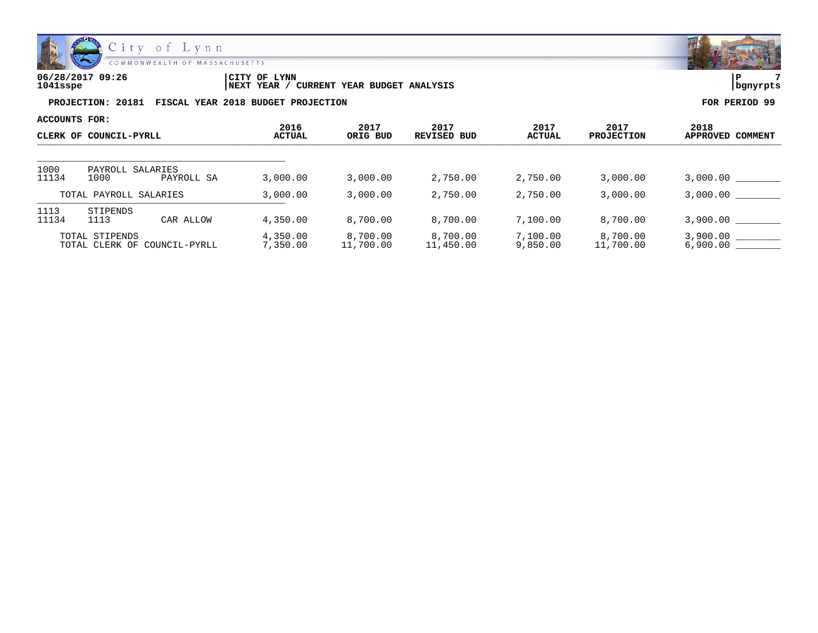

| 06/28/2017 09:26 | LYNN<br>CITY OF                                   | ם ו       |  |
|------------------|---------------------------------------------------|-----------|--|
| 1041sspe         | YEAR BUDGET ANALYSIS<br>CURRENT<br>YEAR .<br>NEXT | Ibgnyrpts |  |

| ACCOUNTS FOR: |                                                   | 2016                 | 2017                  | 2017                  | 2017                 | 2017                  | 2018                 |
|---------------|---------------------------------------------------|----------------------|-----------------------|-----------------------|----------------------|-----------------------|----------------------|
|               | CLERK OF COUNCIL-PYRLL                            | <b>ACTUAL</b>        | ORIG BUD              | REVISED BUD           | ACTUAL               | <b>PROJECTION</b>     | APPROVED COMMENT     |
| 1000          | PAYROLL SALARIES                                  |                      |                       |                       |                      |                       |                      |
| 11134         | 1000<br>PAYROLL SA                                | 3,000.00             | 3,000.00              | 2,750.00              | 2,750.00             | 3,000.00              | 3,000.00             |
|               | TOTAL PAYROLL SALARIES                            | 3,000.00             | 3,000.00              | 2,750.00              | 2,750.00             | 3,000.00              | 3,000.00             |
| 1113<br>11134 | STIPENDS<br>1113<br>CAR ALLOW                     | 4,350.00             | 8,700.00              | 8,700.00              | 7,100.00             | 8,700.00              | 3,900.00             |
|               | TOTAL STIPENDS<br>COUNCIL-PYRLL<br>TOTAL CLERK OF | 4,350.00<br>7,350.00 | 8,700.00<br>11,700.00 | 8,700.00<br>11,450.00 | 7,100.00<br>9,850.00 | 8,700.00<br>11,700.00 | 3,900,00<br>6,900.00 |

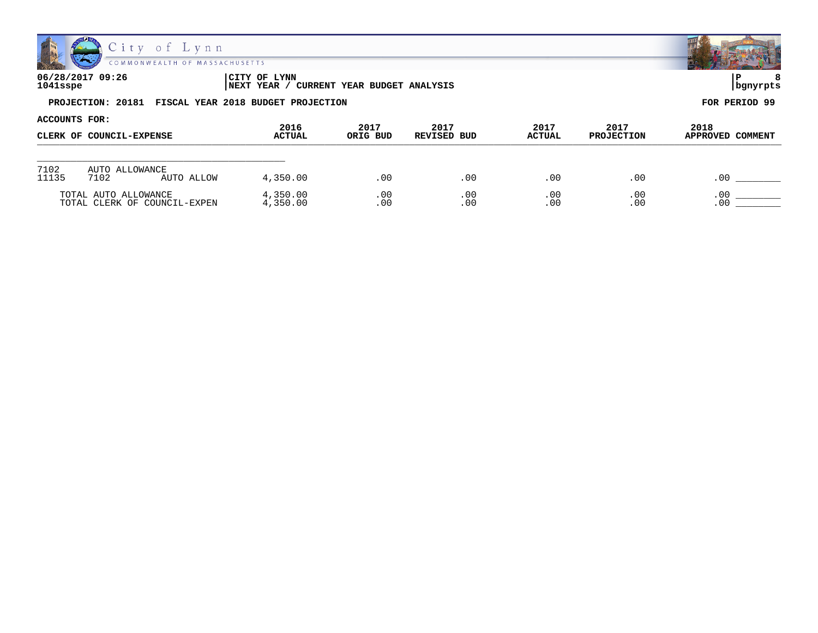

| 06/28/2017 09:26<br>1041sspe | CITY OF LYNN<br>' CURRENT YEAR BUDGET ANALYSIS<br> NEXT YEAR / | bgnyrpts      |
|------------------------------|----------------------------------------------------------------|---------------|
|                              | PROJECTION: 20181 FISCAL YEAR 2018 BUDGET PROJECTION           | FOR PERIOD 99 |

| ACCOUNTS FOR: |                              |                       |                  |                     |                       |                           |                          |  |
|---------------|------------------------------|-----------------------|------------------|---------------------|-----------------------|---------------------------|--------------------------|--|
|               | CLERK OF COUNCIL-EXPENSE     | 2016<br><b>ACTUAL</b> | 2017<br>ORIG BUD | 2017<br>REVISED BUD | 2017<br><b>ACTUAL</b> | 2017<br><b>PROJECTION</b> | 2018<br>APPROVED COMMENT |  |
|               |                              |                       |                  |                     |                       |                           |                          |  |
| 7102          | AUTO ALLOWANCE               |                       |                  |                     |                       |                           |                          |  |
| 11135         | 7102<br>AUTO ALLOW           | 4,350.00              | .00              | .00                 | .00                   | .00                       | .00                      |  |
|               | TOTAL AUTO ALLOWANCE         | 4,350.00              | .00              | .00                 | .00                   | .00                       | .00                      |  |
|               | TOTAL CLERK OF COUNCIL-EXPEN | 4,350.00              | .00              | .00                 | .00                   | .00                       | .00                      |  |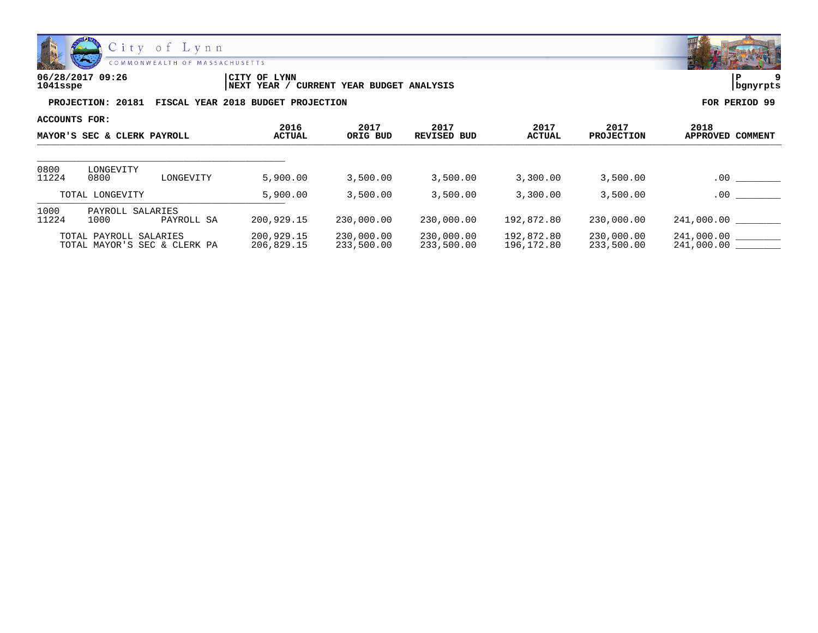

| 06/28/2017 09:26 | LYNN<br>CITY OF                               | ם ו      |  |
|------------------|-----------------------------------------------|----------|--|
| 1041sspe         | YEAR BUDGET ANALYSIS<br>'NEXT YEAR<br>CURRENT | banvrpts |  |

| ACCOUNTS FOR:               |                                                        |            | 2016                     | 2017                     | 2017                     | 2017                     | 2017                     | 2018                       |
|-----------------------------|--------------------------------------------------------|------------|--------------------------|--------------------------|--------------------------|--------------------------|--------------------------|----------------------------|
| MAYOR'S SEC & CLERK PAYROLL |                                                        |            |                          | ORIG BUD                 | REVISED BUD              | <b>ACTUAL</b>            | <b>PROJECTION</b>        | COMMENT<br><b>APPROVED</b> |
| 0800                        | LONGEVITY                                              |            |                          |                          |                          |                          |                          |                            |
| 11224                       | 0800                                                   | LONGEVITY  | 5,900.00                 | 3,500.00                 | 3,500.00                 | 3,300,00                 | 3,500.00                 | $.00 \,$                   |
| TOTAL LONGEVITY             |                                                        | 5,900.00   | 3,500.00                 | 3,500.00                 | 3,300.00                 | 3,500.00                 | .00                      |                            |
| 1000<br>11224               | PAYROLL SALARIES<br>1000                               | PAYROLL SA | 200,929.15               | 230,000.00               | 230,000.00               | 192,872.80               | 230,000.00               | 241,000.00                 |
|                             | TOTAL PAYROLL SALARIES<br>TOTAL MAYOR'S SEC & CLERK PA |            | 200,929.15<br>206,829.15 | 230,000.00<br>233,500.00 | 230,000.00<br>233,500.00 | 192,872.80<br>196,172.80 | 230,000.00<br>233,500.00 | 241,000.00<br>241,000.00   |

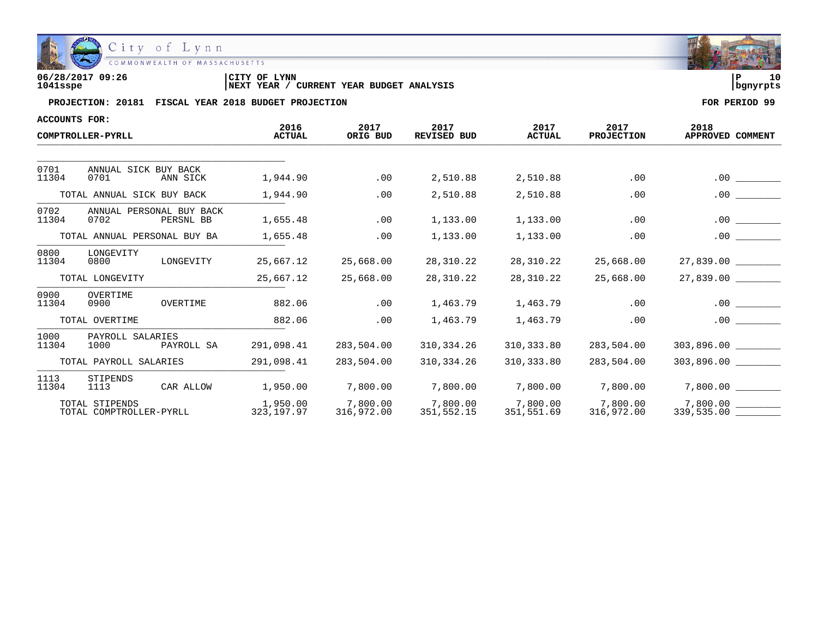

| 06/28/2017 09:26 | CITY OF<br>LYNN                                   | 10         |
|------------------|---------------------------------------------------|------------|
| 1041sspe         | CURRENT YEAR BUDGET ANALYSIS<br><b>INEXT YEAR</b> | l banvrpts |

| ACCOUNTS FOR:                |                                           |            |                        |                        |                            |                        |                           |                          |
|------------------------------|-------------------------------------------|------------|------------------------|------------------------|----------------------------|------------------------|---------------------------|--------------------------|
| COMPTROLLER-PYRLL            |                                           |            | 2016<br><b>ACTUAL</b>  | 2017<br>ORIG BUD       | 2017<br><b>REVISED BUD</b> | 2017<br><b>ACTUAL</b>  | 2017<br><b>PROJECTION</b> | 2018<br>APPROVED COMMENT |
|                              |                                           |            |                        |                        |                            |                        |                           |                          |
| 0701<br>11304                | ANNUAL SICK BUY BACK<br>0701              | ANN SICK   | 1,944.90               | .00                    | 2,510.88                   | 2,510.88               | .00                       | .00                      |
|                              | TOTAL ANNUAL SICK BUY BACK                |            | 1,944.90               | .00                    | 2,510.88                   | 2,510.88               | .00                       | .00                      |
| 0702<br>11304                | ANNUAL PERSONAL BUY BACK<br>0702          | PERSNL BB  | 1,655.48               | .00                    | 1,133.00                   | 1,133.00               | .00                       | .00                      |
| TOTAL ANNUAL PERSONAL BUY BA |                                           |            | 1,655.48               | .00                    | 1,133.00                   | 1,133.00               | .00                       | .00                      |
| 0800<br>11304                | LONGEVITY<br>0800                         | LONGEVITY  | 25,667.12              | 25,668.00              | 28,310.22                  | 28,310.22              | 25,668.00                 | 27,839.00                |
|                              | TOTAL LONGEVITY                           |            | 25,667.12              | 25,668.00              | 28,310.22                  | 28,310.22              | 25,668.00                 | 27,839.00                |
| 0900<br>11304                | OVERTIME<br>0900                          | OVERTIME   | 882.06                 | .00                    | 1,463.79                   | 1,463.79               | .00                       | .00                      |
|                              | TOTAL OVERTIME                            |            | 882.06                 | .00                    | 1,463.79                   | 1,463.79               | .00                       | .00                      |
| 1000<br>11304                | PAYROLL SALARIES<br>1000                  | PAYROLL SA | 291,098.41             | 283,504.00             | 310,334.26                 | 310,333.80             | 283,504.00                | 303,896.00               |
|                              | TOTAL PAYROLL SALARIES                    |            | 291,098.41             | 283,504.00             | 310,334.26                 | 310,333.80             | 283,504.00                |                          |
| 1113<br>11304                | STIPENDS<br>1113                          | CAR ALLOW  | 1,950.00               | 7,800.00               | 7,800.00                   | 7,800.00               | 7,800.00                  | 7,800.00                 |
|                              | TOTAL STIPENDS<br>TOTAL COMPTROLLER-PYRLL |            | 1,950.00<br>323,197.97 | 7,800.00<br>316,972.00 | 7,800.00<br>351,552.15     | 7,800.00<br>351,551.69 | 7,800.00<br>316,972.00    | 7,800.00<br>339,535.00   |

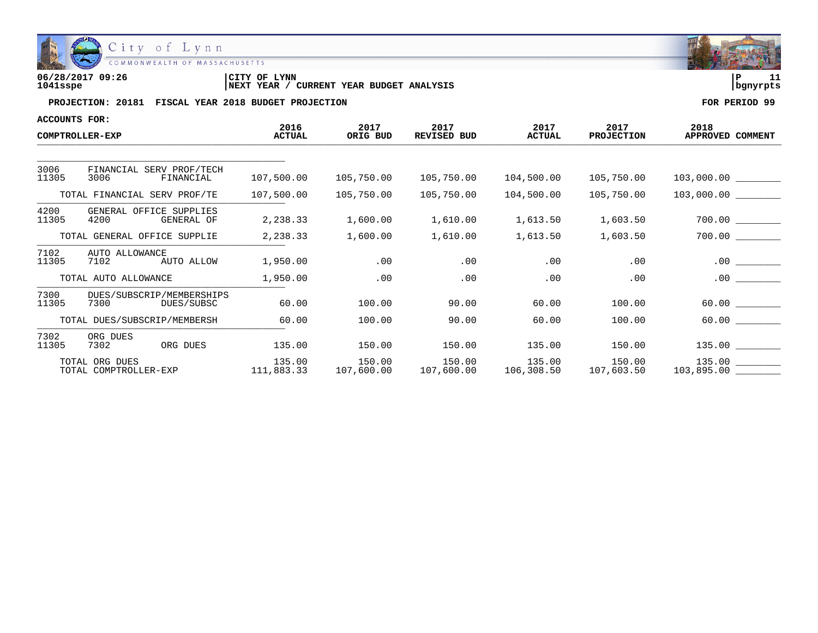

| 06/28/2017 09:26 | LYNN<br>'CITY OF                              | ם ו        |  |
|------------------|-----------------------------------------------|------------|--|
| 1041sspe         | YEAR BUDGET ANALYSIS<br>CURRENT<br>'NEXT YEAR | l banvrpts |  |

| <b>ACCOUNTS FOR:</b> |                                                 |                       |                      |                     |                                    |                           |                          |
|----------------------|-------------------------------------------------|-----------------------|----------------------|---------------------|------------------------------------|---------------------------|--------------------------|
|                      | COMPTROLLER-EXP                                 | 2016<br><b>ACTUAL</b> | 2017<br>ORIG BUD     | 2017<br>REVISED BUD | 2017<br><b>ACTUAL</b>              | 2017<br><b>PROJECTION</b> | 2018<br>APPROVED COMMENT |
|                      |                                                 |                       |                      |                     |                                    |                           |                          |
| 3006<br>11305        | FINANCIAL SERV PROF/TECH<br>3006<br>FINANCIAL   | 107,500.00            | 105,750.00           | 105,750.00          | 104,500.00                         | 105,750.00                |                          |
|                      | TOTAL FINANCIAL SERV PROF/TE                    | 107,500.00            | 105,750.00           | 105,750.00          | 104,500.00                         | 105,750.00                |                          |
| 4200<br>11305        | GENERAL OFFICE SUPPLIES<br>4200<br>GENERAL OF   | 2,238.33              | 1,600.00             | 1,610.00            | 1,613.50                           | 1,603.50                  |                          |
|                      | TOTAL GENERAL OFFICE SUPPLIE                    | 2,238.33              | 1,600.00             | 1,610.00            | 1,613.50                           | 1,603.50                  | 700.00                   |
| 7102<br>11305        | AUTO ALLOWANCE<br>AUTO ALLOW<br>7102            | 1,950.00              | .00                  | .00                 | .00                                | $.00 \,$                  | $.00 \,$                 |
|                      | TOTAL AUTO ALLOWANCE                            | 1,950.00              | .00                  | .00                 | .00                                | .00                       | $.00 \,$                 |
| 7300<br>11305        | DUES/SUBSCRIP/MEMBERSHIPS<br>7300<br>DUES/SUBSC | 60.00                 | 100.00               | 90.00               | 60.00                              | 100.00                    |                          |
|                      | TOTAL DUES/SUBSCRIP/MEMBERSH                    | 60.00                 | 100.00               | 90.00               | 60.00                              | 100.00                    | 60.00                    |
| 7302<br>11305        | ORG DUES<br>ORG DUES<br>7302                    | 135.00                | 150.00               | 150.00              | 135.00                             | 150.00                    |                          |
|                      | TOTAL ORG DUES<br>TOTAL COMPTROLLER-EXP         | 135.00<br>111,883.33  | 150.00<br>107,600.00 | 150.00              | 135.00<br>107,600.00    106,308.50 | 150.00<br>107,603.50      | $135.00$ $\qquad \qquad$ |

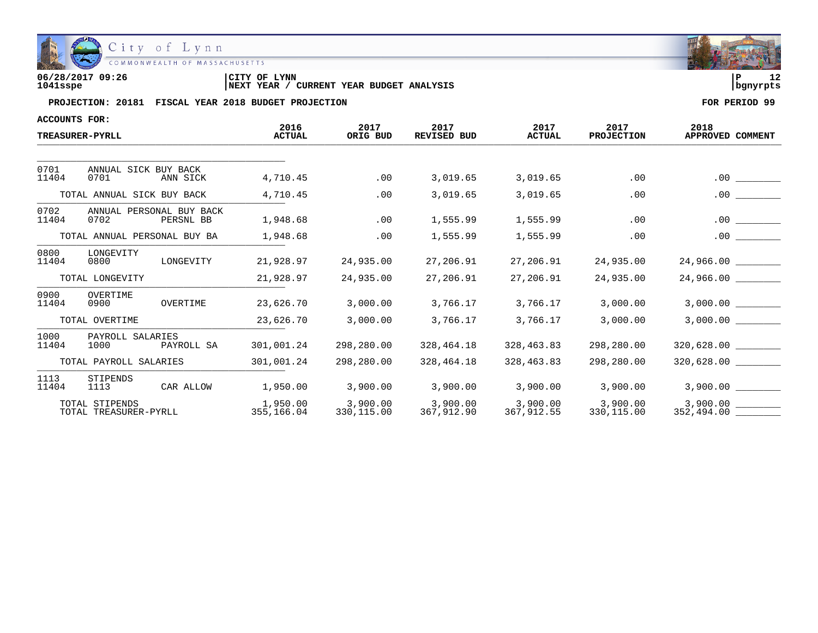

| 06/28/2017 09:26 | CITY OF LYNN                                      | . .        |  |
|------------------|---------------------------------------------------|------------|--|
| 1041sspe         | CURRENT YEAR BUDGET ANALYSIS<br><b>INEXT YEAR</b> | l banvrpts |  |

| <b>ACCOUNTS FOR:</b> |                                               |                        |                        |                            |                        |                           |                          |
|----------------------|-----------------------------------------------|------------------------|------------------------|----------------------------|------------------------|---------------------------|--------------------------|
|                      | <b>TREASURER-PYRLL</b>                        | 2016<br><b>ACTUAL</b>  | 2017<br>ORIG BUD       | 2017<br><b>REVISED BUD</b> | 2017<br><b>ACTUAL</b>  | 2017<br><b>PROJECTION</b> | 2018<br>APPROVED COMMENT |
|                      |                                               |                        |                        |                            |                        |                           |                          |
| 0701<br>11404        | ANNUAL SICK BUY BACK<br>0701<br>ANN SICK      | 4,710.45               | .00                    | 3,019.65                   | 3,019.65               | .00                       | .00                      |
|                      | TOTAL ANNUAL SICK BUY BACK                    | 4,710.45               | .00                    | 3,019.65                   | 3,019.65               | .00                       | .00                      |
| 0702<br>11404        | ANNUAL PERSONAL BUY BACK<br>0702<br>PERSNL BB | 1,948.68               | .00                    | 1,555.99                   | 1,555.99               | .00                       | .00                      |
|                      | TOTAL ANNUAL PERSONAL BUY BA                  | 1,948.68               | .00                    | 1,555.99                   | 1,555.99               | .00                       | .00                      |
| 0800<br>11404        | LONGEVITY<br>0800<br>LONGEVITY                | 21,928.97              | 24,935.00              | 27,206.91                  | 27,206.91              | 24,935.00                 | 24,966.00 _______        |
|                      | TOTAL LONGEVITY                               | 21,928.97              | 24,935.00              | 27,206.91                  | 27,206.91              | 24,935.00                 | 24,966.00                |
| 0900<br>11404        | OVERTIME<br>0900<br>OVERTIME                  | 23,626.70              | 3,000.00               | 3,766.17                   | 3,766.17               | 3,000.00                  | 3,000.00                 |
|                      | TOTAL OVERTIME                                | 23,626.70              | 3,000.00               | 3,766.17                   | 3,766.17               | 3,000.00                  | 3,000.00                 |
| 1000<br>11404        | PAYROLL SALARIES<br>1000<br>PAYROLL SA        | 301,001.24             | 298,280.00             | 328,464.18                 | 328,463.83             | 298,280.00                |                          |
|                      | TOTAL PAYROLL SALARIES                        | 301,001.24             | 298,280.00             | 328,464.18                 | 328,463.83             | 298,280.00                |                          |
| 1113<br>11404        | STIPENDS<br>CAR ALLOW<br>1113                 | 1,950.00               | 3,900.00               | 3,900.00                   | 3,900.00               | 3,900.00                  | $3,900.00$ _________     |
|                      | TOTAL STIPENDS<br>TOTAL TREASURER-PYRLL       | 1,950.00<br>355,166.04 | 3,900.00<br>330,115.00 | 3,900.00<br>367,912.90     | 3,900.00<br>367,912.55 | 3,900.00<br>330,115.00    | 3,900.00<br>352,494.00   |

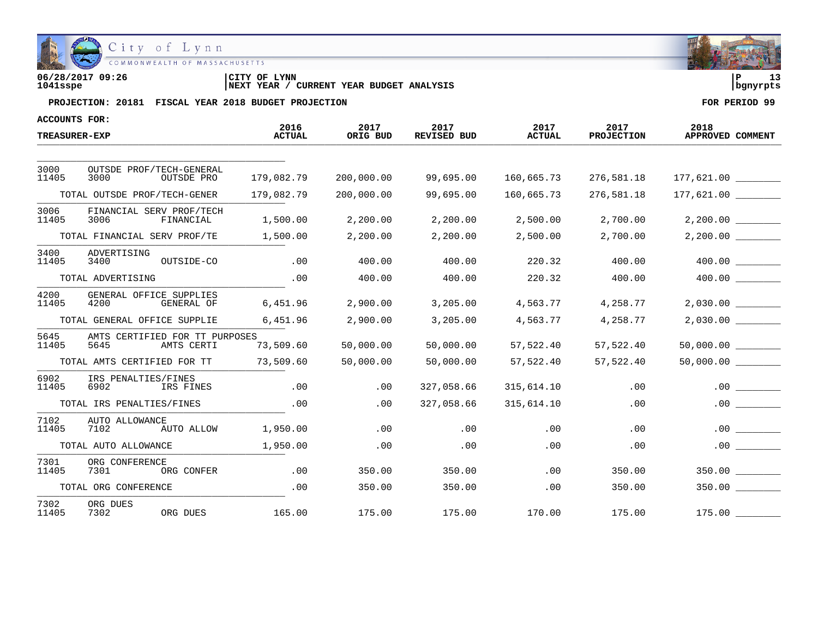

| 06/28/2017 09:26 | LYNN<br>'CITY OF                              | ם ו        |  |
|------------------|-----------------------------------------------|------------|--|
| 1041sspe         | YEAR BUDGET ANALYSIS<br>CURRENT<br>'NEXT YEAR | l banvrpts |  |

| ACCOUNTS FOR:        |                                 |                                              |                       |                  |                            |                       |                           |                          |
|----------------------|---------------------------------|----------------------------------------------|-----------------------|------------------|----------------------------|-----------------------|---------------------------|--------------------------|
| <b>TREASURER-EXP</b> |                                 |                                              | 2016<br><b>ACTUAL</b> | 2017<br>ORIG BUD | 2017<br><b>REVISED BUD</b> | 2017<br><b>ACTUAL</b> | 2017<br><b>PROJECTION</b> | 2018<br>APPROVED COMMENT |
| 3000                 |                                 | OUTSDE PROF/TECH-GENERAL                     |                       |                  |                            |                       |                           |                          |
| 11405                | 3000                            | OUTSDE PRO                                   | 179,082.79            | 200,000.00       | 99,695.00                  | 160,665.73            | 276,581.18                | 177,621.00               |
|                      | TOTAL OUTSDE PROF/TECH-GENER    |                                              | 179,082.79            | 200,000.00       | 99,695.00                  | 160,665.73            | 276,581.18                | 177,621.00               |
| 3006<br>11405        | 3006                            | FINANCIAL SERV PROF/TECH<br>FINANCIAL        | 1,500.00              | 2,200.00         | 2,200.00                   | 2,500.00              | 2,700.00                  | 2,200.00                 |
|                      | TOTAL FINANCIAL SERV PROF/TE    |                                              | 1,500.00              | 2,200.00         | 2,200.00                   | 2,500.00              | 2,700.00                  |                          |
| 3400<br>11405        | ADVERTISING<br>3400             | OUTSIDE-CO                                   | .00                   | 400.00           | 400.00                     | 220.32                | 400.00                    | 400.00                   |
|                      | TOTAL ADVERTISING               |                                              | .00                   | 400.00           | 400.00                     | 220.32                | 400.00                    | 400.00                   |
| 4200<br>11405        | GENERAL OFFICE SUPPLIES<br>4200 | GENERAL OF                                   | 6,451.96              | 2,900.00         | 3,205.00                   | 4,563.77              | 4,258.77                  | 2,030.00                 |
|                      | TOTAL GENERAL OFFICE SUPPLIE    |                                              | 6,451.96              | 2,900.00         | 3,205.00                   | 4,563.77              | 4,258.77                  | $2,030.00$ ________      |
| 5645<br>11405        | 5645                            | AMTS CERTIFIED FOR TT PURPOSES<br>AMTS CERTI | 73,509.60             | 50,000.00        | 50,000.00                  | 57,522.40             | 57,522.40                 | 50,000.00                |
|                      | TOTAL AMTS CERTIFIED FOR TT     |                                              | 73,509.60             | 50,000.00        | 50,000.00                  | 57,522.40             | 57,522.40                 | 50,000.00                |
| 6902<br>11405        | IRS PENALTIES/FINES<br>6902     | IRS FINES                                    | .00                   | .00              | 327,058.66                 | 315,614.10            | .00                       | $.00$ $\qquad \qquad$    |
|                      | TOTAL IRS PENALTIES/FINES       |                                              | .00                   | .00              | 327,058.66                 | 315,614.10            | .00                       | .00                      |
| 7102<br>11405        | AUTO ALLOWANCE<br>7102          | AUTO ALLOW                                   | 1,950.00              | .00              | .00                        | .00                   | .00                       | .00                      |
|                      | TOTAL AUTO ALLOWANCE            |                                              | 1,950.00              | .00              | .00                        | .00                   | .00                       | .00                      |
| 7301<br>11405        | ORG CONFERENCE<br>7301          | ORG CONFER                                   | .00                   | 350.00           | 350.00                     | .00                   | 350.00                    | 350.00                   |
|                      | TOTAL ORG CONFERENCE            |                                              | .00                   | 350.00           | 350.00                     | .00                   | 350.00                    | 350.00                   |
| 7302<br>11405        | ORG DUES<br>7302                | ORG DUES                                     | 165.00                | 175.00           | 175.00                     | 170.00                | 175.00                    | 175.00                   |

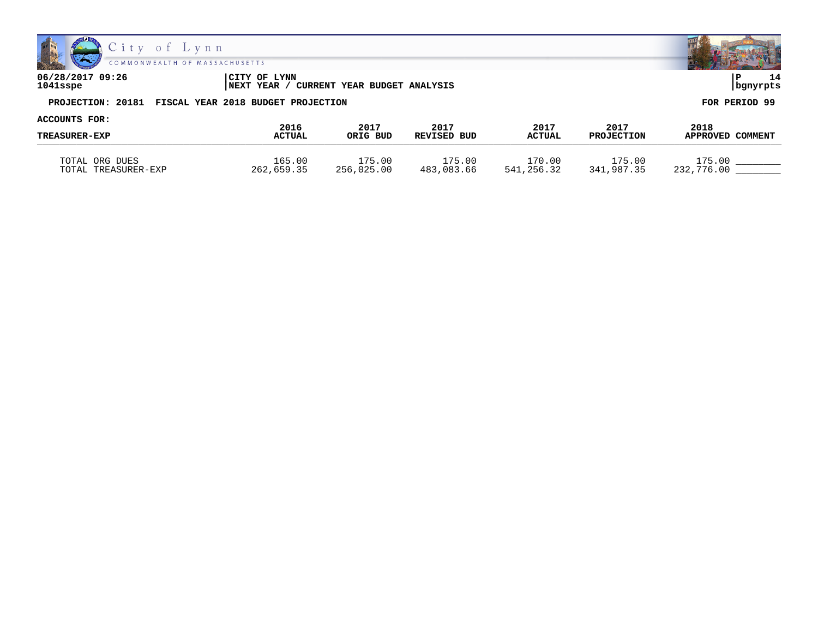



**06/28/2017 09:26 |CITY OF LYNN |P 14 1041sspe |NEXT YEAR / CURRENT YEAR BUDGET ANALYSIS |bgnyrpts**

| ACCOUNTS FOR:        |                       |                  |                     |                       |                           |                          |
|----------------------|-----------------------|------------------|---------------------|-----------------------|---------------------------|--------------------------|
| <b>TREASURER-EXP</b> | 2016<br><b>ACTUAL</b> | 2017<br>ORIG BUD | 2017<br>REVISED BUD | 2017<br><b>ACTUAL</b> | 2017<br><b>PROJECTION</b> | 2018<br>APPROVED COMMENT |
| TOTAL ORG DUES       | 165.00                | L75.00           | 175.00              | L70.00                | l75.00                    | 175.00                   |
| TOTAL TREASURER-EXP  | 262,659.35            | 256,025.00       | 483,083.66          | 541,256.32            | 341,987.35                | 232,776.00               |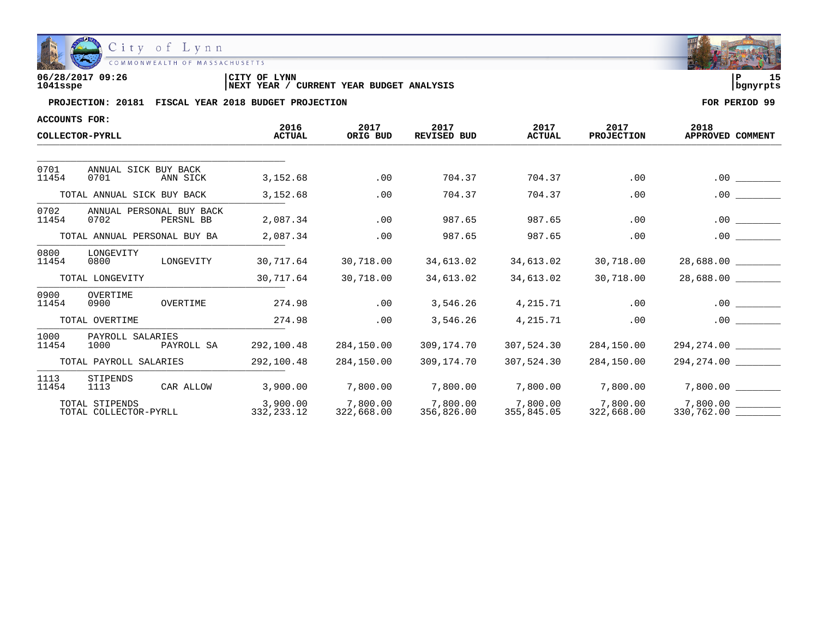

| 06/28/2017 09:26 | <b>LYNN</b><br> CITY OF                                     | חי       |
|------------------|-------------------------------------------------------------|----------|
| 1041sspe         | <b>YEAR BUDGET ANALYSIS</b><br><b>INEXT YEAR</b><br>CURRENT | banvrpts |

| <b>ACCOUNTS FOR:</b>         |                                               |                          |                        |                            |                        |                           |                               |
|------------------------------|-----------------------------------------------|--------------------------|------------------------|----------------------------|------------------------|---------------------------|-------------------------------|
|                              | COLLECTOR-PYRLL                               | 2016<br><b>ACTUAL</b>    | 2017<br>ORIG BUD       | 2017<br><b>REVISED BUD</b> | 2017<br><b>ACTUAL</b>  | 2017<br><b>PROJECTION</b> | 2018<br>APPROVED COMMENT      |
|                              |                                               |                          |                        |                            |                        |                           |                               |
| 0701<br>11454                | ANNUAL SICK BUY BACK<br>0701<br>ANN SICK      | 3,152.68                 | .00                    | 704.37                     | 704.37                 | .00                       | .00                           |
|                              | TOTAL ANNUAL SICK BUY BACK                    | 3,152.68                 | .00                    | 704.37                     | 704.37                 | .00                       | .00                           |
| 0702<br>11454                | ANNUAL PERSONAL BUY BACK<br>0702<br>PERSNL BB | 2,087.34                 | .00                    | 987.65                     | 987.65                 | .00                       | $.00 \,$                      |
| TOTAL ANNUAL PERSONAL BUY BA |                                               | 2,087.34                 | .00                    | 987.65                     | 987.65                 | .00                       | .00                           |
| 0800<br>11454                | LONGEVITY<br>LONGEVITY<br>0800                | 30,717.64                | 30,718.00              | 34,613.02                  | 34,613.02              | 30,718.00                 | 28,688.00                     |
|                              | TOTAL LONGEVITY                               | 30,717.64                | 30,718.00              | 34,613.02                  | 34,613.02              | 30,718.00                 | 28,688.00                     |
| 0900<br>11454                | OVERTIME<br>0900<br>OVERTIME                  | 274.98                   | .00                    | 3,546.26                   | 4,215.71               | .00                       | .00                           |
|                              | TOTAL OVERTIME                                | 274.98                   | .00                    | 3,546.26                   | 4,215.71               | .00                       | .00                           |
| 1000<br>11454                | PAYROLL SALARIES<br>1000                      | 292,100.48<br>PAYROLL SA | 284,150.00             | 309,174.70                 | 307,524.30             | 284,150.00                | 294,274.00                    |
| TOTAL PAYROLL SALARIES       |                                               | 292,100.48               | 284,150.00             | 309,174.70                 | 307,524.30             | 284,150.00                | 294,274.00                    |
| 1113<br>11454                | STIPENDS<br>CAR ALLOW<br>1113                 | 3,900.00                 | 7,800.00               | 7,800.00                   | 7,800.00               | 7,800.00                  | 7,800.00                      |
|                              | TOTAL STIPENDS<br>TOTAL COLLECTOR-PYRLL       | 3,900.00<br>332,233.12   | 7,800.00<br>322,668.00 | 7,800.00<br>356,826.00     | 7,800.00<br>355,845.05 | 7,800.00<br>322,668.00    | 7,800.00<br>330,762.00 ______ |

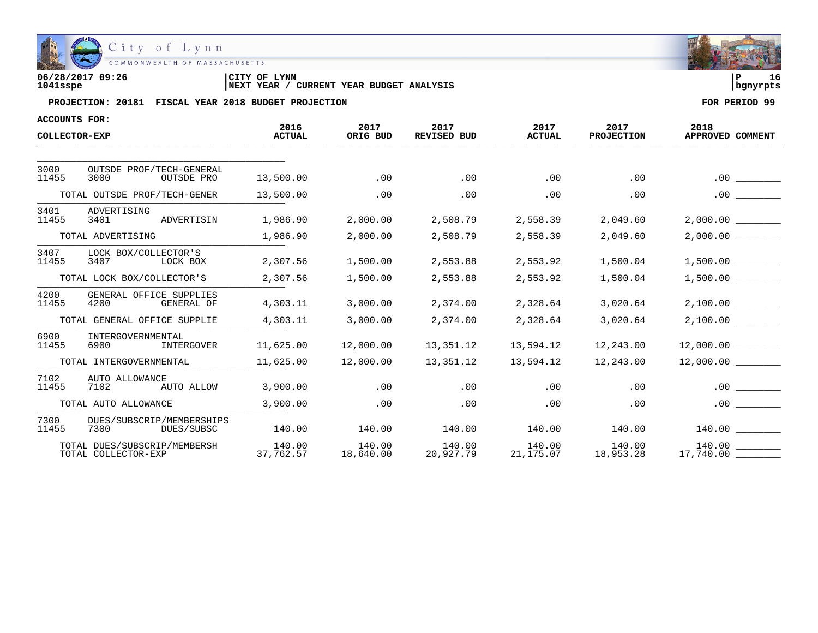

| 06/28/2017 09:26 | 'CITY OF<br>LYNN                                     | l P      |  |
|------------------|------------------------------------------------------|----------|--|
| 1041sspe         | YEAR BUDGET ANALYSIS<br>CURRENT<br><b>INEXT YEAR</b> | banvrpts |  |

| <b>ACCOUNTS FOR:</b>       |                                                     |                       |                     |                            |                       |                           |                          |
|----------------------------|-----------------------------------------------------|-----------------------|---------------------|----------------------------|-----------------------|---------------------------|--------------------------|
| COLLECTOR-EXP              |                                                     | 2016<br><b>ACTUAL</b> | 2017<br>ORIG BUD    | 2017<br><b>REVISED BUD</b> | 2017<br><b>ACTUAL</b> | 2017<br><b>PROJECTION</b> | 2018<br>APPROVED COMMENT |
|                            |                                                     |                       |                     |                            |                       |                           |                          |
| 3000<br>11455              | OUTSDE PROF/TECH-GENERAL<br>3000<br>OUTSDE PRO      | 13,500.00             | .00                 | .00                        | .00                   | .00                       | .00                      |
|                            | TOTAL OUTSDE PROF/TECH-GENER                        | 13,500.00             | .00                 | .00                        | .00                   | .00                       | $.00 \,$                 |
| 3401<br>11455              | ADVERTISING<br>ADVERTISIN<br>3401                   | 1,986.90              | 2,000.00            | 2,508.79                   | 2,558.39              | 2,049.60                  | 2,000.00                 |
| TOTAL ADVERTISING          |                                                     | 1,986.90              | 2,000.00            | 2,508.79                   | 2,558.39              | 2,049.60                  | 2,000.00                 |
| 3407<br>11455              | LOCK BOX/COLLECTOR'S<br>3407<br>LOCK BOX            | 2,307.56              | 1,500.00            | 2,553.88                   | 2,553.92              | 1,500.04                  | 1,500.00                 |
| TOTAL LOCK BOX/COLLECTOR'S |                                                     | 2,307.56              | 1,500.00            | 2,553.88                   | 2,553.92              | 1,500.04                  | 1,500.00                 |
| 4200<br>11455              | GENERAL OFFICE SUPPLIES<br>4200<br>GENERAL OF       | 4,303.11              | 3,000.00            | 2,374.00                   | 2,328.64              | 3,020.64                  | 2,100.00                 |
|                            | TOTAL GENERAL OFFICE SUPPLIE                        | 4,303.11              | 3,000.00            | 2,374.00                   | 2,328.64              | 3,020.64                  | 2,100.00                 |
| 6900<br>11455              | INTERGOVERNMENTAL<br>6900<br>INTERGOVER             | 11,625.00             | 12,000.00           | 13,351.12                  | 13,594.12             | 12,243.00                 | 12,000.00                |
|                            | TOTAL INTERGOVERNMENTAL                             | 11,625.00             | 12,000.00           | 13,351.12                  | 13,594.12             | 12,243.00                 | 12,000.00                |
| 7102<br>11455              | AUTO ALLOWANCE<br>7102<br>AUTO ALLOW                | 3,900.00              | .00                 | .00                        | .00                   | .00                       | .00                      |
|                            | TOTAL AUTO ALLOWANCE                                | 3,900.00              | .00                 | .00                        | .00                   | .00                       | .00                      |
| 7300<br>11455              | DUES/SUBSCRIP/MEMBERSHIPS<br>7300<br>DUES/SUBSC     | 140.00                | 140.00              | 140.00                     | 140.00                | 140.00                    | 140.00                   |
|                            | TOTAL DUES/SUBSCRIP/MEMBERSH<br>TOTAL COLLECTOR-EXP | 140.00<br>37,762.57   | 140.00<br>18,640.00 | 140.00<br>20,927.79        | 140.00<br>21,175.07   | 140.00<br>18,953.28       | 140.00<br>17,740.00      |

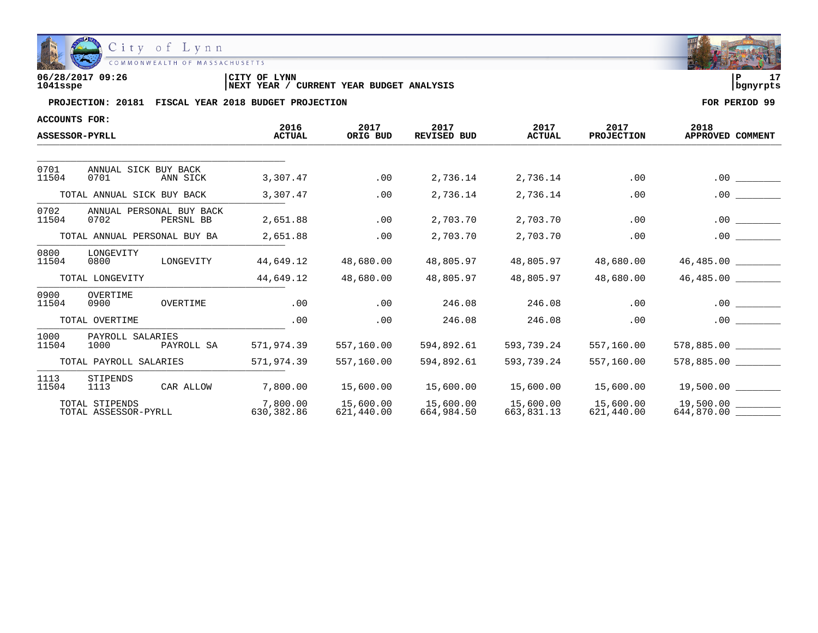

| 06/28/2017 09:26 | CITY OF LYNN                                      |            | - - |
|------------------|---------------------------------------------------|------------|-----|
| 1041sspe         | CURRENT YEAR BUDGET ANALYSIS<br><b>INEXT YEAR</b> | l banvrpts |     |

| <b>ACCOUNTS FOR:</b>                                           |                                        |            |                        |                         |                            |                         |                         |                                 |
|----------------------------------------------------------------|----------------------------------------|------------|------------------------|-------------------------|----------------------------|-------------------------|-------------------------|---------------------------------|
|                                                                | <b>ASSESSOR-PYRLL</b>                  |            | 2016<br><b>ACTUAL</b>  | 2017<br>ORIG BUD        | 2017<br><b>REVISED BUD</b> | 2017<br><b>ACTUAL</b>   | 2017<br>PROJECTION      | 2018<br>APPROVED COMMENT        |
|                                                                |                                        |            |                        |                         |                            |                         |                         |                                 |
| 0701<br>11504                                                  | ANNUAL SICK BUY BACK<br>0701           | ANN SICK   | 3,307.47               | .00                     | 2,736.14                   | 2,736.14                | .00                     | .00                             |
|                                                                | TOTAL ANNUAL SICK BUY BACK             |            | 3,307.47               | .00                     | 2,736.14                   | 2,736.14                | .00                     | .00                             |
| 0702<br>ANNUAL PERSONAL BUY BACK<br>PERSNL BB<br>11504<br>0702 |                                        |            | 2,651.88               | .00                     | 2,703.70                   | 2,703.70                | .00                     | .00                             |
| TOTAL ANNUAL PERSONAL BUY BA                                   |                                        |            | 2,651.88               | .00                     | 2,703.70                   | 2,703.70                | .00                     | .00                             |
| 0800<br>11504                                                  | LONGEVITY<br>0800                      | LONGEVITY  | 44,649.12              | 48,680.00               | 48,805.97                  | 48,805.97               | 48,680.00               | 46,485.00                       |
|                                                                | TOTAL LONGEVITY                        |            | 44,649.12              | 48,680.00               | 48,805.97                  | 48,805.97               | 48,680.00               | 46,485.00                       |
| 0900<br>11504                                                  | OVERTIME<br>0900                       | OVERTIME   | .00                    | .00                     | 246.08                     | 246.08                  | .00                     |                                 |
|                                                                | TOTAL OVERTIME                         |            | .00                    | .00                     | 246.08                     | 246.08                  | .00                     | .00                             |
| 1000<br>11504                                                  | PAYROLL SALARIES<br>1000               | PAYROLL SA | 571,974.39             | 557,160.00              | 594,892.61                 | 593,739.24              | 557,160.00              | 578,885.00                      |
| TOTAL PAYROLL SALARIES                                         |                                        |            | 571,974.39             | 557,160.00              | 594,892.61                 | 593,739.24              | 557,160.00              | 578,885.00                      |
| 1113<br>11504                                                  | STIPENDS<br>1113                       | CAR ALLOW  | 7,800.00               | 15,600.00               | 15,600.00                  | 15,600.00               | 15,600.00               | 19,500.00                       |
|                                                                | TOTAL STIPENDS<br>TOTAL ASSESSOR-PYRLL |            | 7,800.00<br>630,382.86 | 15,600.00<br>621,440.00 | 15,600.00<br>664,984.50    | 15,600.00<br>663,831.13 | 15,600.00<br>621,440.00 | 19,500.00 _______<br>644,870.00 |

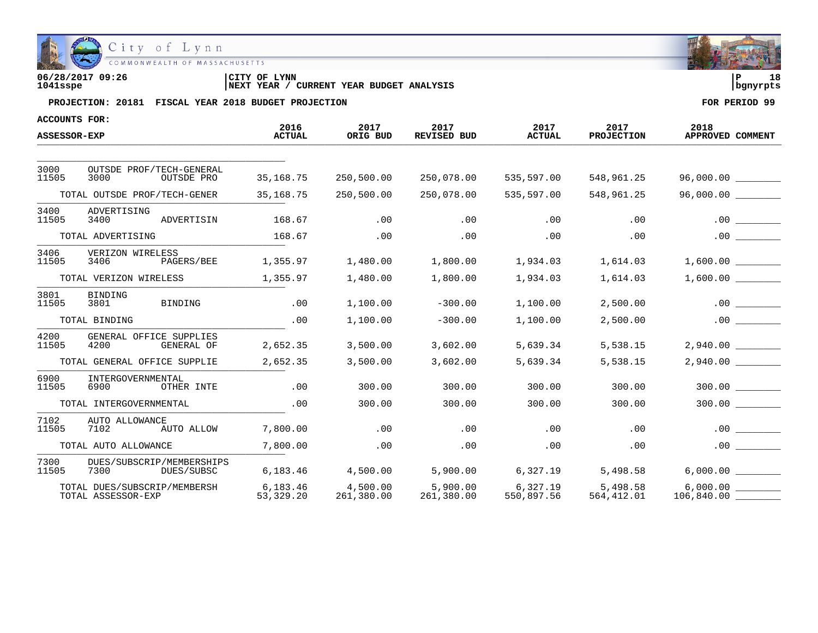

| 06/28/2017 09:26 | 'CITY OF<br>LYNN                                     | l P      | 18 |
|------------------|------------------------------------------------------|----------|----|
| 1041sspe         | YEAR BUDGET ANALYSIS<br>CURRENT<br><b>INEXT YEAR</b> | banvrpts |    |

| <b>ACCOUNTS FOR:</b>                                    |                                                      | 2016                  | 2017                   | 2017                   | 2017                   | 2017                    | 2018             |
|---------------------------------------------------------|------------------------------------------------------|-----------------------|------------------------|------------------------|------------------------|-------------------------|------------------|
| ASSESSOR-EXP                                            |                                                      | <b>ACTUAL</b>         | ORIG BUD               | REVISED BUD            | <b>ACTUAL</b>          | <b>PROJECTION</b>       | APPROVED COMMENT |
|                                                         |                                                      |                       |                        |                        |                        |                         |                  |
| 3000<br>11505                                           | OUTSDE PROF/TECH-GENERAL<br>3000<br>OUTSDE PRO       | 35,168.75             | 250,500.00             | 250,078.00             | 535,597.00             | 548,961.25              |                  |
|                                                         | TOTAL OUTSDE PROF/TECH-GENER                         | 35, 168. 75           | 250,500.00             | 250,078.00             | 535,597.00             | 548,961.25              | 96,000.00        |
| 3400<br>11505                                           | ADVERTISING<br>3400<br>ADVERTISIN                    | 168.67                | .00                    | .00                    | .00                    | .00                     | .00              |
|                                                         | TOTAL ADVERTISING                                    | 168.67                | .00                    | .00                    | .00                    | .00                     |                  |
| 3406<br>VERIZON WIRELESS<br>11505<br>3406<br>PAGERS/BEE |                                                      | 1,355.97              | 1,480.00               | 1,800.00               | 1,934.03               | 1,614.03                | 1,600.00         |
| TOTAL VERIZON WIRELESS                                  |                                                      | 1,355.97              | 1,480.00               | 1,800.00               | 1,934.03               | 1,614.03                | 1,600.00         |
| 3801<br>11505                                           | <b>BINDING</b><br>3801<br><b>BINDING</b>             | .00                   | 1,100.00               | $-300.00$              | 1,100.00               | 2,500.00                | .00              |
|                                                         | TOTAL BINDING                                        | .00                   | 1,100.00               | $-300.00$              | 1,100.00               | 2,500.00                | .00              |
| 4200<br>11505                                           | GENERAL OFFICE SUPPLIES<br>4200<br><b>GENERAL OF</b> | 2,652.35              | 3,500.00               | 3,602.00               | 5,639.34               | 5,538.15                | 2,940.00         |
|                                                         | TOTAL GENERAL OFFICE SUPPLIE                         | 2,652.35              | 3,500.00               | 3,602.00               | 5,639.34               | 5,538.15                | 2,940.00         |
| 6900<br>11505                                           | INTERGOVERNMENTAL<br>6900<br>OTHER INTE              | .00                   | 300.00                 | 300.00                 | 300.00                 | 300.00                  | 300.00           |
|                                                         | TOTAL INTERGOVERNMENTAL                              | .00                   | 300.00                 | 300.00                 | 300.00                 | 300.00                  | 300.00           |
| 7102<br>11505                                           | AUTO ALLOWANCE<br>7102<br>AUTO ALLOW                 | 7,800.00              | .00                    | .00                    | .00                    | .00                     | .00              |
|                                                         | TOTAL AUTO ALLOWANCE                                 | 7,800.00              | .00                    | .00                    | .00                    | .00                     | .00              |
| 7300<br>11505                                           | DUES/SUBSCRIP/MEMBERSHIPS<br>7300<br>DUES/SUBSC      | 6,183.46              | 4,500.00               | 5,900.00               | 6,327.19               | 5,498.58                | 6,000.00         |
|                                                         | TOTAL DUES/SUBSCRIP/MEMBERSH<br>TOTAL ASSESSOR-EXP   | 6,183.46<br>53,329.20 | 4,500.00<br>261,380.00 | 5,900.00<br>261,380.00 | 6,327.19<br>550,897.56 | 5,498.58<br>564, 412.01 |                  |

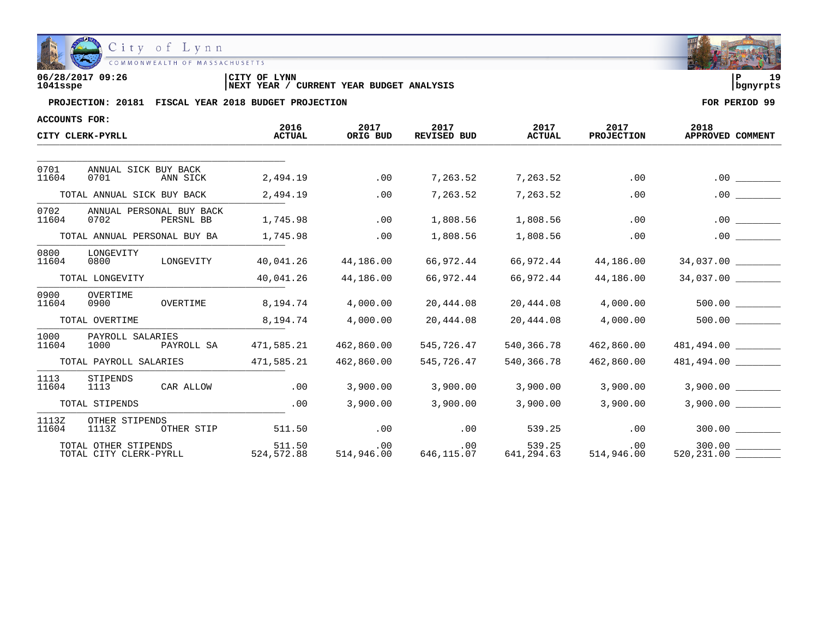

| 06/28/2017 09:26 | CITY OF<br><b>LYNN</b>                               | ם י      | ה ד |
|------------------|------------------------------------------------------|----------|-----|
| 1041sspe         | YEAR BUDGET ANALYSIS<br><b>INEXT YEAR</b><br>CURRENT | bqnyrpts |     |

| ACCOUNTS FOR:  |                                                |                       |                   |                            |                       |                           |                          |
|----------------|------------------------------------------------|-----------------------|-------------------|----------------------------|-----------------------|---------------------------|--------------------------|
|                | CITY CLERK-PYRLL                               | 2016<br><b>ACTUAL</b> | 2017<br>ORIG BUD  | 2017<br><b>REVISED BUD</b> | 2017<br><b>ACTUAL</b> | 2017<br><b>PROJECTION</b> | 2018<br>APPROVED COMMENT |
|                |                                                |                       |                   |                            |                       |                           |                          |
| 0701<br>11604  | ANNUAL SICK BUY BACK<br>0701<br>ANN SICK       | 2,494.19              | .00               | 7,263.52                   | 7,263.52              | .00                       | .00                      |
|                | TOTAL ANNUAL SICK BUY BACK                     | 2,494.19              | .00               | 7,263.52                   | 7,263.52              | .00                       | .00                      |
| 0702<br>11604  | ANNUAL PERSONAL BUY BACK<br>0702<br>PERSNL BB  | 1,745.98              | .00               | 1,808.56                   | 1,808.56              | .00                       | .00                      |
|                | TOTAL ANNUAL PERSONAL BUY BA                   | 1,745.98              | .00               | 1,808.56                   | 1,808.56              | .00                       | .00                      |
| 0800<br>11604  | LONGEVITY<br>LONGEVITY<br>0800                 | 40,041.26             | 44,186.00         | 66,972.44                  | 66,972.44             | 44,186.00                 | 34,037.00                |
|                | TOTAL LONGEVITY                                | 40,041.26             | 44,186.00         | 66,972.44                  | 66,972.44             | 44,186.00                 | $34,037.00$ ________     |
| 0900<br>11604  | OVERTIME<br>OVERTIME<br>0900                   | 8,194.74              | 4,000.00          | 20,444.08                  | 20,444.08             | 4,000.00                  |                          |
|                | TOTAL OVERTIME                                 | 8,194.74              | 4,000.00          | 20,444.08                  | 20,444.08             | 4,000.00                  | 500.00                   |
| 1000<br>11604  | PAYROLL SALARIES<br>1000<br>PAYROLL SA         | 471,585.21            | 462,860.00        | 545,726.47                 | 540,366.78            | 462,860.00                | 481,494.00               |
|                | TOTAL PAYROLL SALARIES                         | 471,585.21            | 462,860.00        | 545,726.47                 | 540,366.78            | 462,860.00                | 481,494.00               |
| 1113<br>11604  | STIPENDS<br>CAR ALLOW<br>1113                  | .00                   | 3,900.00          | 3,900.00                   | 3,900.00              | 3,900.00                  | 3,900.00                 |
| TOTAL STIPENDS |                                                | .00                   | 3,900.00          | 3,900.00                   | 3,900.00              | 3,900.00                  | 3,900.00                 |
| 1113Z<br>11604 | OTHER STIPENDS<br>1113Z<br>OTHER STIP          | 511.50                | .00               | .00                        | 539.25                | .00                       |                          |
|                | TOTAL OTHER STIPENDS<br>TOTAL CITY CLERK-PYRLL | 511.50<br>524,572.88  | .00<br>514,946.00 | .00<br>646,115.07          | 539.25<br>641,294.63  | .00<br>514,946.00         | 300.00<br>520, 231.00    |

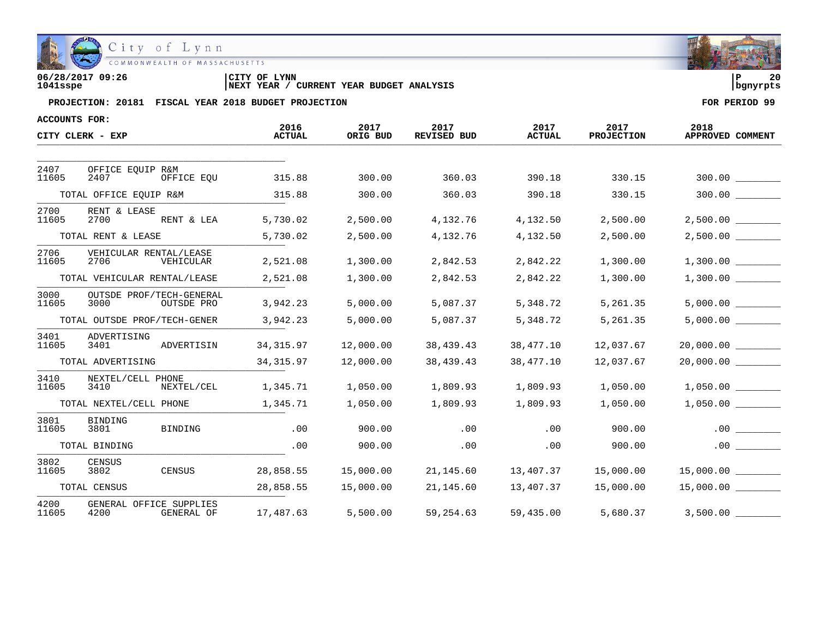

| 06/28/2017 09:26 | CITY OF LYNN                                      | 20         |  |
|------------------|---------------------------------------------------|------------|--|
| 1041sspe         | CURRENT YEAR BUDGET ANALYSIS<br><b>INEXT YEAR</b> | l banvrpts |  |

| ACCOUNTS FOR: |                              |                                        |                       |                  |                            |                       |                           |                          |
|---------------|------------------------------|----------------------------------------|-----------------------|------------------|----------------------------|-----------------------|---------------------------|--------------------------|
|               | CITY CLERK - EXP             |                                        | 2016<br><b>ACTUAL</b> | 2017<br>ORIG BUD | 2017<br><b>REVISED BUD</b> | 2017<br><b>ACTUAL</b> | 2017<br><b>PROJECTION</b> | 2018<br>APPROVED COMMENT |
|               |                              |                                        |                       |                  |                            |                       |                           |                          |
| 2407<br>11605 | OFFICE EOUIP R&M<br>2407     | OFFICE EOU                             | 315.88                | 300.00           | 360.03                     | 390.18                | 330.15                    |                          |
|               | TOTAL OFFICE EQUIP R&M       |                                        | 315.88                | 300.00           | 360.03                     | 390.18                | 330.15                    | 300.00                   |
| 2700<br>11605 | RENT & LEASE<br>2700         | RENT & LEA                             | 5,730.02              | 2,500.00         | 4,132.76                   | 4,132.50              | 2,500.00                  | $2,500.00$ _________     |
|               | TOTAL RENT & LEASE           |                                        | 5,730.02              | 2,500.00         | 4,132.76                   | 4,132.50              | 2,500.00                  | 2,500.00                 |
| 2706<br>11605 | 2706                         | VEHICULAR RENTAL/LEASE<br>VEHICULAR    | 2,521.08              | 1,300.00         | 2,842.53                   | 2,842.22              | 1,300.00                  | 1,300.00                 |
|               | TOTAL VEHICULAR RENTAL/LEASE |                                        | 2,521.08              | 1,300.00         | 2,842.53                   | 2,842.22              | 1,300.00                  | $1,300.00$ _________     |
| 3000<br>11605 | 3000                         | OUTSDE PROF/TECH-GENERAL<br>OUTSDE PRO | 3,942.23              | 5,000.00         | 5,087.37                   | 5,348.72              | 5,261.35                  | 5,000.00                 |
|               | TOTAL OUTSDE PROF/TECH-GENER |                                        | 3,942.23              | 5,000.00         | 5,087.37                   | 5,348.72              | 5,261.35                  | 5,000.00                 |
| 3401<br>11605 | ADVERTISING<br>3401          | ADVERTISIN                             | 34, 315.97            | 12,000.00        | 38,439.43                  | 38,477.10             | 12,037.67                 | 20,000.00                |
|               | TOTAL ADVERTISING            |                                        | 34, 315.97            | 12,000.00        | 38,439.43                  | 38,477.10             | 12,037.67                 |                          |
| 3410<br>11605 | NEXTEL/CELL PHONE<br>3410    | NEXTEL/CEL                             | 1,345.71              | 1,050.00         | 1,809.93                   | 1,809.93              | 1,050.00                  | 1,050.00                 |
|               | TOTAL NEXTEL/CELL PHONE      |                                        | 1,345.71              | 1,050.00         | 1,809.93                   | 1,809.93              | 1,050.00                  | 1,050.00                 |
| 3801<br>11605 | <b>BINDING</b><br>3801       | <b>BINDING</b>                         | .00                   | 900.00           | .00                        | .00                   | 900.00                    | .00                      |
|               | TOTAL BINDING                |                                        | .00                   | 900.00           | $.00 \,$                   | .00                   | 900.00                    | .00                      |
| 3802<br>11605 | <b>CENSUS</b><br>3802        | CENSUS                                 | 28,858.55             | 15,000.00        | 21,145.60                  | 13,407.37             | 15,000.00                 | 15,000.00                |
|               | TOTAL CENSUS                 |                                        | 28,858.55             | 15,000.00        | 21,145.60                  | 13,407.37             | 15,000.00                 | 15,000.00                |
| 4200<br>11605 | 4200                         | GENERAL OFFICE SUPPLIES<br>GENERAL OF  | 17,487.63             | 5,500.00         | 59,254.63                  | 59,435.00             | 5,680.37                  | 3,500.00                 |

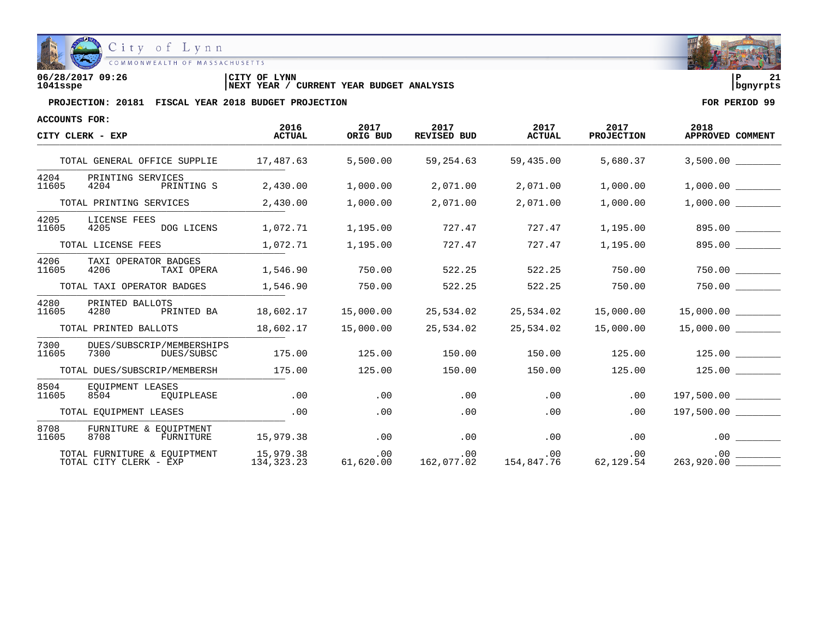

COMMONWEALTH OF MASSACHUSETTS

**06/28/2017 09:26 |CITY OF LYNN |P 21 1041sspe |NEXT YEAR / CURRENT YEAR BUDGET ANALYSIS |bgnyrpts**

| <b>ACCOUNTS FOR:</b>   |                                                        |                           |                  |                            |                       |                           |                                 |
|------------------------|--------------------------------------------------------|---------------------------|------------------|----------------------------|-----------------------|---------------------------|---------------------------------|
|                        | CITY CLERK - EXP                                       | 2016<br><b>ACTUAL</b>     | 2017<br>ORIG BUD | 2017<br><b>REVISED BUD</b> | 2017<br><b>ACTUAL</b> | 2017<br><b>PROJECTION</b> | 2018<br>APPROVED COMMENT        |
|                        | TOTAL GENERAL OFFICE SUPPLIE                           | 17,487.63                 | 5,500.00         | 59,254.63                  | 59,435.00             | 5,680.37                  | 3,500.00                        |
| 4204<br>11605          | PRINTING SERVICES<br>PRINTING S<br>4204                | 2,430.00                  | 1,000.00         | 2,071.00                   | 2,071.00              | 1,000.00                  | 1,000.00                        |
|                        | TOTAL PRINTING SERVICES                                | 2,430.00                  | 1,000.00         | 2,071.00                   | 2,071.00              | 1,000.00                  | 1,000.00                        |
| 4205<br>11605          | LICENSE FEES<br>4205<br>DOG LICENS                     | 1,072.71                  | 1,195.00         | 727.47                     | 727.47                | 1,195.00                  | 895.00                          |
|                        | TOTAL LICENSE FEES                                     | 1,072.71                  | 1,195.00         | 727.47                     | 727.47                | 1,195.00                  | 895.00                          |
| 4206<br>11605          | TAXI OPERATOR BADGES<br>4206<br>TAXI OPERA             | 1,546.90                  | 750.00           | 522.25                     | 522.25                | 750.00                    | 750.00                          |
|                        | TOTAL TAXI OPERATOR BADGES                             | 1,546.90                  | 750.00           | 522.25                     | 522.25                | 750.00                    |                                 |
| 4280<br>11605          | PRINTED BALLOTS<br>PRINTED BA<br>4280                  | 18,602.17                 | 15,000.00        | 25,534.02                  | 25,534.02             | 15,000.00                 | 15,000.00                       |
|                        | TOTAL PRINTED BALLOTS                                  | 18,602.17                 | 15,000.00        | 25,534.02                  | 25,534.02             | 15,000.00                 |                                 |
| 7300<br>11605          | DUES/SUBSCRIP/MEMBERSHIPS<br>7300<br>DUES/SUBSC        | 175.00                    | 125.00           | 150.00                     | 150.00                | 125.00                    | 125.00                          |
|                        | TOTAL DUES/SUBSCRIP/MEMBERSH                           | 175.00                    | 125.00           | 150.00                     | 150.00                | 125.00                    | $125.00$ $\qquad \qquad \qquad$ |
| 8504<br>11605          | EOUIPMENT LEASES<br>EOUIPLEASE<br>8504                 | .00                       | .00              | .00                        | .00                   | .00                       | 197,500.00                      |
| TOTAL EQUIPMENT LEASES |                                                        | .00                       | .00              | .00                        | .00                   | .00                       | 197,500.00                      |
| 8708<br>11605          | FURNITURE & EOUIPTMENT<br>8708<br>FURNITURE            | 15,979.38                 | .00              | .00                        | .00                   | $.00 \,$                  | .00                             |
|                        | TOTAL FURNITURE & EOUIPTMENT<br>TOTAL CITY CLERK - EXP | 15,979.38<br>134, 323. 23 | .00<br>61,620.00 | .00<br>162,077.02          | .00<br>154,847.76     | .00<br>62,129.54          | .00<br>263,920.00               |

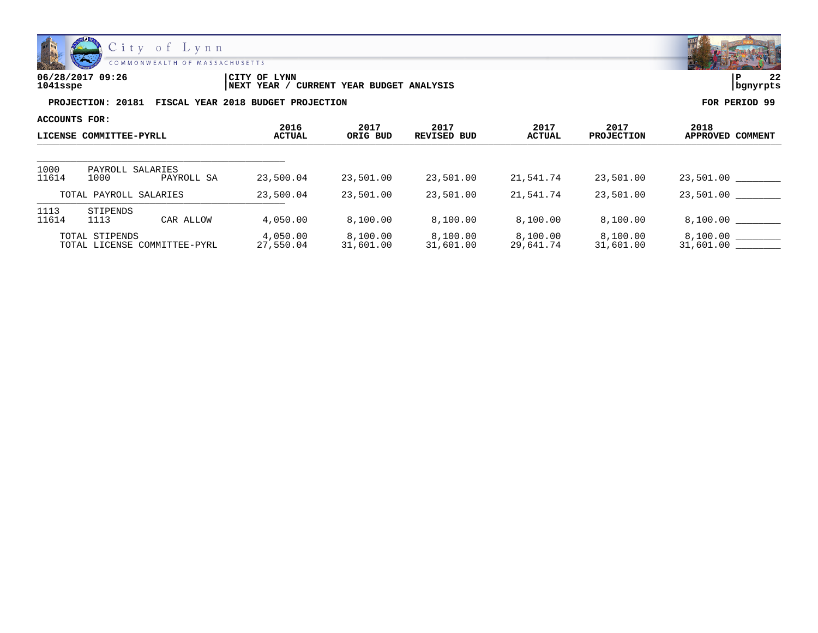

**06/28/2017 09:26 |CITY OF LYNN |P 22**

**1041sspe |NEXT YEAR / CURRENT YEAR BUDGET ANALYSIS |bgnyrpts**

| ACCOUNTS FOR:                                  |                                        |                       | 2017                  |                            | 2017                  | 2017                  | 2018                  |
|------------------------------------------------|----------------------------------------|-----------------------|-----------------------|----------------------------|-----------------------|-----------------------|-----------------------|
| LICENSE COMMITTEE-PYRLL                        |                                        | 2016<br><b>ACTUAL</b> | ORIG BUD              | 2017<br><b>REVISED BUD</b> | ACTUAL                | <b>PROJECTION</b>     | APPROVED COMMENT      |
|                                                |                                        |                       |                       |                            |                       |                       |                       |
| 1000<br>11614                                  | PAYROLL SALARIES<br>1000<br>PAYROLL SA | 23,500.04             | 23,501.00             | 23,501.00                  | 21,541.74             | 23,501.00             | 23,501.00             |
|                                                | TOTAL PAYROLL SALARIES                 | 23,500.04             | 23,501.00             | 23,501.00                  | 21,541.74             | 23,501.00             | 23,501.00             |
| 1113<br>11614                                  | STIPENDS<br>1113<br>CAR ALLOW          | 4,050.00              | 8,100.00              | 8,100.00                   | 8,100.00              | 8,100.00              | 8,100.00              |
| TOTAL STIPENDS<br>TOTAL LICENSE COMMITTEE-PYRL |                                        | 4,050.00<br>27,550.04 | 8,100.00<br>31,601.00 | 8,100.00<br>31,601.00      | 8,100.00<br>29,641.74 | 8,100.00<br>31,601.00 | 8.100.00<br>31,601.00 |

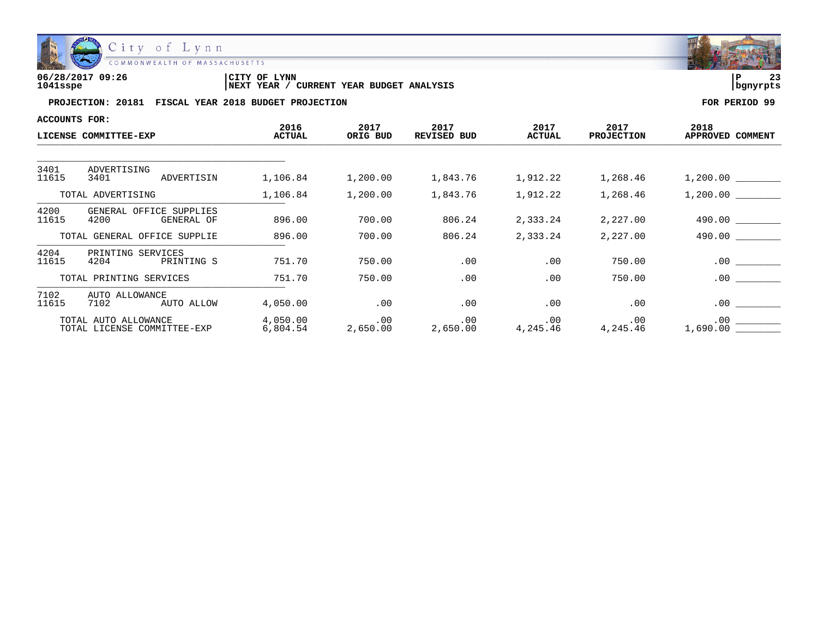

| 06/28/2017 09:26 | 'CITY OF<br>LYNN                                     | l P      | $\sim$ |
|------------------|------------------------------------------------------|----------|--------|
| 1041sspe         | YEAR BUDGET ANALYSIS<br>CURRENT<br><b>INEXT YEAR</b> | banvrpts |        |

| ACCOUNTS FOR:                                       |                                               |                       |                      |                      |                       |                           |                                 |
|-----------------------------------------------------|-----------------------------------------------|-----------------------|----------------------|----------------------|-----------------------|---------------------------|---------------------------------|
|                                                     | LICENSE COMMITTEE-EXP                         | 2016<br><b>ACTUAL</b> | 2017<br>ORIG BUD     | 2017<br>REVISED BUD  | 2017<br><b>ACTUAL</b> | 2017<br><b>PROJECTION</b> | 2018<br>APPROVED COMMENT        |
| 3401                                                | ADVERTISING                                   |                       |                      |                      |                       |                           |                                 |
| 11615                                               | 3401<br>ADVERTISIN                            | 1,106.84              | 1,200.00             | 1,843.76             | 1,912.22              | 1,268.46                  | 1,200.00                        |
|                                                     | TOTAL ADVERTISING                             | 1,106.84              | 1,200.00             | 1,843.76             | 1,912.22              | 1,268.46                  | 1,200.00                        |
| 4200<br>11615                                       | GENERAL OFFICE SUPPLIES<br>4200<br>GENERAL OF | 896.00                | 700.00               | 806.24               | 2,333.24              | 2,227.00                  | 490.00                          |
|                                                     | TOTAL GENERAL OFFICE SUPPLIE                  | 896.00                | 700.00               | 806.24               | 2,333.24              | 2,227.00                  | 490.00                          |
| 4204<br>11615                                       | PRINTING SERVICES<br>4204<br>PRINTING S       | 751.70                | 750.00               | .00                  | .00                   | 750.00                    | .00<br><b>Contract Contract</b> |
|                                                     | TOTAL PRINTING SERVICES                       | 751.70                | 750.00               | .00                  | .00                   | 750.00                    | $.00 \,$                        |
| 7102<br>11615                                       | AUTO ALLOWANCE<br>AUTO ALLOW<br>7102          | 4,050.00              | .00                  | $.00 \,$             | .00                   | .00                       | .00                             |
| TOTAL AUTO ALLOWANCE<br>TOTAL LICENSE COMMITTEE-EXP |                                               | 4,050.00<br>6,804.54  | $.00 \,$<br>2,650.00 | $.00 \,$<br>2,650.00 | .00<br>4,245.46       | .00<br>4,245.46           | $.00 \,$<br>1,690.00            |

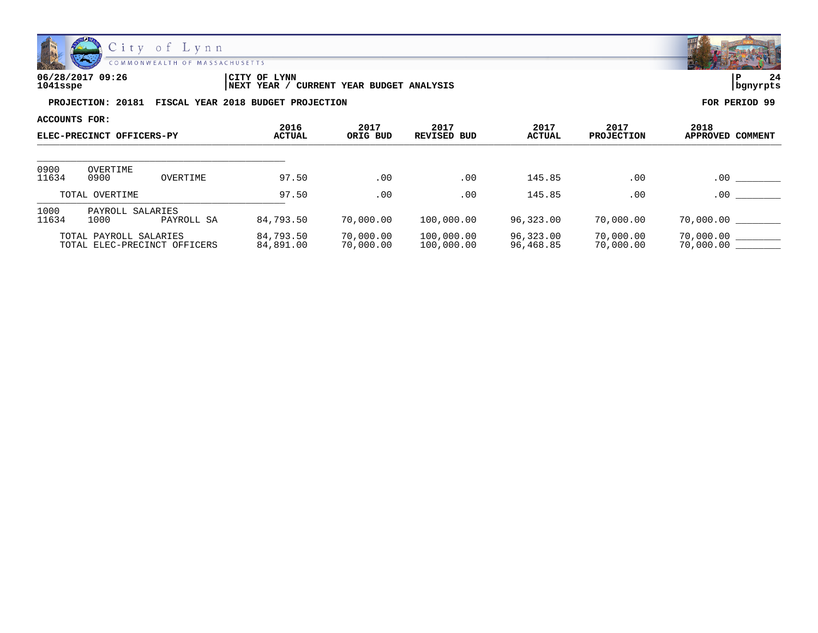

| 06/28/2017 09:26 | CITY OF<br><b>LYNN</b>                     | ∣P       | 24 |
|------------------|--------------------------------------------|----------|----|
| 1041sspe         | CURRENT YEAR BUDGET ANALYSIS<br>'NEXT YEAR | bqnyrpts |    |

| ACCOUNTS FOR:             |                                                        |               | 2016                   |                        | 2017                     |                           |                        | 2018                   |
|---------------------------|--------------------------------------------------------|---------------|------------------------|------------------------|--------------------------|---------------------------|------------------------|------------------------|
| ELEC-PRECINCT OFFICERS-PY |                                                        | <b>ACTUAL</b> | 2017<br>ORIG BUD       | <b>REVISED BUD</b>     | 2017<br>ACTUAL           | 2017<br><b>PROJECTION</b> | APPROVED COMMENT       |                        |
| 0900                      | OVERTIME                                               |               |                        |                        |                          |                           |                        |                        |
| 11634                     | 0900                                                   | OVERTIME      | 97.50                  | .00                    | .00                      | 145.85                    | .00                    | .00                    |
| TOTAL OVERTIME            |                                                        | 97.50         | .00                    | .00                    | 145.85                   | .00                       | .00                    |                        |
| 1000<br>11634             | SALARIES<br>PAYROLL<br>1000                            | PAYROLL SA    | 84,793.50              | 70,000.00              | 100,000.00               | 96,323.00                 | 70,000.00              | 70,000.00              |
|                           | TOTAL PAYROLL SALARIES<br>TOTAL ELEC-PRECINCT OFFICERS |               | 84,793.50<br>84,891.00 | 70,000.00<br>70,000.00 | 100,000.00<br>100,000.00 | 96,323.00<br>96,468.85    | 70,000.00<br>70,000.00 | 70,000.00<br>70,000.00 |

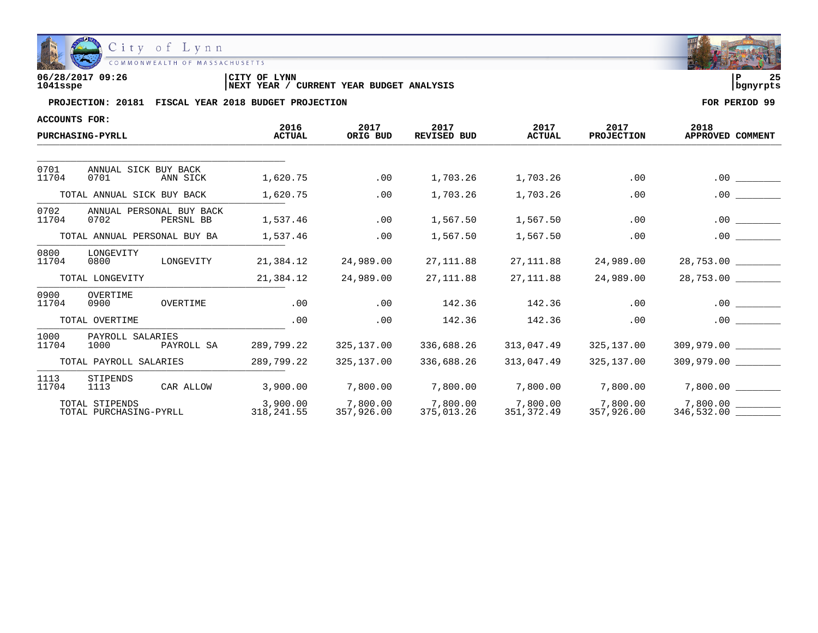

| 06/28/2017 09:26 | <b>LYNN</b><br> CITY OF                              | っこ       |
|------------------|------------------------------------------------------|----------|
| 1041sspe         | YEAR BUDGET ANALYSIS<br><b>INEXT YEAR</b><br>CURRENT | banvrpts |

| <b>ACCOUNTS FOR:</b> |                                               |                         |                        |                            |                        |                           |                          |
|----------------------|-----------------------------------------------|-------------------------|------------------------|----------------------------|------------------------|---------------------------|--------------------------|
|                      | <b>PURCHASING-PYRLL</b>                       | 2016<br><b>ACTUAL</b>   | 2017<br>ORIG BUD       | 2017<br><b>REVISED BUD</b> | 2017<br><b>ACTUAL</b>  | 2017<br><b>PROJECTION</b> | 2018<br>APPROVED COMMENT |
|                      |                                               |                         |                        |                            |                        |                           |                          |
| 0701<br>11704        | ANNUAL SICK BUY BACK<br>0701<br>ANN SICK      | 1,620.75                | .00                    | 1,703.26                   | 1,703.26               | .00                       | .00                      |
|                      | TOTAL ANNUAL SICK BUY BACK                    | 1,620.75                | .00                    | 1,703.26                   | 1,703.26               | .00                       | .00                      |
| 0702<br>11704        | ANNUAL PERSONAL BUY BACK<br>0702<br>PERSNL BB | 1,537.46                | .00                    | 1,567.50                   | 1,567.50               | .00                       | $.00 \,$                 |
|                      | TOTAL ANNUAL PERSONAL BUY BA                  | 1,537.46                | .00                    | 1,567.50                   | 1,567.50               | .00                       | .00                      |
| 0800<br>11704        | LONGEVITY<br>0800<br>LONGEVITY                | 21,384.12               | 24,989.00              | 27,111.88                  | 27,111.88              | 24,989.00                 | 28,753.00                |
|                      | TOTAL LONGEVITY                               | 21,384.12               | 24,989.00              | 27, 111.88                 | 27, 111.88             | 24,989.00                 | 28,753.00                |
| 0900<br>11704        | OVERTIME<br>0900<br>OVERTIME                  | .00                     | .00                    | 142.36                     | 142.36                 | .00                       | .00                      |
|                      | TOTAL OVERTIME                                | .00                     | .00                    | 142.36                     | 142.36                 | .00                       | $.00 \,$                 |
| 1000<br>11704        | PAYROLL SALARIES<br>1000<br>PAYROLL SA        | 289,799.22              | 325,137.00             | 336,688.26                 | 313,047.49             | 325,137.00                | 309,979.00               |
|                      | TOTAL PAYROLL SALARIES                        | 289,799.22              | 325,137.00             | 336,688.26                 | 313,047.49             | 325,137.00                |                          |
| 1113<br>11704        | STIPENDS<br>CAR ALLOW<br>1113                 | 3,900.00                | 7,800.00               | 7,800.00                   | 7,800.00               | 7,800.00                  | 7,800.00                 |
|                      | TOTAL STIPENDS<br>TOTAL PURCHASING-PYRLL      | 3,900.00<br>318, 241.55 | 7,800.00<br>357,926.00 | 7,800.00<br>375,013.26     | 7,800.00<br>351,372.49 | 7,800.00<br>357,926.00    | 7.800.00<br>346,532.00   |

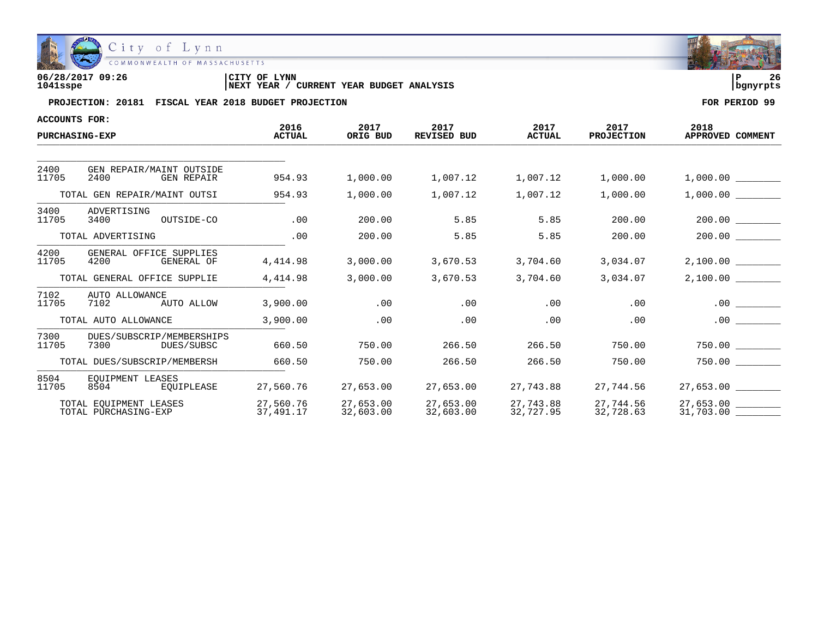

| 06/28/2017 09:26 | 'CITY OF<br>LYNN                                     | l P      | 26 |
|------------------|------------------------------------------------------|----------|----|
| 1041sspe         | YEAR BUDGET ANALYSIS<br>CURRENT<br><b>INEXT YEAR</b> | banvrpts |    |

| ACCOUNTS FOR: |                                                       |                        |                        |                            |                        |                           |                          |
|---------------|-------------------------------------------------------|------------------------|------------------------|----------------------------|------------------------|---------------------------|--------------------------|
|               | <b>PURCHASING-EXP</b>                                 | 2016<br><b>ACTUAL</b>  | 2017<br>ORIG BUD       | 2017<br><b>REVISED BUD</b> | 2017<br><b>ACTUAL</b>  | 2017<br><b>PROJECTION</b> | 2018<br>APPROVED COMMENT |
|               |                                                       |                        |                        |                            |                        |                           |                          |
| 2400<br>11705 | GEN REPAIR/MAINT OUTSIDE<br>2400<br><b>GEN REPAIR</b> | 954.93                 | 1,000.00               | 1,007.12                   | 1,007.12               | 1,000.00                  | 1,000.00                 |
|               | TOTAL GEN REPAIR/MAINT OUTSI                          | 954.93                 | 1,000.00               | 1,007.12                   | 1,007.12               | 1,000.00                  | 1,000.00                 |
| 3400<br>11705 | ADVERTISING<br>OUTSIDE-CO<br>3400                     | .00                    | 200.00                 | 5.85                       | 5.85                   | 200.00                    | 200.00                   |
|               | TOTAL ADVERTISING                                     | .00                    | 200.00                 | 5.85                       | 5.85                   | 200.00                    | 200.00                   |
| 4200<br>11705 | GENERAL OFFICE SUPPLIES<br>4200<br>GENERAL OF         | 4,414.98               | 3,000.00               | 3,670.53                   | 3,704.60               | 3,034.07                  | 2,100.00                 |
|               | TOTAL GENERAL OFFICE SUPPLIE                          | 4,414.98               | 3,000.00               | 3,670.53                   | 3,704.60               | 3,034.07                  | 2,100.00                 |
| 7102<br>11705 | AUTO ALLOWANCE<br>7102<br>AUTO ALLOW                  | 3,900.00               | .00                    | .00                        | .00                    | .00                       |                          |
|               | TOTAL AUTO ALLOWANCE                                  | 3,900.00               | .00                    | .00                        | .00                    | .00                       |                          |
| 7300<br>11705 | DUES/SUBSCRIP/MEMBERSHIPS<br>7300<br>DUES/SUBSC       | 660.50                 | 750.00                 | 266.50                     | 266.50                 | 750.00                    | 750.00                   |
|               | TOTAL DUES/SUBSCRIP/MEMBERSH                          | 660.50                 | 750.00                 | 266.50                     | 266.50                 | 750.00                    | 750.00                   |
| 8504<br>11705 | EOUIPMENT LEASES<br>8504<br>EOUIPLEASE                | 27,560.76              | 27,653.00              | 27,653.00                  | 27,743.88              | 27,744.56                 | 27,653.00                |
|               | TOTAL EOUIPMENT LEASES<br>TOTAL PURCHASING-EXP        | 27,560.76<br>37,491.17 | 27,653.00<br>32,603.00 | 27,653.00<br>32,603.00     | 27,743.88<br>32,727.95 | 27,744.56<br>32,728.63    | 31,703.00                |

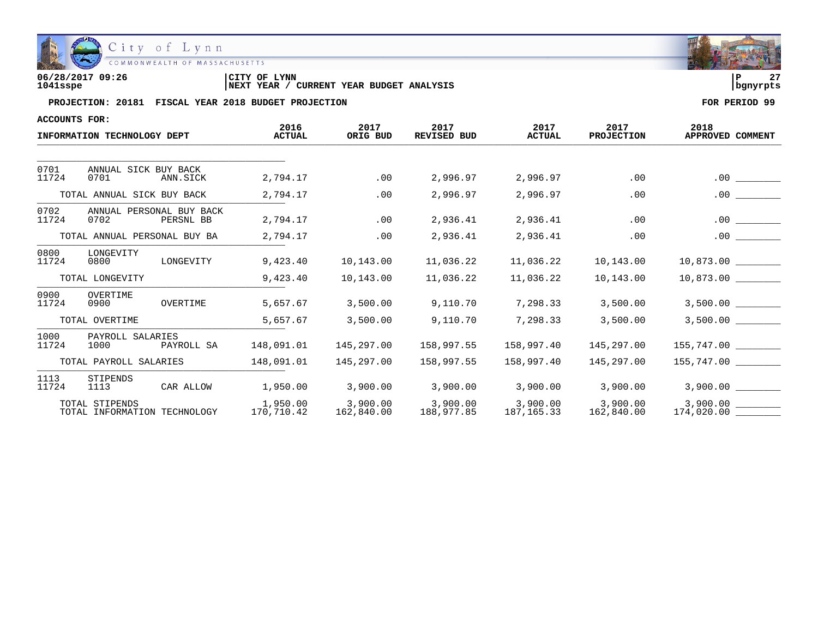

| 06/28/2017 09:26 | <b>LYNN</b><br>ICITY OF                           | $\sim$   |
|------------------|---------------------------------------------------|----------|
| 1041sspe         | YEAR BUDGET ANALYSIS<br>YEAR<br>CURRENT<br>  NEXT | banvrpts |

| <b>ACCOUNTS FOR:</b> |                                                |            |                        |                        |                            |                        |                           |                          |
|----------------------|------------------------------------------------|------------|------------------------|------------------------|----------------------------|------------------------|---------------------------|--------------------------|
|                      | INFORMATION TECHNOLOGY DEPT                    |            | 2016<br><b>ACTUAL</b>  | 2017<br>ORIG BUD       | 2017<br><b>REVISED BUD</b> | 2017<br><b>ACTUAL</b>  | 2017<br><b>PROJECTION</b> | 2018<br>APPROVED COMMENT |
|                      |                                                |            |                        |                        |                            |                        |                           |                          |
| 0701<br>11724        | ANNUAL SICK BUY BACK<br>0701                   | ANN.SICK   | 2,794.17               | .00                    | 2,996.97                   | 2,996.97               | .00                       | .00                      |
|                      | TOTAL ANNUAL SICK BUY BACK                     |            | 2,794.17               | .00                    | 2,996.97                   | 2,996.97               | .00                       | .00                      |
| 0702<br>11724        | ANNUAL PERSONAL BUY BACK<br>0702               | PERSNL BB  | 2,794.17               | .00                    | 2,936.41                   | 2,936.41               | .00                       | $.00 \,$                 |
|                      | TOTAL ANNUAL PERSONAL BUY BA                   |            | 2,794.17               | .00                    | 2,936.41                   | 2,936.41               | .00                       | .00                      |
| 0800<br>11724        | LONGEVITY<br>0800                              | LONGEVITY  | 9,423.40               | 10,143.00              | 11,036.22                  | 11,036.22              | 10,143.00                 | $10,873.00$ _________    |
|                      | TOTAL LONGEVITY                                |            | 9,423.40               | 10,143.00              | 11,036.22                  | 11,036.22              | 10,143.00                 |                          |
| 0900<br>11724        | OVERTIME<br>0900                               | OVERTIME   | 5,657.67               | 3,500.00               | 9,110.70                   | 7,298.33               | 3,500.00                  |                          |
|                      | TOTAL OVERTIME                                 |            | 5,657.67               | 3,500.00               | 9,110.70                   | 7,298.33               | 3,500.00                  | 3,500.00                 |
| 1000<br>11724        | PAYROLL SALARIES<br>1000                       | PAYROLL SA | 148,091.01             | 145,297.00             | 158,997.55                 | 158,997.40             | 145,297.00                | $155,747.00$ ________    |
|                      | TOTAL PAYROLL SALARIES                         |            | 148,091.01             | 145,297.00             | 158,997.55                 | 158,997.40             | 145,297.00                |                          |
| 1113<br>11724        | STIPENDS<br>1113                               | CAR ALLOW  | 1,950.00               | 3,900.00               | 3,900.00                   | 3,900.00               | 3,900.00                  |                          |
|                      | TOTAL STIPENDS<br>TOTAL INFORMATION TECHNOLOGY |            | 1,950.00<br>170,710.42 | 3,900.00<br>162,840.00 | 3,900.00<br>188,977.85     | 3,900.00<br>187,165.33 | 3,900.00<br>162,840.00    | 3,900.00                 |

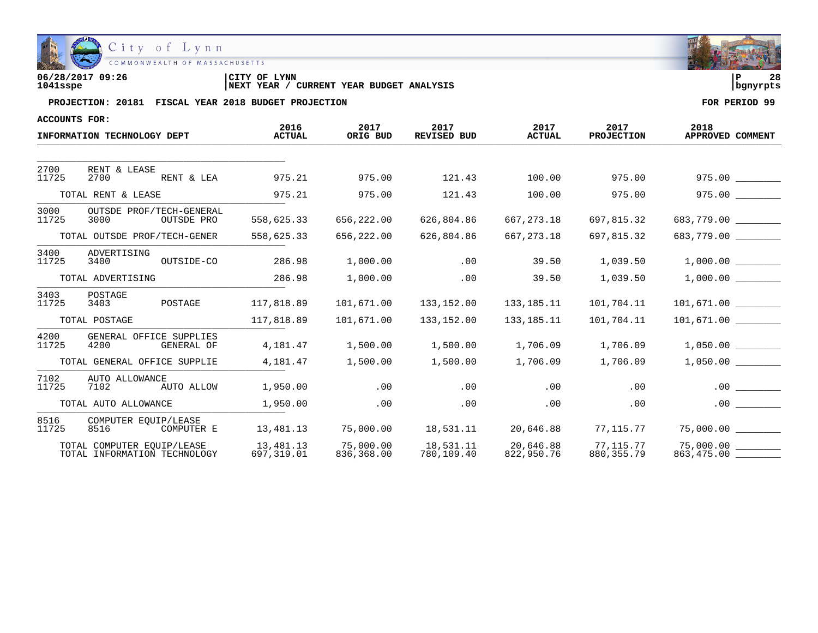

| 06/28/2017 09:26 | <b>CITY OF LYNN</b>                                      | 28         |
|------------------|----------------------------------------------------------|------------|
| 1041sspe         | <b>CURRENT YEAR BUDGET ANALYSIS</b><br><b>INEXT YEAR</b> | l banvrpts |

| <b>ACCOUNTS FOR:</b>         |                                                            |                         |                         |                            |                         |                           |                                     |
|------------------------------|------------------------------------------------------------|-------------------------|-------------------------|----------------------------|-------------------------|---------------------------|-------------------------------------|
|                              | INFORMATION TECHNOLOGY DEPT                                | 2016<br><b>ACTUAL</b>   | 2017<br>ORIG BUD        | 2017<br><b>REVISED BUD</b> | 2017<br><b>ACTUAL</b>   | 2017<br><b>PROJECTION</b> | 2018<br>APPROVED COMMENT            |
|                              |                                                            |                         |                         |                            |                         |                           |                                     |
| 2700<br>11725                | RENT & LEASE<br>2700<br>RENT & LEA                         | 975.21                  | 975.00                  | 121.43                     | 100.00                  | 975.00                    | 975.00                              |
|                              | TOTAL RENT & LEASE                                         | 975.21                  | 975.00                  | 121.43                     | 100.00                  | 975.00                    | 975.00                              |
| 3000<br>11725                | OUTSDE PROF/TECH-GENERAL<br>3000<br>OUTSDE PRO             | 558,625.33              | 656,222.00              | 626,804.86                 | 667, 273. 18            | 697,815.32                | 683,779.00                          |
| TOTAL OUTSDE PROF/TECH-GENER |                                                            | 558,625.33              | 656,222.00              | 626,804.86                 | 667, 273. 18            | 697,815.32                | 683,779.00 ________                 |
| 3400<br>11725                | ADVERTISING<br>OUTSIDE-CO<br>3400                          | 286.98                  | 1,000.00                | .00                        | 39.50                   | 1,039.50                  | 1,000.00                            |
| TOTAL ADVERTISING            |                                                            | 286.98                  | 1,000.00                | .00                        | 39.50                   | 1,039.50                  | 1,000.00                            |
| 3403<br>11725                | POSTAGE<br>POSTAGE<br>3403                                 | 117,818.89              | 101,671.00              | 133,152.00                 | 133,185.11              | 101,704.11                |                                     |
|                              | TOTAL POSTAGE                                              | 117,818.89              | 101,671.00              | 133,152.00                 | 133, 185. 11            | 101,704.11                | 101,671.00                          |
| 4200<br>11725                | GENERAL OFFICE SUPPLIES<br>4200<br>GENERAL OF              | 4,181.47                | 1,500.00                | 1,500.00                   | 1,706.09                | 1,706.09                  | 1,050.00                            |
|                              | TOTAL GENERAL OFFICE SUPPLIE                               | 4,181.47                | 1,500.00                | 1,500.00                   | 1,706.09                | 1,706.09                  | 1,050.00                            |
| 7102<br>11725                | AUTO ALLOWANCE<br>7102<br>AUTO ALLOW                       | 1,950.00                | .00                     | .00                        | .00                     | .00                       | .00                                 |
|                              | TOTAL AUTO ALLOWANCE                                       | 1,950.00                | .00                     | .00                        | .00                     | .00                       | .00                                 |
| 8516<br>11725                | COMPUTER EOUIP/LEASE<br>8516<br>COMPUTER E                 | 13,481.13               | 75,000.00               | 18,531.11                  | 20,646.88               | 77,115.77                 |                                     |
|                              | TOTAL COMPUTER EOUIP/LEASE<br>TOTAL INFORMATION TECHNOLOGY | 13,481.13<br>697,319.01 | 75,000.00<br>836,368.00 | 18,531.11<br>780,109.40    | 20,646.88<br>822,950.76 | 77.115.77<br>880, 355. 79 | $75,000.00$ _________<br>863,475.00 |

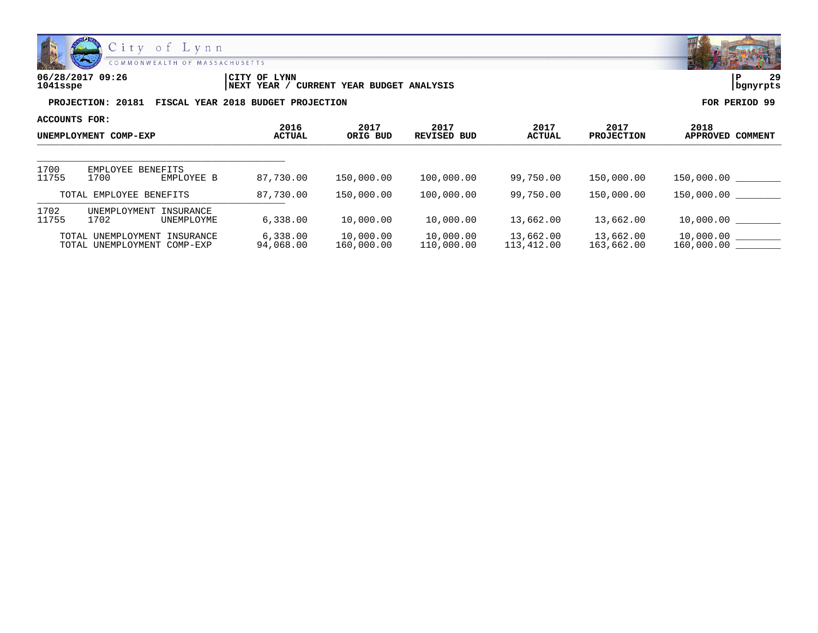

| 06/28/2017 09:26 | <b>LYNN</b><br>'CITY OF                           | l P      | っ |
|------------------|---------------------------------------------------|----------|---|
| 1041sspe         | CURRENT YEAR BUDGET ANALYSIS<br><b>INEXT YEAR</b> | banvrpts |   |

| ACCOUNTS FOR:<br>UNEMPLOYMENT COMP-EXP |                                                   |                               |                       |                         |                            |                         |                           |                             |
|----------------------------------------|---------------------------------------------------|-------------------------------|-----------------------|-------------------------|----------------------------|-------------------------|---------------------------|-----------------------------|
|                                        |                                                   |                               | 2016<br><b>ACTUAL</b> | 2017<br>ORIG BUD        | 2017<br><b>REVISED BUD</b> | 2017<br><b>ACTUAL</b>   | 2017<br><b>PROJECTION</b> | 2018<br>APPROVED<br>COMMENT |
|                                        |                                                   |                               |                       |                         |                            |                         |                           |                             |
| 1700<br>11755                          | EMPLOYEE<br>1700                                  | <b>BENEFITS</b><br>EMPLOYEE B | 87,730.00             | 150,000.00              | 100,000.00                 | 99,750.00               | 150,000.00                | 150,000.00                  |
| TOTAL EMPLOYEE BENEFITS                |                                                   | 87,730.00                     | 150,000.00            | 100,000.00              | 99,750.00                  | 150,000.00              | 150,000.00                |                             |
| 1702<br>11755                          | <b>UNEMPLOYMENT</b><br>1702                       | INSURANCE<br>UNEMPLOYME       | 6,338.00              | 10,000.00               | 10,000.00                  | 13,662.00               | 13,662.00                 | 10,000.00                   |
|                                        | TOTAL UNEMPLOYMENT<br>TOTAL UNEMPLOYMENT COMP-EXP | INSURANCE                     | 6,338.00<br>94,068.00 | 10,000.00<br>160,000.00 | 10,000.00<br>110,000.00    | 13,662.00<br>113,412.00 | 13,662.00<br>163,662.00   | 10,000.00<br>160,000.00     |

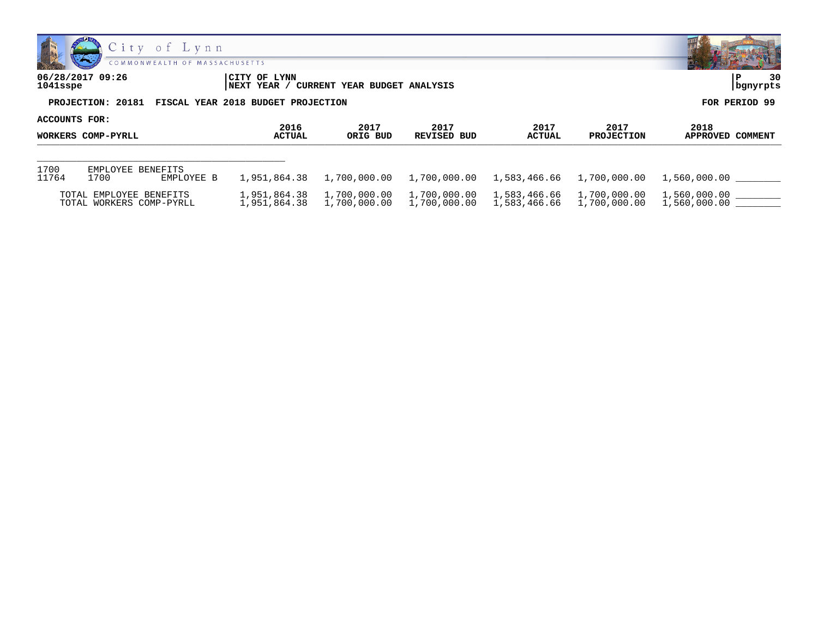

| 06/28/2017 09:26<br>1041sspe | CITY OF LYNN<br><b>INEXT YEAR</b>  | <b>CURRENT YEAR BUDGET ANALYSIS</b> |             |               |                   |                  |
|------------------------------|------------------------------------|-------------------------------------|-------------|---------------|-------------------|------------------|
| PROJECTION: 20181            | FISCAL YEAR 2018 BUDGET PROJECTION |                                     |             |               |                   | FOR PERIOD 99    |
| <b>ACCOUNTS FOR:</b>         | 2016                               | 2017                                | 2017        | 2017          | 2017              | 2018             |
| WORKERS COMP-PYRLL           | <b>ACTUAL</b>                      | ORIG BUD                            | REVISED BUD | <b>ACTUAL</b> | <b>PROJECTION</b> | APPROVED COMMENT |

| 1700<br>11764 | EMPLOYEE BENEFITS<br>-700                           | EMPLOYEE B |                              |                              |              |              |                              |                              |  |
|---------------|-----------------------------------------------------|------------|------------------------------|------------------------------|--------------|--------------|------------------------------|------------------------------|--|
|               | TOTAL EMPLOYEE BENEFITS<br>TOTAL WORKERS COMP-PYRLL |            | 1,951,864.38<br>L.951.864.38 | 1,700,000.00<br>1,700,000.00 | 1,700,000.00 | 1,583,466.66 | 1,700,000.00<br>1,700,000.00 | 1,560,000.00<br>1,560,000.00 |  |

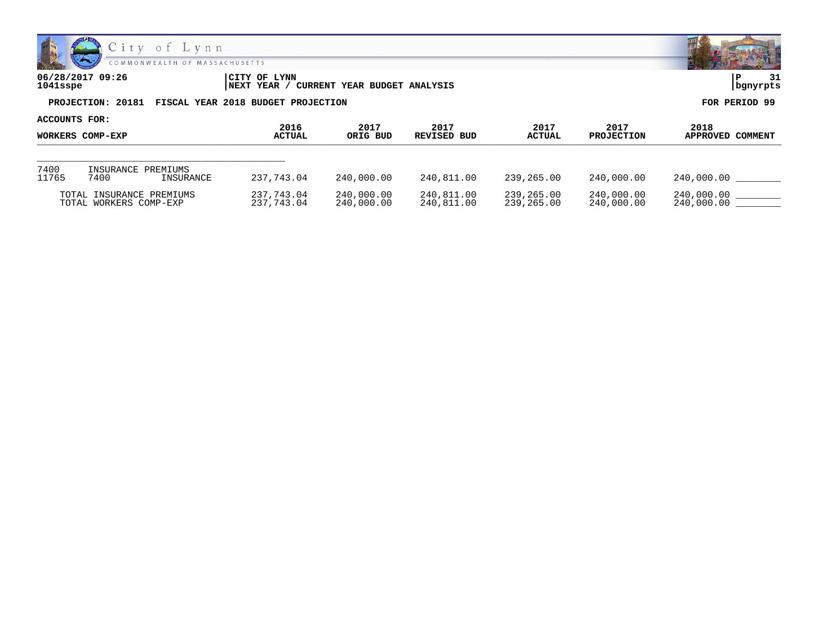

| 06/28/2017 09:26<br>1041sspe                         | ICITY OF LYNN<br>' CURRENT YEAR BUDGET ANALYSIS<br> NEXT YEAR / | 31<br>  bgnyrpts |
|------------------------------------------------------|-----------------------------------------------------------------|------------------|
| PROJECTION: 20181 FISCAL YEAR 2018 BUDGET PROJECTION |                                                                 | FOR PERIOD 99    |

| ACCOUNTS FOR:<br>WORKERS COMP-EXP |                                                    |                |                          |                          |                          |                           |                          |                          |
|-----------------------------------|----------------------------------------------------|----------------|--------------------------|--------------------------|--------------------------|---------------------------|--------------------------|--------------------------|
|                                   |                                                    | 2016<br>ACTUAL | 2017<br>ORIG BUD         | 2017<br>REVISED BUD      | 2017<br>ACTUAL           | 2017<br><b>PROJECTION</b> | 2018<br>APPROVED COMMENT |                          |
|                                   |                                                    |                |                          |                          |                          |                           |                          |                          |
| 7400<br>11765                     | INSURANCE PREMIUMS<br>7400                         | INSURANCE      | 237,743.04               | 240,000.00               | 240,811.00               | 239,265.00                | 240,000.00               | 240,000.00               |
|                                   | TOTAL INSURANCE PREMIUMS<br>TOTAL WORKERS COMP-EXP |                | 237,743.04<br>237,743.04 | 240,000.00<br>240,000.00 | 240,811.00<br>240,811.00 | 239,265.00<br>239,265.00  | 240,000.00<br>240,000.00 | 240,000.00<br>240,000.00 |

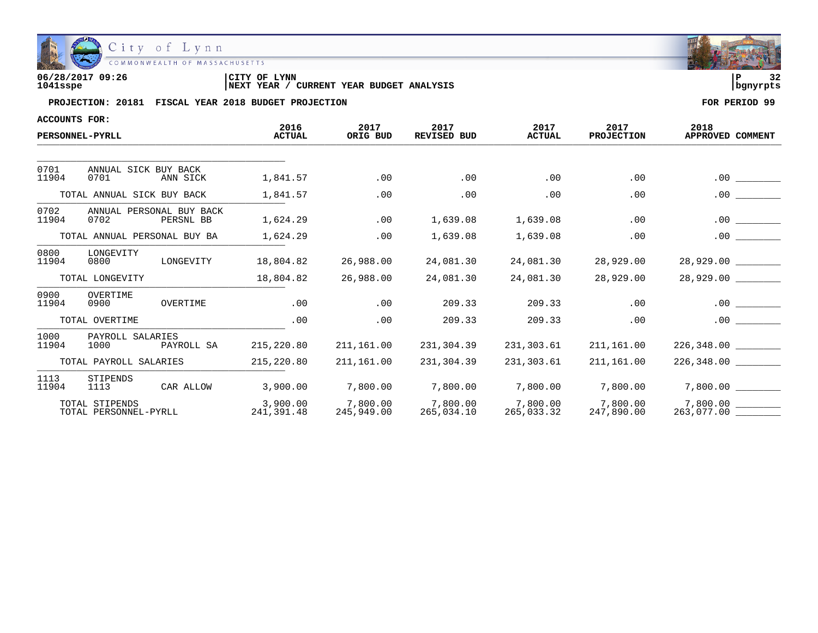

| 06/28/2017 09:26 | <b>LYNN</b><br>CITY OF                            | ם ו      |  |
|------------------|---------------------------------------------------|----------|--|
| 1041sspe         | CURRENT YEAR BUDGET ANALYSIS<br><b>INEXT YEAR</b> | banvrpts |  |

| <b>ACCOUNTS FOR:</b>       |                                         |            |                        |                        |                            |                        |                           |                          |
|----------------------------|-----------------------------------------|------------|------------------------|------------------------|----------------------------|------------------------|---------------------------|--------------------------|
|                            | PERSONNEL-PYRLL                         |            | 2016<br><b>ACTUAL</b>  | 2017<br>ORIG BUD       | 2017<br><b>REVISED BUD</b> | 2017<br><b>ACTUAL</b>  | 2017<br><b>PROJECTION</b> | 2018<br>APPROVED COMMENT |
|                            |                                         |            |                        |                        |                            |                        |                           |                          |
| 0701<br>11904              | ANNUAL SICK BUY BACK<br>0701            | ANN SICK   | 1,841.57               | .00                    | .00                        | .00                    | .00                       | .00                      |
| TOTAL ANNUAL SICK BUY BACK |                                         |            | 1,841.57               | .00                    | .00                        | .00                    | .00                       | .00                      |
| 0702<br>11904              | ANNUAL PERSONAL BUY BACK<br>0702        | PERSNL BB  | 1,624.29               | .00                    | 1,639.08                   | 1,639.08               | .00                       | $.00 \,$                 |
|                            | TOTAL ANNUAL PERSONAL BUY BA            |            | 1,624.29               | .00                    | 1,639.08                   | 1,639.08               | .00                       | .00                      |
| 0800<br>11904              | LONGEVITY<br>0800                       | LONGEVITY  | 18,804.82              | 26,988.00              | 24,081.30                  | 24,081.30              | 28,929.00                 | 28,929.00 _________      |
|                            | TOTAL LONGEVITY                         |            | 18,804.82              | 26,988.00              | 24,081.30                  | 24,081.30              | 28,929.00                 | 28,929.00                |
| 0900<br>11904              | OVERTIME<br>0900                        | OVERTIME   | .00                    | .00                    | 209.33                     | 209.33                 | .00                       | $.00 \,$                 |
|                            | TOTAL OVERTIME                          |            | .00                    | .00                    | 209.33                     | 209.33                 | .00                       | .00                      |
| 1000<br>11904              | PAYROLL SALARIES<br>1000                | PAYROLL SA | 215,220.80             | 211,161.00             | 231,304.39                 | 231,303.61             | 211,161.00                | 226,348.00               |
|                            | TOTAL PAYROLL SALARIES                  |            | 215, 220.80            | 211,161.00             | 231,304.39                 | 231,303.61             | 211,161.00                |                          |
| 1113<br>11904              | STIPENDS<br>1113                        | CAR ALLOW  | 3,900.00               | 7,800.00               | 7,800.00                   | 7,800.00               | 7,800.00                  | 7,800.00                 |
|                            | TOTAL STIPENDS<br>TOTAL PERSONNEL-PYRLL |            | 3,900.00<br>241,391.48 | 7,800.00<br>245,949.00 | 7,800.00<br>265,034.10     | 7,800.00<br>265,033.32 | 7,800.00<br>247,890.00    | 7,800.00                 |

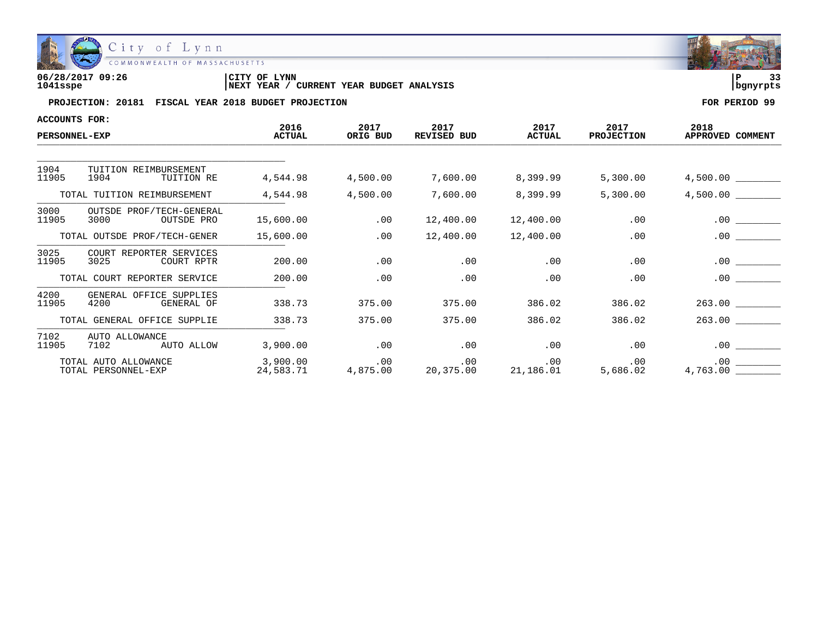

| 06/28/2017 09:26 | 'CITY OF<br><b>LYNN</b>                           | $\sim$<br>l P |
|------------------|---------------------------------------------------|---------------|
| 1041sspe         | CURRENT YEAR BUDGET ANALYSIS<br><b>INEXT YEAR</b> | l banvrpts    |

| <b>ACCOUNTS FOR:</b>                        |                                                |                       |                  |                                                      |                       |                           |                          |
|---------------------------------------------|------------------------------------------------|-----------------------|------------------|------------------------------------------------------|-----------------------|---------------------------|--------------------------|
| <b>PERSONNEL-EXP</b>                        |                                                | 2016<br><b>ACTUAL</b> | 2017<br>ORIG BUD | 2017<br>REVISED BUD                                  | 2017<br><b>ACTUAL</b> | 2017<br><b>PROJECTION</b> | 2018<br>APPROVED COMMENT |
|                                             |                                                |                       |                  |                                                      |                       |                           |                          |
| 1904<br>11905                               | TUITION REIMBURSEMENT<br>1904<br>TUITION RE    | 4,544.98              | 4,500.00         | 7,600.00                                             | 8,399.99              | 5,300.00                  | 4,500.00                 |
|                                             | TOTAL TUITION REIMBURSEMENT                    | 4,544.98              | 4,500.00         | 7,600.00                                             | 8,399.99              | 5,300.00                  | 4,500.00                 |
| 3000<br>11905                               | OUTSDE PROF/TECH-GENERAL<br>3000<br>OUTSDE PRO | 15,600.00             | .00              | 12,400.00                                            | 12,400.00             | .00                       | $.00 \,$                 |
|                                             | TOTAL OUTSDE PROF/TECH-GENER                   | 15,600.00             | .00              | 12,400.00                                            | 12,400.00             | .00                       | $.00 \ \,$               |
| 3025<br>11905                               | COURT REPORTER SERVICES<br>3025<br>COURT RPTR  | 200.00                | .00              | .00                                                  | .00                   | .00                       | .00                      |
|                                             | TOTAL COURT REPORTER SERVICE                   | 200.00                | .00              | .00                                                  | .00                   | .00                       | $.00 \,$                 |
| 4200<br>11905                               | GENERAL OFFICE SUPPLIES<br>4200<br>GENERAL OF  | 338.73                | 375.00           | 375.00                                               | 386.02                | 386.02                    | 263.00                   |
|                                             | TOTAL GENERAL OFFICE SUPPLIE                   | 338.73                | 375.00           | 375.00                                               | 386.02                | 386.02                    | 263.00                   |
| 7102<br>11905                               | AUTO ALLOWANCE<br>AUTO ALLOW<br>7102           | 3,900.00              | .00              | .00                                                  | $.00\,$               | .00                       | .00                      |
| TOTAL AUTO ALLOWANCE<br>TOTAL PERSONNEL-EXP |                                                |                       |                  | 00 .00 .00<br>24,583.71 4,875.00 20,375.00 21,186.01 |                       | $.00\,$<br>5,686.02       | $.00\,$<br>4,763.00      |

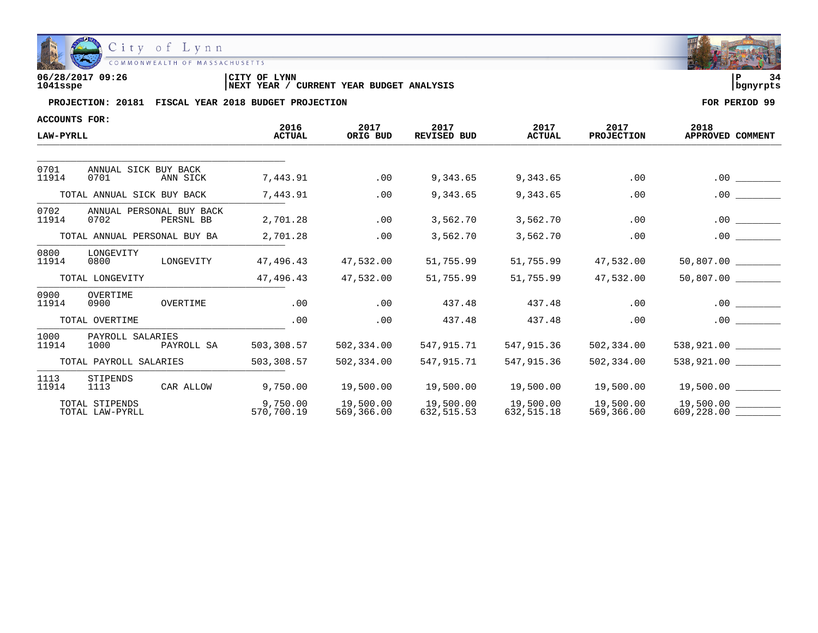

| 06/28/2017 09:26 | CITY OF LYNN                                      | l P      |  |
|------------------|---------------------------------------------------|----------|--|
| 1041sspe         | CURRENT YEAR BUDGET ANALYSIS<br><b>INEXT YEAR</b> | banvrpts |  |

| <b>ACCOUNTS FOR:</b>              |                                               |                        |                         |                            |                         |                         |                                          |
|-----------------------------------|-----------------------------------------------|------------------------|-------------------------|----------------------------|-------------------------|-------------------------|------------------------------------------|
| LAW-PYRLL                         |                                               | 2016<br><b>ACTUAL</b>  | 2017<br>ORIG BUD        | 2017<br><b>REVISED BUD</b> | 2017<br><b>ACTUAL</b>   | 2017<br>PROJECTION      | 2018<br>APPROVED COMMENT                 |
|                                   |                                               |                        |                         |                            |                         |                         |                                          |
| 0701<br>11914                     | ANNUAL SICK BUY BACK<br>0701<br>ANN SICK      | 7,443.91               | .00                     | 9,343.65                   | 9,343.65                | .00                     | $.00$ $\qquad \qquad$                    |
|                                   | TOTAL ANNUAL SICK BUY BACK                    | 7,443.91               | .00                     | 9,343.65                   | 9,343.65                | .00                     | .00                                      |
| 0702<br>11914                     | ANNUAL PERSONAL BUY BACK<br>0702<br>PERSNL BB | 2,701.28               | .00                     | 3,562.70                   | 3,562.70                | .00                     | .00                                      |
|                                   | TOTAL ANNUAL PERSONAL BUY BA                  | 2,701.28               | .00                     | 3,562.70                   | 3,562.70                | .00                     | .00                                      |
| 0800<br>11914                     | LONGEVITY<br>LONGEVITY<br>0800                | 47,496.43              | 47,532.00               | 51,755.99                  | 51,755.99               | 47,532.00               | 50,807.00                                |
|                                   | TOTAL LONGEVITY                               | 47,496.43              | 47,532.00               | 51,755.99                  | 51,755.99               | 47,532.00               | 50,807.00                                |
| 0900<br>11914                     | OVERTIME<br>0900<br>OVERTIME                  | .00                    | .00                     | 437.48                     | 437.48                  | .00                     |                                          |
|                                   | TOTAL OVERTIME                                | .00                    | .00                     | 437.48                     | 437.48                  | .00                     |                                          |
| 1000<br>11914                     | PAYROLL SALARIES<br>1000<br>PAYROLL SA        | 503,308.57             | 502,334.00              | 547,915.71                 | 547,915.36              | 502,334.00              | 538,921.00                               |
|                                   | TOTAL PAYROLL SALARIES                        | 503,308.57             | 502,334.00              | 547,915.71                 | 547,915.36              | 502,334.00              | 538,921.00                               |
| 1113<br>11914                     | STIPENDS<br>CAR ALLOW<br>1113                 | 9,750.00               | 19,500.00               | 19,500.00                  | 19,500.00               | 19,500.00               | 19,500.00                                |
| TOTAL STIPENDS<br>TOTAL LAW-PYRLL |                                               | 9,750.00<br>570,700.19 | 19,500.00<br>569,366.00 | 19,500.00<br>632, 515.53   | 19,500.00<br>632,515.18 | 19,500.00<br>569,366.00 | $609, 228.00$ $\overline{\phantom{277}}$ |

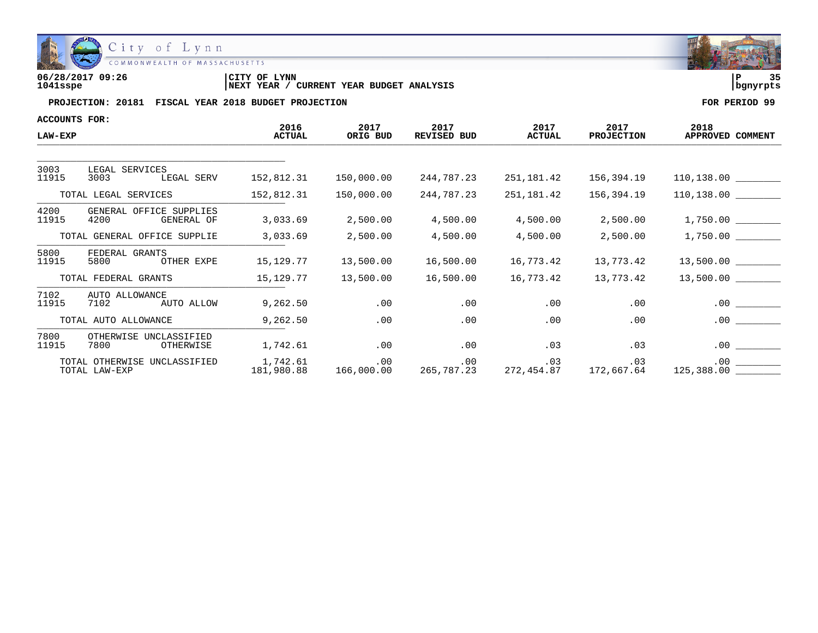

| 06/28/2017 09:26 | 'CITY OF<br><b>LYNN</b>                           | っこ<br>l P  |
|------------------|---------------------------------------------------|------------|
| 1041sspe         | CURRENT YEAR BUDGET ANALYSIS<br><b>INEXT YEAR</b> | l banvrpts |

| <b>ACCOUNTS FOR:</b>                          |                                                |                        |                   |                     |                                            |                           |                          |
|-----------------------------------------------|------------------------------------------------|------------------------|-------------------|---------------------|--------------------------------------------|---------------------------|--------------------------|
| <b>LAW-EXP</b>                                |                                                | 2016<br><b>ACTUAL</b>  | 2017<br>ORIG BUD  | 2017<br>REVISED BUD | 2017<br><b>ACTUAL</b>                      | 2017<br><b>PROJECTION</b> | 2018<br>APPROVED COMMENT |
|                                               |                                                |                        |                   |                     |                                            |                           |                          |
| 3003<br>11915                                 | LEGAL SERVICES<br>LEGAL SERV<br>3003           | 152,812.31             | 150,000.00        | 244,787.23          | 251,181.42                                 | 156,394.19                |                          |
|                                               | TOTAL LEGAL SERVICES                           | 152,812.31             | 150,000.00        | 244,787.23          | 251,181.42                                 | 156,394.19                |                          |
| 4200<br>11915                                 | GENERAL OFFICE SUPPLIES<br>4200<br>GENERAL OF  | 3,033.69               | 2,500.00          | 4,500.00            | 4,500.00                                   | 2,500.00                  |                          |
|                                               | TOTAL GENERAL OFFICE SUPPLIE                   | 3,033.69               | 2,500.00          | 4,500.00            | 4,500.00                                   | 2,500.00                  | 1,750.00                 |
| 5800<br>11915                                 | FEDERAL GRANTS<br>OTHER EXPE<br>5800           | 15,129.77              | 13,500.00         | 16,500.00           | 16,773.42                                  | 13,773.42                 |                          |
|                                               | TOTAL FEDERAL GRANTS                           | 15,129.77              | 13,500.00         | 16,500.00           | 16,773.42                                  | 13,773.42                 |                          |
| 7102<br>11915                                 | AUTO ALLOWANCE<br>AUTO ALLOW<br>7102           | 9,262.50               | .00               | .00                 | .00                                        | .00                       | .00                      |
|                                               | TOTAL AUTO ALLOWANCE                           | 9,262.50               | .00               | .00                 | .00                                        | .00                       | .00                      |
| 7800<br>11915                                 | OTHERWISE<br>UNCLASSIFIED<br>7800<br>OTHERWISE | 1,742.61               | .00               | .00                 | .03                                        | .03                       | .00                      |
| TOTAL OTHERWISE UNCLASSIFIED<br>TOTAL LAW-EXP |                                                | 1,742.61<br>181,980.88 | .00<br>166,000.00 | .00                 | .03<br>265, 787.23 272, 454.87 172, 667.64 | .03                       | .00<br>125,388.00        |

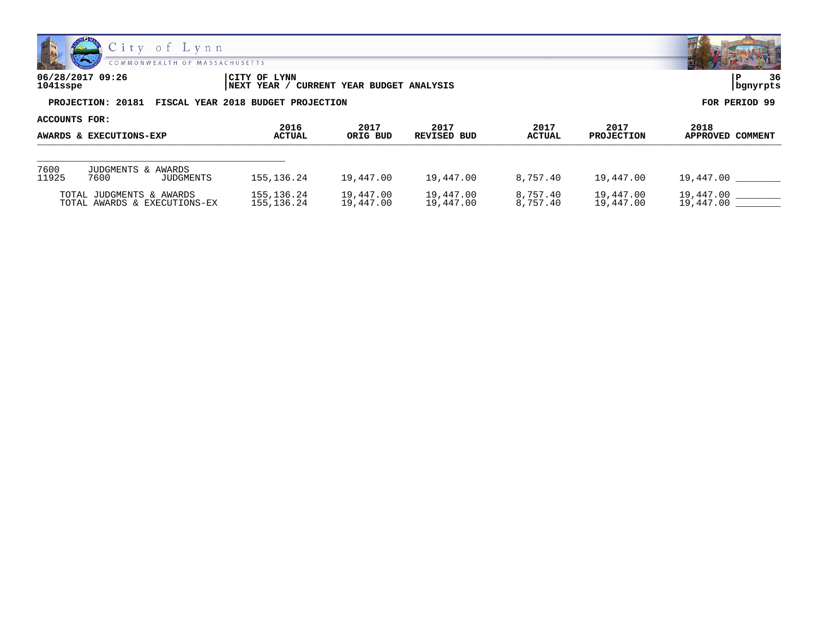

| 06/28/2017 09:26<br>1041sspe | CITY OF LYNN<br>CURRENT YEAR BUDGET ANALYSIS<br>YEAR<br>  NEXT | 36<br>  bgnyrpts |
|------------------------------|----------------------------------------------------------------|------------------|
| PROJECTION: 20181            | FISCAL YEAR 2018 BUDGET PROJECTION                             | FOR PERIOD 99    |

**ACCOUNTS FOR: 2016 2017 2017 2017 2017 2018 AWARDS & EXECUTIONS-EXP ACTUAL ORIG BUD REVISED BUD ACTUAL PROJECTION APPROVED COMMENT** ANANDS & EAECUTIONS-EAP \_\_\_\_\_\_\_\_\_\_\_\_\_\_\_\_\_\_\_\_\_\_\_\_\_\_\_\_\_\_\_\_\_\_\_\_\_\_\_\_\_\_\_\_ 7600 JUDGMENTS & AWARDS<br>11925 7600 JUDGMENTS 155,136.24 19,447.00 19,447.00 8,757.40 19,447.00 19,447.00 200 10,447.00 19,447.00 19,447.00 19,447.00 19,447.00 TOTAL JUDGMENTS & AWARDS 155,136.24 19,447.00 19,447.00 8,757.40 19,447.00 19,447.00 19,447.00 19,147.00 10,447<br>TOTAL AWARDS & EXECUTIONS-EX 155,136.24 19,447.00 19,447.00 8,757.40 19,447.00 19,447.00 TOTAL AWARDS & EXECUTIONS-EX

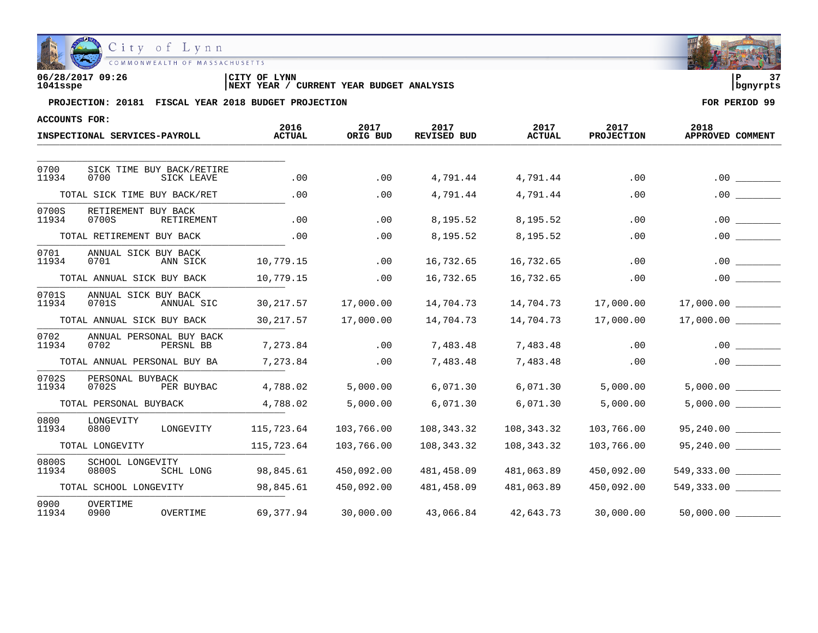

| 06/28/2017 09:26 | CITY OF LYNN                                      |            | $\sim$ $\sim$ |
|------------------|---------------------------------------------------|------------|---------------|
| 1041sspe         | CURRENT YEAR BUDGET ANALYSIS<br><b>INEXT YEAR</b> | l banvrpts |               |

| <b>ACCOUNTS FOR:</b> |                                                 |                       |                  |                     |                       |                           |                          |
|----------------------|-------------------------------------------------|-----------------------|------------------|---------------------|-----------------------|---------------------------|--------------------------|
|                      | INSPECTIONAL SERVICES-PAYROLL                   | 2016<br><b>ACTUAL</b> | 2017<br>ORIG BUD | 2017<br>REVISED BUD | 2017<br><b>ACTUAL</b> | 2017<br><b>PROJECTION</b> | 2018<br>APPROVED COMMENT |
|                      |                                                 |                       |                  |                     |                       |                           |                          |
| 0700<br>11934        | SICK TIME BUY BACK/RETIRE<br>0700<br>SICK LEAVE | .00                   | .00              | 4,791.44            | 4,791.44              | .00                       | .00                      |
|                      | TOTAL SICK TIME BUY BACK/RET                    | .00                   | .00              | 4,791.44            | 4,791.44              | .00                       |                          |
| 0700S<br>11934       | RETIREMENT BUY BACK<br>0700S<br>RETIREMENT      | .00                   | .00              | 8,195.52            | 8,195.52              | .00                       | .00                      |
|                      | TOTAL RETIREMENT BUY BACK                       | .00                   | .00              | 8,195.52            | 8,195.52              | .00                       | .00                      |
| 0701<br>11934        | ANNUAL SICK BUY BACK<br>0701<br>ANN SICK        | 10,779.15             | .00              | 16,732.65           | 16,732.65             | .00                       | $.00 \,$                 |
|                      | TOTAL ANNUAL SICK BUY BACK                      | 10,779.15             | .00              | 16,732.65           | 16,732.65             | .00                       | .00                      |
| 0701S<br>11934       | ANNUAL SICK BUY BACK<br>0701S<br>ANNUAL SIC     | 30,217.57             | 17,000.00        | 14,704.73           | 14,704.73             | 17,000.00                 | $17,000.00$ _________    |
|                      | TOTAL ANNUAL SICK BUY BACK                      | 30, 217.57            | 17,000.00        | 14,704.73           | 14,704.73             | 17,000.00                 | 17,000.00                |
| 0702<br>11934        | ANNUAL PERSONAL BUY BACK<br>0702<br>PERSNL BB   | 7,273.84              | .00              | 7,483.48            | 7,483.48              | .00                       | .00                      |
|                      | TOTAL ANNUAL PERSONAL BUY BA                    | 7,273.84              | .00              | 7,483.48            | 7,483.48              | .00                       | .00                      |
| 0702S<br>11934       | PERSONAL BUYBACK<br>0702S<br>PER BUYBAC         | 4,788.02              | 5,000.00         | 6,071.30            | 6,071.30              | 5,000.00                  | 5,000.00                 |
|                      | TOTAL PERSONAL BUYBACK                          | 4,788.02              | 5,000.00         | 6,071.30            | 6,071.30              | 5,000.00                  | 5,000.00                 |
| 0800<br>11934        | LONGEVITY<br>0800<br>LONGEVITY                  | 115,723.64            | 103,766.00       | 108,343.32          | 108,343.32            | 103,766.00                | 95,240.00                |
|                      | TOTAL LONGEVITY                                 | 115,723.64            | 103,766.00       | 108,343.32          | 108,343.32            | 103,766.00                | 95,240.00                |
| 0800S<br>11934       | SCHOOL LONGEVITY<br>SCHL LONG<br>0800S          | 98,845.61             | 450,092.00       | 481,458.09          | 481,063.89            | 450,092.00                | 549,333,00               |
|                      | TOTAL SCHOOL LONGEVITY                          | 98,845.61             | 450,092.00       | 481,458.09          | 481,063.89            | 450,092.00                | 549,333.00               |
| 0900<br>11934        | OVERTIME<br>OVERTIME<br>0900                    | 69,377.94             | 30,000.00        | 43,066.84           | 42,643.73             | 30,000.00                 | 50,000.00                |

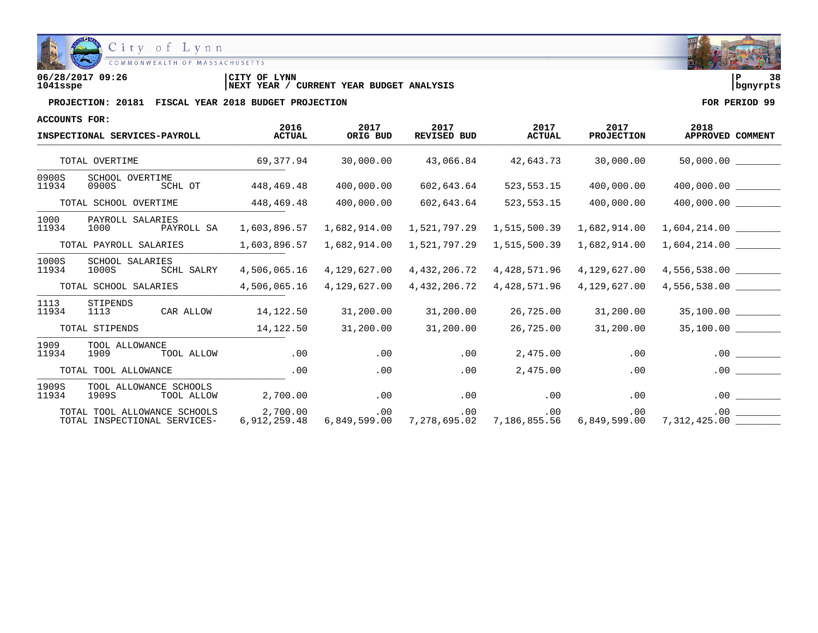

| 06/28/2017 09:26 | CITY OF<br>LYNN                                   | 38<br>l P  |
|------------------|---------------------------------------------------|------------|
| 1041sspe         | CURRENT YEAR BUDGET ANALYSIS<br><b>INEXT YEAR</b> | l banvrpts |

| ACCOUNTS FOR:                 |                                                              |                       |                  |                            |                       |                           |                                                                                                               |
|-------------------------------|--------------------------------------------------------------|-----------------------|------------------|----------------------------|-----------------------|---------------------------|---------------------------------------------------------------------------------------------------------------|
| INSPECTIONAL SERVICES-PAYROLL |                                                              | 2016<br><b>ACTUAL</b> | 2017<br>ORIG BUD | 2017<br><b>REVISED BUD</b> | 2017<br><b>ACTUAL</b> | 2017<br><b>PROJECTION</b> | 2018<br>APPROVED COMMENT                                                                                      |
|                               | TOTAL OVERTIME                                               | 69,377.94             | 30,000.00        | 43,066.84                  | 42,643.73             | 30,000.00                 | $50,000.00$ ________                                                                                          |
| 0900S<br>11934                | SCHOOL OVERTIME<br>SCHL OT<br>0900S                          | 448,469.48            | 400,000.00       | 602,643.64                 | 523, 553. 15          | 400,000.00                |                                                                                                               |
|                               | TOTAL SCHOOL OVERTIME                                        | 448,469.48            | 400,000.00       | 602,643.64                 | 523, 553. 15          | 400,000.00                | 400,000.00                                                                                                    |
| 1000<br>11934                 | PAYROLL SALARIES<br>PAYROLL SA<br>1000                       | 1,603,896.57          | 1,682,914.00     | 1,521,797.29               | 1,515,500.39          | 1,682,914.00              | 1,604,214.00                                                                                                  |
|                               | TOTAL PAYROLL SALARIES                                       | 1,603,896.57          | 1,682,914.00     | 1,521,797.29               | 1,515,500.39          | 1,682,914.00              | 1,604,214.00                                                                                                  |
| 1000S<br>11934                | SCHOOL SALARIES<br>SCHL SALRY<br>1000S                       | 4,506,065.16          | 4,129,627.00     | 4,432,206.72               |                       | 4,428,571.96 4,129,627.00 | 4,556,538.00 ________                                                                                         |
|                               | TOTAL SCHOOL SALARIES                                        | 4,506,065.16          | 4,129,627.00     | 4,432,206.72               | 4,428,571.96          | 4,129,627.00              | 4,556,538.00                                                                                                  |
| 1113<br>11934                 | STIPENDS<br>1113 CAR ALLOW                                   | 14,122.50             | 31,200.00        | 31,200.00                  | 26,725.00             | 31,200.00                 | 35,100.00 _________                                                                                           |
|                               | TOTAL STIPENDS                                               | 14,122.50             | 31,200.00        | 31,200.00                  | 26,725.00             | 31,200.00                 | 35,100.00                                                                                                     |
| 1909<br>11934                 | TOOL ALLOWANCE<br>1909<br>TOOL ALLOW                         | .00                   | .00              | .00                        | 2,475.00              | .00                       | .00                                                                                                           |
|                               | TOTAL TOOL ALLOWANCE                                         | .00                   | .00              | .00                        | 2,475.00              | .00                       | .00                                                                                                           |
| 1909S<br>11934                | TOOL ALLOWANCE SCHOOLS<br>1909S<br>TOOL ALLOW                | 2,700.00              | .00              |                            | $.00$ . $.00$         | .00                       | .00                                                                                                           |
|                               | TOTAL TOOL ALLOWANCE SCHOOLS<br>TOTAL INSPECTIONAL SERVICES- | 2,700.00              | .00              | .00                        | $\sim$ 00             | .00                       | .00<br>6,912,259.48 6,849,599.00 7,278,695.02 7,186,855.56 6,849,599.00 7,312,425.00 $\overline{\phantom{1}}$ |

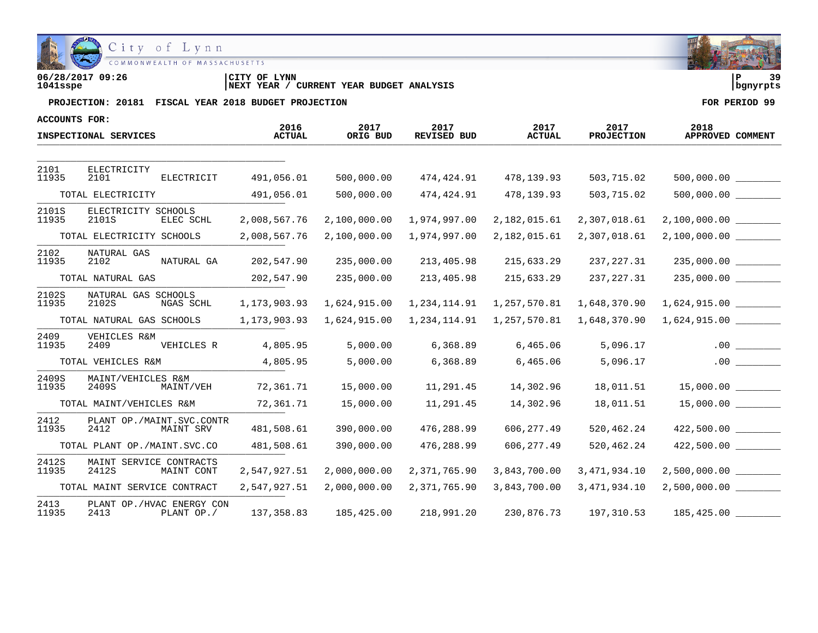

| 06/28/2017 09:26 | LYNN<br>CITY OF                                        | ם ו      |  |
|------------------|--------------------------------------------------------|----------|--|
| 1041sspe         | YEAR BUDGET ANALYSIS<br>CURRENT<br><b>YEAR</b><br>NEXT | banvrpts |  |

| ACCOUNTS FOR:  |                                   |            |                       |                  |                            |                       |                           |                          |     |
|----------------|-----------------------------------|------------|-----------------------|------------------|----------------------------|-----------------------|---------------------------|--------------------------|-----|
|                | INSPECTIONAL SERVICES             |            | 2016<br><b>ACTUAL</b> | 2017<br>ORIG BUD | 2017<br><b>REVISED BUD</b> | 2017<br><b>ACTUAL</b> | 2017<br><b>PROJECTION</b> | 2018<br>APPROVED COMMENT |     |
|                |                                   |            |                       |                  |                            |                       |                           |                          |     |
| 2101<br>11935  | ELECTRICITY<br>2101               | ELECTRICIT | 491,056.01            | 500,000.00       | 474,424.91                 | 478,139.93            | 503,715.02                |                          |     |
|                | TOTAL ELECTRICITY                 |            | 491,056.01            | 500,000.00       | 474,424.91                 | 478,139.93            | 503,715.02                | $500,000.00$ __________  |     |
| 2101S<br>11935 | ELECTRICITY SCHOOLS<br>2101S      | ELEC SCHL  | 2,008,567.76          | 2,100,000.00     | 1,974,997.00               | 2,182,015.61          | 2,307,018.61              | 2,100,000.00             |     |
|                | TOTAL ELECTRICITY SCHOOLS         |            | 2,008,567.76          | 2,100,000.00     | 1,974,997.00               | 2,182,015.61          | 2,307,018.61              | 2,100,000.00             |     |
| 2102<br>11935  | NATURAL GAS<br>2102               | NATURAL GA | 202,547.90            | 235,000.00       | 213,405.98                 | 215,633.29            | 237,227.31                |                          |     |
|                | TOTAL NATURAL GAS                 |            | 202,547.90            | 235,000.00       | 213,405.98                 | 215,633.29            | 237,227.31                |                          |     |
| 2102S<br>11935 | NATURAL GAS SCHOOLS<br>2102S      | NGAS SCHL  | 1,173,903.93          | 1,624,915.00     | 1,234,114.91               | 1,257,570.81          | 1,648,370.90              | 1,624,915.00             |     |
|                | TOTAL NATURAL GAS SCHOOLS         |            | 1,173,903.93          | 1,624,915.00     | 1,234,114.91               | 1,257,570.81          | 1,648,370.90              | 1,624,915.00             |     |
| 2409<br>11935  | VEHICLES R&M<br>2409              | VEHICLES R | 4,805.95              | 5,000.00         | 6,368.89                   | 6,465.06              | 5,096.17                  |                          | .00 |
|                | TOTAL VEHICLES R&M                |            | 4,805.95              | 5,000.00         | 6,368.89                   | 6,465.06              | 5,096.17                  |                          | .00 |
| 2409S<br>11935 | MAINT/VEHICLES R&M<br>2409S       | MAINT/VEH  | 72,361.71             | 15,000.00        | 11,291.45                  | 14,302.96             | 18,011.51                 |                          |     |
|                | TOTAL MAINT/VEHICLES R&M          |            | 72,361.71             | 15,000.00        | 11,291.45                  | 14,302.96             | 18,011.51                 |                          |     |
| 2412<br>11935  | PLANT OP./MAINT.SVC.CONTR<br>2412 | MAINT SRV  | 481,508.61            | 390,000.00       | 476,288.99                 | 606, 277.49           | 520,462.24                | 422,500.00               |     |
|                | TOTAL PLANT OP./MAINT.SVC.CO      |            | 481,508.61            | 390,000.00       | 476,288.99                 | 606, 277.49           | 520,462.24                |                          |     |
| 2412S<br>11935 | MAINT SERVICE CONTRACTS<br>2412S  | MAINT CONT | 2,547,927.51          | 2,000,000.00     | 2,371,765.90               | 3,843,700.00          | 3,471,934.10              | 2,500,000.00             |     |
|                | TOTAL MAINT SERVICE CONTRACT      |            | 2,547,927.51          | 2,000,000.00     | 2,371,765.90               | 3,843,700.00          | 3, 471, 934.10            | 2,500,000.00             |     |
| 2413<br>11935  | PLANT OP./HVAC ENERGY CON<br>2413 | PLANT OP./ | 137, 358.83           | 185,425.00       | 218,991.20                 | 230,876.73            | 197,310.53                | 185,425.00               |     |

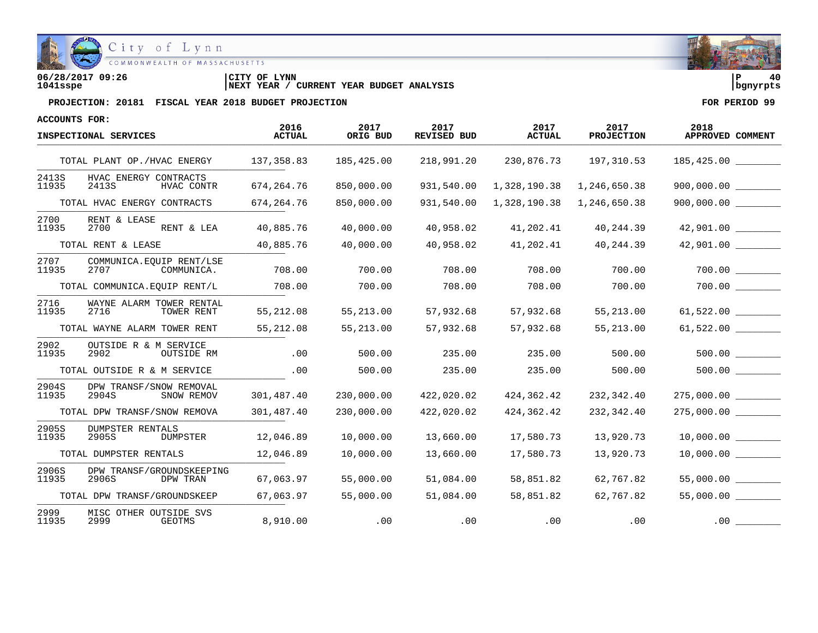

**06/28/2017 09:26 |CITY OF LYNN |P 40 1041sspe |NEXT YEAR / CURRENT YEAR BUDGET ANALYSIS |bgnyrpts**

| <b>ACCOUNTS FOR:</b> |                                                 |                       |                  |                     |                       |                           |                          |
|----------------------|-------------------------------------------------|-----------------------|------------------|---------------------|-----------------------|---------------------------|--------------------------|
|                      | INSPECTIONAL SERVICES                           | 2016<br><b>ACTUAL</b> | 2017<br>ORIG BUD | 2017<br>REVISED BUD | 2017<br><b>ACTUAL</b> | 2017<br><b>PROJECTION</b> | 2018<br>APPROVED COMMENT |
|                      | TOTAL PLANT OP./HVAC ENERGY                     | 137, 358.83           | 185,425.00       | 218,991.20          | 230,876.73            | 197,310.53                |                          |
| 2413S<br>11935       | HVAC ENERGY CONTRACTS<br>2413S<br>HVAC CONTR    | 674, 264. 76          | 850,000.00       | 931,540.00          | 1,328,190.38          | 1,246,650.38              | 900,000.00               |
|                      | TOTAL HVAC ENERGY CONTRACTS                     | 674, 264. 76          | 850,000.00       | 931,540.00          | 1,328,190.38          | 1,246,650.38              |                          |
| 2700<br>11935        | RENT & LEASE<br>2700<br>RENT & LEA              | 40,885.76             | 40,000.00        | 40,958.02           | 41,202.41             | 40,244.39                 | 42,901.00                |
|                      | TOTAL RENT & LEASE                              | 40,885.76             | 40,000.00        | 40,958.02           | 41,202.41             | 40,244.39                 | 42,901.00                |
| 2707<br>11935        | COMMUNICA. EQUIP RENT/LSE<br>2707<br>COMMUNICA. | 708.00                | 700.00           | 708.00              | 708.00                | 700.00                    | 700.00                   |
|                      | TOTAL COMMUNICA.EQUIP RENT/L                    | 708.00                | 700.00           | 708.00              | 708.00                | 700.00                    |                          |
| 2716<br>11935        | WAYNE ALARM TOWER RENTAL<br>2716<br>TOWER RENT  | 55,212.08             | 55,213.00        | 57,932.68           | 57,932.68             | 55, 213.00                | 61,522.00                |
|                      | TOTAL WAYNE ALARM TOWER RENT                    | 55,212.08             | 55,213.00        | 57,932.68           | 57,932.68             | 55,213.00                 |                          |
| 2902<br>11935        | OUTSIDE R & M SERVICE<br>2902<br>OUTSIDE RM     | .00                   | 500.00           | 235.00              | 235.00                | 500.00                    | 500.00                   |
|                      | TOTAL OUTSIDE R & M SERVICE                     | .00                   | 500.00           | 235.00              | 235.00                | 500.00                    | 500.00                   |
| 2904S<br>11935       | DPW TRANSF/SNOW REMOVAL<br>2904S<br>SNOW REMOV  | 301,487.40            | 230,000.00       | 422,020.02          | 424,362.42            | 232,342.40                | 275,000.00               |
|                      | TOTAL DPW TRANSF/SNOW REMOVA                    | 301,487.40            | 230,000.00       | 422,020.02          | 424,362.42            | 232,342.40                |                          |
| 2905S<br>11935       | <b>DUMPSTER RENTALS</b><br>2905S<br>DUMPSTER    | 12,046.89             | 10,000.00        | 13,660.00           | 17,580.73             | 13,920.73                 |                          |
|                      | TOTAL DUMPSTER RENTALS                          | 12,046.89             | 10,000.00        | 13,660.00           | 17,580.73             | 13,920.73                 |                          |
| 2906S<br>11935       | DPW TRANSF/GROUNDSKEEPING<br>2906S<br>DPW TRAN  | 67,063.97             | 55,000.00        | 51,084.00           | 58,851.82             | 62,767.82                 | 55,000.00                |
|                      | TOTAL DPW TRANSF/GROUNDSKEEP                    | 67,063.97             | 55,000.00        | 51,084.00           | 58,851.82             | 62,767.82                 | 55,000.00                |
| 2999<br>11935        | MISC OTHER OUTSIDE SVS<br>2999<br><b>GEOTMS</b> | 8,910.00              | .00              | .00                 | .00                   | .00                       | $.00$ $-$                |

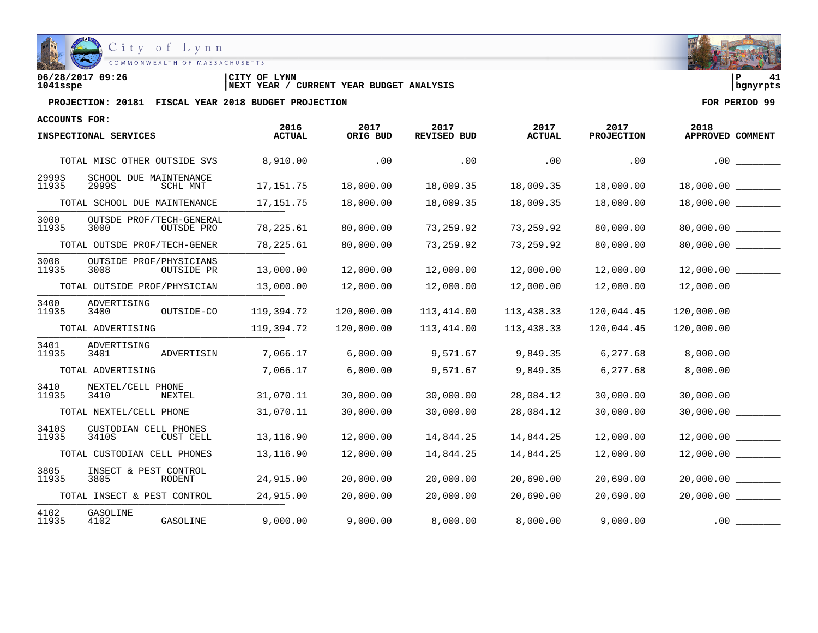

| 06/28/2017 09:26 | CITY OF LYNN                                      |            | $\sim$ |
|------------------|---------------------------------------------------|------------|--------|
| 1041sspe         | CURRENT YEAR BUDGET ANALYSIS<br><b>INEXT YEAR</b> | l banvrpts |        |

| <b>ACCOUNTS FOR:</b> |                                                |                       |                  |                            |                       |                    |                          |
|----------------------|------------------------------------------------|-----------------------|------------------|----------------------------|-----------------------|--------------------|--------------------------|
|                      | INSPECTIONAL SERVICES                          | 2016<br><b>ACTUAL</b> | 2017<br>ORIG BUD | 2017<br><b>REVISED BUD</b> | 2017<br><b>ACTUAL</b> | 2017<br>PROJECTION | 2018<br>APPROVED COMMENT |
|                      | TOTAL MISC OTHER OUTSIDE SVS                   | 8,910.00              | .00              | .00                        | .00                   | .00                | .00                      |
| 2999S<br>11935       | SCHOOL DUE MAINTENANCE<br>2999S<br>SCHL MNT    | 17,151.75             | 18,000.00        | 18,009.35                  | 18,009.35             | 18,000.00          | 18,000.00                |
|                      | TOTAL SCHOOL DUE MAINTENANCE                   | 17, 151.75            | 18,000.00        | 18,009.35                  | 18,009.35             | 18,000.00          | 18,000.00                |
| 3000<br>11935        | OUTSDE PROF/TECH-GENERAL<br>3000<br>OUTSDE PRO | 78,225.61             | 80,000.00        | 73,259.92                  | 73,259.92             | 80,000.00          | 80,000.00                |
|                      | TOTAL OUTSDE PROF/TECH-GENER                   | 78,225.61             | 80,000.00        | 73,259.92                  | 73,259.92             | 80,000.00          |                          |
| 3008<br>11935        | OUTSIDE PROF/PHYSICIANS<br>3008<br>OUTSIDE PR  | 13,000.00             | 12,000.00        | 12,000.00                  | 12,000.00             | 12,000.00          | 12,000.00                |
|                      | TOTAL OUTSIDE PROF/PHYSICIAN                   | 13,000.00             | 12,000.00        | 12,000.00                  | 12,000.00             | 12,000.00          | 12,000.00                |
| 3400<br>11935        | ADVERTISING<br>3400<br>OUTSIDE-CO              | 119,394.72            | 120,000.00       | 113,414.00                 | 113,438.33            | 120,044.45         |                          |
|                      | TOTAL ADVERTISING                              | 119,394.72            | 120,000.00       | 113,414.00                 | 113,438.33            | 120,044.45         | 120,000.00               |
| 3401<br>11935        | ADVERTISING<br>ADVERTISIN<br>3401              | 7,066.17              | 6,000.00         | 9,571.67                   | 9,849.35              | 6,277.68           | 8,000.00                 |
|                      | TOTAL ADVERTISING                              | 7,066.17              | 6,000.00         | 9,571.67                   | 9,849.35              | 6,277.68           | 8,000.00                 |
| 3410<br>11935        | NEXTEL/CELL PHONE<br>3410<br>NEXTEL            | 31,070.11             | 30,000.00        | 30,000.00                  | 28,084.12             | 30,000.00          | 30,000.00 ________       |
|                      | TOTAL NEXTEL/CELL PHONE                        | 31,070.11             | 30,000.00        | 30,000.00                  | 28,084.12             | 30,000.00          | 30,000.00                |
| 3410S<br>11935       | CUSTODIAN CELL PHONES<br>3410S<br>CUST CELL    | 13,116.90             | 12,000.00        | 14,844.25                  | 14,844.25             | 12,000.00          | 12,000.00                |
|                      | TOTAL CUSTODIAN CELL PHONES                    | 13, 116.90            | 12,000.00        | 14,844.25                  | 14,844.25             | 12,000.00          | 12,000.00                |
| 3805<br>11935        | INSECT & PEST CONTROL<br>3805<br>RODENT        | 24,915.00             | 20,000.00        | 20,000.00                  | 20,690.00             | 20,690.00          | 20,000.00                |
|                      | TOTAL INSECT & PEST CONTROL                    | 24,915.00             | 20,000.00        | 20,000.00                  | 20,690.00             | 20,690.00          | 20,000.00                |
| 4102<br>11935        | GASOLINE<br><b>GASOLINE</b><br>4102            | 9,000.00              | 9,000.00         | 8,000.00                   | 8,000.00              | 9,000.00           | .00                      |

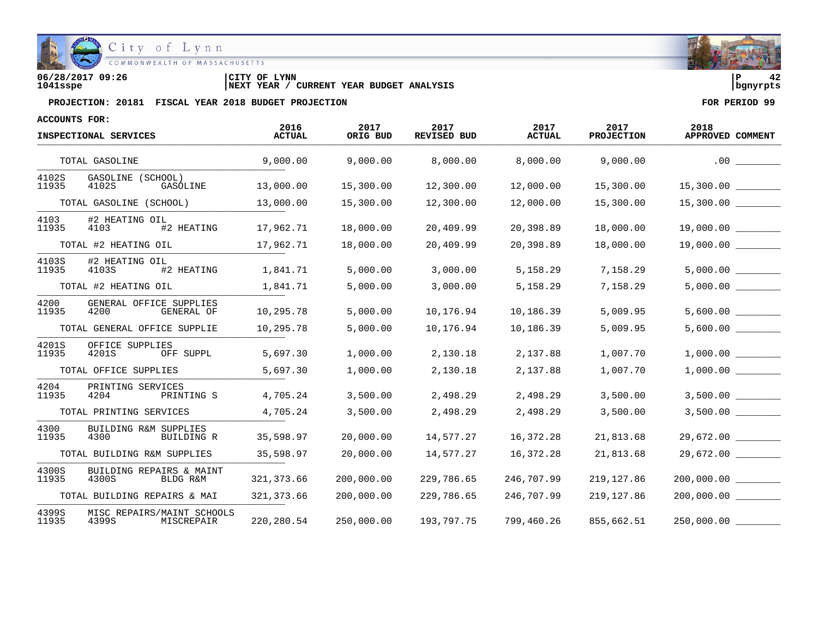

**06/28/2017 09:26 |CITY OF LYNN |P 42 1041sspe |NEXT YEAR / CURRENT YEAR BUDGET ANALYSIS |bgnyrpts**

| ACCOUNTS FOR:  |                                                        |                       |                  |                            |                       |                           |                          |
|----------------|--------------------------------------------------------|-----------------------|------------------|----------------------------|-----------------------|---------------------------|--------------------------|
|                | INSPECTIONAL SERVICES                                  | 2016<br><b>ACTUAL</b> | 2017<br>ORIG BUD | 2017<br><b>REVISED BUD</b> | 2017<br><b>ACTUAL</b> | 2017<br><b>PROJECTION</b> | 2018<br>APPROVED COMMENT |
|                | TOTAL GASOLINE                                         | 9,000.00              | 9,000.00         | 8,000.00                   | 8,000.00              | 9,000.00                  | .00                      |
| 4102S<br>11935 | GASOLINE (SCHOOL)<br>4102S<br>GASOLINE                 | 13,000.00             | 15,300.00        | 12,300.00                  | 12,000.00             | 15,300.00                 |                          |
|                | TOTAL GASOLINE (SCHOOL)                                | 13,000.00             | 15,300.00        | 12,300.00                  | 12,000.00             | 15,300.00                 |                          |
| 4103<br>11935  | #2 HEATING OIL<br>4103<br>#2 HEATING                   | 17,962.71             | 18,000.00        | 20,409.99                  | 20,398.89             | 18,000.00                 | 19,000.00                |
|                | TOTAL #2 HEATING OIL                                   | 17,962.71             | 18,000.00        | 20,409.99                  | 20,398.89             | 18,000.00                 | 19,000.00                |
| 4103S<br>11935 | #2 HEATING OIL<br>#2 HEATING<br>4103S                  | 1,841.71              | 5,000.00         | 3,000.00                   | 5,158.29              | 7,158.29                  | 5,000.00                 |
|                | TOTAL #2 HEATING OIL                                   | 1,841.71              | 5,000.00         | 3,000.00                   | 5,158.29              | 7,158.29                  | 5,000.00                 |
| 4200<br>11935  | GENERAL OFFICE SUPPLIES<br>GENERAL OF<br>4200          | 10,295.78             | 5,000.00         | 10,176.94                  | 10,186.39             | 5,009.95                  | 5,600.00                 |
|                | TOTAL GENERAL OFFICE SUPPLIE                           | 10,295.78             | 5,000.00         | 10,176.94                  | 10,186.39             | 5,009.95                  |                          |
| 4201S<br>11935 | OFFICE SUPPLIES<br>4201S<br>OFF SUPPL                  | 5,697.30              | 1,000.00         | 2,130.18                   | 2,137.88              | 1,007.70                  | 1,000.00                 |
|                | TOTAL OFFICE SUPPLIES                                  | 5,697.30              | 1,000.00         | 2,130.18                   | 2,137.88              | 1,007.70                  | 1,000.00                 |
| 4204<br>11935  | PRINTING SERVICES<br>4204<br>PRINTING S                | 4,705.24              | 3,500.00         | 2,498.29                   | 2,498.29              | 3,500.00                  | 3,500.00                 |
|                | TOTAL PRINTING SERVICES                                | 4,705.24              | 3,500.00         | 2,498.29                   | 2,498.29              | 3,500.00                  | 3,500.00                 |
| 4300<br>11935  | <b>BUILDING R&amp;M SUPPLIES</b><br>4300<br>BUILDING R | 35,598.97             | 20,000.00        | 14,577.27                  | 16,372.28             | 21,813.68                 | 29,672.00                |
|                | TOTAL BUILDING R&M SUPPLIES                            | 35,598.97             | 20,000.00        | 14,577.27                  | 16,372.28             | 21,813.68                 | 29,672.00                |
| 4300S<br>11935 | BUILDING REPAIRS & MAINT<br>4300S<br>BLDG R&M          | 321, 373.66           | 200,000.00       | 229,786.65                 | 246,707.99            | 219, 127.86               | 200,000.00               |
|                | TOTAL BUILDING REPAIRS & MAI                           | 321, 373.66           | 200,000.00       | 229,786.65                 | 246,707.99            | 219, 127.86               | 200,000.00               |
| 4399S<br>11935 | MISC REPAIRS/MAINT SCHOOLS<br>4399S<br>MISCREPAIR      | 220, 280.54           | 250,000.00       | 193,797.75                 | 799,460.26            | 855,662.51                | 250,000.00               |

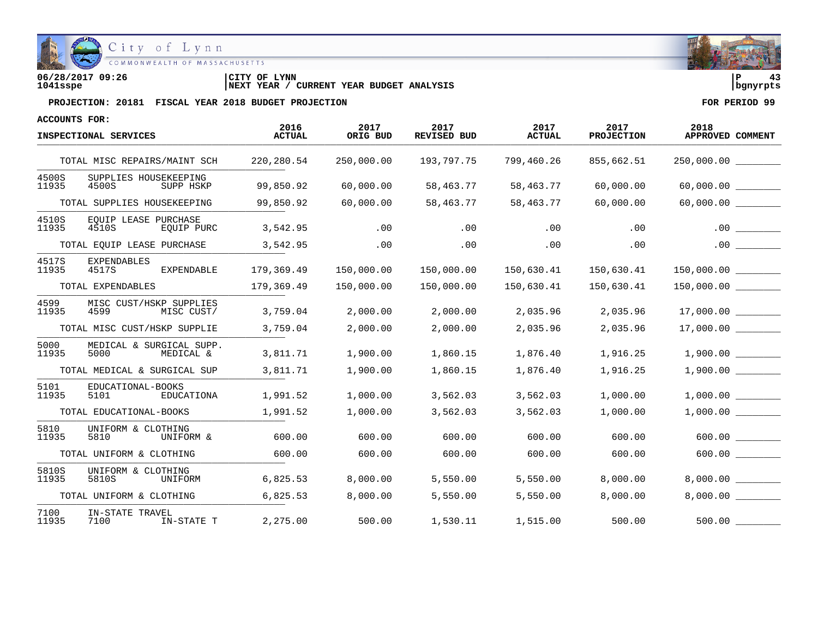

**06/28/2017 09:26 |CITY OF LYNN |P 43 1041sspe |NEXT YEAR / CURRENT YEAR BUDGET ANALYSIS |bgnyrpts**

| ACCOUNTS FOR:  |                                               |                       |                  |                            |                       |                           |                          |
|----------------|-----------------------------------------------|-----------------------|------------------|----------------------------|-----------------------|---------------------------|--------------------------|
|                | INSPECTIONAL SERVICES                         | 2016<br><b>ACTUAL</b> | 2017<br>ORIG BUD | 2017<br><b>REVISED BUD</b> | 2017<br><b>ACTUAL</b> | 2017<br><b>PROJECTION</b> | 2018<br>APPROVED COMMENT |
|                | TOTAL MISC REPAIRS/MAINT SCH                  | 220,280.54            | 250,000.00       | 193,797.75                 | 799,460.26            | 855,662.51                | 250,000.00 ________      |
| 4500S<br>11935 | SUPPLIES HOUSEKEEPING<br>4500S<br>SUPP HSKP   | 99,850.92             | 60,000.00        | 58,463.77                  | 58,463.77             | 60,000.00                 | 60,000.00 ________       |
|                | TOTAL SUPPLIES HOUSEKEEPING                   | 99,850.92             | 60,000.00        | 58,463.77                  | 58,463.77             | 60,000.00                 |                          |
| 4510S<br>11935 | EOUIP LEASE PURCHASE<br>4510S<br>EQUIP PURC   | 3,542.95              | .00              | .00                        | .00                   | .00                       | $.00$ $\qquad \qquad$    |
|                | TOTAL EQUIP LEASE PURCHASE                    | 3,542.95              | .00              | .00                        | .00                   | .00                       | .00                      |
| 4517S<br>11935 | <b>EXPENDABLES</b><br>4517S<br>EXPENDABLE     | 179,369.49            | 150,000.00       | 150,000.00                 | 150,630.41            | 150,630.41                |                          |
|                | TOTAL EXPENDABLES                             | 179,369.49            | 150,000.00       | 150,000.00                 | 150,630.41            | 150,630.41                |                          |
| 4599<br>11935  | MISC CUST/HSKP SUPPLIES<br>4599<br>MISC CUST/ | 3,759.04              | 2,000.00         | 2,000.00                   | 2,035.96              | 2,035.96                  | 17,000.00                |
|                | TOTAL MISC CUST/HSKP SUPPLIE                  | 3,759.04              | 2,000.00         | 2,000.00                   | 2,035.96              | 2,035.96                  | 17,000.00                |
| 5000<br>11935  | MEDICAL & SURGICAL SUPP.<br>5000<br>MEDICAL & | 3,811.71              | 1,900.00         | 1,860.15                   | 1,876.40              | 1,916.25                  | 1,900.00                 |
|                | TOTAL MEDICAL & SURGICAL SUP                  | 3,811.71              | 1,900.00         | 1,860.15                   | 1,876.40              | 1,916.25                  | 1,900.00                 |
| 5101<br>11935  | EDUCATIONAL-BOOKS<br>5101<br>EDUCATIONA       | 1,991.52              | 1,000.00         | 3,562.03                   | 3,562.03              | 1,000.00                  | 1,000.00                 |
|                | TOTAL EDUCATIONAL-BOOKS                       | 1,991.52              | 1,000.00         | 3,562.03                   | 3,562.03              | 1,000.00                  | 1,000.00                 |
| 5810<br>11935  | UNIFORM & CLOTHING<br>5810<br>UNIFORM &       | 600.00                | 600.00           | 600.00                     | 600.00                | 600.00                    | 600.00                   |
|                | TOTAL UNIFORM & CLOTHING                      | 600.00                | 600.00           | 600.00                     | 600.00                | 600.00                    | 600.00                   |
| 5810S<br>11935 | UNIFORM & CLOTHING<br>5810S<br>UNIFORM        | 6,825.53              | 8,000.00         | 5,550.00                   | 5,550.00              | 8,000.00                  | 8,000.00                 |
|                | TOTAL UNIFORM & CLOTHING                      | 6,825.53              | 8,000.00         | 5,550.00                   | 5,550.00              | 8,000.00                  | 8,000.00                 |
| 7100<br>11935  | IN-STATE TRAVEL<br>7100<br>IN-STATE T         | 2,275.00              | 500.00           | 1,530.11                   | 1,515.00              | 500.00                    | 500.00                   |

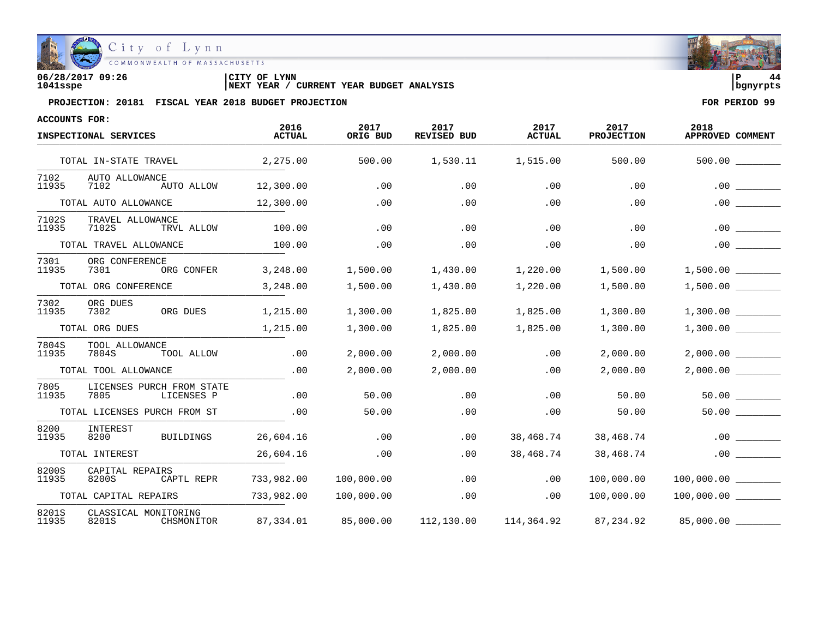

| 06/28/2017 09:26 | 'CITY OF<br>LYNN                                     | l P      |  |
|------------------|------------------------------------------------------|----------|--|
| 1041sspe         | YEAR BUDGET ANALYSIS<br>CURRENT<br><b>INEXT YEAR</b> | banvrpts |  |

| ACCOUNTS FOR:  |                                                 |                       |                  |                            |                       |                           |                                |
|----------------|-------------------------------------------------|-----------------------|------------------|----------------------------|-----------------------|---------------------------|--------------------------------|
|                | INSPECTIONAL SERVICES                           | 2016<br><b>ACTUAL</b> | 2017<br>ORIG BUD | 2017<br><b>REVISED BUD</b> | 2017<br><b>ACTUAL</b> | 2017<br><b>PROJECTION</b> | 2018<br>APPROVED COMMENT       |
|                | TOTAL IN-STATE TRAVEL                           | 2,275.00              | 500.00           | 1,530.11                   | 1,515.00              | 500.00                    |                                |
| 7102<br>11935  | AUTO ALLOWANCE<br>7102<br>AUTO ALLOW            | 12,300.00             | .00              | .00                        | .00                   | .00                       | .00                            |
|                | TOTAL AUTO ALLOWANCE                            | 12,300.00             | .00              | .00                        | .00                   | .00                       | .00                            |
| 7102S<br>11935 | TRAVEL ALLOWANCE<br>7102S<br>TRVL ALLOW         | 100.00                | .00              | .00                        | .00                   | .00                       | .00                            |
|                | TOTAL TRAVEL ALLOWANCE                          | 100.00                | .00              | .00                        | .00                   | .00                       |                                |
| 7301<br>11935  | ORG CONFERENCE<br>ORG CONFER<br>7301            | 3,248.00              | 1,500.00         | 1,430.00                   | 1,220.00              | 1,500.00                  | 1,500.00                       |
|                | TOTAL ORG CONFERENCE                            | 3,248.00              | 1,500.00         | 1,430.00                   | 1,220.00              | 1,500.00                  | $1,500.00$ ________            |
| 7302<br>11935  | ORG DUES<br>ORG DUES<br>7302                    | 1,215.00              | 1,300.00         | 1,825.00                   | 1,825.00              | 1,300.00                  | 1,300.00                       |
|                | TOTAL ORG DUES                                  | 1,215.00              | 1,300.00         | 1,825.00                   | 1,825.00              | 1,300.00                  |                                |
| 7804S<br>11935 | TOOL ALLOWANCE<br>7804S<br>TOOL ALLOW           | .00                   | 2,000.00         | 2,000.00                   | .00                   | 2,000.00                  | 2,000.00                       |
|                | TOTAL TOOL ALLOWANCE                            | .00                   | 2,000.00         | 2,000.00                   | .00                   | 2,000.00                  | 2,000.00                       |
| 7805<br>11935  | LICENSES PURCH FROM STATE<br>7805<br>LICENSES P | .00                   | 50.00            | .00                        | .00                   | 50.00                     | $50.00$ $\qquad \qquad \qquad$ |
|                | TOTAL LICENSES PURCH FROM ST                    | .00                   | 50.00            | .00                        | .00                   | 50.00                     |                                |
| 8200<br>11935  | INTEREST<br><b>BUILDINGS</b><br>8200            | 26,604.16             | .00              | .00                        | 38,468.74             | 38,468.74                 | .00                            |
|                | TOTAL INTEREST                                  | 26,604.16             | .00              | .00                        | 38,468.74             | 38,468.74                 | .00                            |
| 8200S<br>11935 | CAPITAL REPAIRS<br>CAPTL REPR<br>8200S          | 733,982.00            | 100,000.00       | .00                        | .00                   | 100,000.00                | 100,000.00                     |
|                | TOTAL CAPITAL REPAIRS                           | 733,982.00            | 100,000.00       | .00                        | .00                   | 100,000.00                | 100,000.00                     |
| 8201S<br>11935 | CLASSICAL MONITORING<br>8201S<br>CHSMONITOR     | 87,334.01             | 85,000.00        | 112,130.00                 | 114,364.92            | 87,234.92                 | 85,000.00                      |

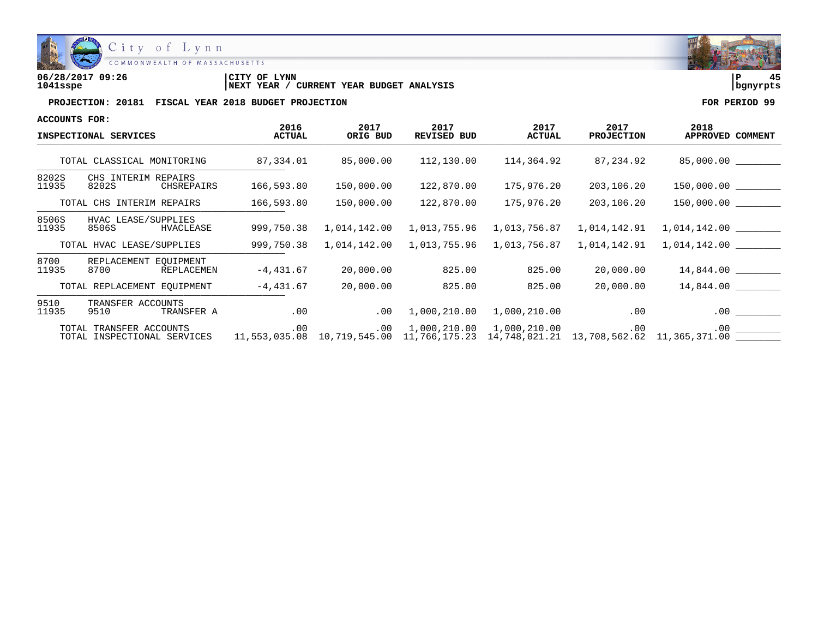

| 06/28/2017 09:26 | LYNN<br>CITY OF                               | ם         |  |
|------------------|-----------------------------------------------|-----------|--|
| 1041sspe         | YEAR BUDGET ANALYSIS<br>CURRENT<br>'NEXT YEAR | Ibanvrpts |  |

| ACCOUNTS FOR:         |                                                        |                       |                  |                     |                       |                           |                                                                                                        |
|-----------------------|--------------------------------------------------------|-----------------------|------------------|---------------------|-----------------------|---------------------------|--------------------------------------------------------------------------------------------------------|
| INSPECTIONAL SERVICES |                                                        | 2016<br><b>ACTUAL</b> | 2017<br>ORIG BUD | 2017<br>REVISED BUD | 2017<br><b>ACTUAL</b> | 2017<br><b>PROJECTION</b> | 2018<br>APPROVED COMMENT                                                                               |
|                       | TOTAL CLASSICAL MONITORING                             | 87,334.01             | 85,000.00        | 112,130.00          | 114,364.92            | 87,234.92                 | 85,000.00                                                                                              |
| 8202S<br>11935        | CHS INTERIM REPAIRS<br>8202S<br>CHSREPAIRS             | 166,593.80            | 150,000.00       | 122,870.00          | 175,976.20            | 203,106.20                | 150,000.00                                                                                             |
|                       | TOTAL CHS INTERIM REPAIRS                              | 166,593.80            | 150,000.00       | 122,870.00          | 175,976.20            | 203,106.20                | 150,000.00                                                                                             |
| 8506S<br>11935        | HVAC LEASE/SUPPLIES<br>8506S<br>HVACLEASE              | 999,750.38            | 1,014,142.00     | 1,013,755.96        | 1,013,756.87          | 1,014,142.91              | 1,014,142.00                                                                                           |
|                       | TOTAL HVAC LEASE/SUPPLIES                              | 999,750.38            | 1,014,142.00     | 1,013,755.96        | 1,013,756.87          | 1,014,142.91              | 1,014,142.00                                                                                           |
| 8700<br>11935         | REPLACEMENT EQUIPMENT<br>8700<br>REPLACEMEN            | $-4,431.67$           | 20,000.00        | 825.00              | 825.00                | 20,000.00                 | 14,844.00                                                                                              |
|                       | TOTAL REPLACEMENT EQUIPMENT                            | $-4,431.67$           | 20,000.00        | 825.00              | 825.00                | 20,000.00                 | 14,844.00                                                                                              |
| 9510<br>11935         | TRANSFER ACCOUNTS<br>9510<br>TRANSFER A                | .00                   | .00              | 1,000,210.00        | 1,000,210.00          | $.00 \,$                  | $.00 \,$                                                                                               |
|                       | TOTAL TRANSFER ACCOUNTS<br>TOTAL INSPECTIONAL SERVICES | .00                   | .00              | 1,000,210.00        | 1,000,210.00          | .00                       | .00<br>$11,553,035.08$ $10,719,545.00$ $11,766,175.23$ $14,748,021.21$ $13,708,562.62$ $11,365,371.00$ |

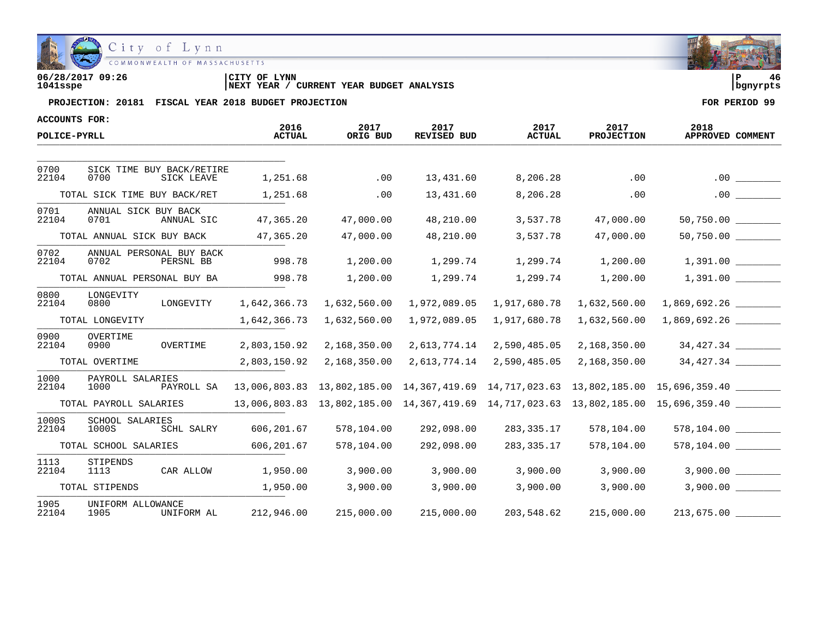

| 06/28/2017 09:26 | 'CITY OF<br>LYNN                                     | l P      | 46 |
|------------------|------------------------------------------------------|----------|----|
| 1041sspe         | YEAR BUDGET ANALYSIS<br>CURRENT<br><b>INEXT YEAR</b> | banvrpts |    |

| ACCOUNTS FOR:  |                                                 | 2016          | 2017         | 2017         | 2017          | 2017              | 2018                                                                                |
|----------------|-------------------------------------------------|---------------|--------------|--------------|---------------|-------------------|-------------------------------------------------------------------------------------|
| POLICE-PYRLL   |                                                 | <b>ACTUAL</b> | ORIG BUD     | REVISED BUD  | <b>ACTUAL</b> | <b>PROJECTION</b> | APPROVED COMMENT                                                                    |
|                |                                                 |               |              |              |               |                   |                                                                                     |
| 0700<br>22104  | SICK TIME BUY BACK/RETIRE<br>0700<br>SICK LEAVE | 1,251.68      | .00          | 13,431.60    | 8,206.28      | .00               | .00                                                                                 |
|                | TOTAL SICK TIME BUY BACK/RET                    | 1,251.68      | .00          | 13,431.60    | 8,206.28      | .00               | .00                                                                                 |
| 0701<br>22104  | ANNUAL SICK BUY BACK<br>0701<br>ANNUAL SIC      | 47,365.20     | 47,000.00    | 48,210.00    | 3,537.78      | 47,000.00         | 50,750.00                                                                           |
|                | TOTAL ANNUAL SICK BUY BACK                      | 47,365.20     | 47,000.00    | 48,210.00    | 3,537.78      | 47,000.00         | $50,750.00$ _________                                                               |
| 0702<br>22104  | ANNUAL PERSONAL BUY BACK<br>0702<br>PERSNL BB   | 998.78        | 1,200.00     | 1,299.74     | 1,299.74      | 1,200.00          | 1,391.00                                                                            |
|                | TOTAL ANNUAL PERSONAL BUY BA                    | 998.78        | 1,200.00     | 1,299.74     | 1,299.74      | 1,200.00          |                                                                                     |
| 0800<br>22104  | LONGEVITY<br>0800<br>LONGEVITY                  | 1,642,366.73  | 1,632,560.00 | 1,972,089.05 | 1,917,680.78  | 1,632,560.00      | 1,869,692.26                                                                        |
|                | TOTAL LONGEVITY                                 | 1,642,366.73  | 1,632,560.00 | 1,972,089.05 | 1,917,680.78  | 1,632,560.00      | 1,869,692.26                                                                        |
| 0900<br>22104  | OVERTIME<br>OVERTIME<br>0900                    | 2,803,150.92  | 2,168,350.00 | 2,613,774.14 | 2,590,485.05  | 2,168,350.00      | 34,427.34                                                                           |
|                | TOTAL OVERTIME                                  | 2,803,150.92  | 2,168,350.00 | 2,613,774.14 | 2,590,485.05  | 2,168,350.00      | 34,427.34                                                                           |
| 1000<br>22104  | PAYROLL SALARIES<br>1000<br>PAYROLL SA          |               |              |              |               |                   | 13,006,803.83 13,802,185.00 14,367,419.69 14,717,023.63 13,802,185.00 15,696,359.40 |
|                | TOTAL PAYROLL SALARIES                          |               |              |              |               |                   |                                                                                     |
| 1000S<br>22104 | <b>SCHOOL SALARIES</b><br>1000S<br>SCHL SALRY   | 606,201.67    | 578,104.00   | 292,098.00   | 283,335.17    | 578,104.00        | 578,104.00                                                                          |
|                | TOTAL SCHOOL SALARIES                           | 606, 201.67   | 578,104.00   | 292,098.00   | 283, 335. 17  | 578,104.00        | $578, 104.00$ ________                                                              |
| 1113<br>22104  | STIPENDS<br>CAR ALLOW<br>1113                   | 1,950.00      | 3,900.00     | 3,900.00     | 3,900.00      | 3,900.00          | 3,900.00                                                                            |
|                | TOTAL STIPENDS                                  | 1,950.00      | 3,900.00     | 3,900.00     | 3,900.00      | 3,900.00          | 3,900.00                                                                            |
| 1905<br>22104  | UNIFORM ALLOWANCE<br>1905<br>UNIFORM AL         | 212,946.00    | 215,000.00   | 215,000.00   | 203,548.62    | 215,000.00        |                                                                                     |

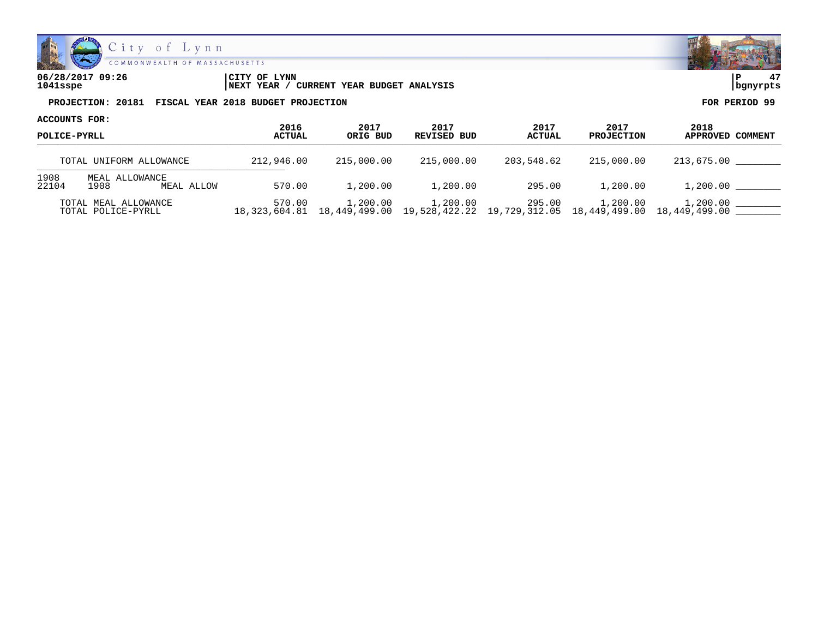

| 06/28/2017 09:26 | LYNN<br>CITY OF                                     | ם ו       |  |
|------------------|-----------------------------------------------------|-----------|--|
| 1041sspe         | YEAR BUDGET ANALYSIS<br>CURRENT<br><b>NEXT YEAR</b> | Ibanvrpts |  |

| ACCOUNTS FOR:<br>POLICE-PYRLL |                                            |                |                                          |                     |                                       |                                         |                          |  |
|-------------------------------|--------------------------------------------|----------------|------------------------------------------|---------------------|---------------------------------------|-----------------------------------------|--------------------------|--|
|                               |                                            | 2016<br>ACTUAL | 2017<br>ORIG BUD                         | 2017<br>REVISED BUD | 2017<br>ACTUAL                        | 2017<br><b>PROJECTION</b>               | 2018<br>APPROVED COMMENT |  |
|                               | TOTAL UNIFORM ALLOWANCE                    | 212,946.00     | 215,000.00                               | 215,000.00          | 203,548.62                            | 215,000.00                              | 213,675.00               |  |
| 1908<br>22104                 | MEAL ALLOWANCE<br>1908<br>MEAL ALLOW       | 570.00         | 1,200.00                                 | 1,200.00            | 295.00                                | 1,200.00                                | 1,200.00                 |  |
|                               | TOTAL MEAL ALLOWANCE<br>TOTAL POLICE-PYRLL | 570.00         | 1,200.00<br>18,323,604.81  18,449,499.00 | 1,200.00            | 295.00<br>19,528,422.22 19,729,312.05 | 1,200.00<br>18,449,499.00 18,449,499.00 | 1,200.00                 |  |

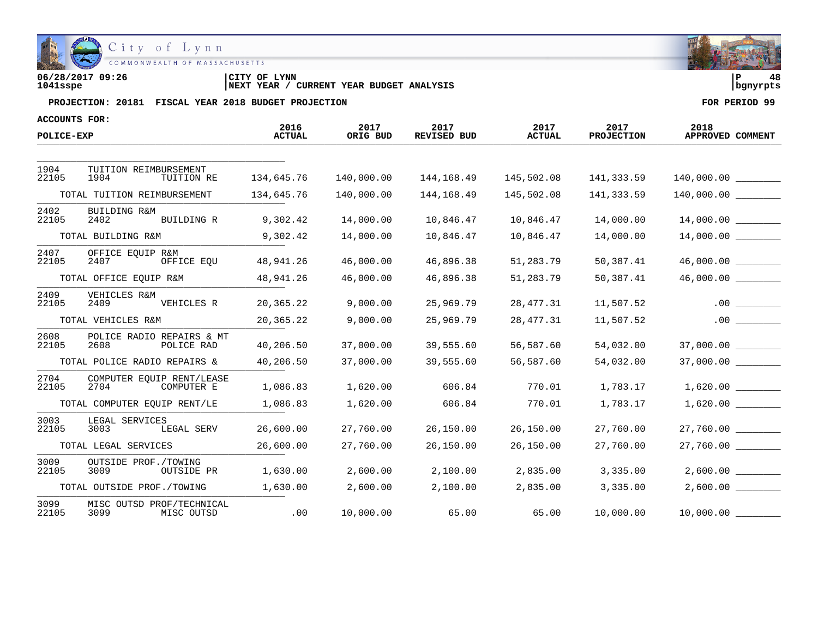

| 06/28/2017 09:26 | CITY OF LYNN                                      | l P        | 48 |
|------------------|---------------------------------------------------|------------|----|
| 1041sspe         | CURRENT YEAR BUDGET ANALYSIS<br><b>INEXT YEAR</b> | l banvrpts |    |

| <b>ACCOUNTS FOR:</b> |                                                 | 2016          | 2017       | 2017               | 2017          | 2017              | 2018                 |
|----------------------|-------------------------------------------------|---------------|------------|--------------------|---------------|-------------------|----------------------|
| POLICE-EXP           |                                                 | <b>ACTUAL</b> | ORIG BUD   | <b>REVISED BUD</b> | <b>ACTUAL</b> | <b>PROJECTION</b> | APPROVED COMMENT     |
|                      |                                                 |               |            |                    |               |                   |                      |
| 1904<br>22105        | TUITION REIMBURSEMENT<br>1904<br>TUITION RE     | 134,645.76    | 140,000.00 | 144,168.49         | 145,502.08    | 141,333.59        |                      |
|                      | TOTAL TUITION REIMBURSEMENT                     | 134,645.76    | 140,000.00 | 144,168.49         | 145,502.08    | 141,333.59        |                      |
| 2402<br>22105        | BUILDING R&M<br>BUILDING R<br>2402              | 9,302.42      | 14,000.00  | 10,846.47          | 10,846.47     | 14,000.00         | 14,000.00            |
|                      | TOTAL BUILDING R&M                              | 9,302.42      | 14,000.00  | 10,846.47          | 10,846.47     | 14,000.00         |                      |
| 2407<br>22105        | OFFICE EOUIP R&M<br>OFFICE EOU<br>2407          | 48,941.26     | 46,000.00  | 46,896.38          | 51,283.79     | 50,387.41         | 46,000.00            |
|                      | TOTAL OFFICE EQUIP R&M                          | 48,941.26     | 46,000.00  | 46,896.38          | 51,283.79     | 50,387.41         |                      |
| 2409<br>22105        | VEHICLES R&M<br>2409<br>VEHICLES R              | 20,365.22     | 9,000.00   | 25,969.79          | 28,477.31     | 11,507.52         | .00                  |
|                      | TOTAL VEHICLES R&M                              | 20,365.22     | 9,000.00   | 25,969.79          | 28,477.31     | 11,507.52         | .00                  |
| 2608<br>22105        | POLICE RADIO REPAIRS & MT<br>2608<br>POLICE RAD | 40,206.50     | 37,000.00  | 39,555.60          | 56,587.60     | 54,032.00         | 37,000.00            |
|                      | TOTAL POLICE RADIO REPAIRS &                    | 40,206.50     | 37,000.00  | 39,555.60          | 56,587.60     | 54,032.00         | 37,000.00            |
| 2704<br>22105        | COMPUTER EQUIP RENT/LEASE<br>2704<br>COMPUTER E | 1,086.83      | 1,620.00   | 606.84             | 770.01        | 1,783.17          | $1,620.00$ _________ |
|                      | TOTAL COMPUTER EQUIP RENT/LE                    | 1,086.83      | 1,620.00   | 606.84             | 770.01        | 1,783.17          | 1,620.00             |
| 3003<br>22105        | LEGAL SERVICES<br>3003<br>LEGAL SERV            | 26,600.00     | 27,760.00  | 26,150.00          | 26,150.00     | 27,760.00         | 27,760.00            |
|                      | TOTAL LEGAL SERVICES                            | 26,600.00     | 27,760.00  | 26,150.00          | 26,150.00     | 27,760.00         | 27,760.00            |
| 3009<br>22105        | OUTSIDE PROF./TOWING<br>3009<br>OUTSIDE PR      | 1,630.00      | 2,600.00   | 2,100.00           | 2,835.00      | 3,335.00          | 2,600.00             |
|                      | TOTAL OUTSIDE PROF./TOWING                      | 1,630.00      | 2,600.00   | 2,100.00           | 2,835.00      | 3,335.00          | 2,600.00             |
| 3099<br>22105        | MISC OUTSD PROF/TECHNICAL<br>3099<br>MISC OUTSD | .00           | 10,000.00  | 65.00              | 65.00         | 10,000.00         |                      |

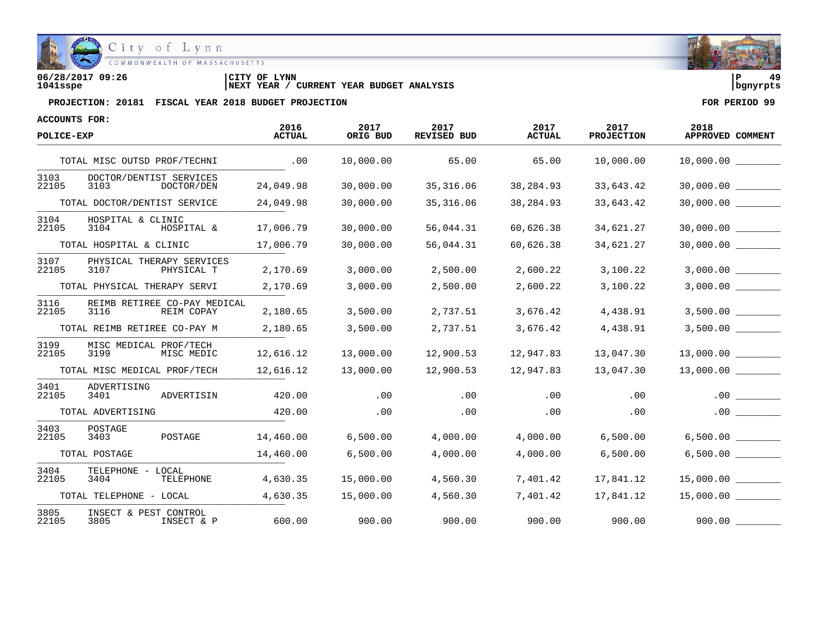

**06/28/2017 09:26 |CITY OF LYNN |P 49 1041sspe |NEXT YEAR / CURRENT YEAR BUDGET ANALYSIS |bgnyrpts**

| ACCOUNTS FOR: |                                                    | 2016      | 2017      | 2017               | 2017          | 2017              | 2018                  |
|---------------|----------------------------------------------------|-----------|-----------|--------------------|---------------|-------------------|-----------------------|
| POLICE-EXP    |                                                    | ACTUAL    | ORIG BUD  | <b>REVISED BUD</b> | <b>ACTUAL</b> | <b>PROJECTION</b> | APPROVED COMMENT      |
|               | TOTAL MISC OUTSD PROF/TECHNI                       | .00       | 10,000.00 | 65.00              | 65.00         | 10,000.00         | 10,000.00             |
| 3103<br>22105 | DOCTOR/DENTIST SERVICES<br>3103<br>DOCTOR/DEN      | 24,049.98 | 30,000.00 | 35,316.06          | 38,284.93     | 33,643.42         | 30,000.00             |
|               | TOTAL DOCTOR/DENTIST SERVICE                       | 24,049.98 | 30,000.00 | 35, 316.06         | 38,284.93     | 33,643.42         | 30,000.00             |
| 3104<br>22105 | HOSPITAL & CLINIC<br>3104<br>HOSPITAL &            | 17,006.79 | 30,000.00 | 56,044.31          | 60,626.38     | 34,621.27         | 30,000.00             |
|               | TOTAL HOSPITAL & CLINIC                            | 17,006.79 | 30,000.00 | 56,044.31          | 60,626.38     | 34,621.27         | $30,000.00$ _________ |
| 3107<br>22105 | PHYSICAL THERAPY SERVICES<br>3107<br>PHYSICAL T    | 2,170.69  | 3,000.00  | 2,500.00           | 2,600.22      | 3,100.22          | 3,000.00              |
|               | TOTAL PHYSICAL THERAPY SERVI                       | 2,170.69  | 3,000.00  | 2,500.00           | 2,600.22      | 3,100.22          |                       |
| 3116<br>22105 | REIMB RETIREE CO-PAY MEDICAL<br>3116<br>REIM COPAY | 2,180.65  | 3,500.00  | 2,737.51           | 3,676.42      | 4,438.91          | 3,500.00              |
|               | TOTAL REIMB RETIREE CO-PAY M                       | 2,180.65  | 3,500.00  | 2,737.51           | 3,676.42      | 4,438.91          | 3,500.00              |
| 3199<br>22105 | MISC MEDICAL PROF/TECH<br>3199<br>MISC MEDIC       | 12,616.12 | 13,000.00 | 12,900.53          | 12,947.83     | 13,047.30         | 13,000.00             |
|               | TOTAL MISC MEDICAL PROF/TECH                       | 12,616.12 | 13,000.00 | 12,900.53          | 12,947.83     | 13,047.30         | 13,000.00             |
| 3401<br>22105 | ADVERTISING<br>3401<br>ADVERTISIN                  | 420.00    | .00       | .00                | .00           | .00               | .00                   |
|               | TOTAL ADVERTISING                                  | 420.00    | .00       | .00                | .00           | .00               | .00                   |
| 3403<br>22105 | POSTAGE<br>3403<br>POSTAGE                         | 14,460.00 | 6,500.00  | 4,000.00           | 4,000.00      | 6,500.00          | $6,500.00$ _________  |
|               | TOTAL POSTAGE                                      | 14,460.00 | 6,500.00  | 4,000.00           | 4,000.00      | 6,500.00          | 6,500.00              |
| 3404<br>22105 | TELEPHONE - LOCAL<br>3404<br>TELEPHONE             | 4,630.35  | 15,000.00 | 4,560.30           | 7,401.42      | 17,841.12         | 15,000.00             |
|               | TOTAL TELEPHONE - LOCAL                            | 4,630.35  | 15,000.00 | 4,560.30           | 7,401.42      | 17,841.12         | 15,000.00             |
| 3805<br>22105 | INSECT & PEST CONTROL<br>3805<br>INSECT & P        | 600.00    | 900.00    | 900.00             | 900.00        | 900.00            | 900.00                |

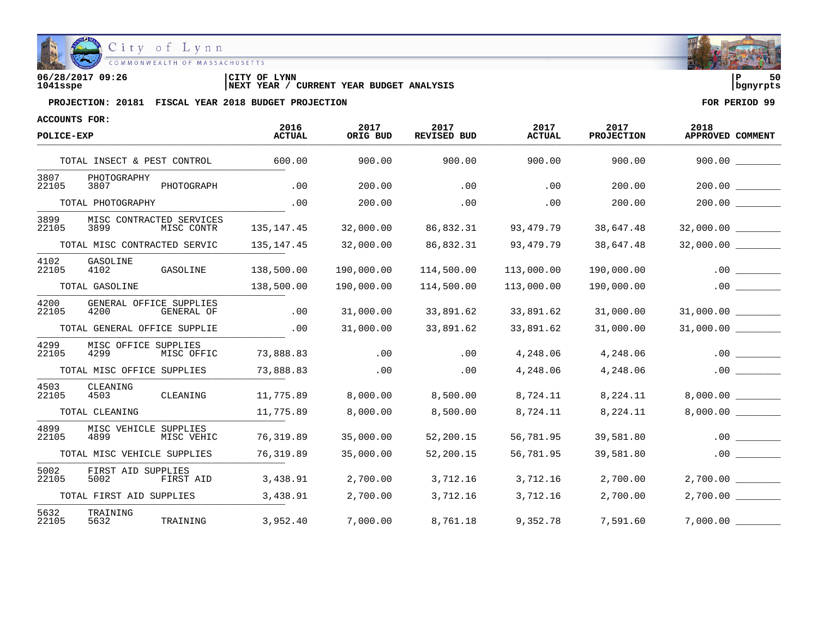

| 06/28/2017 09:26 | LYNN<br>'CITY OF                                    | l P        | 50 |
|------------------|-----------------------------------------------------|------------|----|
| 1041sspe         | YEAR BUDGET ANALYSIS<br>CURRENT<br><b>NEXT YEAR</b> | l banvrpts |    |

| <b>ACCOUNTS FOR:</b> |                                                |                       |                  |                            |                       |                           |                          |
|----------------------|------------------------------------------------|-----------------------|------------------|----------------------------|-----------------------|---------------------------|--------------------------|
| POLICE-EXP           |                                                | 2016<br><b>ACTUAL</b> | 2017<br>ORIG BUD | 2017<br><b>REVISED BUD</b> | 2017<br><b>ACTUAL</b> | 2017<br><b>PROJECTION</b> | 2018<br>APPROVED COMMENT |
|                      | TOTAL INSECT & PEST CONTROL                    | 600.00                | 900.00           | 900.00                     | 900.00                | 900.00                    | 900.00                   |
| 3807<br>22105        | PHOTOGRAPHY<br>3807<br>PHOTOGRAPH              | .00                   | 200.00           | .00                        | .00                   | 200.00                    | 200.00                   |
|                      | TOTAL PHOTOGRAPHY                              | .00                   | 200.00           | .00                        | .00                   | 200.00                    | 200.00                   |
| 3899<br>22105        | MISC CONTRACTED SERVICES<br>3899<br>MISC CONTR | 135, 147. 45          | 32,000.00        | 86,832.31                  | 93,479.79             | 38,647.48                 | 32,000.00                |
|                      | TOTAL MISC CONTRACTED SERVIC                   | 135, 147. 45          | 32,000.00        | 86,832.31                  | 93,479.79             | 38,647.48                 | 32,000.00                |
| 4102<br>22105        | GASOLINE<br>4102<br>GASOLINE                   | 138,500.00            | 190,000.00       | 114,500.00                 | 113,000.00            | 190,000.00                | .00                      |
|                      | TOTAL GASOLINE                                 | 138,500.00            | 190,000.00       | 114,500.00                 | 113,000.00            | 190,000.00                | .00                      |
| 4200<br>22105        | GENERAL OFFICE SUPPLIES<br>4200<br>GENERAL OF  | .00                   | 31,000.00        | 33,891.62                  | 33,891.62             | 31,000.00                 | 31,000.00 ________       |
|                      | TOTAL GENERAL OFFICE SUPPLIE                   | .00                   | 31,000.00        | 33,891.62                  | 33,891.62             | 31,000.00                 | 31,000.00                |
| 4299<br>22105        | MISC OFFICE SUPPLIES<br>4299<br>MISC OFFIC     | 73,888.83             | .00              | .00                        | 4,248.06              | 4,248.06                  | .00                      |
|                      | TOTAL MISC OFFICE SUPPLIES                     | 73,888.83             | .00              | .00                        | 4,248.06              | 4,248.06                  | .00                      |
| 4503<br>22105        | CLEANING<br>CLEANING<br>4503                   | 11,775.89             | 8,000.00         | 8,500.00                   | 8,724.11              | 8,224.11                  | 8,000.00                 |
|                      | TOTAL CLEANING                                 | 11,775.89             | 8,000.00         | 8,500.00                   | 8,724.11              | 8,224.11                  | 8,000.00                 |
| 4899<br>22105        | MISC VEHICLE SUPPLIES<br>4899<br>MISC VEHIC    | 76,319.89             | 35,000.00        | 52,200.15                  | 56,781.95             | 39,581.80                 | .00                      |
|                      | TOTAL MISC VEHICLE SUPPLIES                    | 76,319.89             | 35,000.00        | 52,200.15                  | 56,781.95             | 39,581.80                 | .00                      |
| 5002<br>22105        | FIRST AID SUPPLIES<br>5002<br>FIRST AID        | 3,438.91              | 2,700.00         | 3,712.16                   | 3,712.16              | 2,700.00                  | 2,700.00                 |
|                      | TOTAL FIRST AID SUPPLIES                       | 3,438.91              | 2,700.00         | 3,712.16                   | 3,712.16              | 2,700.00                  | 2,700.00                 |
| 5632<br>22105        | TRAINING<br>5632<br>TRAINING                   | 3,952.40              | 7,000.00         | 8,761.18                   | 9,352.78              | 7,591.60                  | 7,000.00                 |

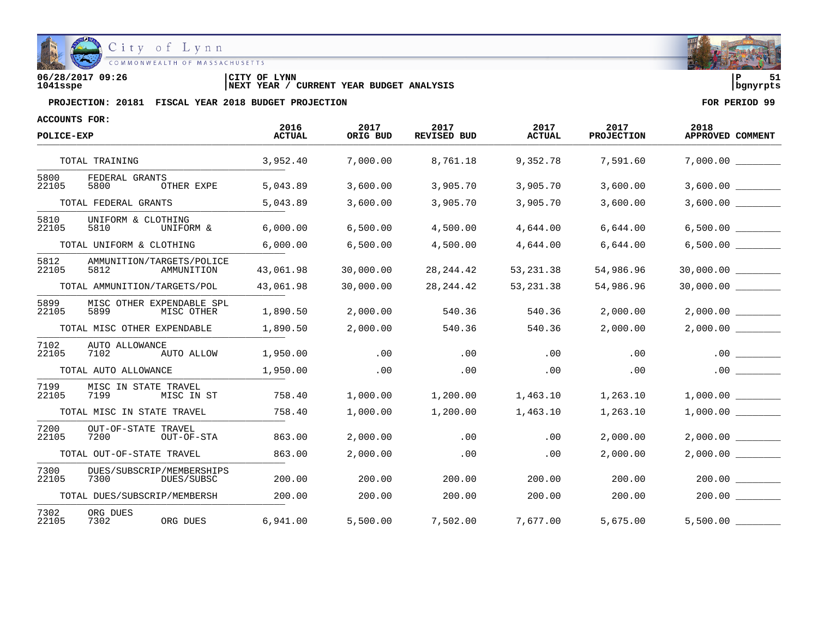

**06/28/2017 09:26 |CITY OF LYNN |P 51 1041sspe |NEXT YEAR / CURRENT YEAR BUDGET ANALYSIS |bgnyrpts**

| <b>ACCOUNTS FOR:</b> |                                                 |                       |                  |                            |                       |                           |                          |
|----------------------|-------------------------------------------------|-----------------------|------------------|----------------------------|-----------------------|---------------------------|--------------------------|
| POLICE-EXP           |                                                 | 2016<br><b>ACTUAL</b> | 2017<br>ORIG BUD | 2017<br><b>REVISED BUD</b> | 2017<br><b>ACTUAL</b> | 2017<br><b>PROJECTION</b> | 2018<br>APPROVED COMMENT |
|                      | TOTAL TRAINING                                  | 3,952.40              | 7,000.00         | 8,761.18                   | 9,352.78              | 7,591.60                  | 7,000.00                 |
| 5800<br>22105        | FEDERAL GRANTS<br>5800<br>OTHER EXPE            | 5,043.89              | 3,600.00         | 3,905.70                   | 3,905.70              | 3,600.00                  | 3,600.00                 |
|                      | TOTAL FEDERAL GRANTS                            | 5,043.89              | 3,600.00         | 3,905.70                   | 3,905.70              | 3,600.00                  | 3,600.00                 |
| 5810<br>22105        | UNIFORM & CLOTHING<br>5810<br>UNIFORM &         | 6,000.00              | 6,500.00         | 4,500.00                   | 4,644.00              | 6,644.00                  | 6,500.00                 |
|                      | TOTAL UNIFORM & CLOTHING                        | 6,000.00              | 6,500.00         | 4,500.00                   | 4,644.00              | 6,644.00                  | 6,500.00                 |
| 5812<br>22105        | AMMUNITION/TARGETS/POLICE<br>5812<br>AMMUNITION | 43,061.98             | 30,000.00        | 28, 244.42                 | 53, 231.38            | 54,986.96                 | 30,000.00                |
|                      | TOTAL AMMUNITION/TARGETS/POL                    | 43,061.98             | 30,000.00        | 28,244.42                  | 53, 231.38            | 54,986.96                 | 30,000.00                |
| 5899<br>22105        | MISC OTHER EXPENDABLE SPL<br>5899<br>MISC OTHER | 1,890.50              | 2,000.00         | 540.36                     | 540.36                | 2,000.00                  | 2,000.00                 |
|                      | TOTAL MISC OTHER EXPENDABLE                     | 1,890.50              | 2,000.00         | 540.36                     | 540.36                | 2,000.00                  | 2,000.00                 |
| 7102<br>22105        | AUTO ALLOWANCE<br>AUTO ALLOW<br>7102            | 1,950.00              | .00              | .00                        | .00                   | .00                       | .00                      |
|                      | TOTAL AUTO ALLOWANCE                            | 1,950.00              | .00              | .00                        | .00                   | .00                       | $.00$ $\qquad \qquad$    |
| 7199<br>22105        | MISC IN STATE TRAVEL<br>7199<br>MISC IN ST      | 758.40                | 1,000.00         | 1,200.00                   | 1,463.10              | 1,263.10                  | 1,000.00                 |
|                      | TOTAL MISC IN STATE TRAVEL                      | 758.40                | 1,000.00         | 1,200.00                   | 1,463.10              | 1,263.10                  | 1,000.00                 |
| 7200<br>22105        | OUT-OF-STATE TRAVEL<br>7200<br>OUT-OF-STA       | 863.00                | 2,000.00         | .00                        | .00                   | 2,000.00                  | 2,000.00                 |
|                      | TOTAL OUT-OF-STATE TRAVEL                       | 863.00                | 2,000.00         | .00                        | .00                   | 2,000.00                  | 2,000.00                 |
| 7300<br>22105        | DUES/SUBSCRIP/MEMBERSHIPS<br>7300<br>DUES/SUBSC | 200.00                | 200.00           | 200.00                     | 200.00                | 200.00                    | 200.00                   |
|                      | TOTAL DUES/SUBSCRIP/MEMBERSH                    | 200.00                | 200.00           | 200.00                     | 200.00                | 200.00                    | 200.00                   |
| 7302<br>22105        | ORG DUES<br>7302<br>ORG DUES                    | 6,941.00              | 5,500.00         | 7,502.00                   | 7,677.00              | 5,675.00                  | 5,500.00                 |

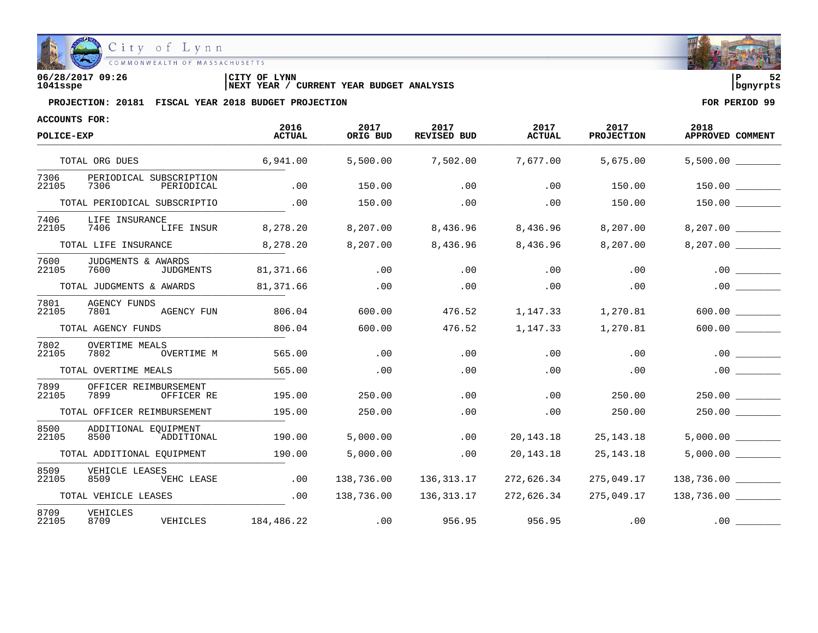

| 06/28/2017 09:26 | CITY OF LYNN                                      | ם ו      | - - |
|------------------|---------------------------------------------------|----------|-----|
| 1041sspe         | CURRENT YEAR BUDGET ANALYSIS<br><b>INEXT YEAR</b> | banvrpts |     |

| ACCOUNTS FOR:<br>POLICE-EXP |                                                  | 2016          | 2017<br>ORIG BUD | 2017<br><b>REVISED BUD</b> | 2017          | 2017<br><b>PROJECTION</b> | 2018             |
|-----------------------------|--------------------------------------------------|---------------|------------------|----------------------------|---------------|---------------------------|------------------|
|                             |                                                  | <b>ACTUAL</b> |                  |                            | <b>ACTUAL</b> |                           | APPROVED COMMENT |
|                             | TOTAL ORG DUES                                   | 6,941.00      | 5,500.00         | 7,502.00                   | 7,677.00      | 5,675.00                  | 5,500.00         |
| 7306<br>22105               | PERIODICAL SUBSCRIPTION<br>7306<br>PERIODICAL    | .00           | 150.00           | .00                        | .00           | 150.00                    |                  |
|                             | TOTAL PERIODICAL SUBSCRIPTIO                     | .00           | 150.00           | .00                        | .00           | 150.00                    | 150.00           |
| 7406<br>22105               | LIFE INSURANCE<br>7406<br>LIFE INSUR             | 8,278.20      | 8,207.00         | 8,436.96                   | 8,436.96      | 8,207.00                  | 8,207.00         |
|                             | TOTAL LIFE INSURANCE                             | 8,278.20      | 8,207.00         | 8,436.96                   | 8,436.96      | 8,207.00                  | 8,207.00         |
| 7600<br>22105               | JUDGMENTS & AWARDS<br>7600<br>JUDGMENTS          | 81,371.66     | .00              | .00                        | .00           | .00                       | .00              |
|                             | TOTAL JUDGMENTS & AWARDS                         | 81,371.66     | .00              | .00                        | .00           | .00                       | .00              |
| 7801<br>22105               | <b>AGENCY FUNDS</b><br><b>AGENCY FUN</b><br>7801 | 806.04        | 600.00           | 476.52                     | 1,147.33      | 1,270.81                  | 600.00           |
|                             | TOTAL AGENCY FUNDS                               | 806.04        | 600.00           | 476.52                     | 1,147.33      | 1,270.81                  | 600.00           |
| 7802<br>22105               | <b>OVERTIME MEALS</b><br>OVERTIME M<br>7802      | 565.00        | .00              | .00                        | .00           | .00                       | .00              |
|                             | TOTAL OVERTIME MEALS                             | 565.00        | .00              | .00                        | .00           | .00                       | .00              |
| 7899<br>22105               | OFFICER REIMBURSEMENT<br>7899<br>OFFICER RE      | 195.00        | 250.00           | .00                        | .00           | 250.00                    | 250.00           |
|                             | TOTAL OFFICER REIMBURSEMENT                      | 195.00        | 250.00           | .00                        | .00           | 250.00                    |                  |
| 8500<br>22105               | ADDITIONAL EOUIPMENT<br>8500<br>ADDITIONAL       | 190.00        | 5,000.00         | .00                        | 20, 143. 18   | 25, 143. 18               | 5,000.00         |
|                             | TOTAL ADDITIONAL EQUIPMENT                       | 190.00        | 5,000.00         | .00                        | 20, 143. 18   | 25, 143. 18               | 5,000.00         |
| 8509<br>22105               | VEHICLE LEASES<br>8509<br>VEHC LEASE             | .00           | 138,736.00       | 136,313.17                 | 272,626.34    | 275,049.17                | 138,736.00       |
|                             | TOTAL VEHICLE LEASES                             | .00           | 138,736.00       | 136,313.17                 | 272,626.34    | 275,049.17                | 138,736.00       |
| 8709<br>22105               | VEHICLES<br>8709<br>VEHICLES                     | 184,486.22    | .00              | 956.95                     | 956.95        | .00                       | .00              |

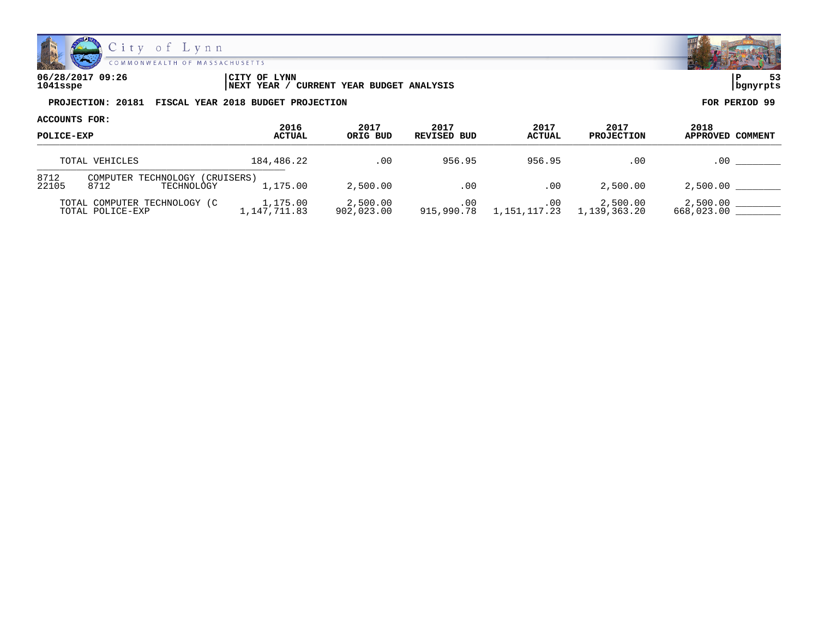

| 06/28/2017 09:26 | CITY OF LYNN                                        | l P      | $ -$ |
|------------------|-----------------------------------------------------|----------|------|
| 1041sspe         | ' CURRENT YEAR BUDGET ANALYSIS<br><b>INEXT YEAR</b> | banvrpts |      |

| ACCOUNTS FOR:<br>POLICE-EXP |                                                  |                          |                        |                     |                       |                           |                          |
|-----------------------------|--------------------------------------------------|--------------------------|------------------------|---------------------|-----------------------|---------------------------|--------------------------|
|                             |                                                  | 2016<br><b>ACTUAL</b>    | 2017<br>ORIG BUD       | 2017<br>REVISED BUD | 2017<br><b>ACTUAL</b> | 2017<br><b>PROJECTION</b> | 2018<br>APPROVED COMMENT |
|                             | TOTAL VEHICLES                                   | 184,486.22               | .00                    | 956.95              | 956.95                | .00                       | $.00 \,$                 |
| 8712<br>22105               | COMPUTER TECHNOLOGY<br>8712<br>TECHNOLOGY        | (CRUISERS)<br>1,175.00   | 2,500.00               | .00                 | .00                   | 2,500.00                  | 2,500.00                 |
|                             | TOTAL COMPUTER TECHNOLOGY (C<br>TOTAL POLICE-EXP | 1,175.00<br>1,147,711.83 | 2,500.00<br>902,023.00 | .00<br>915,990.78   | .00<br>1,151,117.23   | 2,500.00<br>1,139,363.20  | 2,500.00<br>668,023.00   |

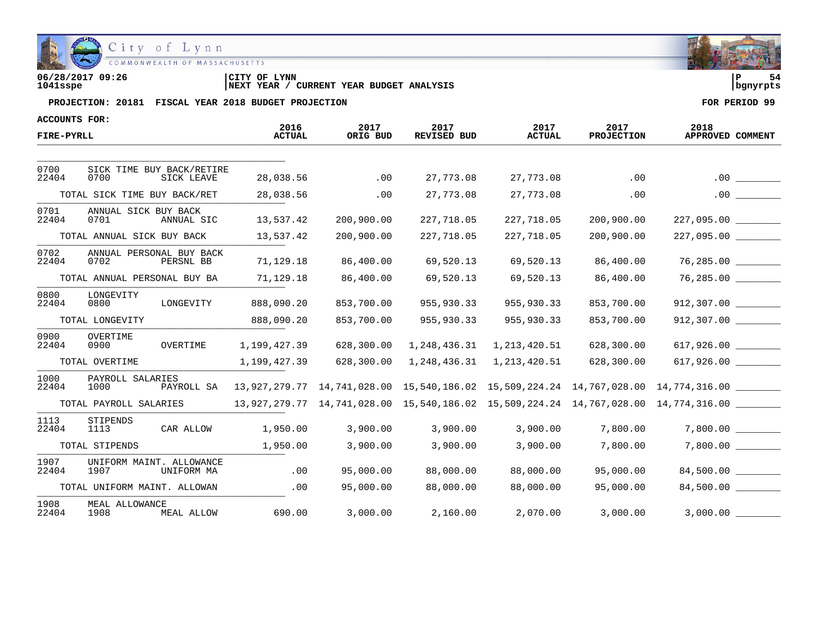

| 06/28/2017 09:26 | LYNN<br>'CITY OF                              | l P        |  |
|------------------|-----------------------------------------------|------------|--|
| 1041sspe         | YEAR BUDGET ANALYSIS<br>CURRENT<br>'NEXT YEAR | l banvrpts |  |

| <b>ACCOUNTS FOR:</b> |                                                 | 2016          |                  | 2017               |                       |                           | 2018                                                                                                                                                                                                     |
|----------------------|-------------------------------------------------|---------------|------------------|--------------------|-----------------------|---------------------------|----------------------------------------------------------------------------------------------------------------------------------------------------------------------------------------------------------|
| FIRE-PYRLL           |                                                 | <b>ACTUAL</b> | 2017<br>ORIG BUD | <b>REVISED BUD</b> | 2017<br><b>ACTUAL</b> | 2017<br><b>PROJECTION</b> | APPROVED COMMENT                                                                                                                                                                                         |
|                      |                                                 |               |                  |                    |                       |                           |                                                                                                                                                                                                          |
| 0700<br>22404        | SICK TIME BUY BACK/RETIRE<br>0700<br>SICK LEAVE | 28,038.56     | .00              | 27,773.08          | 27,773.08             | .00                       | .00                                                                                                                                                                                                      |
|                      | TOTAL SICK TIME BUY BACK/RET                    | 28,038.56     | .00              | 27,773.08          | 27,773.08             | .00                       | .00                                                                                                                                                                                                      |
| 0701<br>22404        | ANNUAL SICK BUY BACK<br>0701<br>ANNUAL SIC      | 13,537.42     | 200,900.00       | 227,718.05         | 227,718.05            | 200,900.00                |                                                                                                                                                                                                          |
|                      | TOTAL ANNUAL SICK BUY BACK                      | 13,537.42     | 200,900.00       | 227,718.05         | 227,718.05            | 200,900.00                |                                                                                                                                                                                                          |
| 0702<br>22404        | ANNUAL PERSONAL BUY BACK<br>0702<br>PERSNL BB   | 71,129.18     | 86,400.00        | 69,520.13          | 69,520.13             | 86,400.00                 | 76,285.00                                                                                                                                                                                                |
|                      | TOTAL ANNUAL PERSONAL BUY BA                    | 71,129.18     | 86,400.00        | 69,520.13          | 69,520.13             | 86,400.00                 | 76,285.00                                                                                                                                                                                                |
| 0800<br>22404        | LONGEVITY<br>0800<br>LONGEVITY                  | 888,090.20    | 853,700.00       | 955,930.33         | 955,930.33            | 853,700.00                | 912,307.00                                                                                                                                                                                               |
|                      | TOTAL LONGEVITY                                 | 888,090.20    | 853,700.00       | 955,930.33         | 955,930.33            | 853,700.00                |                                                                                                                                                                                                          |
| 0900<br>22404        | OVERTIME<br>0900<br>OVERTIME                    | 1,199,427.39  | 628,300.00       | 1,248,436.31       | 1,213,420.51          | 628,300.00                |                                                                                                                                                                                                          |
|                      | TOTAL OVERTIME                                  | 1,199,427.39  | 628,300.00       | 1,248,436.31       | 1,213,420.51          | 628,300.00                |                                                                                                                                                                                                          |
| 1000<br>22404        | PAYROLL SALARIES<br>1000<br>PAYROLL SA          |               |                  |                    |                       |                           | 13,927,279.77 14,741,028.00 15,540,186.02 15,509,224.24 14,767,028.00 14,774,316.00                                                                                                                      |
|                      | TOTAL PAYROLL SALARIES                          |               |                  |                    |                       |                           | $13,927,279.77 \quad 14,741,028.00 \quad 15,540,186.02 \quad 15,509,224.24 \quad 14,767,028.00 \quad 14,774,316.00 \quad \underbrace{\qquad \qquad }_{\qquad \qquad }_{\qquad \qquad }_{\qquad \qquad }$ |
| 1113<br>22404        | STIPENDS<br>1113<br>CAR ALLOW                   | 1,950.00      | 3,900.00         | 3,900.00           | 3,900.00              | 7,800.00                  | 7,800.00                                                                                                                                                                                                 |
|                      | TOTAL STIPENDS                                  | 1,950.00      | 3,900.00         | 3,900.00           | 3,900.00              | 7,800.00                  | $7,800.00$ _________                                                                                                                                                                                     |
| 1907<br>22404        | UNIFORM MAINT. ALLOWANCE<br>1907<br>UNIFORM MA  | .00           | 95,000.00        | 88,000.00          | 88,000.00             | 95,000.00                 | 84,500.00                                                                                                                                                                                                |
|                      | TOTAL UNIFORM MAINT. ALLOWAN                    | .00           | 95,000.00        | 88,000.00          | 88,000.00             | 95,000.00                 | 84,500.00                                                                                                                                                                                                |
| 1908<br>22404        | MEAL ALLOWANCE<br>1908<br>MEAL ALLOW            | 690.00        | 3,000.00         | 2,160.00           | 2,070.00              | 3,000.00                  |                                                                                                                                                                                                          |

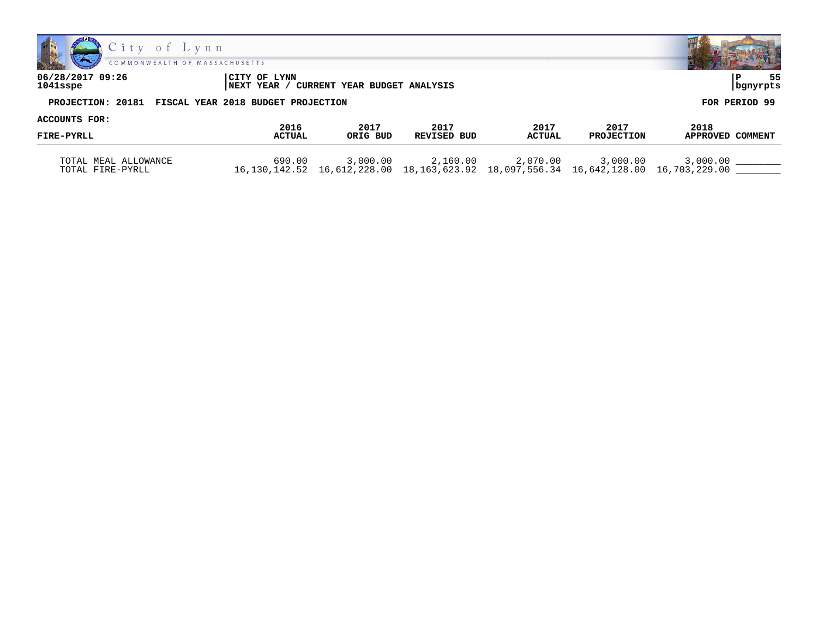



| 06/28/2017 09:26 | CITY OF LYNN                                         | 55            |
|------------------|------------------------------------------------------|---------------|
| 1041sspe         | NEXT YEAR / CURRENT YEAR BUDGET ANALYSIS             | bgnyrpts      |
|                  | PROJECTION: 20181 FISCAL YEAR 2018 BUDGET PROJECTION | FOR PERIOD 99 |

|               | 2017<br>ORIG BUD | 2017<br>REVISED BUD |               | 2017<br><b>PROJECTION</b> |                                                                           |
|---------------|------------------|---------------------|---------------|---------------------------|---------------------------------------------------------------------------|
| <b>ACTUAL</b> |                  |                     | <b>ACTUAL</b> |                           | 2018<br><b>APPROVED</b><br>COMMENT                                        |
|               |                  |                     |               |                           |                                                                           |
|               |                  |                     |               |                           | 3,000.00                                                                  |
|               | 2016<br>690.00   | 3,000.00            | 2,160.00      | 2017<br>2,070.00          | 3,000.00<br>16,612,228.00<br>16,642,128.00 16,703,229.00<br>16.130.142.52 |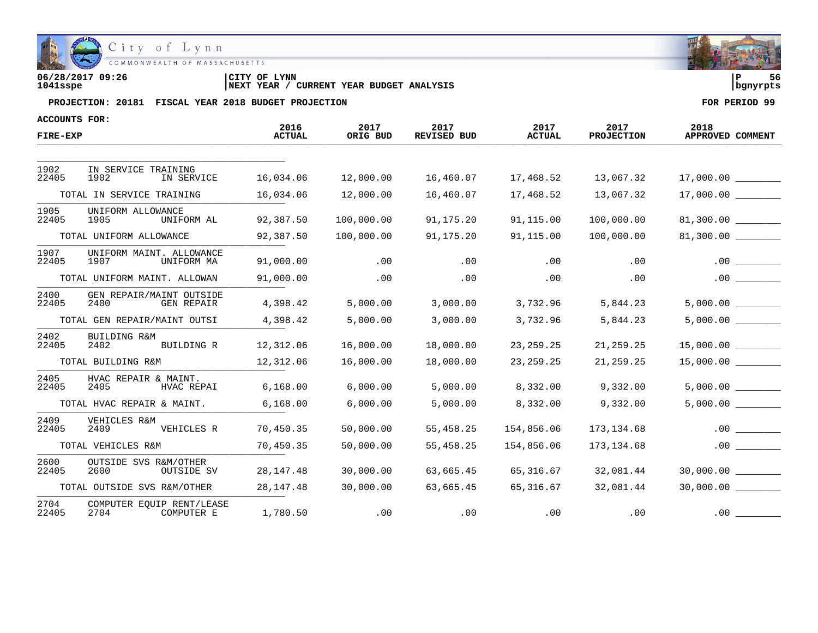

| 06/28/2017 09:26 | 'CITY OF<br><b>LYNN</b>                           | l P        | - - |
|------------------|---------------------------------------------------|------------|-----|
| 1041sspe         | CURRENT YEAR BUDGET ANALYSIS<br><b>INEXT YEAR</b> | l banvrpts |     |

| ACCOUNTS FOR: |                                                       |                       |                  |                            |                       |                           | 2018                  |
|---------------|-------------------------------------------------------|-----------------------|------------------|----------------------------|-----------------------|---------------------------|-----------------------|
| FIRE-EXP      |                                                       | 2016<br><b>ACTUAL</b> | 2017<br>ORIG BUD | 2017<br><b>REVISED BUD</b> | 2017<br><b>ACTUAL</b> | 2017<br><b>PROJECTION</b> | APPROVED COMMENT      |
|               |                                                       |                       |                  |                            |                       |                           |                       |
| 1902<br>22405 | IN SERVICE TRAINING<br>1902<br>IN SERVICE             | 16,034.06             | 12,000.00        | 16,460.07                  | 17,468.52             | 13,067.32                 |                       |
|               | TOTAL IN SERVICE TRAINING                             | 16,034.06             | 12,000.00        | 16,460.07                  | 17,468.52             | 13,067.32                 |                       |
| 1905<br>22405 | UNIFORM ALLOWANCE<br>1905<br>UNIFORM AL               | 92,387.50             | 100,000.00       | 91,175.20                  | 91,115.00             | 100,000.00                |                       |
|               | TOTAL UNIFORM ALLOWANCE                               | 92,387.50             | 100,000.00       | 91,175.20                  | 91,115.00             | 100,000.00                | 81,300.00             |
| 1907<br>22405 | UNIFORM MAINT. ALLOWANCE<br>1907<br>UNIFORM MA        | 91,000.00             | .00              | .00                        | .00                   | .00                       | .00                   |
|               | TOTAL UNIFORM MAINT. ALLOWAN                          | 91,000.00             | .00              | .00                        | .00                   | .00                       | $.00$ $\qquad \qquad$ |
| 2400<br>22405 | GEN REPAIR/MAINT OUTSIDE<br>2400<br><b>GEN REPAIR</b> | 4,398.42              | 5,000.00         | 3,000.00                   | 3,732.96              | 5,844.23                  | 5,000.00              |
|               | TOTAL GEN REPAIR/MAINT OUTSI                          | 4,398.42              | 5,000.00         | 3,000.00                   | 3,732.96              | 5,844.23                  |                       |
| 2402<br>22405 | BUILDING R&M<br>2402<br>BUILDING R                    | 12,312.06             | 16,000.00        | 18,000.00                  | 23, 259. 25           | 21, 259. 25               | $15,000.00$ _________ |
|               | TOTAL BUILDING R&M                                    | 12,312.06             | 16,000.00        | 18,000.00                  | 23, 259. 25           | 21,259.25                 |                       |
| 2405<br>22405 | HVAC REPAIR & MAINT.<br>2405<br>HVAC REPAI            | 6,168.00              | 6,000.00         | 5,000.00                   | 8,332.00              | 9,332.00                  | 5,000.00              |
|               | TOTAL HVAC REPAIR & MAINT.                            | 6,168.00              | 6,000.00         | 5,000.00                   | 8,332.00              | 9,332.00                  | 5,000.00              |
| 2409<br>22405 | VEHICLES R&M<br>2409<br>VEHICLES R                    | 70,450.35             | 50,000.00        | 55,458.25                  | 154,856.06            | 173,134.68                | .00                   |
|               | TOTAL VEHICLES R&M                                    | 70,450.35             | 50,000.00        | 55,458.25                  | 154,856.06            | 173, 134.68               | .00                   |
| 2600<br>22405 | OUTSIDE SVS R&M/OTHER<br>2600<br>OUTSIDE SV           | 28, 147. 48           | 30,000.00        | 63,665.45                  | 65,316.67             | 32,081.44                 |                       |
|               | TOTAL OUTSIDE SVS R&M/OTHER                           | 28, 147. 48           | 30,000.00        | 63,665.45                  | 65,316.67             | 32,081.44                 |                       |
| 2704<br>22405 | COMPUTER EOUIP RENT/LEASE<br>2704<br>COMPUTER E       | 1,780.50              | .00              | .00                        | .00                   | .00                       | .00                   |

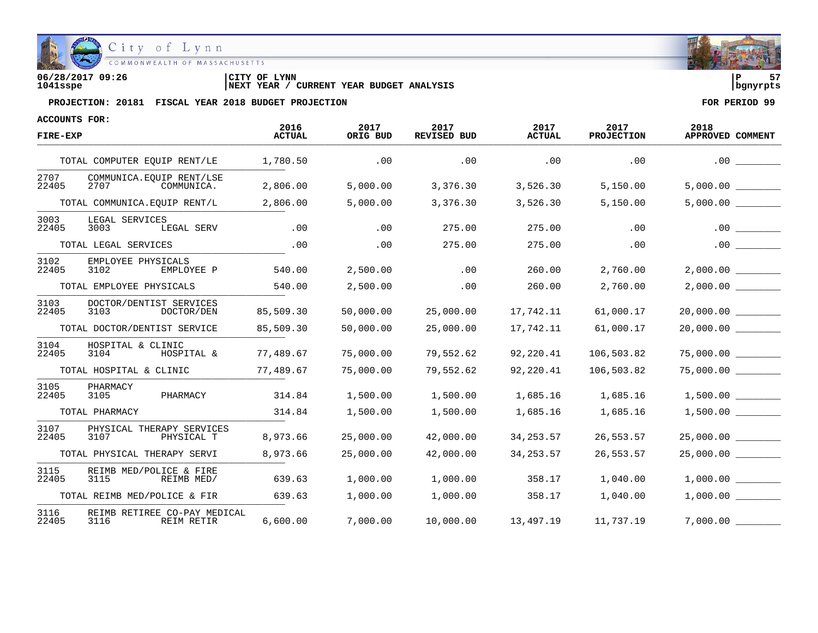

| 06/28/2017 09:26 | CITY OF LYNN                                      | l P      | -- |
|------------------|---------------------------------------------------|----------|----|
| 1041sspe         | CURRENT YEAR BUDGET ANALYSIS<br><b>INEXT YEAR</b> | banvrpts |    |

| ACCOUNTS FOR: |                                                    | 2016          | 2017      | 2017               | 2017          | 2017              | 2018             |
|---------------|----------------------------------------------------|---------------|-----------|--------------------|---------------|-------------------|------------------|
| FIRE-EXP      |                                                    | <b>ACTUAL</b> | ORIG BUD  | <b>REVISED BUD</b> | <b>ACTUAL</b> | <b>PROJECTION</b> | APPROVED COMMENT |
|               | TOTAL COMPUTER EQUIP RENT/LE                       | 1,780.50      | .00       | .00                | .00           | .00               | .00              |
| 2707<br>22405 | COMMUNICA. EOUIP RENT/LSE<br>2707<br>COMMUNICA.    | 2,806.00      | 5,000.00  | 3,376.30           | 3,526.30      | 5,150.00          |                  |
|               | TOTAL COMMUNICA.EOUIP RENT/L                       | 2,806.00      | 5,000.00  | 3,376.30           | 3,526.30      | 5,150.00          |                  |
| 3003<br>22405 | LEGAL SERVICES<br>3003<br>LEGAL SERV               | .00           | .00       | 275.00             | 275.00        | .00               | .00              |
|               | TOTAL LEGAL SERVICES                               | .00           | .00       | 275.00             | 275.00        | .00               | .00              |
| 3102<br>22405 | EMPLOYEE PHYSICALS<br>3102<br>EMPLOYEE P           | 540.00        | 2,500.00  | .00                | 260.00        | 2,760.00          | 2,000.00         |
|               | TOTAL EMPLOYEE PHYSICALS                           | 540.00        | 2,500.00  | .00                | 260.00        | 2,760.00          |                  |
| 3103<br>22405 | DOCTOR/DENTIST SERVICES<br>3103<br>DOCTOR/DEN      | 85,509.30     | 50,000.00 | 25,000.00          | 17,742.11     | 61,000.17         | 20,000.00        |
|               | TOTAL DOCTOR/DENTIST SERVICE                       | 85,509.30     | 50,000.00 | 25,000.00          | 17,742.11     | 61,000.17         |                  |
| 3104<br>22405 | HOSPITAL & CLINIC<br>3104<br>HOSPITAL &            | 77,489.67     | 75,000.00 | 79,552.62          | 92,220.41     | 106,503.82        | 75,000.00        |
|               | TOTAL HOSPITAL & CLINIC                            | 77,489.67     | 75,000.00 | 79,552.62          | 92,220.41     | 106,503.82        |                  |
| 3105<br>22405 | PHARMACY<br>PHARMACY<br>3105                       | 314.84        | 1,500.00  | 1,500.00           | 1,685.16      | 1,685.16          |                  |
|               | TOTAL PHARMACY                                     | 314.84        | 1,500.00  | 1,500.00           | 1,685.16      | 1,685.16          | 1,500.00         |
| 3107<br>22405 | PHYSICAL THERAPY SERVICES<br>3107<br>PHYSICAL T    | 8,973.66      | 25,000.00 | 42,000.00          | 34, 253.57    | 26,553.57         | 25,000.00        |
|               | TOTAL PHYSICAL THERAPY SERVI                       | 8,973.66      | 25,000.00 | 42,000.00          | 34, 253.57    | 26,553.57         | 25,000.00        |
| 3115<br>22405 | REIMB MED/POLICE & FIRE<br>3115<br>REIMB MED/      | 639.63        | 1,000.00  | 1,000.00           | 358.17        | 1,040.00          | 1,000.00         |
|               | TOTAL REIMB MED/POLICE & FIR                       | 639.63        | 1,000.00  | 1,000.00           | 358.17        | 1,040.00          | 1,000.00         |
| 3116<br>22405 | REIMB RETIREE CO-PAY MEDICAL<br>3116<br>REIM RETIR | 6,600.00      | 7,000.00  | 10,000.00          | 13,497.19     | 11,737.19         |                  |

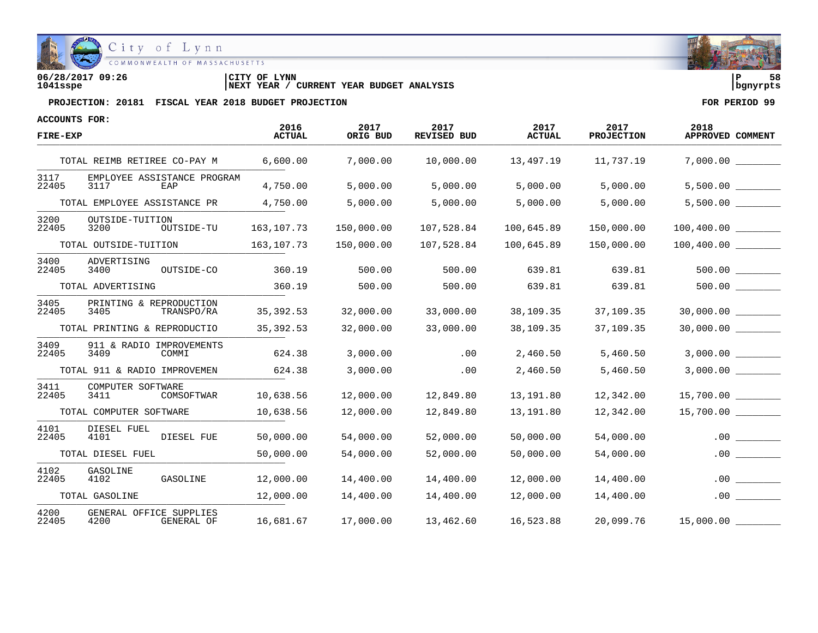

| 06/28/2017 09:26 | CITY OF LYNN                                      | 58<br>l P  |  |
|------------------|---------------------------------------------------|------------|--|
| 1041sspe         | CURRENT YEAR BUDGET ANALYSIS<br><b>INEXT YEAR</b> | l banvrpts |  |

| <b>ACCOUNTS FOR:</b> |                                               |                       |                  |                            |                       |                    |                          |
|----------------------|-----------------------------------------------|-----------------------|------------------|----------------------------|-----------------------|--------------------|--------------------------|
| FIRE-EXP             |                                               | 2016<br><b>ACTUAL</b> | 2017<br>ORIG BUD | 2017<br><b>REVISED BUD</b> | 2017<br><b>ACTUAL</b> | 2017<br>PROJECTION | 2018<br>APPROVED COMMENT |
|                      | TOTAL REIMB RETIREE CO-PAY M                  | 6,600.00              | 7,000.00         | 10,000.00                  | 13,497.19             | 11,737.19          |                          |
| 3117<br>22405        | EMPLOYEE ASSISTANCE PROGRAM<br>3117<br>EAP    | 4,750.00              | 5,000.00         | 5,000.00                   | 5,000.00              | 5,000.00           | 5,500.00                 |
|                      | TOTAL EMPLOYEE ASSISTANCE PR                  | 4,750.00              | 5,000.00         | 5,000.00                   | 5,000.00              | 5,000.00           | $5,500.00$ ________      |
| 3200<br>22405        | OUTSIDE-TUITION<br>3200<br>OUTSIDE-TU         | 163, 107. 73          | 150,000.00       | 107,528.84                 | 100,645.89            | 150,000.00         |                          |
|                      | TOTAL OUTSIDE-TUITION                         | 163,107.73            | 150,000.00       | 107,528.84                 | 100,645.89            | 150,000.00         |                          |
| 3400<br>22405        | ADVERTISING<br>3400<br>OUTSIDE-CO             | 360.19                | 500.00           | 500.00                     | 639.81                | 639.81             |                          |
|                      | TOTAL ADVERTISING                             | 360.19                | 500.00           | 500.00                     | 639.81                | 639.81             |                          |
| 3405<br>22405        | PRINTING & REPRODUCTION<br>3405<br>TRANSPO/RA | 35,392.53             | 32,000.00        | 33,000.00                  | 38,109.35             | 37,109.35          | 30,000.00                |
|                      | TOTAL PRINTING & REPRODUCTIO                  | 35,392.53             | 32,000.00        | 33,000.00                  | 38,109.35             | 37,109.35          | 30,000.00 _________      |
| 3409<br>22405        | 911 & RADIO IMPROVEMENTS<br>3409<br>COMMI     | 624.38                | 3,000.00         | .00                        | 2,460.50              | 5,460.50           | 3,000.00                 |
|                      | TOTAL 911 & RADIO IMPROVEMEN                  | 624.38                | 3,000.00         | .00                        | 2,460.50              | 5,460.50           | 3,000.00                 |
| 3411<br>22405        | COMPUTER SOFTWARE<br>3411<br>COMSOFTWAR       | 10,638.56             | 12,000.00        | 12,849.80                  | 13,191.80             | 12,342.00          | 15,700.00                |
|                      | TOTAL COMPUTER SOFTWARE                       | 10,638.56             | 12,000.00        | 12,849.80                  | 13,191.80             | 12,342.00          | 15,700.00                |
| 4101<br>22405        | DIESEL FUEL<br>4101<br>DIESEL FUE             | 50,000.00             | 54,000.00        | 52,000.00                  | 50,000.00             | 54,000.00          | .00                      |
|                      | TOTAL DIESEL FUEL                             | 50,000.00             | 54,000.00        | 52,000.00                  | 50,000.00             | 54,000.00          | .00                      |
| 4102<br>22405        | <b>GASOLINE</b><br>4102<br>GASOLINE           | 12,000.00             | 14,400.00        | 14,400.00                  | 12,000.00             | 14,400.00          | . 00                     |
|                      | TOTAL GASOLINE                                | 12,000.00             | 14,400.00        | 14,400.00                  | 12,000.00             | 14,400.00          | .00                      |
| 4200<br>22405        | GENERAL OFFICE SUPPLIES<br>4200<br>GENERAL OF | 16,681.67             | 17,000.00        | 13,462.60                  | 16,523.88             | 20,099.76          | 15,000.00 _____          |

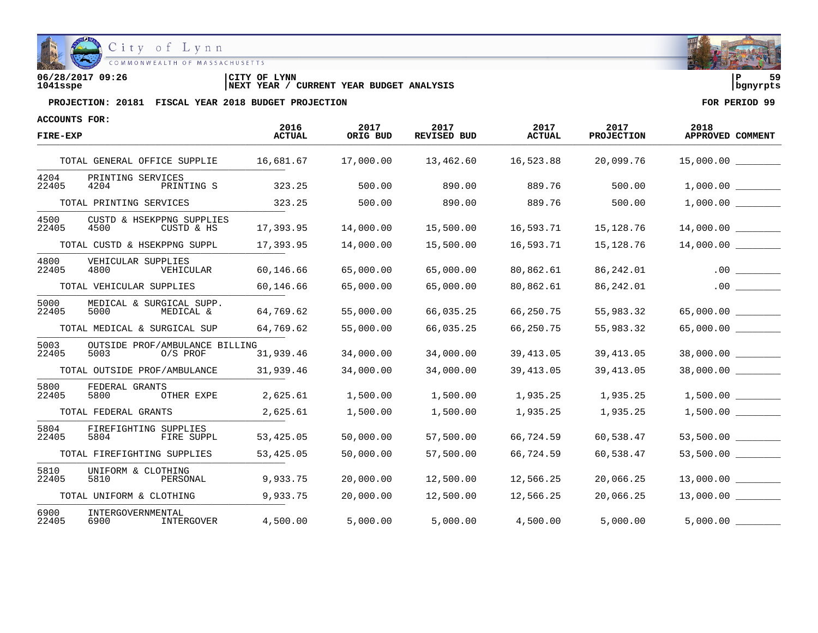

**06/28/2017 09:26 |CITY OF LYNN |P 59 1041sspe |NEXT YEAR / CURRENT YEAR BUDGET ANALYSIS |bgnyrpts**

| ACCOUNTS FOR: |                                                      | 2016          | 2017      | 2017        | 2017          | 2017              | 2018                 |
|---------------|------------------------------------------------------|---------------|-----------|-------------|---------------|-------------------|----------------------|
| FIRE-EXP      |                                                      | <b>ACTUAL</b> | ORIG BUD  | REVISED BUD | <b>ACTUAL</b> | <b>PROJECTION</b> | APPROVED COMMENT     |
|               | TOTAL GENERAL OFFICE SUPPLIE                         | 16,681.67     | 17,000.00 | 13,462.60   | 16,523.88     | 20,099.76         | 15,000.00            |
| 4204<br>22405 | PRINTING SERVICES<br>4204<br>PRINTING S              | 323.25        | 500.00    | 890.00      | 889.76        | 500.00            |                      |
|               | TOTAL PRINTING SERVICES                              | 323.25        | 500.00    | 890.00      | 889.76        | 500.00            | 1,000.00             |
| 4500<br>22405 | CUSTD & HSEKPPNG SUPPLIES<br>4500<br>CUSTD & HS      | 17,393.95     | 14,000.00 | 15,500.00   | 16,593.71     | 15,128.76         | 14,000.00            |
|               | TOTAL CUSTD & HSEKPPNG SUPPL                         | 17,393.95     | 14,000.00 | 15,500.00   | 16,593.71     | 15,128.76         | 14,000.00            |
| 4800<br>22405 | VEHICULAR SUPPLIES<br>4800<br>VEHICULAR              | 60,146.66     | 65,000.00 | 65,000.00   | 80,862.61     | 86,242.01         | .00                  |
|               | TOTAL VEHICULAR SUPPLIES                             | 60,146.66     | 65,000.00 | 65,000.00   | 80,862.61     | 86,242.01         | .00                  |
| 5000<br>22405 | MEDICAL & SURGICAL SUPP.<br>5000<br>MEDICAL &        | 64,769.62     | 55,000.00 | 66,035.25   | 66,250.75     | 55,983.32         | 65,000.00            |
|               | TOTAL MEDICAL & SURGICAL SUP                         | 64,769.62     | 55,000.00 | 66,035.25   | 66,250.75     | 55,983.32         | 65,000.00            |
| 5003<br>22405 | OUTSIDE PROF/AMBULANCE BILLING<br>5003<br>$0/S$ PROF | 31,939.46     | 34,000.00 | 34,000.00   | 39,413.05     | 39, 413.05        | 38,000.00            |
|               | TOTAL OUTSIDE PROF/AMBULANCE                         | 31,939.46     | 34,000.00 | 34,000.00   | 39,413.05     | 39, 413.05        | 38,000.00 __________ |
| 5800<br>22405 | FEDERAL GRANTS<br>5800<br>OTHER EXPE                 | 2,625.61      | 1,500.00  | 1,500.00    | 1,935.25      | 1,935.25          |                      |
|               | TOTAL FEDERAL GRANTS                                 | 2,625.61      | 1,500.00  | 1,500.00    | 1,935.25      | 1,935.25          | 1,500.00             |
| 5804<br>22405 | FIREFIGHTING SUPPLIES<br>5804<br>FIRE SUPPL          | 53,425.05     | 50,000.00 | 57,500.00   | 66,724.59     | 60,538.47         | 53,500.00            |
|               | TOTAL FIREFIGHTING SUPPLIES                          | 53,425.05     | 50,000.00 | 57,500.00   | 66,724.59     | 60,538.47         | 53,500.00            |
| 5810<br>22405 | UNIFORM & CLOTHING<br>5810<br>PERSONAL               | 9,933.75      | 20,000.00 | 12,500.00   | 12,566.25     | 20,066.25         | 13,000.00            |
|               | TOTAL UNIFORM & CLOTHING                             | 9,933.75      | 20,000.00 | 12,500.00   | 12,566.25     | 20,066.25         | 13,000.00            |
| 6900<br>22405 | INTERGOVERNMENTAL<br>INTERGOVER<br>6900              | 4,500.00      | 5,000.00  | 5,000.00    | 4,500.00      | 5,000.00          | 5,000.00             |

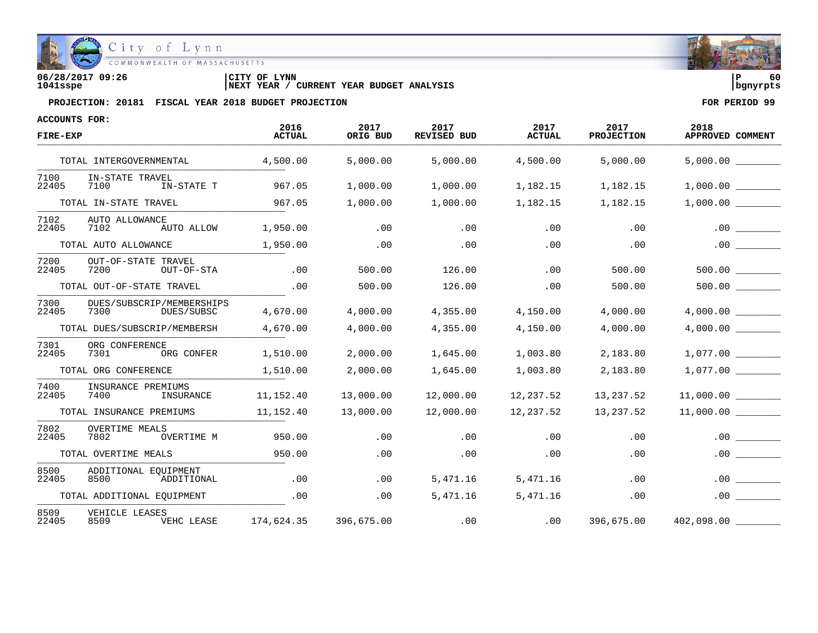

**06/28/2017 09:26 |CITY OF LYNN |P 60 1041sspe |NEXT YEAR / CURRENT YEAR BUDGET ANALYSIS |bgnyrpts**

| ACCOUNTS FOR: |                                                 | 2016          | 2017       | 2017               | 2017          | 2017              | 2018             |
|---------------|-------------------------------------------------|---------------|------------|--------------------|---------------|-------------------|------------------|
| FIRE-EXP      |                                                 | <b>ACTUAL</b> | ORIG BUD   | <b>REVISED BUD</b> | <b>ACTUAL</b> | <b>PROJECTION</b> | APPROVED COMMENT |
|               | TOTAL INTERGOVERNMENTAL                         | 4,500.00      | 5,000.00   | 5,000.00           | 4,500.00      | 5,000.00          | 5,000.00         |
| 7100<br>22405 | IN-STATE TRAVEL<br>7100<br>IN-STATE T           | 967.05        | 1,000.00   | 1,000.00           | 1,182.15      | 1,182.15          | 1,000.00         |
|               | TOTAL IN-STATE TRAVEL                           | 967.05        | 1,000.00   | 1,000.00           | 1,182.15      | 1,182.15          | 1,000.00         |
| 7102<br>22405 | AUTO ALLOWANCE<br>7102<br>AUTO ALLOW            | 1,950.00      | .00        | .00                | .00           | .00               | .00              |
|               | TOTAL AUTO ALLOWANCE                            | 1,950.00      | .00        | .00                | .00           | .00               | .00              |
| 7200<br>22405 | OUT-OF-STATE TRAVEL<br>7200<br>OUT-OF-STA       | .00           | 500.00     | 126.00             | .00           | 500.00            | 500.00           |
|               | TOTAL OUT-OF-STATE TRAVEL                       | .00           | 500.00     | 126.00             | .00           | 500.00            |                  |
| 7300<br>22405 | DUES/SUBSCRIP/MEMBERSHIPS<br>7300<br>DUES/SUBSC | 4,670.00      | 4,000.00   | 4,355.00           | 4,150.00      | 4,000.00          |                  |
|               | TOTAL DUES/SUBSCRIP/MEMBERSH                    | 4,670.00      | 4,000.00   | 4,355.00           | 4,150.00      | 4,000.00          |                  |
| 7301<br>22405 | ORG CONFERENCE<br>7301<br>ORG CONFER            | 1,510.00      | 2,000.00   | 1,645.00           | 1,003.80      | 2,183.80          | 1,077.00         |
|               | TOTAL ORG CONFERENCE                            | 1,510.00      | 2,000.00   | 1,645.00           | 1,003.80      | 2,183.80          | 1,077.00         |
| 7400<br>22405 | INSURANCE PREMIUMS<br>7400<br>INSURANCE         | 11,152.40     | 13,000.00  | 12,000.00          | 12,237.52     | 13,237.52         | 11,000.00        |
|               | TOTAL INSURANCE PREMIUMS                        | 11,152.40     | 13,000.00  | 12,000.00          | 12,237.52     | 13,237.52         | 11,000.00        |
| 7802<br>22405 | <b>OVERTIME MEALS</b><br>7802<br>OVERTIME M     | 950.00        | .00        | .00                | .00           | .00               | .00              |
|               | TOTAL OVERTIME MEALS                            | 950.00        | .00        | .00                | .00           | .00               | .00              |
| 8500<br>22405 | ADDITIONAL EOUIPMENT<br>8500<br>ADDITIONAL      | .00           | .00.       | 5,471.16           | 5,471.16      | .00               | .00              |
|               | TOTAL ADDITIONAL EQUIPMENT                      | .00           | .00        | 5,471.16           | 5,471.16      | .00               | .00              |
| 8509<br>22405 | VEHICLE LEASES<br>VEHC LEASE<br>8509            | 174,624.35    | 396,675.00 | .00                | .00           | 396,675.00        | 402,098.00       |

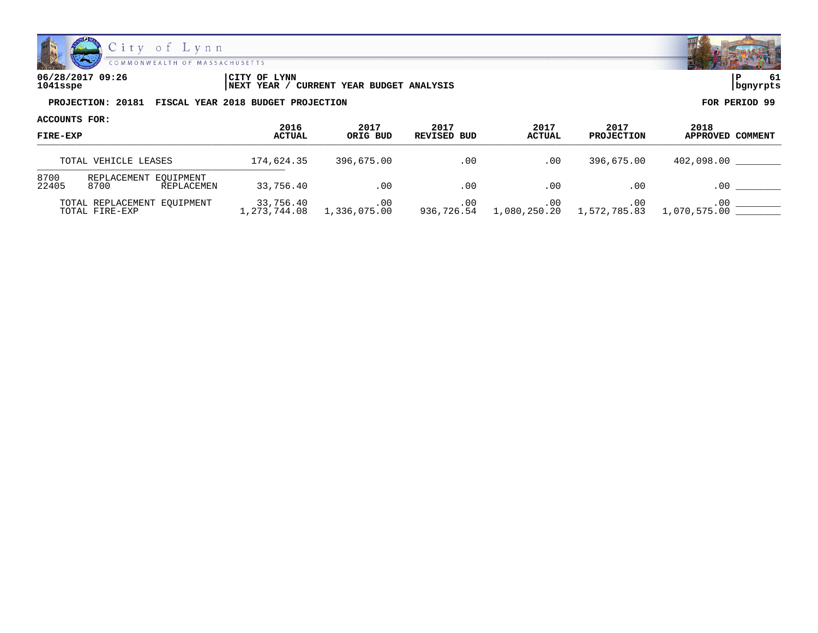

**06/28/2017 09:26 |CITY OF LYNN |P 61 1041sspe |NEXT YEAR / CURRENT YEAR BUDGET ANALYSIS |bgnyrpts**

| ACCOUNTS FOR:<br><b>FIRE-EXP</b> |                                               |                           |                     |                     |                       |                           |                          |
|----------------------------------|-----------------------------------------------|---------------------------|---------------------|---------------------|-----------------------|---------------------------|--------------------------|
|                                  |                                               | 2016<br><b>ACTUAL</b>     | 2017<br>ORIG BUD    | 2017<br>REVISED BUD | 2017<br><b>ACTUAL</b> | 2017<br><b>PROJECTION</b> | 2018<br>APPROVED COMMENT |
|                                  | TOTAL VEHICLE LEASES                          | 174,624.35                | 396,675.00          | .00                 | .00                   | 396,675.00                | 402,098.00               |
| 8700<br>22405                    | REPLACEMENT EOUIPMENT<br>8700<br>REPLACEMEN   | 33,756.40                 | .00                 | .00                 | .00                   | .00                       | .00                      |
|                                  | TOTAL REPLACEMENT EOUIPMENT<br>TOTAL FIRE-EXP | 33,756.40<br>1,273,744.08 | .00<br>1,336,075.00 | .00<br>936,726.54   | .00<br>1,080,250.20   | .00<br>1,572,785.83       | $.00 \,$<br>1,070,575.00 |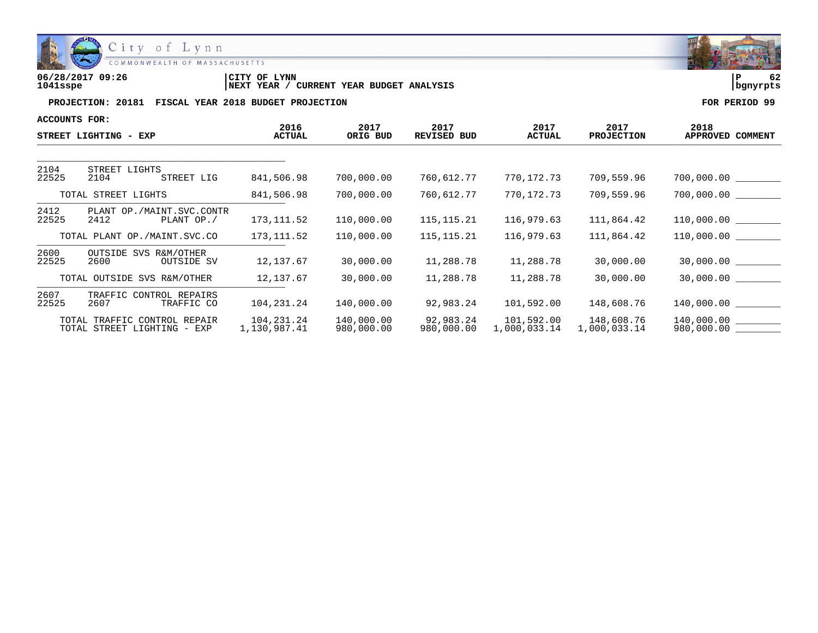

| 06/28/2017 09:26 | LYNN<br>CITY OF                               | ם         |  |
|------------------|-----------------------------------------------|-----------|--|
| 1041sspe         | YEAR BUDGET ANALYSIS<br>CURRENT<br>'NEXT YEAR | Ibanvrpts |  |

| ACCOUNTS FOR: |                                                             |                            |                          |                         |                            |                            |                          |
|---------------|-------------------------------------------------------------|----------------------------|--------------------------|-------------------------|----------------------------|----------------------------|--------------------------|
|               | STREET LIGHTING - EXP                                       | 2016<br><b>ACTUAL</b>      | 2017<br>ORIG BUD         | 2017<br>REVISED BUD     | 2017<br><b>ACTUAL</b>      | 2017<br><b>PROJECTION</b>  | 2018<br>APPROVED COMMENT |
|               |                                                             |                            |                          |                         |                            |                            |                          |
| 2104<br>22525 | STREET LIGHTS<br>2104<br>STREET LIG                         | 841,506.98                 | 700,000.00               | 760,612.77              | 770,172.73                 | 709,559.96                 | 700,000.00               |
|               | TOTAL STREET LIGHTS                                         | 841,506.98                 | 700,000.00               | 760,612.77              | 770,172.73                 | 709,559.96                 | 700,000.00               |
| 2412<br>22525 | PLANT OP./MAINT.SVC.CONTR<br>2412<br>PLANT OP./             | 173, 111.52                | 110,000.00               | 115, 115. 21            | 116,979.63                 | 111,864.42                 | 110,000.00               |
|               | TOTAL PLANT OP./MAINT.SVC.CO                                | 173, 111.52                | 110,000.00               | 115, 115. 21            | 116,979.63                 | 111,864.42                 | 110,000.00               |
| 2600<br>22525 | OUTSIDE SVS R&M/OTHER<br>2600<br>OUTSIDE SV                 | 12, 137.67                 | 30,000.00                | 11,288.78               | 11,288.78                  | 30,000.00                  | 30,000.00                |
|               | TOTAL OUTSIDE SVS R&M/OTHER                                 | 12,137.67                  | 30,000.00                | 11,288.78               | 11,288.78                  | 30,000.00                  | 30,000.00                |
| 2607<br>22525 | TRAFFIC CONTROL REPAIRS<br>2607<br>TRAFFIC CO               | 104,231.24                 | 140,000.00               | 92,983.24               | 101,592.00                 | 148,608.76                 | 140,000.00               |
|               | TOTAL TRAFFIC CONTROL REPAIR<br>TOTAL STREET LIGHTING - EXP | 104,231.24<br>1,130,987.41 | 140,000.00<br>980,000.00 | 92,983.24<br>980,000.00 | 101,592.00<br>1,000,033.14 | 148,608.76<br>1,000,033.14 | 140,000.00<br>980,000.00 |

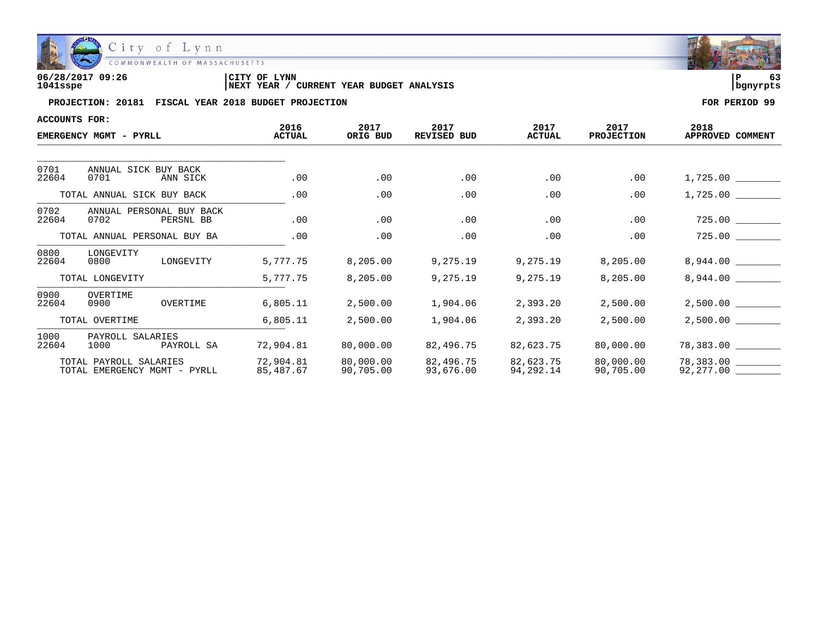

| 06/28/2017 09:26 | LYNN<br>CITY OF                               | ם ו       | - - |
|------------------|-----------------------------------------------|-----------|-----|
| 1041sspe         | YEAR BUDGET ANALYSIS<br>'NEXT YEAR<br>CURRENT | Ibanvrpts |     |

| ACCOUNTS FOR:                |                                                        |                        |                        |                            |                        |                           |                          |
|------------------------------|--------------------------------------------------------|------------------------|------------------------|----------------------------|------------------------|---------------------------|--------------------------|
|                              | EMERGENCY MGMT - PYRLL                                 | 2016<br><b>ACTUAL</b>  | 2017<br>ORIG BUD       | 2017<br><b>REVISED BUD</b> | 2017<br><b>ACTUAL</b>  | 2017<br><b>PROJECTION</b> | 2018<br>APPROVED COMMENT |
|                              |                                                        |                        |                        |                            |                        |                           |                          |
| 0701<br>22604                | ANNUAL SICK BUY BACK<br>0701<br>ANN SICK               | .00                    | .00                    | .00                        | .00                    | .00                       | 1,725.00                 |
|                              | TOTAL ANNUAL SICK BUY BACK                             | .00                    | .00                    | .00                        | .00                    | .00                       | 1,725.00                 |
| 0702<br>22604                | ANNUAL PERSONAL BUY BACK<br>0702<br>PERSNL BB          | .00                    | .00                    | .00                        | .00                    | .00                       |                          |
| TOTAL ANNUAL PERSONAL BUY BA |                                                        | .00                    | .00                    | .00                        | .00                    | .00                       | 725.00                   |
| 0800<br>22604                | LONGEVITY<br>0800<br>LONGEVITY                         | 5,777.75               | 8,205.00               | 9,275.19                   | 9,275.19               | 8,205.00                  | 8,944.00                 |
|                              | TOTAL LONGEVITY                                        | 5,777.75               | 8,205.00               | 9,275.19                   | 9,275.19               | 8,205.00                  | 8,944.00                 |
| 0900<br>22604                | OVERTIME<br>OVERTIME<br>0900                           | 6,805.11               | 2,500.00               | 1,904.06                   | 2,393.20               | 2,500.00                  |                          |
|                              | TOTAL OVERTIME                                         | 6,805.11               | 2,500.00               | 1,904.06                   | 2,393.20               | 2,500.00                  | 2,500.00                 |
| 1000<br>22604                | PAYROLL SALARIES<br>1000<br>PAYROLL SA                 | 72,904.81              | 80,000.00              | 82,496.75                  | 82,623.75              | 80,000.00                 | 78,383.00                |
|                              | TOTAL PAYROLL SALARIES<br>TOTAL EMERGENCY MGMT - PYRLL | 72,904.81<br>85,487.67 | 80,000.00<br>90,705.00 | 82,496.75<br>93,676.00     | 82,623.75<br>94,292.14 | 80,000.00<br>90,705.00    | 78,383.00<br>92,277.00   |

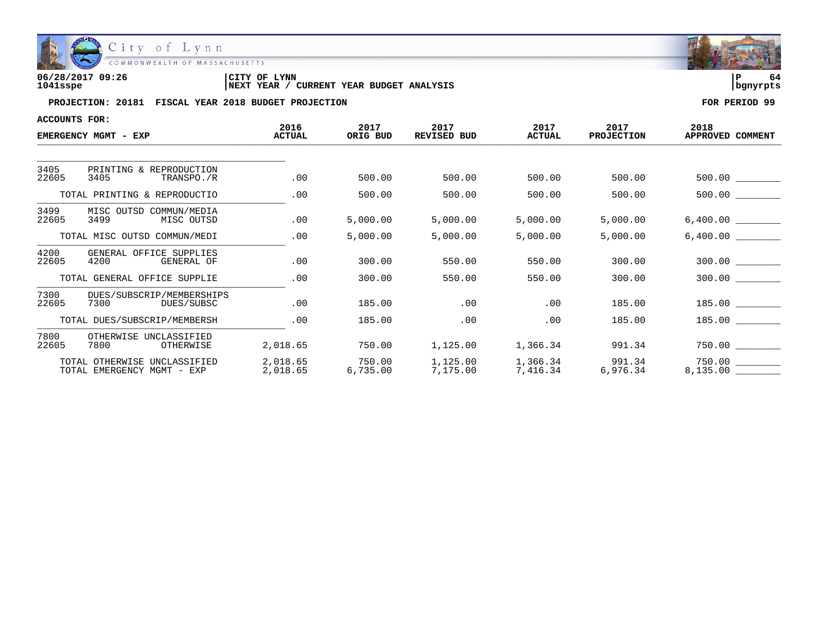

| 06/28/2017 09:26 | <b>CITY OF LYNN</b>                                      |            |  |
|------------------|----------------------------------------------------------|------------|--|
| 1041sspe         | <b>CURRENT YEAR BUDGET ANALYSIS</b><br><b>INEXT YEAR</b> | l banvrpts |  |

| <b>ACCOUNTS FOR:</b> |                                                            |                      |                    |                            |                       |                                      |                                 |
|----------------------|------------------------------------------------------------|----------------------|--------------------|----------------------------|-----------------------|--------------------------------------|---------------------------------|
|                      | EMERGENCY MGMT - EXP                                       | 2016<br>ACTUAL       | 2017<br>ORIG BUD   | 2017<br><b>REVISED BUD</b> | 2017<br><b>ACTUAL</b> | 2017<br><b>PROJECTION</b>            | 2018<br>APPROVED COMMENT        |
|                      |                                                            |                      |                    |                            |                       |                                      |                                 |
| 3405<br>22605        | PRINTING & REPRODUCTION<br>3405<br>TRANSPO./R              | .00                  | 500.00             | 500.00                     | 500.00                | 500.00                               |                                 |
|                      | TOTAL PRINTING & REPRODUCTIO                               | .00                  | 500.00             | 500.00                     | 500.00                | 500.00                               | 500.00                          |
| 3499<br>22605        | MISC OUTSD COMMUN/MEDIA<br>3499<br>MISC OUTSD              | .00                  | 5,000.00           | 5,000.00                   | 5,000.00              | 5,000.00                             | 6,400.00                        |
|                      | TOTAL MISC OUTSD COMMUN/MEDI                               | .00                  | 5,000.00           | 5,000.00                   | 5,000.00              | 5,000.00                             | 6,400.00                        |
| 4200<br>22605        | GENERAL OFFICE SUPPLIES<br>4200<br>GENERAL OF              | .00                  | 300.00             | 550.00                     | 550.00                | 300.00                               | 300.00                          |
|                      | TOTAL GENERAL OFFICE SUPPLIE                               | .00                  | 300.00             | 550.00                     | 550.00                | 300.00                               | 300.00                          |
| 7300<br>22605        | DUES/SUBSCRIP/MEMBERSHIPS<br>7300<br>DUES / SUBSC          | .00                  | 185.00             | .00                        | .00                   | 185.00                               | 185.00                          |
|                      | TOTAL DUES/SUBSCRIP/MEMBERSH                               | .00                  | 185.00             | .00                        | .00                   | 185.00                               | 185.00                          |
| 7800<br>22605        | OTHERWISE UNCLASSIFIED<br>7800<br>OTHERWISE                | 2,018.65             | 750.00             | 1,125.00                   | 1,366.34              | 991.34                               |                                 |
|                      | TOTAL OTHERWISE UNCLASSIFIED<br>TOTAL EMERGENCY MGMT - EXP | 2,018.65<br>2,018.65 | 750.00<br>6,735.00 | 1,125.00<br>7,175.00       |                       | 1,366.34 991.34<br>7,416.34 6,976.34 | $750.00$ __________<br>8,135.00 |

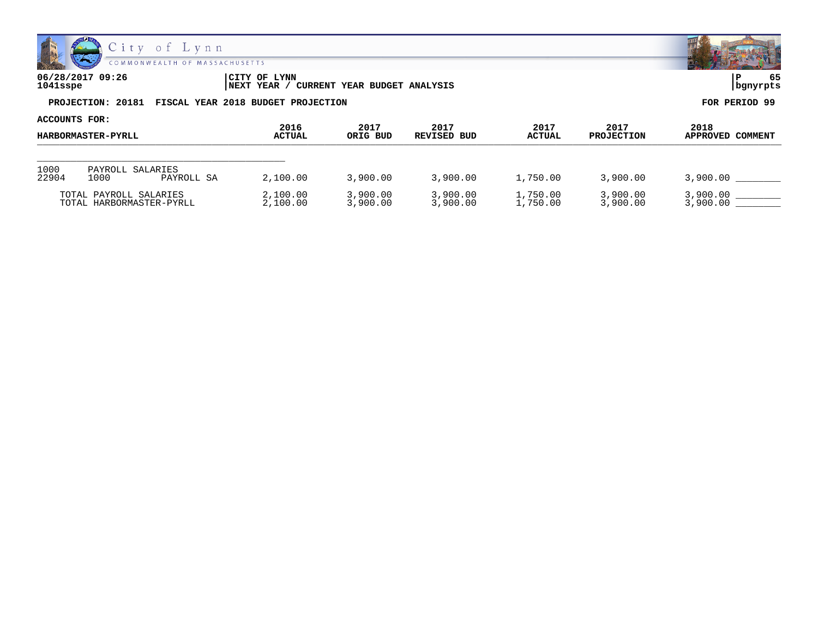

| 06/28/2017 09:26<br>1041sspe |                                                      | CITY OF LYNN<br>CURRENT YEAR BUDGET ANALYSIS<br><b>INEXT YEAR /</b> |               |  |  |
|------------------------------|------------------------------------------------------|---------------------------------------------------------------------|---------------|--|--|
|                              | PROJECTION: 20181 FISCAL YEAR 2018 BUDGET PROJECTION |                                                                     | FOR PERIOD 99 |  |  |

| ACCOUNTS FOR:                                      |                          |                      |                       |                      |                      |                       |                           |                          |
|----------------------------------------------------|--------------------------|----------------------|-----------------------|----------------------|----------------------|-----------------------|---------------------------|--------------------------|
| <b>HARBORMASTER-PYRLL</b>                          |                          |                      | 2016<br><b>ACTUAL</b> | 2017<br>ORIG BUD     | 2017<br>REVISED BUD  | 2017<br><b>ACTUAL</b> | 2017<br><b>PROJECTION</b> | 2018<br>APPROVED COMMENT |
|                                                    |                          |                      |                       |                      |                      |                       |                           |                          |
| 1000<br>22904                                      | PAYROLL SALARIES<br>1000 | PAYROLL SA           | 2,100.00              | 3,900.00             | 3,900.00             | 1,750.00              | 3,900.00                  | 3,900.00                 |
| TOTAL PAYROLL SALARIES<br>TOTAL HARBORMASTER-PYRLL |                          | 2,100.00<br>2,100.00 | 3,900.00<br>3,900.00  | 3,900.00<br>3,900.00 | 1,750.00<br>1,750.00 | 3,900.00<br>3,900.00  | 3,900,00<br>3,900,00      |                          |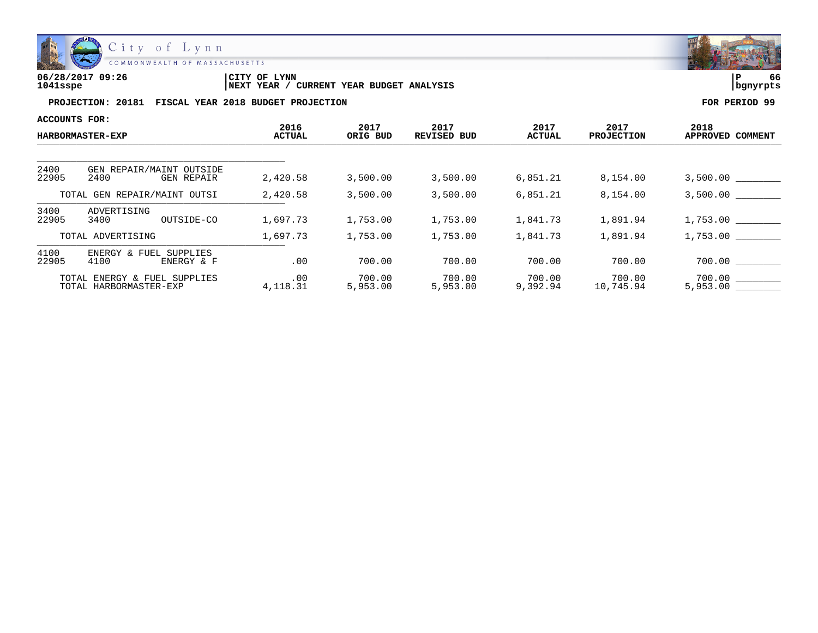

| 06/28/2017 09:26 | 'CITY OF<br>LYNN                                     | ם ו      | - -<br>66 |
|------------------|------------------------------------------------------|----------|-----------|
| 1041sspe         | YEAR BUDGET ANALYSIS<br>CURRENT<br><b>INEXT YEAR</b> | banvrpts |           |

| ACCOUNTS FOR:                                          |                                                |                       |                    |                            |                    |                           |                          |
|--------------------------------------------------------|------------------------------------------------|-----------------------|--------------------|----------------------------|--------------------|---------------------------|--------------------------|
|                                                        | <b>HARBORMASTER-EXP</b>                        | 2016<br><b>ACTUAL</b> | 2017<br>ORIG BUD   | 2017<br><b>REVISED BUD</b> | 2017<br>ACTUAL     | 2017<br><b>PROJECTION</b> | 2018<br>APPROVED COMMENT |
|                                                        |                                                |                       |                    |                            |                    |                           |                          |
| 2400<br>22905                                          | GEN REPAIR/MAINT OUTSIDE<br>2400<br>GEN REPAIR | 2,420.58              | 3,500.00           | 3,500.00                   | 6,851.21           | 8,154.00                  |                          |
| TOTAL GEN REPAIR/MAINT OUTSI                           |                                                | 2,420.58              | 3,500.00           | 3,500.00                   | 6,851.21           | 8,154.00                  | 3,500.00                 |
| 3400<br>22905                                          | ADVERTISING<br>3400<br>OUTSIDE-CO              | 1,697.73              | 1,753.00           | 1,753.00                   | 1,841.73           | 1,891.94                  | 1,753.00                 |
|                                                        | TOTAL ADVERTISING                              | 1,697.73              | 1,753.00           | 1,753.00                   | 1,841.73           | 1,891.94                  | 1,753.00                 |
| 4100<br>22905                                          | ENERGY & FUEL SUPPLIES<br>4100<br>ENERGY & F   | .00                   | 700.00             | 700.00                     | 700.00             | 700.00                    | 700.00                   |
| TOTAL ENERGY & FUEL SUPPLIES<br>TOTAL HARBORMASTER-EXP |                                                | .00<br>4,118.31       | 700.00<br>5,953.00 | 700.00<br>5,953.00         | 700.00<br>9,392.94 | 700.00<br>10,745.94       | 5,953.00                 |

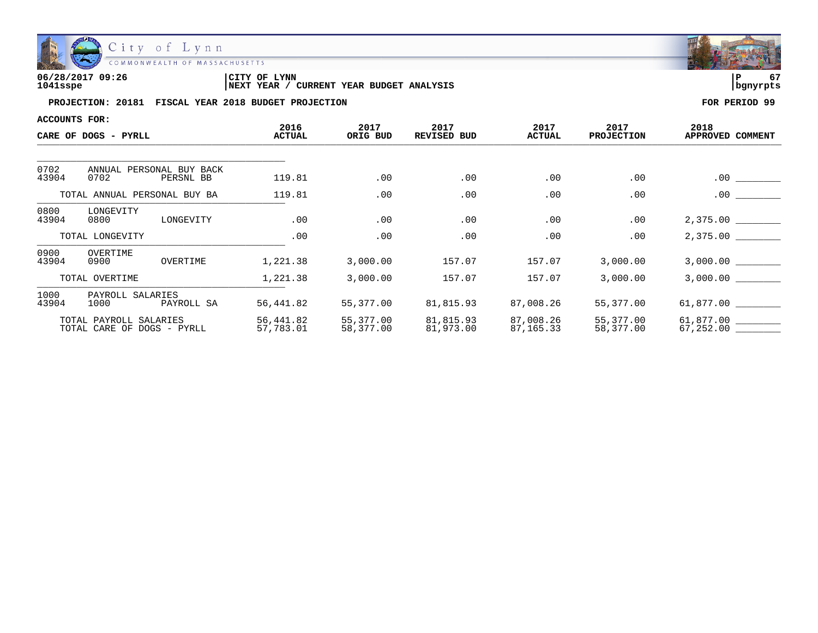

| 06/28/2017 09:26 | LYNN<br>CITY OF                               | ם         | -- |
|------------------|-----------------------------------------------|-----------|----|
| 1041sspe         | YEAR BUDGET ANALYSIS<br>CURRENT<br>'NEXT YEAR | Ibanvrpts |    |

| ACCOUNTS FOR:                | CARE OF DOGS - PYRLL                                 | 2016<br><b>ACTUAL</b>  | 2017<br>ORIG BUD       | 2017<br>REVISED BUD    | 2017<br><b>ACTUAL</b>  | 2017<br><b>PROJECTION</b> | 2018<br>APPROVED COMMENT |
|------------------------------|------------------------------------------------------|------------------------|------------------------|------------------------|------------------------|---------------------------|--------------------------|
|                              |                                                      |                        |                        |                        |                        |                           |                          |
| 0702<br>43904                | ANNUAL<br>PERSONAL BUY BACK<br>0702<br>PERSNL BB     | 119.81                 | .00                    | $.00 \,$               | .00                    | .00                       | .00                      |
| TOTAL ANNUAL PERSONAL BUY BA |                                                      | 119.81                 | .00                    | .00                    | .00                    | .00                       | .00.                     |
| 0800<br>43904                | LONGEVITY<br>0800<br>LONGEVITY                       | .00                    | .00                    | .00                    | .00                    | .00                       | 2,375.00 _________       |
|                              | TOTAL LONGEVITY                                      | .00                    | .00                    | .00                    | .00                    | .00                       | 2,375.00                 |
| 0900<br>43904                | OVERTIME<br>0900<br>OVERTIME                         | 1,221.38               | 3,000.00               | 157.07                 | 157.07                 | 3,000.00                  | 3,000.00                 |
|                              | TOTAL OVERTIME                                       | 1,221.38               | 3,000.00               | 157.07                 | 157.07                 | 3,000.00                  | 3,000.00                 |
| 1000<br>43904                | PAYROLL SALARIES<br>1000<br>PAYROLL SA               | 56,441.82              | 55,377.00              | 81,815.93              | 87,008.26              | 55,377.00                 | 61,877.00                |
|                              | TOTAL PAYROLL SALARIES<br>TOTAL CARE OF DOGS - PYRLL | 56,441.82<br>57,783.01 | 55,377.00<br>58,377.00 | 81,815.93<br>81,973.00 | 87,008.26<br>87,165.33 | 55,377.00<br>58,377.00    | 61,877.00 ________       |

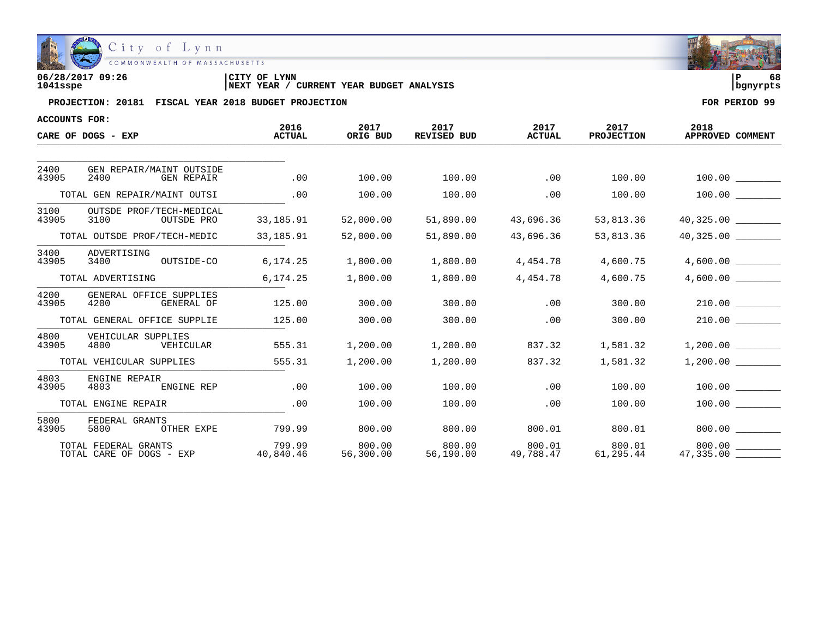

| 06/28/2017 09:26 | 'CITY OF<br>LYNN                              | ם ו      | 68 |
|------------------|-----------------------------------------------|----------|----|
| 1041sspe         | YEAR BUDGET ANALYSIS<br>CURRENT<br>'NEXT YEAR | banvrpts |    |

| <b>ACCOUNTS FOR:</b> |                                                  |                       |                     |                            |                       |                           |                          |
|----------------------|--------------------------------------------------|-----------------------|---------------------|----------------------------|-----------------------|---------------------------|--------------------------|
|                      | CARE OF DOGS - EXP                               | 2016<br><b>ACTUAL</b> | 2017<br>ORIG BUD    | 2017<br><b>REVISED BUD</b> | 2017<br><b>ACTUAL</b> | 2017<br><b>PROJECTION</b> | 2018<br>APPROVED COMMENT |
|                      |                                                  |                       |                     |                            |                       |                           |                          |
| 2400<br>43905        | GEN REPAIR/MAINT OUTSIDE<br>2400<br>GEN REPAIR   | .00                   | 100.00              | 100.00                     | $\overline{00}$       | 100.00                    |                          |
|                      | TOTAL GEN REPAIR/MAINT OUTSI                     | .00                   | 100.00              | 100.00                     | .00                   | 100.00                    | $100.00$ ________        |
| 3100<br>43905        | OUTSDE PROF/TECH-MEDICAL<br>3100<br>OUTSDE PRO   | 33,185.91             | 52,000.00           | 51,890.00                  | 43,696.36             | 53,813.36                 | 40,325.00                |
|                      | TOTAL OUTSDE PROF/TECH-MEDIC                     | 33,185.91             | 52,000.00           | 51,890.00                  | 43,696.36             | 53,813.36                 | 40,325.00                |
| 3400<br>43905        | ADVERTISING<br>3400<br>OUTSIDE-CO                | 6, 174.25             | 1,800.00            | 1,800.00                   | 4,454.78              | 4,600.75                  | 4,600.00                 |
|                      | TOTAL ADVERTISING                                | 6,174.25              | 1,800.00            | 1,800.00                   | 4,454.78              | 4,600.75                  | 4,600.00                 |
| 4200<br>43905        | GENERAL OFFICE SUPPLIES<br>4200<br>GENERAL OF    | 125.00                | 300.00              | 300.00                     | .00                   | 300.00                    | 210.00                   |
|                      | TOTAL GENERAL OFFICE SUPPLIE                     | 125.00                | 300.00              | 300.00                     | .00                   | 300.00                    | $210.00$ ________        |
| 4800<br>43905        | VEHICULAR SUPPLIES<br>4800<br>VEHICULAR          | 555.31                | 1,200.00            | 1,200.00                   | 837.32                | 1,581.32                  | 1,200.00                 |
|                      | TOTAL VEHICULAR SUPPLIES                         | 555.31                | 1,200.00            | 1,200.00                   | 837.32                | 1,581.32                  | 1,200.00                 |
| 4803<br>43905        | ENGINE REPAIR<br>4803<br>ENGINE REP              | .00                   | 100.00              | 100.00                     | .00                   | 100.00                    | 100.00                   |
| TOTAL ENGINE REPAIR  |                                                  | .00                   | 100.00              | 100.00                     | .00                   | 100.00                    | 100.00                   |
| 5800<br>43905        | FEDERAL GRANTS<br>OTHER EXPE<br>5800             | 799.99                | 800.00              | 800.00                     | 800.01                | 800.01                    |                          |
|                      | TOTAL FEDERAL GRANTS<br>TOTAL CARE OF DOGS - EXP | 799.99<br>40,840.46   | 800.00<br>56,300.00 | $800.00$<br>56,190.00 49,  | 800.01<br>49,788.47   | 800.01<br>61,295.44       | 800.00<br>47,335.00      |

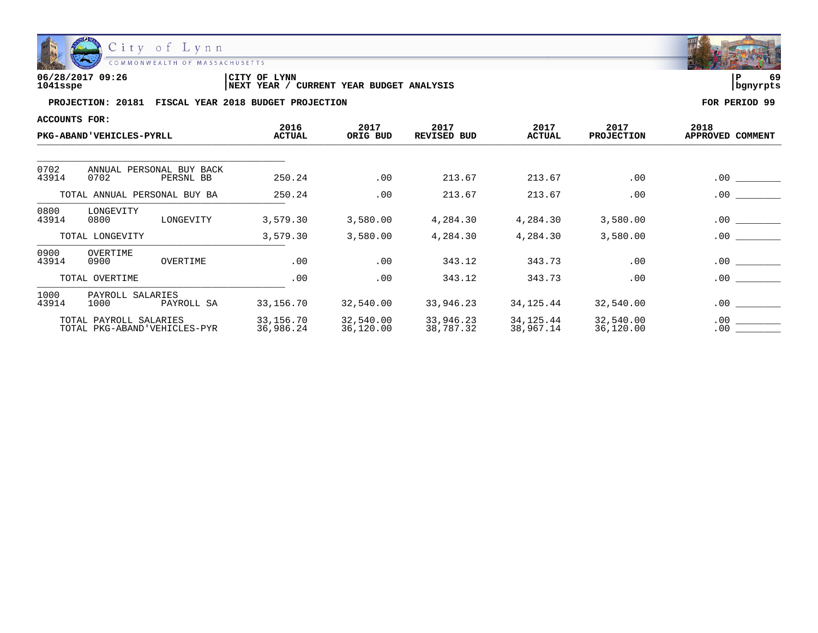

| 06/28/2017 09:26 | LYNN<br>CITY OF                               | ם ו       | 69 |
|------------------|-----------------------------------------------|-----------|----|
| 1041sspe         | YEAR BUDGET ANALYSIS<br>CURRENT<br>'NEXT YEAR | Ibanvrpts |    |

| ACCOUNTS FOR:                                   |                                                        |            |                        |                        |                        |                        |                           |                          |
|-------------------------------------------------|--------------------------------------------------------|------------|------------------------|------------------------|------------------------|------------------------|---------------------------|--------------------------|
|                                                 | <b>PKG-ABAND'VEHICLES-PYRLL</b>                        |            | 2016<br><b>ACTUAL</b>  | 2017<br>ORIG BUD       | 2017<br>REVISED BUD    | 2017<br><b>ACTUAL</b>  | 2017<br><b>PROJECTION</b> | 2018<br>APPROVED COMMENT |
|                                                 |                                                        |            |                        |                        |                        |                        |                           |                          |
| 0702<br>43914                                   | ANNUAL PERSONAL BUY BACK<br>0702                       | PERSNL BB  | 250.24                 | .00                    | 213.67                 | 213.67                 | .00                       | .00                      |
| TOTAL ANNUAL PERSONAL BUY BA                    |                                                        | 250.24     | .00                    | 213.67                 | 213.67                 | .00                    | .00                       |                          |
| 0800<br>LONGEVITY<br>43914<br>0800<br>LONGEVITY |                                                        | 3,579.30   | 3,580.00               | 4,284.30               | 4,284.30               | 3,580.00               | .00                       |                          |
|                                                 | TOTAL LONGEVITY                                        |            | 3,579.30               | 3,580.00               | 4,284.30               | 4,284.30               | 3,580.00                  | $.00 \,$                 |
| 0900<br>43914                                   | OVERTIME<br>0900                                       | OVERTIME   | .00                    | .00                    | 343.12                 | 343.73                 | .00                       | .00                      |
|                                                 | TOTAL OVERTIME                                         |            | .00                    | .00                    | 343.12                 | 343.73                 | .00                       | $.00 \,$                 |
| 1000<br>43914                                   | PAYROLL SALARIES<br>1000                               | PAYROLL SA | 33,156.70              | 32,540.00              | 33,946.23              | 34,125.44              | 32,540.00                 | .00                      |
|                                                 | TOTAL PAYROLL SALARIES<br>TOTAL PKG-ABAND'VEHICLES-PYR |            | 33,156.70<br>36,986.24 | 32,540.00<br>36,120.00 | 33,946.23<br>38,787.32 | 34,125.44<br>38,967.14 | 32,540.00<br>36,120.00    | .00<br>.00               |

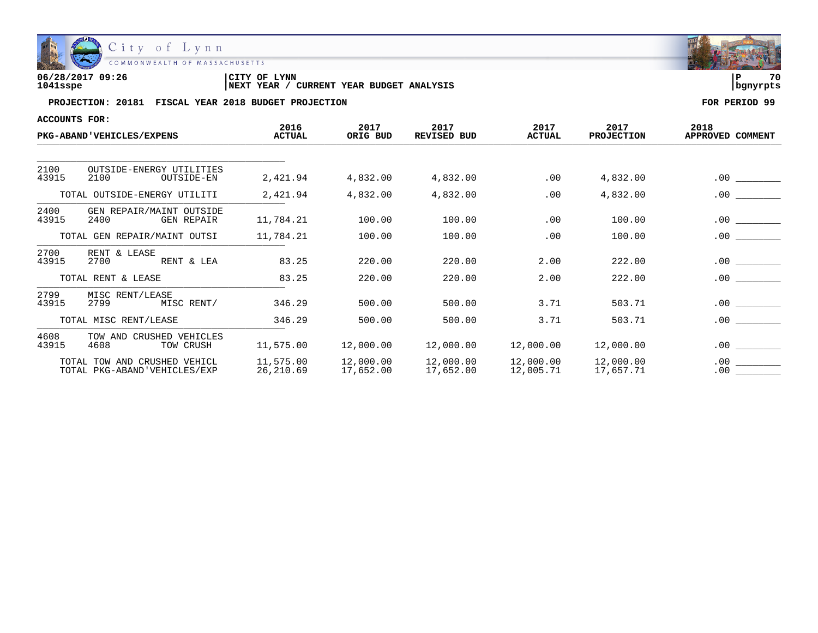

| 06/28/2017 09:26 | CITY OF LYNN                                             | 70         |  |
|------------------|----------------------------------------------------------|------------|--|
| 1041sspe         | <b>CURRENT YEAR BUDGET ANALYSIS</b><br><b>INEXT YEAR</b> | l banvrpts |  |

| ACCOUNTS FOR:                |                                                              |                        |                        |                            |                        |                           |                                               |
|------------------------------|--------------------------------------------------------------|------------------------|------------------------|----------------------------|------------------------|---------------------------|-----------------------------------------------|
|                              | <b>PKG-ABAND'VEHICLES/EXPENS</b>                             | 2016<br><b>ACTUAL</b>  | 2017<br>ORIG BUD       | 2017<br><b>REVISED BUD</b> | 2017<br><b>ACTUAL</b>  | 2017<br><b>PROJECTION</b> | 2018<br>APPROVED COMMENT                      |
|                              |                                                              |                        |                        |                            |                        |                           |                                               |
| 2100<br>43915                | OUTSIDE-ENERGY UTILITIES<br>2100<br>OUTSIDE-EN               | 2,421.94               | 4,832.00               | 4,832.00                   | .00                    | 4,832.00                  | $.00 \,$                                      |
|                              | TOTAL OUTSIDE-ENERGY UTILITI                                 | 2,421.94               | 4,832.00               | 4,832.00                   | .00                    | 4,832.00                  | .00                                           |
| 2400<br>43915                | GEN REPAIR/MAINT OUTSIDE<br>2400<br><b>GEN REPAIR</b>        | 11,784.21              | 100.00                 | 100.00                     | .00                    | 100.00                    | $.00 \,$                                      |
| TOTAL GEN REPAIR/MAINT OUTSI |                                                              | 11,784.21              | 100.00                 | 100.00                     | .00                    | 100.00                    | $.00 \,$                                      |
| 2700<br>43915                | RENT & LEASE<br>2700<br>RENT & LEA                           | 83.25                  | 220.00                 | 220.00                     | 2.00                   | 222.00                    | $.00 \,$                                      |
|                              | TOTAL RENT & LEASE                                           | 83.25                  | 220.00                 | 220.00                     | 2.00                   | 222.00                    | $.00 \,$                                      |
| 2799<br>43915                | MISC RENT/LEASE<br>2799<br>MISC RENT/                        | 346.29                 | 500.00                 | 500.00                     | 3.71                   | 503.71                    | $.00 \,$<br>$\sim 10^{11}$ and $\sim 10^{11}$ |
|                              | TOTAL MISC RENT/LEASE                                        | 346.29                 | 500.00                 | 500.00                     | 3.71                   | 503.71                    | .00                                           |
| 4608<br>43915                | CRUSHED VEHICLES<br>TOW AND<br>4608<br>TOW CRUSH             | 11,575.00              | 12,000.00              | 12,000.00                  | 12,000.00              | 12,000.00                 | .00                                           |
|                              | TOTAL TOW AND CRUSHED VEHICL<br>TOTAL PKG-ABAND'VEHICLES/EXP | 11,575.00<br>26,210.69 | 12,000.00<br>17,652.00 | 12,000.00<br>17,652.00     | 12,000.00<br>12,005.71 | 12,000.00<br>17,657.71    | .00<br>.00                                    |

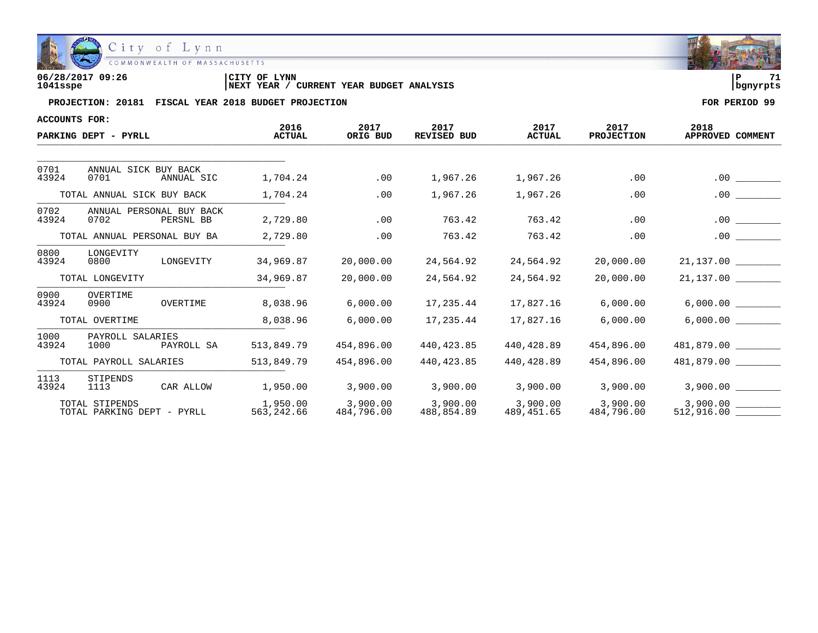

| 06/28/2017 09:26 | CITY OF<br><b>LYNN</b>                           |          | 71 |
|------------------|--------------------------------------------------|----------|----|
| 1041sspe         | 'YEAR BUDGET ANALYSIS<br>YEAR<br>CURRENT<br>NEXT | banvrpts |    |

| ACCOUNTS FOR:                                |                                  |                         |                        |                            |                        |                           |                          |                      |
|----------------------------------------------|----------------------------------|-------------------------|------------------------|----------------------------|------------------------|---------------------------|--------------------------|----------------------|
| PARKING DEPT - PYRLL                         |                                  | 2016<br><b>ACTUAL</b>   | 2017<br>ORIG BUD       | 2017<br><b>REVISED BUD</b> | 2017<br><b>ACTUAL</b>  | 2017<br><b>PROJECTION</b> | 2018<br>APPROVED COMMENT |                      |
|                                              |                                  |                         |                        |                            |                        |                           |                          |                      |
| 0701<br>43924                                | ANNUAL SICK BUY BACK<br>0701     | ANNUAL SIC              | 1,704.24               | .00                        | 1,967.26               | 1,967.26                  | .00                      | .00                  |
|                                              | TOTAL ANNUAL SICK BUY BACK       |                         | 1,704.24               | .00                        | 1,967.26               | 1,967.26                  | .00                      | .00                  |
| 0702<br>43924                                | ANNUAL PERSONAL BUY BACK<br>0702 | PERSNL BB               | 2,729.80               | .00                        | 763.42                 | 763.42                    | .00                      | $.00 \,$             |
| TOTAL ANNUAL PERSONAL BUY BA                 |                                  |                         | 2,729.80               | .00                        | 763.42                 | 763.42                    | .00                      | .00                  |
| 0800<br>43924                                | LONGEVITY<br>0800                | LONGEVITY               | 34,969.87              | 20,000.00                  | 24,564.92              | 24,564.92                 | 20,000.00                | $21,137.00$ ________ |
| TOTAL LONGEVITY                              |                                  |                         | 34,969.87              | 20,000.00                  | 24,564.92              | 24,564.92                 | 20,000.00                | 21,137.00            |
| 0900<br>43924                                | OVERTIME<br>0900                 | OVERTIME                | 8,038.96               | 6,000.00                   | 17,235.44              | 17,827.16                 | 6,000.00                 |                      |
| TOTAL OVERTIME                               |                                  |                         | 8,038.96               | 6,000.00                   | 17,235.44              | 17,827.16                 | 6,000.00                 |                      |
| 1000<br>43924                                | PAYROLL SALARIES<br>1000         | PAYROLL SA              | 513,849.79             | 454,896.00                 | 440,423.85             | 440,428.89                | 454,896.00               | 481,879.00           |
| TOTAL PAYROLL SALARIES                       |                                  | 513,849.79              | 454,896.00             | 440, 423.85                | 440,428.89             | 454,896.00                | 481,879.00               |                      |
| 1113<br>43924                                | STIPENDS<br>1113                 | CAR ALLOW               | 1,950.00               | 3,900.00                   | 3,900.00               | 3,900.00                  | 3,900.00                 | 3,900.00             |
| TOTAL STIPENDS<br>TOTAL PARKING DEPT - PYRLL |                                  | 1,950.00<br>563, 242.66 | 3,900.00<br>484,796.00 | 3,900.00<br>488,854.89     | 3,900.00<br>489,451.65 | 3,900.00<br>484,796.00    | 3,900.00                 |                      |

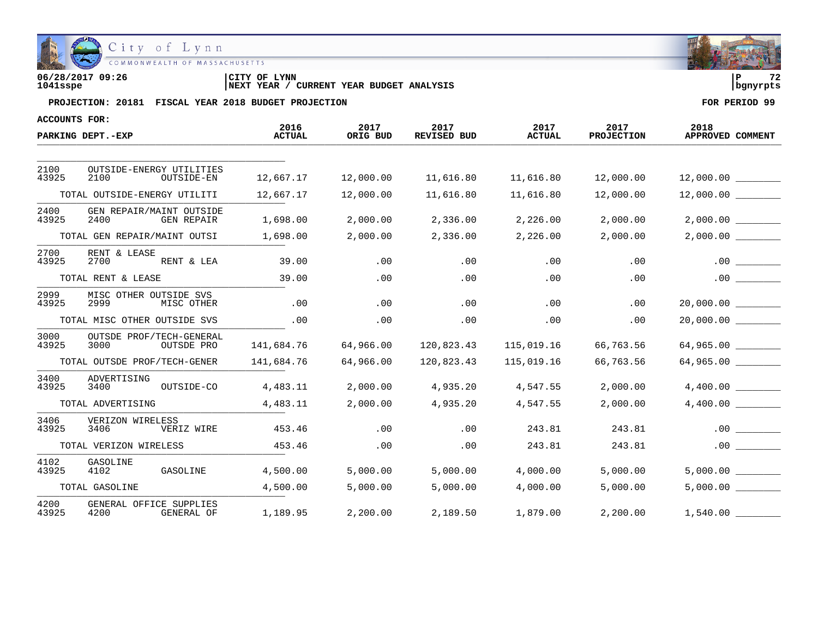

| 06/28/2017 09:26 | CITY OF LYNN                                      |            | $\sim$ |
|------------------|---------------------------------------------------|------------|--------|
| 1041sspe         | CURRENT YEAR BUDGET ANALYSIS<br><b>INEXT YEAR</b> | l banvrpts |        |

| ACCOUNTS FOR:          |                                                       |                       |                  |                            |                       |                           |                          |
|------------------------|-------------------------------------------------------|-----------------------|------------------|----------------------------|-----------------------|---------------------------|--------------------------|
|                        | PARKING DEPT.-EXP                                     | 2016<br><b>ACTUAL</b> | 2017<br>ORIG BUD | 2017<br><b>REVISED BUD</b> | 2017<br><b>ACTUAL</b> | 2017<br><b>PROJECTION</b> | 2018<br>APPROVED COMMENT |
|                        |                                                       |                       |                  |                            |                       |                           |                          |
| 2100<br>43925          | OUTSIDE-ENERGY UTILITIES<br>2100<br>OUTSIDE-EN        | 12,667.17             | 12,000.00        | 11,616.80                  | 11,616.80             | 12,000.00                 |                          |
|                        | TOTAL OUTSIDE-ENERGY UTILITI                          | 12,667.17             | 12,000.00        | 11,616.80                  | 11,616.80             | 12,000.00                 | $12,000.00$ ________     |
| 2400<br>43925          | GEN REPAIR/MAINT OUTSIDE<br>2400<br><b>GEN REPAIR</b> | 1,698.00              | 2,000.00         | 2,336.00                   | 2,226.00              | 2,000.00                  | 2,000.00                 |
|                        | TOTAL GEN REPAIR/MAINT OUTSI                          | 1,698.00              | 2,000.00         | 2,336.00                   | 2,226.00              | 2,000.00                  | $2,000.00$ _________     |
| 2700<br>43925          | RENT & LEASE<br>2700<br>RENT & LEA                    | 39.00                 | .00              | .00                        | .00                   | .00                       | $.00 \,$                 |
|                        | TOTAL RENT & LEASE                                    | 39.00                 | .00              | .00                        | .00                   | .00                       | .00                      |
| 2999<br>43925          | MISC OTHER OUTSIDE SVS<br>2999<br>MISC OTHER          | .00                   | .00              | .00                        | .00                   | .00                       |                          |
|                        | TOTAL MISC OTHER OUTSIDE SVS                          | .00                   | .00              | .00                        | .00                   | .00                       | 20,000.00                |
| 3000<br>43925          | OUTSDE PROF/TECH-GENERAL<br>3000<br>OUTSDE PRO        | 141,684.76            | 64,966.00        | 120,823.43                 | 115,019.16            | 66,763.56                 | 64,965.00                |
|                        | TOTAL OUTSDE PROF/TECH-GENER                          | 141,684.76            | 64,966.00        | 120,823.43                 | 115,019.16            | 66,763.56                 | 64,965.00                |
| 3400<br>43925          | ADVERTISING<br>3400<br>OUTSIDE-CO                     | 4,483.11              | 2,000.00         | 4,935.20                   | 4,547.55              | 2,000.00                  |                          |
| TOTAL ADVERTISING      |                                                       | 4,483.11              | 2,000.00         | 4,935.20                   | 4,547.55              | 2,000.00                  |                          |
| 3406<br>43925          | VERIZON WIRELESS<br>3406<br>VERIZ WIRE                | 453.46                | .00              | .00                        | 243.81                | 243.81                    | .00                      |
| TOTAL VERIZON WIRELESS |                                                       | 453.46                | .00              | .00                        | 243.81                | 243.81                    | .00                      |
| 4102<br>43925          | GASOLINE<br>4102<br>GASOLINE                          | 4,500.00              | 5,000.00         | 5,000.00                   | 4,000.00              | 5,000.00                  |                          |
|                        | TOTAL GASOLINE                                        | 4,500.00              | 5,000.00         | 5,000.00                   | 4,000.00              | 5,000.00                  | 5,000.00                 |
| 4200<br>43925          | GENERAL OFFICE SUPPLIES<br>4200<br>GENERAL OF         | 1,189.95              | 2,200.00         | 2,189.50                   | 1,879.00              | 2,200.00                  | 1,540.00                 |

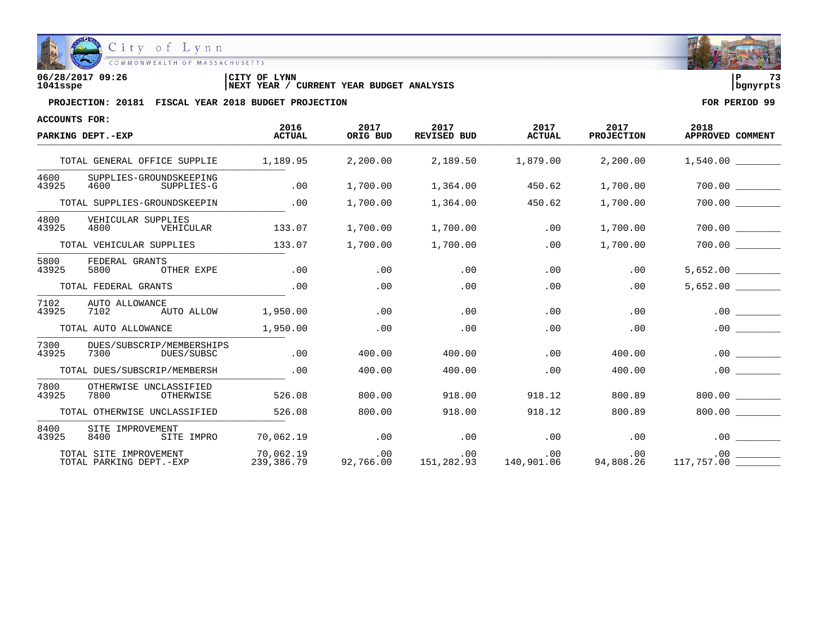

| 06/28/2017 09:26 | LYNN<br>'CITY OF                              | <br>ם ו    |  |
|------------------|-----------------------------------------------|------------|--|
| 1041sspe         | YEAR BUDGET ANALYSIS<br>CURRENT<br>'NEXT YEAR | l banvrpts |  |

| <b>ACCOUNTS FOR:</b> |                                                   |                         |                  |                     |                       |                           |                          |
|----------------------|---------------------------------------------------|-------------------------|------------------|---------------------|-----------------------|---------------------------|--------------------------|
|                      | PARKING DEPT.-EXP                                 | 2016<br><b>ACTUAL</b>   | 2017<br>ORIG BUD | 2017<br>REVISED BUD | 2017<br><b>ACTUAL</b> | 2017<br><b>PROJECTION</b> | 2018<br>APPROVED COMMENT |
|                      | TOTAL GENERAL OFFICE SUPPLIE                      | 1,189.95                | 2,200.00         | 2,189.50            | 1,879.00              | 2,200.00                  | 1,540.00                 |
| 4600<br>43925        | SUPPLIES-GROUNDSKEEPING<br>4600<br>SUPPLIES-G     | .00                     | 1,700.00         | 1,364.00            | 450.62                | 1,700.00                  | 700.00                   |
|                      | TOTAL SUPPLIES-GROUNDSKEEPIN                      | .00                     | 1,700.00         | 1,364.00            | 450.62                | 1,700.00                  | 700.00                   |
| 4800<br>43925        | VEHICULAR SUPPLIES<br>4800<br>VEHICULAR           | 133.07                  | 1,700.00         | 1,700.00            | .00                   | 1,700.00                  | 700.00                   |
|                      | TOTAL VEHICULAR SUPPLIES                          | 133.07                  | 1,700.00         | 1,700.00            | .00                   | 1,700.00                  | 700.00                   |
| 5800<br>43925        | FEDERAL GRANTS<br>5800<br>OTHER EXPE              | .00                     | .00              | .00                 | .00                   | .00                       | 5,652.00                 |
|                      | TOTAL FEDERAL GRANTS                              | .00                     | .00              | .00                 | .00                   | .00                       | $5,652.00$ _________     |
| 7102<br>43925        | AUTO ALLOWANCE<br>7102<br>AUTO ALLOW              | 1,950.00                | .00              | .00                 | .00                   | .00                       | .00                      |
|                      | TOTAL AUTO ALLOWANCE                              | 1,950.00                | .00              | .00                 | .00                   | .00                       | .00                      |
| 7300<br>43925        | DUES/SUBSCRIP/MEMBERSHIPS<br>7300<br>DUES/SUBSC   | .00                     | 400.00           | 400.00              | .00                   | 400.00                    | .00                      |
|                      | TOTAL DUES/SUBSCRIP/MEMBERSH                      | .00                     | 400.00           | 400.00              | .00                   | 400.00                    | .00                      |
| 7800<br>43925        | OTHERWISE UNCLASSIFIED<br>7800<br>OTHERWISE       | 526.08                  | 800.00           | 918.00              | 918.12                | 800.89                    | 800.00                   |
|                      | TOTAL OTHERWISE UNCLASSIFIED                      | 526.08                  | 800.00           | 918.00              | 918.12                | 800.89                    | $800.00$ $-$             |
| 8400<br>43925        | SITE IMPROVEMENT<br>8400<br>SITE IMPRO            | 70,062.19               | .00              | .00                 | .00                   | .00                       | .00                      |
|                      | TOTAL SITE IMPROVEMENT<br>TOTAL PARKING DEPT.-EXP | 70,062.19<br>239,386.79 | .00<br>92,766.00 | .00<br>151,282.93   | .00<br>140,901.06     | .00<br>94,808.26          | .00<br>$117,757.00$ __   |

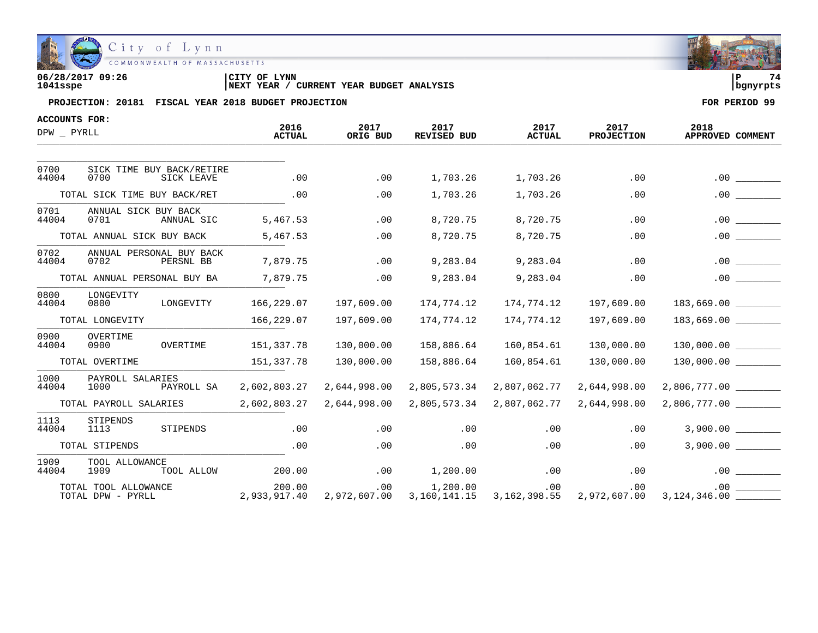

| 06/28/2017 09:26 | <b>LYNN</b><br>'CITY OF                    | 74<br>l P |
|------------------|--------------------------------------------|-----------|
| 1041sspe         | CURRENT YEAR BUDGET ANALYSIS<br>'NEXT YEAR | banvrpts  |

| <b>ACCOUNTS FOR:</b> |                                                 |                        |                  |                                       |                       |                           |                          |
|----------------------|-------------------------------------------------|------------------------|------------------|---------------------------------------|-----------------------|---------------------------|--------------------------|
| DPW PYRLL            |                                                 | 2016<br><b>ACTUAL</b>  | 2017<br>ORIG BUD | 2017<br><b>REVISED BUD</b>            | 2017<br><b>ACTUAL</b> | 2017<br><b>PROJECTION</b> | 2018<br>APPROVED COMMENT |
|                      |                                                 |                        |                  |                                       |                       |                           |                          |
| 0700<br>44004        | SICK TIME BUY BACK/RETIRE<br>0700<br>SICK LEAVE | .00                    | .00              | 1,703.26                              | 1,703.26              | .00                       | .00                      |
|                      | TOTAL SICK TIME BUY BACK/RET                    | .00                    | .00              | 1,703.26                              | 1,703.26              | .00                       | $.00$ $\qquad \qquad$    |
| 0701<br>44004        | ANNUAL SICK BUY BACK<br>0701<br>ANNUAL SIC      | 5,467.53               | .00              | 8,720.75                              | 8,720.75              | .00                       | .00                      |
|                      | TOTAL ANNUAL SICK BUY BACK                      | 5,467.53               | .00              | 8,720.75                              | 8,720.75              | .00                       | $.00$ $\qquad \qquad$    |
| 0702<br>44004        | ANNUAL PERSONAL BUY BACK<br>0702<br>PERSNL BB   | 7,879.75               | .00              | 9,283.04                              | 9,283.04              | .00                       | .00                      |
|                      | TOTAL ANNUAL PERSONAL BUY BA                    | 7,879.75               | .00              | 9,283.04                              | 9,283.04              | .00                       | .00                      |
| 0800<br>44004        | LONGEVITY<br>0800<br>LONGEVITY                  | 166,229.07             | 197,609.00       | 174,774.12                            | 174,774.12            | 197,609.00                |                          |
|                      | TOTAL LONGEVITY                                 | 166,229.07             | 197,609.00       | 174,774.12                            | 174,774.12            | 197,609.00                |                          |
| 0900<br>44004        | OVERTIME<br>0900<br>OVERTIME                    | 151,337.78             | 130,000.00       | 158,886.64                            | 160,854.61            | 130,000.00                |                          |
|                      | TOTAL OVERTIME                                  | 151,337.78             | 130,000.00       | 158,886.64                            | 160,854.61            | 130,000.00                |                          |
| 1000<br>44004        | PAYROLL SALARIES<br>1000<br>PAYROLL SA          | 2,602,803.27           | 2,644,998.00     | 2,805,573.34                          | 2,807,062.77          | 2,644,998.00              |                          |
|                      | TOTAL PAYROLL SALARIES                          | 2,602,803.27           | 2,644,998.00     | 2,805,573.34                          | 2,807,062.77          | 2,644,998.00              | 2,806,777.00 ________    |
| 1113<br>44004        | STIPENDS<br>STIPENDS<br>1113                    | .00                    | .00              | .00                                   | .00                   | .00                       | 3,900.00                 |
|                      | TOTAL STIPENDS                                  | .00                    | .00              | .00                                   | .00                   | .00                       | 3,900.00                 |
| 1909<br>44004        | TOOL ALLOWANCE<br>1909<br>TOOL ALLOW            | 200.00                 | .00              | 1,200.00                              | .00                   | .00                       | .00                      |
|                      | TOTAL TOOL ALLOWANCE<br>TOTAL DPW - PYRLL       | 200.00<br>2,933,917.40 | $.00 \,$         | 1,200.00<br>2,972,607.00 3,160,141.15 | .00<br>3, 162, 398.55 | .00<br>2,972,607.00       |                          |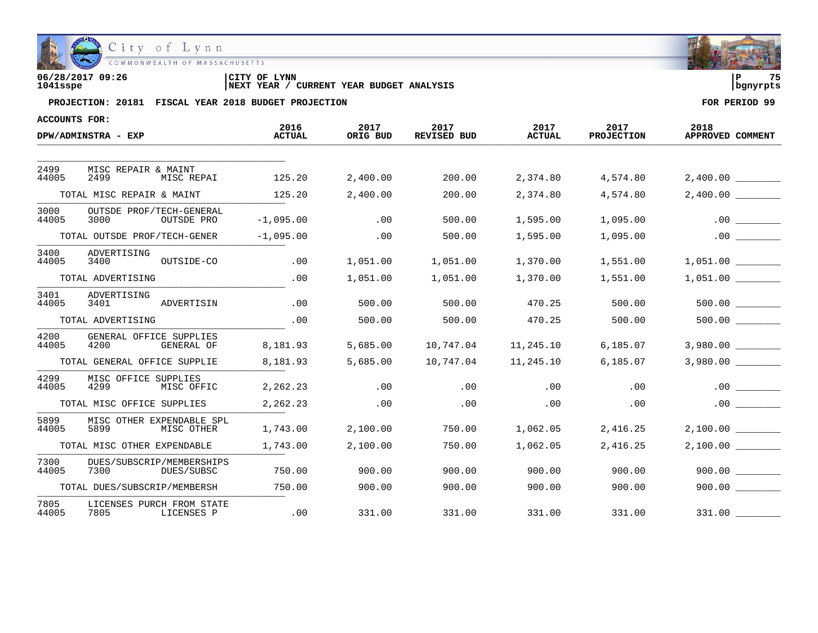

| 06/28/2017 09:26 | CITY OF LYNN                                      | 75         |  |
|------------------|---------------------------------------------------|------------|--|
| 1041sspe         | CURRENT YEAR BUDGET ANALYSIS<br><b>INEXT YEAR</b> | l banvrpts |  |

| ACCOUNTS FOR: |                                                 | 2016          | 2017     |                            | 2017          |                           |                          |
|---------------|-------------------------------------------------|---------------|----------|----------------------------|---------------|---------------------------|--------------------------|
|               | DPW/ADMINSTRA - EXP                             | <b>ACTUAL</b> | ORIG BUD | 2017<br><b>REVISED BUD</b> | <b>ACTUAL</b> | 2017<br><b>PROJECTION</b> | 2018<br>APPROVED COMMENT |
|               |                                                 |               |          |                            |               |                           |                          |
| 2499<br>44005 | MISC REPAIR & MAINT<br>2499<br>MISC REPAI       | 125.20        | 2,400.00 | 200.00                     | 2,374.80      | 4,574.80                  | 2,400.00                 |
|               | TOTAL MISC REPAIR & MAINT                       | 125.20        | 2,400.00 | 200.00                     | 2,374.80      | 4,574.80                  | 2,400.00                 |
| 3000<br>44005 | OUTSDE PROF/TECH-GENERAL<br>3000<br>OUTSDE PRO  | $-1,095.00$   | .00      | 500.00                     | 1,595.00      | 1,095.00                  | .00                      |
|               | TOTAL OUTSDE PROF/TECH-GENER                    | $-1,095.00$   | .00      | 500.00                     | 1,595.00      | 1,095.00                  | .00                      |
| 3400<br>44005 | ADVERTISING<br>OUTSIDE-CO<br>3400               | .00           | 1,051.00 | 1,051.00                   | 1,370.00      | 1,551.00                  | 1,051.00                 |
|               | TOTAL ADVERTISING                               | .00           | 1,051.00 | 1,051.00                   | 1,370.00      | 1,551.00                  | 1,051.00                 |
| 3401<br>44005 | ADVERTISING<br>3401<br>ADVERTISIN               | .00           | 500.00   | 500.00                     | 470.25        | 500.00                    |                          |
|               | TOTAL ADVERTISING                               | .00           | 500.00   | 500.00                     | 470.25        | 500.00                    | 500.00                   |
| 4200<br>44005 | GENERAL OFFICE SUPPLIES<br>4200<br>GENERAL OF   | 8,181.93      | 5,685.00 | 10,747.04                  | 11,245.10     | 6,185.07                  | 3,980.00                 |
|               | TOTAL GENERAL OFFICE SUPPLIE                    | 8,181.93      | 5,685.00 | 10,747.04                  | 11,245.10     | 6, 185.07                 |                          |
| 4299<br>44005 | MISC OFFICE SUPPLIES<br>4299<br>MISC OFFIC      | 2,262.23      | .00      | .00                        | .00           | .00                       | .00                      |
|               | TOTAL MISC OFFICE SUPPLIES                      | 2,262.23      | .00      | .00                        | .00           | .00                       | .00                      |
| 5899<br>44005 | MISC OTHER EXPENDABLE SPL<br>5899<br>MISC OTHER | 1,743.00      | 2,100.00 | 750.00                     | 1,062.05      | 2,416.25                  |                          |
|               | TOTAL MISC OTHER EXPENDABLE                     | 1,743.00      | 2,100.00 | 750.00                     | 1,062.05      | 2,416.25                  | 2,100.00                 |
| 7300<br>44005 | DUES/SUBSCRIP/MEMBERSHIPS<br>7300<br>DUES/SUBSC | 750.00        | 900.00   | 900.00                     | 900.00        | 900.00                    | 900.00                   |
|               | TOTAL DUES/SUBSCRIP/MEMBERSH                    | 750.00        | 900.00   | 900.00                     | 900.00        | 900.00                    | 900.00                   |
| 7805<br>44005 | LICENSES PURCH FROM STATE<br>LICENSES P<br>7805 | .00           | 331.00   | 331.00                     | 331.00        | 331.00                    | 331.00                   |

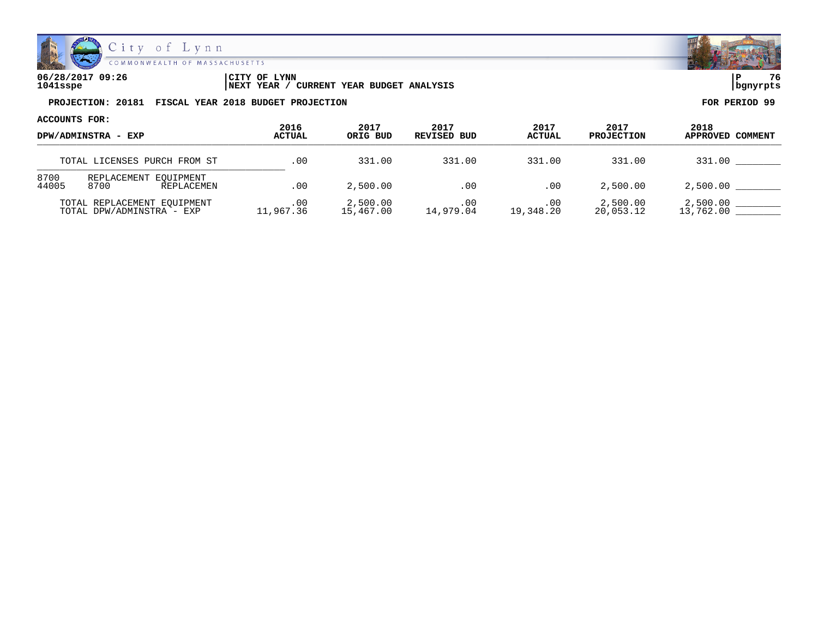

| 06/28/2017 09:26 | CITY OF LYNN                                        |            | 76 |
|------------------|-----------------------------------------------------|------------|----|
| 1041sspe         | / CURRENT YEAR BUDGET ANALYSIS<br><b>INEXT YEAR</b> | l banvrpts |    |

| ACCOUNTS FOR:<br>DPW/ADMINSTRA - EXP |                                                          |                  |                       | 2017             | 2017             | 2017                  |                          |
|--------------------------------------|----------------------------------------------------------|------------------|-----------------------|------------------|------------------|-----------------------|--------------------------|
|                                      |                                                          | 2016<br>ACTUAL   | 2017<br>ORIG BUD      | REVISED BUD      | <b>ACTUAL</b>    | <b>PROJECTION</b>     | 2018<br>APPROVED COMMENT |
|                                      | TOTAL LICENSES PURCH FROM ST                             | .00              | 331.00                | 331.00           | 331.00           | 331.00                | 331.00                   |
| 8700<br>44005                        | REPLACEMENT EOUIPMENT<br>8700<br>REPLACEMEN              | .00              | 2,500.00              | .00              | .00              | 2,500.00              | 2,500.00                 |
|                                      | TOTAL REPLACEMENT EOUIPMENT<br>TOTAL DPW/ADMINSTRA - EXP | .00<br>11,967.36 | 2,500.00<br>15,467.00 | .00<br>14,979.04 | .00<br>19,348.20 | 2,500.00<br>20,053.12 | 2,500.00<br>13,762.00    |

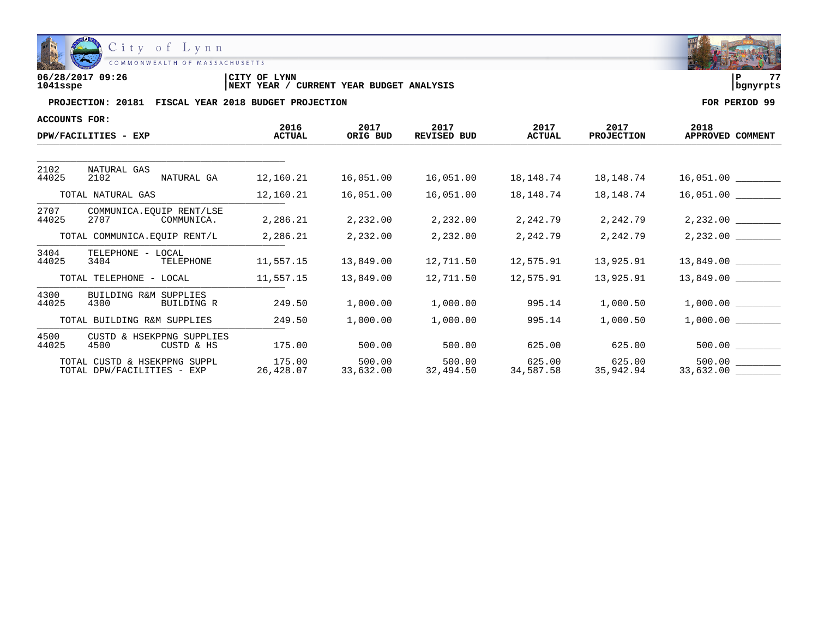

| 06/28/2017 09:26 | LYNN<br>'CITY OF                              | l P        | -- |
|------------------|-----------------------------------------------|------------|----|
| 1041sspe         | YEAR BUDGET ANALYSIS<br>CURRENT<br>'NEXT YEAR | l banvrpts |    |

| <b>ACCOUNTS FOR:</b> |                                                            |                       |                     |                            |                       |                           |                          |
|----------------------|------------------------------------------------------------|-----------------------|---------------------|----------------------------|-----------------------|---------------------------|--------------------------|
|                      | DPW/FACILITIES - EXP                                       | 2016<br><b>ACTUAL</b> | 2017<br>ORIG BUD    | 2017<br><b>REVISED BUD</b> | 2017<br><b>ACTUAL</b> | 2017<br><b>PROJECTION</b> | 2018<br>APPROVED COMMENT |
|                      |                                                            |                       |                     |                            |                       |                           |                          |
| 2102<br>44025        | NATURAL GAS<br>NATURAL GA<br>2102                          | 12,160.21             | 16,051.00           | 16,051.00                  | 18,148.74             | 18,148.74                 |                          |
|                      | TOTAL NATURAL GAS                                          | 12,160.21             | 16,051.00           | 16,051.00                  | 18,148.74             | 18,148.74                 |                          |
| 2707<br>44025        | COMMUNICA.EQUIP RENT/LSE<br>2707<br>COMMUNICA.             | 2,286.21              | 2,232.00            | 2,232.00                   | 2,242.79              | 2,242.79                  | 2,232.00                 |
|                      | TOTAL COMMUNICA.EQUIP RENT/L                               | 2,286.21              | 2,232.00            | 2,232.00                   | 2,242.79              | 2,242.79                  |                          |
| 3404<br>44025        | TELEPHONE - LOCAL<br>3404<br>TELEPHONE                     | 11,557.15             | 13,849.00           | 12,711.50                  | 12,575.91             | 13,925.91                 | $13,849.00$ _________    |
|                      | TOTAL TELEPHONE - LOCAL                                    | 11,557.15             | 13,849.00           | 12,711.50                  | 12,575.91             | 13,925.91                 |                          |
| 4300<br>44025        | BUILDING R&M SUPPLIES<br>4300<br>BUILDING R                | 249.50                | 1,000.00            | 1,000.00                   | 995.14                | 1,000.50                  |                          |
|                      | TOTAL BUILDING R&M SUPPLIES                                | 249.50                | 1,000.00            | 1,000.00                   | 995.14                | 1,000.50                  |                          |
| 4500<br>44025        | CUSTD & HSEKPPNG SUPPLIES<br>4500<br>CUSTD & HS            | 175.00                | 500.00              | 500.00                     | 625.00                | 625.00                    |                          |
|                      | TOTAL CUSTD & HSEKPPNG SUPPL<br>TOTAL DPW/FACILITIES - EXP | 175.00<br>26,428.07   | 500.00<br>33,632.00 | 500.00<br>32,494.50        | 625.00<br>34,587.58   | 625.00<br>35,942.94       | 33,632.00 _________      |

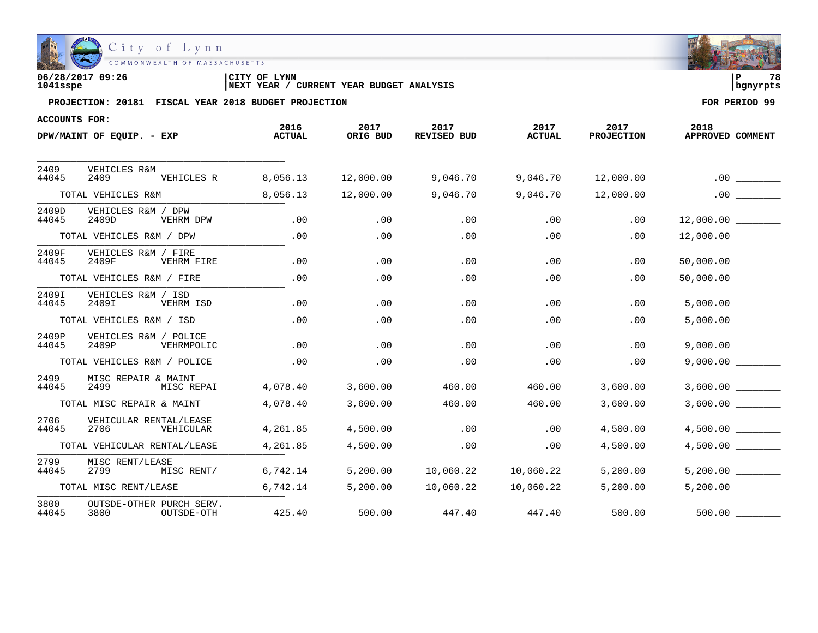

| 06/28/2017 09:26 | CITY OF LYNN                                      |          | 78 |
|------------------|---------------------------------------------------|----------|----|
| 1041sspe         | CURRENT YEAR BUDGET ANALYSIS<br><b>INEXT YEAR</b> | banvrpts |    |

| ACCOUNTS FOR:  |                                                |                       |                  |                            |                       |                           |                          |
|----------------|------------------------------------------------|-----------------------|------------------|----------------------------|-----------------------|---------------------------|--------------------------|
|                | DPW/MAINT OF EQUIP. - EXP                      | 2016<br><b>ACTUAL</b> | 2017<br>ORIG BUD | 2017<br><b>REVISED BUD</b> | 2017<br><b>ACTUAL</b> | 2017<br><b>PROJECTION</b> | 2018<br>APPROVED COMMENT |
|                |                                                |                       |                  |                            |                       |                           |                          |
| 2409<br>44045  | <b>VEHICLES R&amp;M</b><br>2409<br>VEHICLES R  | 8,056.13              | 12,000.00        | 9,046.70                   | 9,046.70              | 12,000.00                 | .00                      |
|                | TOTAL VEHICLES R&M                             | 8,056.13              | 12,000.00        | 9,046.70                   | 9,046.70              | 12,000.00                 | .00                      |
| 2409D<br>44045 | VEHICLES R&M / DPW<br>2409D<br>VEHRM DPW       | .00                   | .00              | .00                        | .00                   | .00                       | 12,000.00                |
|                | TOTAL VEHICLES R&M / DPW                       | .00                   | .00              | .00                        | .00                   | .00                       | 12,000.00                |
| 2409F<br>44045 | VEHICLES R&M / FIRE<br>2409F<br>VEHRM FIRE     | .00                   | .00              | .00                        | .00                   | .00                       |                          |
|                | TOTAL VEHICLES R&M / FIRE                      | .00                   | .00              | .00                        | .00                   | .00                       |                          |
| 2409I<br>44045 | VEHICLES R&M / ISD<br>2409I<br>VEHRM ISD       | .00                   | .00              | .00                        | .00                   | $.00 \,$                  | 5,000.00                 |
|                | TOTAL VEHICLES R&M / ISD                       | .00                   | .00              | .00                        | .00                   | .00                       | 5,000.00                 |
| 2409P<br>44045 | VEHICLES R&M / POLICE<br>2409P<br>VEHRMPOLIC   | .00                   | .00              | .00                        | .00                   | .00                       | 9,000.00                 |
|                | TOTAL VEHICLES R&M / POLICE                    | .00                   | .00              | .00                        | .00                   | .00                       | 9,000.00                 |
| 2499<br>44045  | MISC REPAIR & MAINT<br>2499<br>MISC REPAI      | 4,078.40              | 3,600.00         | 460.00                     | 460.00                | 3,600.00                  | 3,600.00                 |
|                | TOTAL MISC REPAIR & MAINT                      | 4,078.40              | 3,600.00         | 460.00                     | 460.00                | 3,600.00                  | 3,600.00                 |
| 2706<br>44045  | VEHICULAR RENTAL/LEASE<br>2706<br>VEHICULAR    | 4,261.85              | 4,500.00         | .00                        | .00                   | 4,500.00                  | 4,500.00                 |
|                | TOTAL VEHICULAR RENTAL/LEASE                   | 4,261.85              | 4,500.00         | .00                        | .00                   | 4,500.00                  | 4,500.00                 |
| 2799<br>44045  | MISC RENT/LEASE<br>MISC RENT/<br>2799          | 6,742.14              | 5,200.00         | 10,060.22                  | 10,060.22             | 5,200.00                  | 5.200.00                 |
|                | TOTAL MISC RENT/LEASE                          | 6,742.14              | 5,200.00         | 10,060.22                  | 10,060.22             | 5,200.00                  | 5,200.00                 |
| 3800<br>44045  | OUTSDE-OTHER PURCH SERV.<br>3800<br>OUTSDE-OTH | 425.40                | 500.00           | 447.40                     | 447.40                | 500.00                    | 500.00                   |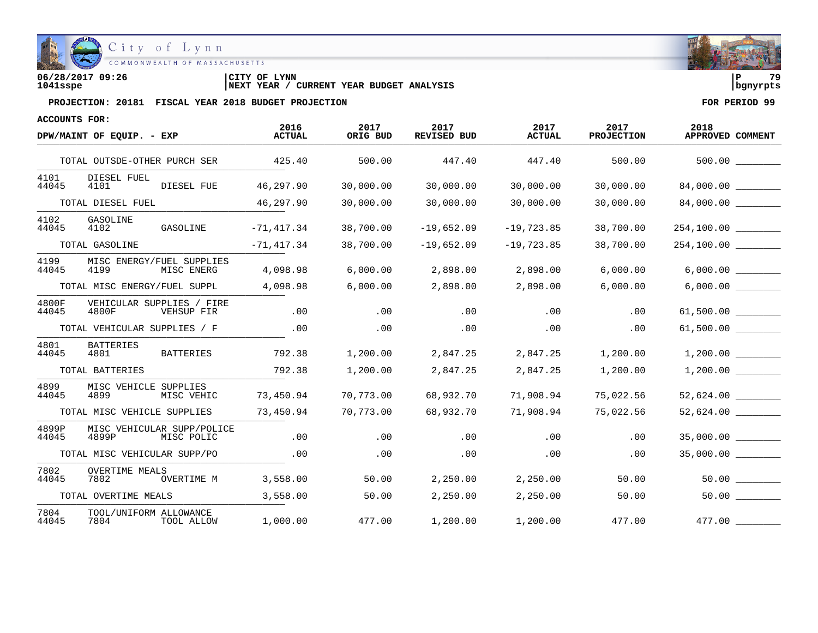

| 06/28/2017 09:26 | <b>CITY OF LYNN</b>                                      | 70         |
|------------------|----------------------------------------------------------|------------|
| 1041sspe         | <b>CURRENT YEAR BUDGET ANALYSIS</b><br><b>INEXT YEAR</b> | l banvrpts |

| ACCOUNTS FOR:  |                                                   | 2016          | 2017      | 2017         | 2017          | 2017              | 2018                 |
|----------------|---------------------------------------------------|---------------|-----------|--------------|---------------|-------------------|----------------------|
|                | DPW/MAINT OF EQUIP. - EXP                         | <b>ACTUAL</b> | ORIG BUD  | REVISED BUD  | <b>ACTUAL</b> | <b>PROJECTION</b> | APPROVED COMMENT     |
|                | TOTAL OUTSDE-OTHER PURCH SER                      | 425.40        | 500.00    | 447.40       | 447.40        | 500.00            |                      |
| 4101<br>44045  | DIESEL FUEL<br>4101<br>DIESEL FUE                 | 46,297.90     | 30,000.00 | 30,000.00    | 30,000.00     | 30,000.00         | 84,000.00            |
|                | TOTAL DIESEL FUEL                                 | 46,297.90     | 30,000.00 | 30,000.00    | 30,000.00     | 30,000.00         | 84,000.00            |
| 4102<br>44045  | GASOLINE<br>4102<br>GASOLINE                      | $-71,417.34$  | 38,700.00 | $-19,652.09$ | $-19,723.85$  | 38,700.00         |                      |
|                | TOTAL GASOLINE                                    | $-71, 417.34$ | 38,700.00 | $-19,652.09$ | $-19,723.85$  | 38,700.00         | 254,100.00           |
| 4199<br>44045  | MISC ENERGY/FUEL SUPPLIES<br>4199<br>MISC ENERG   | 4,098.98      | 6,000.00  | 2,898.00     | 2,898.00      | 6,000.00          | 6,000.00             |
|                | TOTAL MISC ENERGY/FUEL SUPPL                      | 4,098.98      | 6,000.00  | 2,898.00     | 2,898.00      | 6,000.00          |                      |
| 4800F<br>44045 | VEHICULAR SUPPLIES / FIRE<br>4800F<br>VEHSUP FIR  | .00           | .00       | $.00 \,$     | .00           | $.00 \,$          | $61,500.00$ ________ |
|                | TOTAL VEHICULAR SUPPLIES / F                      | .00           | $.00 \,$  | .00          | .00           | .00               | 61,500.00 ________   |
| 4801<br>44045  | <b>BATTERIES</b><br>4801<br>BATTERIES             | 792.38        | 1,200.00  | 2,847.25     | 2,847.25      | 1,200.00          | 1,200.00             |
|                | TOTAL BATTERIES                                   | 792.38        | 1,200.00  | 2,847.25     | 2,847.25      | 1,200.00          | 1,200.00             |
| 4899<br>44045  | MISC VEHICLE SUPPLIES<br>4899<br>MISC VEHIC       | 73,450.94     | 70,773.00 | 68,932.70    | 71,908.94     | 75,022.56         | 52,624.00            |
|                | TOTAL MISC VEHICLE SUPPLIES                       | 73,450.94     | 70,773.00 | 68,932.70    | 71,908.94     | 75,022.56         | 52,624.00            |
| 4899P<br>44045 | MISC VEHICULAR SUPP/POLICE<br>4899P<br>MISC POLIC | .00           | .00       | .00          | .00           | .00               | 35,000.00            |
|                | TOTAL MISC VEHICULAR SUPP/PO                      | .00           | .00       | .00          | .00           | .00               | 35,000.00            |
| 7802<br>44045  | <b>OVERTIME MEALS</b><br>7802<br>OVERTIME M       | 3,558.00      | 50.00     | 2,250.00     | 2,250.00      | 50.00             | 50.00                |
|                | TOTAL OVERTIME MEALS                              | 3,558.00      | 50.00     | 2,250.00     | 2,250.00      | 50.00             | 50.00                |
| 7804<br>44045  | TOOL/UNIFORM ALLOWANCE<br>7804 TOOL ALLOW         | 1,000.00      | 477.00    | 1,200.00     | 1,200.00      | 477.00            | 477.00               |

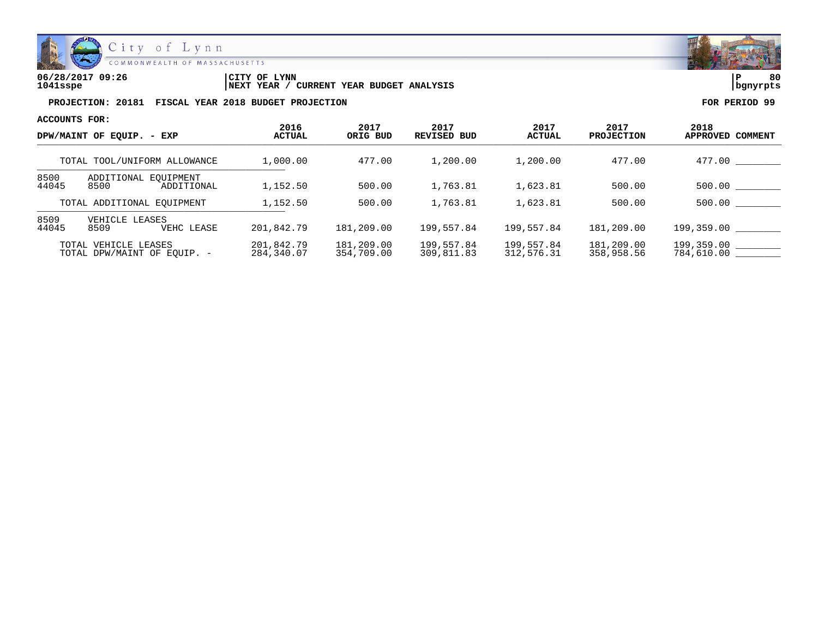

| 06/28/2017 09:26 | LYNN<br>'CITY OF                                    | ם ו        | 80 |
|------------------|-----------------------------------------------------|------------|----|
| 1041sspe         | YEAR BUDGET ANALYSIS<br>CURRENT<br><b>NEXT YEAR</b> | l banvrpts |    |

| ACCOUNTS FOR:                                             |                                            |                          |                            |                                        |                                   |                                     |                                    |
|-----------------------------------------------------------|--------------------------------------------|--------------------------|----------------------------|----------------------------------------|-----------------------------------|-------------------------------------|------------------------------------|
| DPW/MAINT OF EOUIP. - EXP<br>TOTAL TOOL/UNIFORM ALLOWANCE |                                            | 2016<br><b>ACTUAL</b>    | 2017<br>ORIG BUD<br>477.00 | 2017<br><b>REVISED BUD</b><br>1,200.00 | 2017<br><b>ACTUAL</b><br>1,200.00 | 2017<br><b>PROJECTION</b><br>477.00 | 2018<br><b>APPROVED</b><br>COMMENT |
|                                                           |                                            | 1,000.00                 |                            |                                        |                                   |                                     | 477.00                             |
| 8500<br>44045                                             | ADDITIONAL EQUIPMENT<br>8500<br>ADDITIONAL | 1,152.50                 | 500.00                     | 1,763.81                               | 1,623.81                          | 500.00                              | 500.00                             |
| TOTAL ADDITIONAL EOUIPMENT                                |                                            | 1,152.50                 | 500.00                     | 1,763.81                               | 1,623.81                          | 500.00                              | 500.00                             |
| 8509<br>44045                                             | VEHICLE LEASES<br>8509<br>VEHC LEASE       | 201,842.79               | 181,209.00                 | 199,557.84                             | 199.557.84                        | 181,209.00                          | 199,359.00                         |
| TOTAL VEHICLE LEASES<br>TOTAL DPW/MAINT OF EOUIP. -       |                                            | 201,842.79<br>284,340.07 | 181,209.00<br>354,709.00   | 199,557.84<br>309,811.83               | 199,557.84<br>312,576.31          | 181,209.00<br>358,958.56            | 199,359.00<br>784,610.00           |

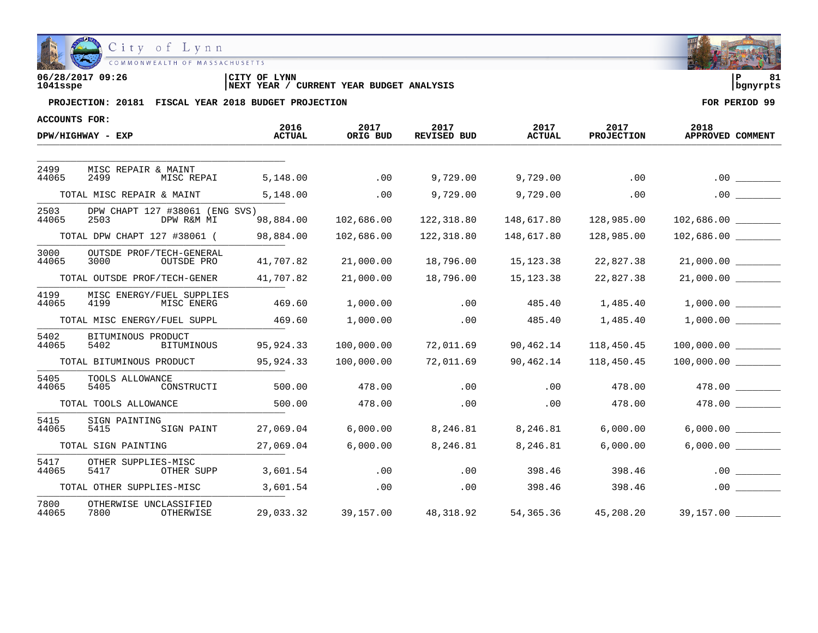

| 06/28/2017 09:26 | <b>LYNN</b><br>CITY OF                            |          | o۱ |
|------------------|---------------------------------------------------|----------|----|
| 1041sspe         | CURRENT YEAR BUDGET ANALYSIS<br><b>INEXT YEAR</b> | banvrpts |    |

| ACCOUNTS FOR: |                                                      |                       |                  |                     |                       |                           | 2018                                       |
|---------------|------------------------------------------------------|-----------------------|------------------|---------------------|-----------------------|---------------------------|--------------------------------------------|
|               | DPW/HIGHWAY - EXP                                    | 2016<br><b>ACTUAL</b> | 2017<br>ORIG BUD | 2017<br>REVISED BUD | 2017<br><b>ACTUAL</b> | 2017<br><b>PROJECTION</b> | APPROVED COMMENT                           |
|               |                                                      |                       |                  |                     |                       |                           |                                            |
| 2499<br>44065 | MISC REPAIR & MAINT<br>2499<br>MISC REPAI            | 5,148.00              | .00              | 9,729.00            | 9,729.00              | .00                       | .00                                        |
|               | TOTAL MISC REPAIR & MAINT                            | 5,148.00              | .00              | 9,729.00            | 9,729.00              | .00                       |                                            |
| 2503<br>44065 | DPW CHAPT 127 #38061 (ENG SVS)<br>2503<br>DPW R&M MI | 98,884.00             | 102,686.00       | 122,318.80          | 148,617.80            | 128,985.00                | 102,686.00                                 |
|               | TOTAL DPW CHAPT 127 #38061 (                         | 98,884.00             | 102,686.00       | 122,318.80          | 148,617.80            | 128,985.00                |                                            |
| 3000<br>44065 | OUTSDE PROF/TECH-GENERAL<br>3000<br>OUTSDE PRO       | 41,707.82             | 21,000.00        | 18,796.00           | 15,123.38             | 22,827.38                 | 21,000.00                                  |
|               | TOTAL OUTSDE PROF/TECH-GENER                         | 41,707.82             | 21,000.00        | 18,796.00           | 15, 123.38            | 22,827.38                 | 21,000.00                                  |
| 4199<br>44065 | MISC ENERGY/FUEL SUPPLIES<br>4199<br>MISC ENERG      | 469.60                | 1,000.00         | .00                 | 485.40                | 1,485.40                  | 1,000.00                                   |
|               | TOTAL MISC ENERGY/FUEL SUPPL                         | 469.60                | 1,000.00         | .00                 | 485.40                | 1,485.40                  | 1,000.00                                   |
| 5402<br>44065 | BITUMINOUS PRODUCT<br>5402<br>BITUMINOUS             | 95,924.33             | 100,000.00       | 72,011.69           | 90,462.14             | 118,450.45                | 100,000.00                                 |
|               | TOTAL BITUMINOUS PRODUCT                             | 95,924.33             | 100,000.00       | 72,011.69           | 90,462.14             | 118,450.45                | 100,000.00                                 |
| 5405<br>44065 | TOOLS ALLOWANCE<br>5405<br>CONSTRUCTI                | 500.00                | 478.00           | .00                 | .00                   | 478.00                    | 478.00                                     |
|               | TOTAL TOOLS ALLOWANCE                                | 500.00                | 478.00           | .00                 | .00                   | 478.00                    |                                            |
| 5415<br>44065 | SIGN PAINTING<br>5415<br>SIGN PAINT                  | 27,069.04             | 6,000.00         | 8,246.81            | 8,246.81              | 6,000.00                  | 6,000.00                                   |
|               | TOTAL SIGN PAINTING                                  | 27,069.04             | 6,000.00         | 8,246.81            | 8,246.81              | 6,000.00                  | 6,000.00                                   |
| 5417<br>44065 | OTHER SUPPLIES-MISC<br>5417<br>OTHER SUPP            | 3,601.54              | .00              | .00                 | 398.46                | 398.46                    | .00                                        |
|               | TOTAL OTHER SUPPLIES-MISC                            | 3,601.54              | .00              | .00                 | 398.46                | 398.46                    | .00                                        |
| 7800<br>44065 | OTHERWISE UNCLASSIFIED<br>7800<br>OTHERWISE          | 29,033.32             | 39,157.00        | 48,318.92           |                       |                           | 54,365.36  45,208.20  39,157.00    _______ |

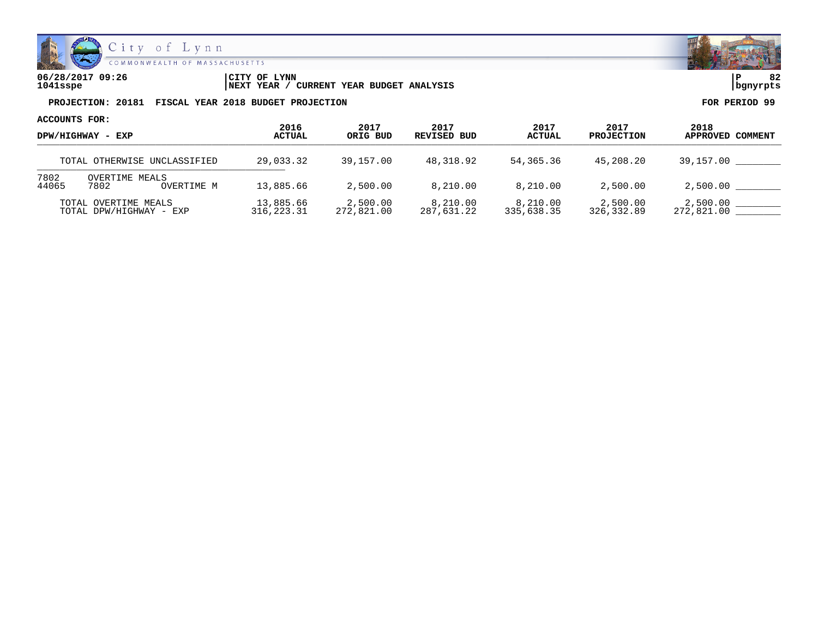

| 06/28/2017 09:26 | LYNN<br>CITY OF                               | ם ו       | $\sim$ |
|------------------|-----------------------------------------------|-----------|--------|
| 1041sspe         | YEAR BUDGET ANALYSIS<br>CURRENT<br>'NEXT YEAR | Ibanvrpts |        |

| ACCOUNTS FOR:<br>DPW/HIGHWAY - EXP<br>TOTAL OTHERWISE UNCLASSIFIED |                                      |                         |                        |                        |                        |                           |                          |
|--------------------------------------------------------------------|--------------------------------------|-------------------------|------------------------|------------------------|------------------------|---------------------------|--------------------------|
|                                                                    |                                      | 2016<br>ACTUAL          | 2017<br>ORIG BUD       | 2017<br>REVISED BUD    | 2017<br><b>ACTUAL</b>  | 2017<br><b>PROJECTION</b> | 2018<br>APPROVED COMMENT |
|                                                                    |                                      | 29,033.32               | 39,157.00              | 48,318.92              | 54,365.36              | 45,208.20                 | 39,157.00                |
| 7802<br>44065                                                      | OVERTIME MEALS<br>7802<br>OVERTIME M | 13,885.66               | 2,500.00               | 8,210.00               | 8,210.00               | 2,500.00                  | 2,500.00                 |
| TOTAL OVERTIME MEALS<br>TOTAL DPW/HIGHWAY - EXP                    |                                      | 13,885.66<br>316,223.31 | 2,500.00<br>272,821.00 | 8,210.00<br>287,631.22 | 8,210.00<br>335,638.35 | 2,500.00<br>326,332.89    | 2,500.00<br>272,821.00   |

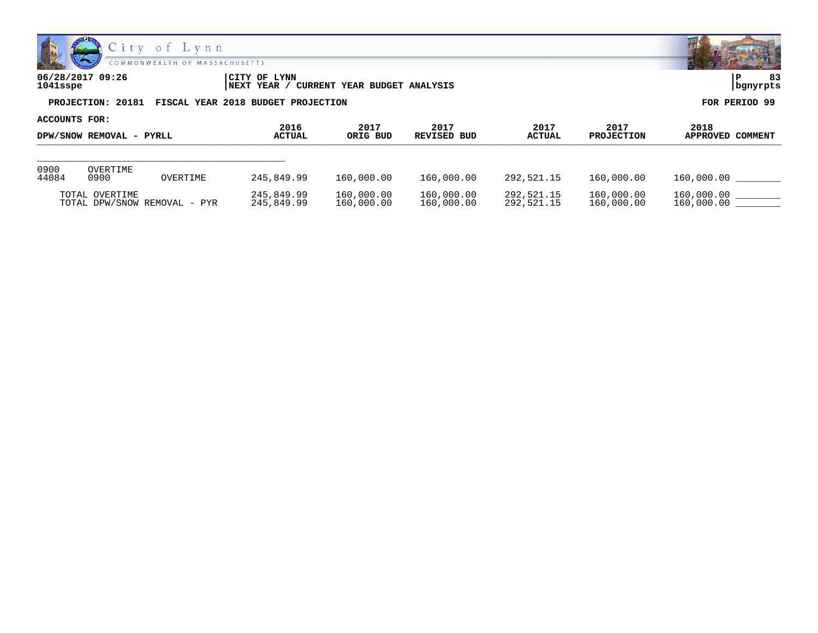

| 06/28/2017 09:26<br>$1041$ sspe | <b>CITY OF LYNN</b><br>NEXT YEAR / CURRENT YEAR BUDGET ANALYSIS | 83<br>  bgnyrpts |
|---------------------------------|-----------------------------------------------------------------|------------------|
|                                 | PROJECTION: 20181 FISCAL YEAR 2018 BUDGET PROJECTION            | FOR PERIOD 99    |
| ACCOUNTS FOR:                   |                                                                 |                  |

| DPW/SNOW REMOVAL - PYRLL |                  | 2016<br>ACTUAL               | 2017<br>ORIG BUD         | 2017<br>REVISED BUD      | 2017<br><b>ACTUAL</b>    | 2017<br><b>PROJECTION</b> | 2018<br>APPROVED COMMENT |                          |
|--------------------------|------------------|------------------------------|--------------------------|--------------------------|--------------------------|---------------------------|--------------------------|--------------------------|
|                          |                  |                              |                          |                          |                          |                           |                          |                          |
| 0900<br>44084            | OVERTIME<br>0900 | OVERTIME                     | 245,849.99               | 160,000.00               | 160,000.00               | 292.521.15                | 160,000.00               | 160,000.00               |
|                          | TOTAL OVERTIME   | TOTAL DPW/SNOW REMOVAL - PYR | 245,849.99<br>245,849.99 | 160,000.00<br>160,000.00 | 160,000.00<br>160,000.00 | 292,521.15<br>292,521.15  | 160,000.00<br>160,000.00 | 160,000.00<br>160,000.00 |

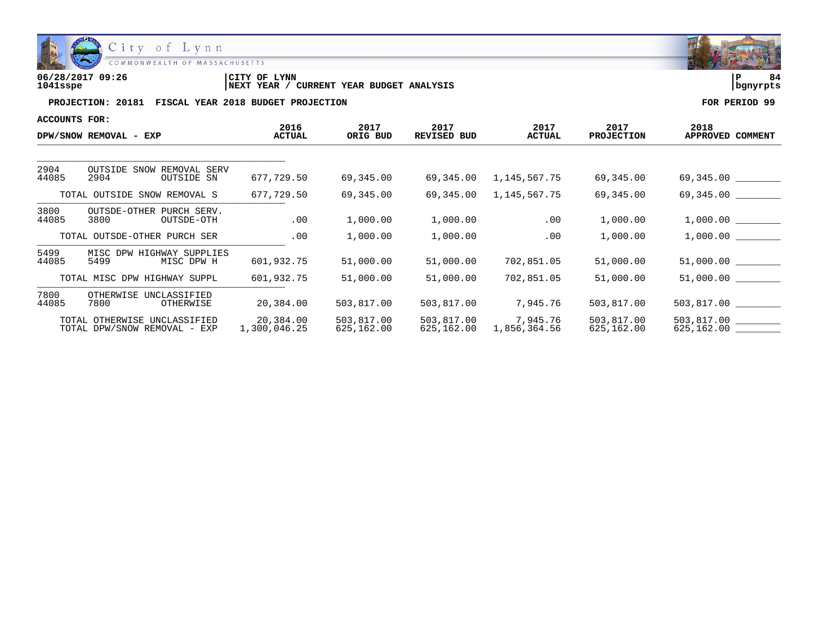

| 06/28/2017 09:26 | LYNN<br>CITY OF                                        | ם ו      |  |
|------------------|--------------------------------------------------------|----------|--|
| 1041sspe         | YEAR BUDGET ANALYSIS<br>CURRENT<br><b>YEAR</b><br>NEXT | banvrpts |  |

| ACCOUNTS FOR: |                                                              |                           |                          |                            |                          |                           |                                   |
|---------------|--------------------------------------------------------------|---------------------------|--------------------------|----------------------------|--------------------------|---------------------------|-----------------------------------|
|               | DPW/SNOW REMOVAL - EXP                                       | 2016<br><b>ACTUAL</b>     | 2017<br>ORIG BUD         | 2017<br><b>REVISED BUD</b> | 2017<br><b>ACTUAL</b>    | 2017<br><b>PROJECTION</b> | 2018<br>APPROVED COMMENT          |
|               |                                                              |                           |                          |                            |                          |                           |                                   |
| 2904<br>44085 | <b>OUTSIDE SNOW</b><br>REMOVAL SERV<br>2904<br>OUTSIDE SN    | 677,729.50                | 69,345.00                | 69,345.00                  | 1,145,567.75             | 69,345.00                 | 69,345.00                         |
|               | TOTAL OUTSIDE SNOW REMOVAL S                                 | 677,729.50                | 69,345.00                | 69,345.00                  | 1,145,567.75             | 69,345.00                 | 69,345.00                         |
| 3800<br>44085 | OUTSDE-OTHER PURCH SERV.<br>3800<br>OUTSDE-OTH               | .00                       | 1,000.00                 | 1,000.00                   | .00                      | 1,000.00                  | 1,000.00                          |
|               | TOTAL OUTSDE-OTHER PURCH SER                                 | .00                       | 1,000.00                 | 1,000.00                   | .00                      | 1,000.00                  | 1,000.00                          |
| 5499<br>44085 | MISC DPW HIGHWAY SUPPLIES<br>5499<br>MISC DPW H              | 601,932.75                | 51,000.00                | 51,000.00                  | 702,851.05               | 51,000.00                 | 51,000.00                         |
|               | TOTAL MISC DPW HIGHWAY SUPPL                                 | 601,932.75                | 51,000.00                | 51,000.00                  | 702,851.05               | 51,000.00                 | 51,000.00                         |
| 7800<br>44085 | OTHERWISE<br>UNCLASSIFIED<br>7800<br>OTHERWISE               | 20,384.00                 | 503,817.00               | 503,817.00                 | 7,945.76                 | 503,817.00                | 503,817.00                        |
|               | TOTAL OTHERWISE UNCLASSIFIED<br>TOTAL DPW/SNOW REMOVAL - EXP | 20,384.00<br>1,300,046.25 | 503,817.00<br>625,162.00 | 503,817.00<br>625,162.00   | 7,945.76<br>1,856,364.56 | 503,817.00<br>625,162.00  | 503,817.00 ________<br>625,162.00 |

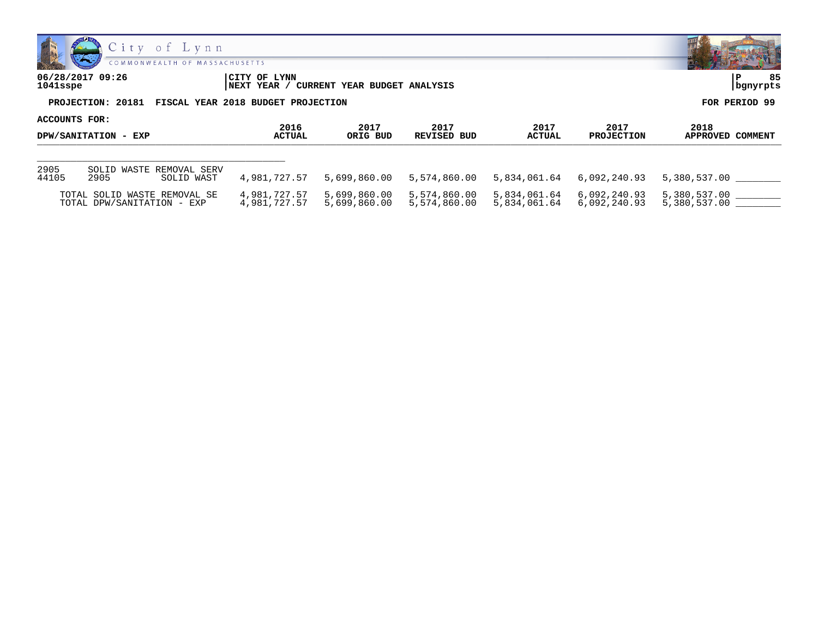



**06/28/2017 09:26 |CITY OF LYNN |P 85 1041sspe |NEXT YEAR / CURRENT YEAR BUDGET ANALYSIS |bgnyrpts PROJECTION: 20181 FISCAL YEAR 2018 BUDGET PROJECTION FOR PERIOD 99 ACCOUNTS FOR:**

| DPW/SANITATION - EXP |                                                | 2016          | 2017         | 2017         | 2017          | 2017              | 2018             |
|----------------------|------------------------------------------------|---------------|--------------|--------------|---------------|-------------------|------------------|
|                      |                                                | <b>ACTUAL</b> | ORIG BUD     | REVISED BUD  | <b>ACTUAL</b> | <b>PROJECTION</b> | APPROVED COMMENT |
| 2905<br>44105        | SOLID WASTE REMOVAL SERV<br>2905<br>SOLID WAST | 4,981,727.57  | 5,699,860.00 | 5,574,860.00 | 5,834,061.64  | 6,092,240.93      | 5,380,537.00     |
|                      | TOTAL SOLID WASTE REMOVAL SE                   | 4,981,727.57  | 5,699,860.00 | 5,574,860.00 | 5,834,061.64  | 6,092,240.93      | 5,380,537.00     |
|                      | TOTAL DPW/SANITATION - EXP                     | 4,981,727.57  | 5,699,860.00 | 5,574,860.00 | 5,834,061.64  | 6,092,240.93      | 5,380,537.00     |

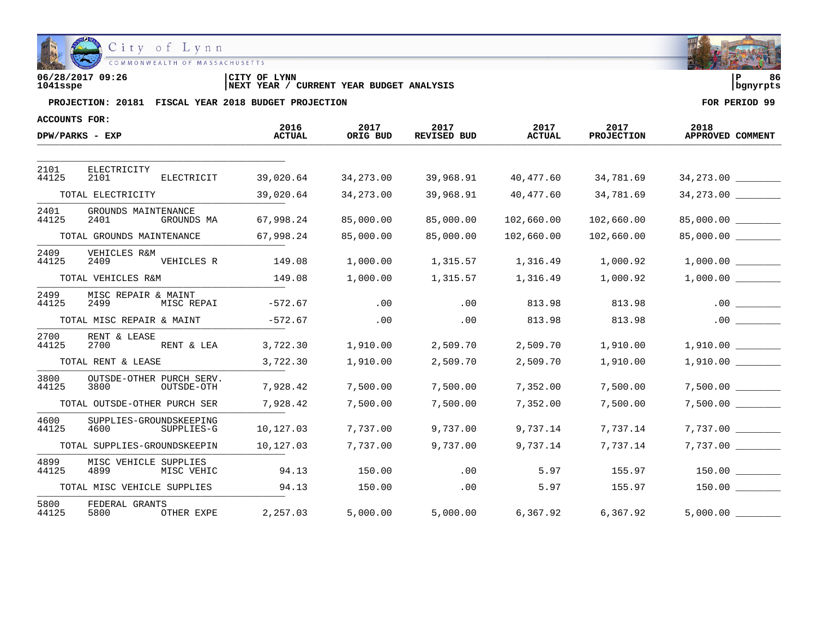

| 06/28/2017 09:26 | CITY OF LYNN                                      | ם ו        | 86 |
|------------------|---------------------------------------------------|------------|----|
| 1041sspe         | CURRENT YEAR BUDGET ANALYSIS<br><b>INEXT YEAR</b> | l banvrpts |    |

| <b>ACCOUNTS FOR:</b> |                                                |                       |                  |                            |                       |                           |                          |
|----------------------|------------------------------------------------|-----------------------|------------------|----------------------------|-----------------------|---------------------------|--------------------------|
|                      | DPW/PARKS - EXP                                | 2016<br><b>ACTUAL</b> | 2017<br>ORIG BUD | 2017<br><b>REVISED BUD</b> | 2017<br><b>ACTUAL</b> | 2017<br><b>PROJECTION</b> | 2018<br>APPROVED COMMENT |
|                      |                                                |                       |                  |                            |                       |                           |                          |
| 2101<br>44125        | ELECTRICITY<br>ELECTRICIT<br>2101              | 39,020.64             | 34,273.00        | 39,968.91                  | 40,477.60             | 34,781.69                 | 34,273.00                |
|                      | TOTAL ELECTRICITY                              | 39,020.64             | 34,273.00        | 39,968.91                  | 40,477.60             | 34,781.69                 | 34,273.00                |
| 2401<br>44125        | GROUNDS MAINTENANCE<br>2401<br>GROUNDS MA      | 67,998.24             | 85,000.00        | 85,000.00                  | 102,660.00            | 102,660.00                | 85,000.00                |
|                      | TOTAL GROUNDS MAINTENANCE                      | 67,998.24             | 85,000.00        | 85,000.00                  | 102,660.00            | 102,660.00                | 85,000.00                |
| 2409<br>44125        | VEHICLES R&M<br>2409<br>VEHICLES R             | 149.08                | 1,000.00         | 1,315.57                   | 1,316.49              | 1,000.92                  |                          |
|                      | TOTAL VEHICLES R&M                             | 149.08                | 1,000.00         | 1,315.57                   | 1,316.49              | 1,000.92                  | 1,000.00                 |
| 2499<br>44125        | MISC REPAIR & MAINT<br>2499<br>MISC REPAI      | $-572.67$             | .00              | .00                        | 813.98                | 813.98                    | .00                      |
|                      | TOTAL MISC REPAIR & MAINT                      | $-572.67$             | .00              | .00                        | 813.98                | 813.98                    | .00                      |
| 2700<br>44125        | RENT & LEASE<br>2700<br>RENT & LEA             | 3,722.30              | 1,910.00         | 2,509.70                   | 2,509.70              | 1,910.00                  | 1,910.00                 |
|                      | TOTAL RENT & LEASE                             | 3,722.30              | 1,910.00         | 2,509.70                   | 2,509.70              | 1,910.00                  | 1,910.00                 |
| 3800<br>44125        | OUTSDE-OTHER PURCH SERV.<br>3800<br>OUTSDE-OTH | 7,928.42              | 7,500.00         | 7,500.00                   | 7,352.00              | 7,500.00                  | $7,500.00$ _________     |
|                      | TOTAL OUTSDE-OTHER PURCH SER                   | 7,928.42              | 7,500.00         | 7,500.00                   | 7,352.00              | 7,500.00                  | 7,500.00                 |
| 4600<br>44125        | SUPPLIES-GROUNDSKEEPING<br>4600<br>SUPPLIES-G  | 10,127.03             | 7,737.00         | 9,737.00                   | 9,737.14              | 7,737.14                  |                          |
|                      | TOTAL SUPPLIES-GROUNDSKEEPIN                   | 10,127.03             | 7,737.00         | 9,737.00                   | 9,737.14              | 7,737.14                  | 7,737.00                 |
| 4899<br>44125        | MISC VEHICLE SUPPLIES<br>4899<br>MISC VEHIC    | 94.13                 | 150.00           | .00                        | 5.97                  | 155.97                    | 150.00                   |
|                      | TOTAL MISC VEHICLE SUPPLIES                    | 94.13                 | 150.00           | .00                        | 5.97                  | 155.97                    | 150.00                   |
| 5800<br>44125        | FEDERAL GRANTS<br>5800<br>OTHER EXPE           | 2,257.03              | 5,000.00         | 5,000.00                   | 6,367.92              | 6,367.92                  | 5,000.00                 |

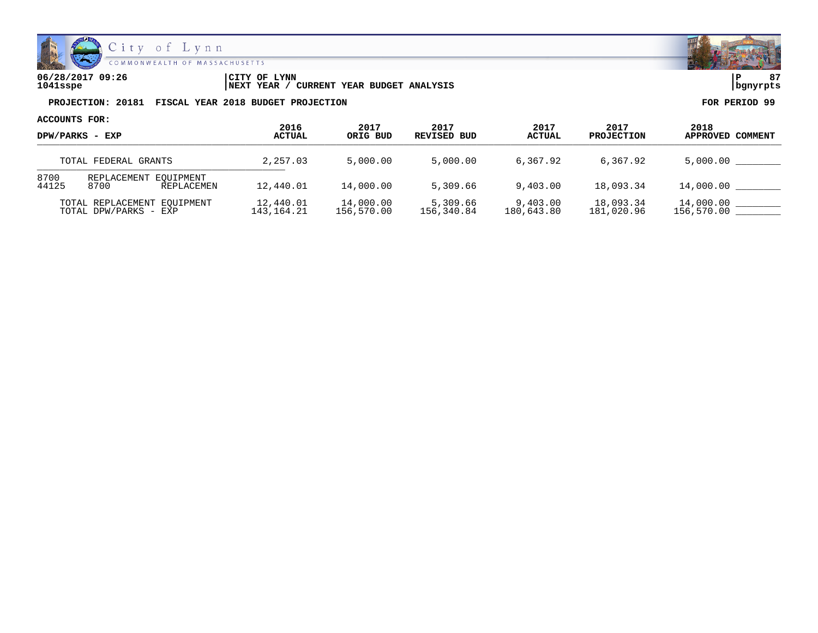

**06/28/2017 09:26 |CITY OF LYNN |P 87 1041sspe |NEXT YEAR / CURRENT YEAR BUDGET ANALYSIS |bgnyrpts**

**PROJECTION: 20181 FISCAL YEAR 2018 BUDGET PROJECTION FOR PERIOD 99**

**ACCOUNTS FOR:**

| DPW/PARKS - EXP<br>TOTAL FEDERAL GRANTS |                                                          | 2016<br><b>ACTUAL</b>   | 2017<br>ORIG BUD        | 2017<br>REVISED BUD    | 2017<br><b>ACTUAL</b>  | 2017<br><b>PROJECTION</b> | 2018<br>APPROVED COMMENT |
|-----------------------------------------|----------------------------------------------------------|-------------------------|-------------------------|------------------------|------------------------|---------------------------|--------------------------|
|                                         |                                                          | 2,257.03                | 5,000.00                | 5,000.00               | 6,367.92               | 6,367.92                  | 5,000.00                 |
| 8700<br>44125                           | REPLACEMENT EOUIPMENT<br>12,440.01<br>8700<br>REPLACEMEN |                         | 14,000.00               | 5,309.66               | 9,403.00               | 18,093.34                 | 14,000.00                |
|                                         | TOTAL REPLACEMENT EOUIPMENT<br>TOTAL DPW/PARKS - EXP     | 12,440.01<br>143,164.21 | 14,000.00<br>156,570.00 | 5,309.66<br>156,340.84 | 9,403.00<br>180,643.80 | 18,093.34<br>181,020.96   | 14,000.00<br>156,570.00  |

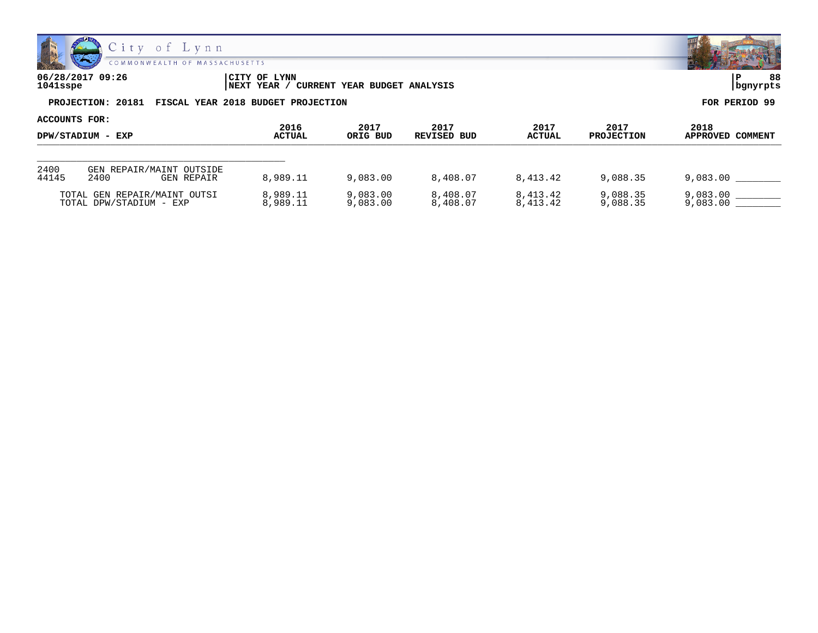

| 06/28/2017 09:26<br>1041sspe | ICITY OF LYNN<br>' CURRENT YEAR BUDGET ANALYSIS<br>INEXT YEAR / | 88<br>  bgnyrpts |
|------------------------------|-----------------------------------------------------------------|------------------|
|                              | PROJECTION: 20181 FISCAL YEAR 2018 BUDGET PROJECTION            | FOR PERIOD 99    |
| ACCOUNTS FOR:                | - - - -<br>- - - -<br>- - - -<br>- - - -                        | - - - -<br>----- |

| DPW/STADIUM - EXP |                                                | 2016          | 2017     | 2017        | 2017          | 2017              | 2018             |
|-------------------|------------------------------------------------|---------------|----------|-------------|---------------|-------------------|------------------|
|                   |                                                | <b>ACTUAL</b> | ORIG BUD | REVISED BUD | <b>ACTUAL</b> | <b>PROJECTION</b> | APPROVED COMMENT |
| 2400<br>44145     | GEN REPAIR/MAINT OUTSIDE<br>2400<br>GEN REPAIR | 8,989.11      | 9,083,00 | 8,408.07    | 8,413.42      | 9,088.35          | 9,083.00         |
|                   | TOTAL GEN REPAIR/MAINT OUTSI                   | 8,989.11      | 9,083.00 | 8,408.07    | 8,413.42      | 9,088.35          | 9,083.00         |
|                   | TOTAL DPW/STADIUM - EXP                        | 8,989.11      | 9,083.00 | 8,408.07    | 8,413.42      | 9,088.35          | 9,083.00         |

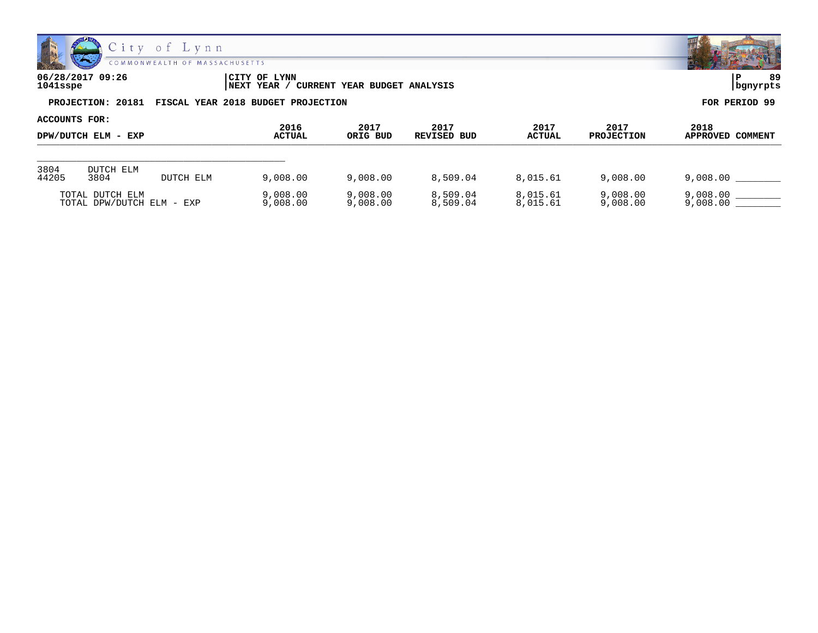

| 06/28/2017 09:26                                     | <b>CITY OF LYNN</b>                      | 89            |
|------------------------------------------------------|------------------------------------------|---------------|
| 1041sspe                                             | NEXT YEAR / CURRENT YEAR BUDGET ANALYSIS | bgnyrpts      |
| PROJECTION: 20181 FISCAL YEAR 2018 BUDGET PROJECTION |                                          | FOR PERIOD 99 |

| ACCOUNTS FOR:       |                                              |                       |                      |                      |                       |                           |                          |                      |
|---------------------|----------------------------------------------|-----------------------|----------------------|----------------------|-----------------------|---------------------------|--------------------------|----------------------|
| DPW/DUTCH ELM - EXP |                                              | 2016<br><b>ACTUAL</b> | 2017<br>ORIG BUD     | 2017<br>REVISED BUD  | 2017<br><b>ACTUAL</b> | 2017<br><b>PROJECTION</b> | 2018<br>APPROVED COMMENT |                      |
| 3804                | DUTCH ELM                                    |                       |                      |                      |                       |                           |                          |                      |
| 44205               | 3804                                         | DUTCH ELM             | 9,008.00             | 9,008.00             | 8,509.04              | 8,015.61                  | 9,008,00                 | 9,008.00             |
|                     | TOTAL DUTCH ELM<br>TOTAL DPW/DUTCH ELM - EXP |                       | 9,008.00<br>9,008.00 | 9,008.00<br>9,008.00 | 8,509.04<br>8,509.04  | 8,015.61<br>8,015.61      | 9,008.00<br>9,008.00     | 9,008.00<br>9,008.00 |

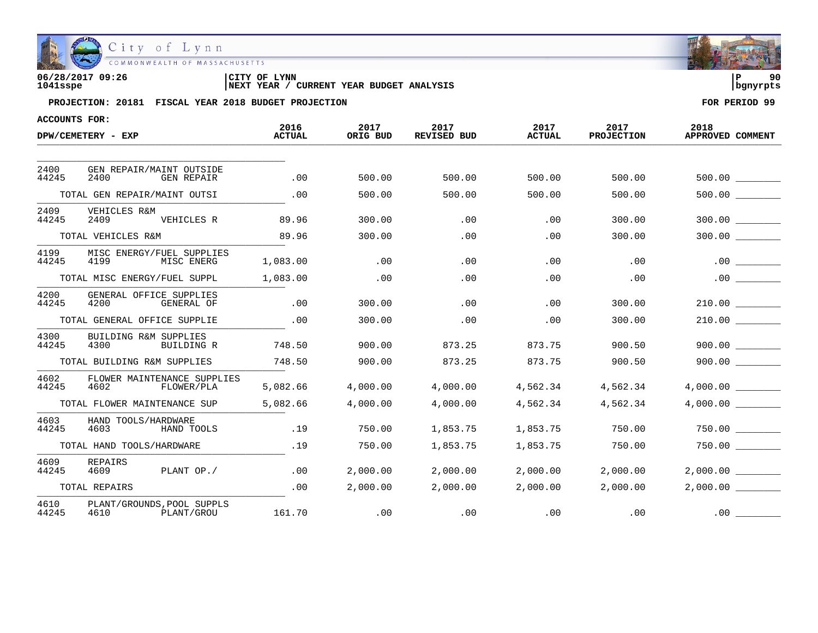

| 06/28/2017 09:26 | CITY OF<br><b>LYNN</b>                            |            | 90 |
|------------------|---------------------------------------------------|------------|----|
| 1041sspe         | CURRENT YEAR BUDGET ANALYSIS<br><b>INEXT YEAR</b> | l banvrpts |    |

| ACCOUNTS FOR: |                                                        | 2016          | 2017     | 2017               | 2017          | 2017              | 2018                |
|---------------|--------------------------------------------------------|---------------|----------|--------------------|---------------|-------------------|---------------------|
|               | DPW/CEMETERY - EXP                                     | <b>ACTUAL</b> | ORIG BUD | <b>REVISED BUD</b> | <b>ACTUAL</b> | <b>PROJECTION</b> | APPROVED COMMENT    |
|               |                                                        |               |          |                    |               |                   |                     |
| 2400<br>44245 | GEN REPAIR/MAINT OUTSIDE<br>2400<br><b>GEN REPAIR</b>  | .00           | 500.00   | 500.00             | 500.00        | 500.00            | 500.00              |
|               | TOTAL GEN REPAIR/MAINT OUTSI                           | .00           | 500.00   | 500.00             | 500.00        | 500.00            |                     |
| 2409<br>44245 | VEHICLES R&M<br>2409<br>VEHICLES R                     | 89.96         | 300.00   | .00                | .00           | 300.00            | 300.00              |
|               | TOTAL VEHICLES R&M                                     | 89.96         | 300.00   | .00                | .00           | 300.00            | 300.00              |
| 4199<br>44245 | MISC ENERGY/FUEL SUPPLIES<br>4199<br>MISC ENERG        | 1,083.00      | .00      | .00                | .00           | .00               | .00                 |
|               | TOTAL MISC ENERGY/FUEL SUPPL                           | 1,083.00      | .00      | .00                | .00           | .00               |                     |
| 4200<br>44245 | GENERAL OFFICE SUPPLIES<br>4200<br>GENERAL OF          | .00           | 300.00   | .00                | .00           | 300.00            | 210.00              |
|               | TOTAL GENERAL OFFICE SUPPLIE                           | .00           | 300.00   | .00                | .00           | 300.00            | 210.00              |
| 4300<br>44245 | <b>BUILDING R&amp;M SUPPLIES</b><br>4300<br>BUILDING R | 748.50        | 900.00   | 873.25             | 873.75        | 900.50            | 900.00              |
|               | TOTAL BUILDING R&M SUPPLIES                            | 748.50        | 900.00   | 873.25             | 873.75        | 900.50            | 900.00              |
| 4602<br>44245 | FLOWER MAINTENANCE SUPPLIES<br>4602<br>FLOWER/PLA      | 5,082.66      | 4,000.00 | 4,000.00           | 4,562.34      | 4,562.34          | 4,000.00            |
|               | TOTAL FLOWER MAINTENANCE SUP                           | 5,082.66      | 4,000.00 | 4,000.00           | 4,562.34      | 4,562.34          | 4,000.00            |
| 4603<br>44245 | HAND TOOLS/HARDWARE<br>4603<br>HAND TOOLS              | .19           | 750.00   | 1,853.75           | 1,853.75      | 750.00            | 750.00              |
|               | TOTAL HAND TOOLS/HARDWARE                              | .19           | 750.00   | 1,853.75           | 1,853.75      | 750.00            | 750.00              |
| 4609<br>44245 | REPAIRS<br>PLANT OP./<br>4609                          | .00           | 2,000.00 | 2,000.00           | 2,000.00      | 2,000.00          | $2,000.00$ ________ |
|               | TOTAL REPAIRS                                          | .00           | 2,000.00 | 2,000.00           | 2,000.00      | 2,000.00          | 2,000.00            |
| 4610<br>44245 | PLANT/GROUNDS, POOL SUPPLS<br>4610<br>PLANT/GROU       | 161.70        | .00      | .00                | .00           | .00               | .00                 |

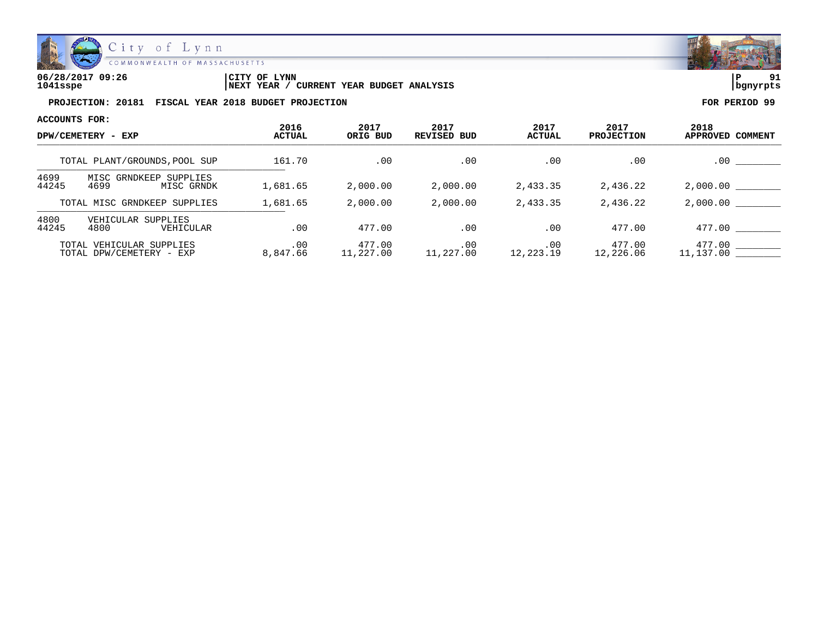

| 06/28/2017 09:26 | LYNN<br>'CITY OF                              | l P        | 01 |
|------------------|-----------------------------------------------|------------|----|
| 1041sspe         | YEAR BUDGET ANALYSIS<br>CURRENT<br>'NEXT YEAR | l banvrpts |    |

| ACCOUNTS FOR:                 |                                                      |                       |                     |                            |                       |                           |                          |
|-------------------------------|------------------------------------------------------|-----------------------|---------------------|----------------------------|-----------------------|---------------------------|--------------------------|
| DPW/CEMETERY - EXP            |                                                      | 2016<br><b>ACTUAL</b> | 2017<br>ORIG BUD    | 2017<br><b>REVISED BUD</b> | 2017<br><b>ACTUAL</b> | 2017<br><b>PROJECTION</b> | 2018<br>APPROVED COMMENT |
| TOTAL PLANT/GROUNDS, POOL SUP |                                                      | 161.70                | .00                 | .00                        | .00                   | .00                       | $.00 \,$                 |
| 4699<br>44245                 | MISC GRNDKEEP SUPPLIES<br>4699<br>MISC GRNDK         | 1,681.65              | 2,000.00            | 2,000.00                   | 2,433.35              | 2,436.22                  | 2,000.00                 |
|                               | TOTAL MISC GRNDKEEP SUPPLIES                         | 1,681.65              | 2,000.00            | 2,000.00                   | 2,433.35              | 2,436.22                  | 2,000.00                 |
| 4800<br>44245                 | VEHICULAR SUPPLIES<br>4800<br>VEHICULAR              | .00                   | 477.00              | .00                        | .00                   | 477.00                    | 477.00                   |
|                               | TOTAL VEHICULAR SUPPLIES<br>TOTAL DPW/CEMETERY - EXP | $.00 \,$<br>8,847.66  | 477.00<br>11,227.00 | .00<br>11,227.00           | .00<br>12,223.19      | 477.00<br>12,226.06       | 477.00<br>11,137.00      |

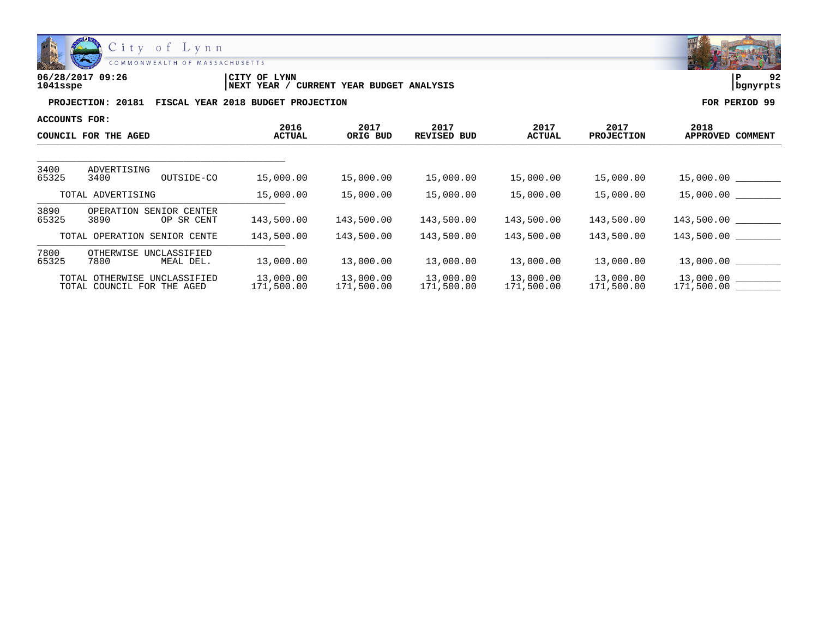

| 06/28/2017 09:26 | 'CITY OF<br><b>LYNN</b>                           | l P        | ດາ |
|------------------|---------------------------------------------------|------------|----|
| 1041sspe         | CURRENT YEAR BUDGET ANALYSIS<br><b>INEXT YEAR</b> | l banvrpts |    |

| ACCOUNTS FOR:        |                                                            |                         |                         |                         |                         |                           |                          |
|----------------------|------------------------------------------------------------|-------------------------|-------------------------|-------------------------|-------------------------|---------------------------|--------------------------|
| COUNCIL FOR THE AGED |                                                            | 2016<br><b>ACTUAL</b>   | 2017<br>ORIG BUD        | 2017<br>REVISED<br>BUD  | 2017<br><b>ACTUAL</b>   | 2017<br><b>PROJECTION</b> | 2018<br>APPROVED COMMENT |
| 3400                 | ADVERTISING                                                |                         |                         |                         |                         |                           |                          |
| 65325                | 3400<br>OUTSIDE-CO                                         | 15,000.00               | 15,000.00               | 15,000.00               | 15,000.00               | 15,000.00                 | 15,000.00                |
| TOTAL ADVERTISING    |                                                            | 15,000.00               | 15,000.00               | 15,000.00               | 15,000.00               | 15,000.00                 | 15,000.00                |
| 3890<br>65325        | OPERATION<br>SENIOR CENTER<br>3890<br>OP SR CENT           | 143,500.00              | 143,500.00              | 143,500.00              | 143,500.00              | 143,500.00                | 143,500.00               |
|                      | TOTAL OPERATION SENIOR CENTE                               | 143,500.00              | 143,500.00              | 143,500.00              | 143,500.00              | 143,500.00                | 143,500.00               |
| 7800<br>65325        | OTHERWISE<br>UNCLASSIFIED<br>7800<br>MEAL DEL.             | 13,000.00               | 13,000.00               | 13,000.00               | 13,000.00               | 13,000.00                 | 13,000.00                |
|                      | TOTAL OTHERWISE UNCLASSIFIED<br>TOTAL COUNCIL FOR THE AGED | 13,000.00<br>171,500.00 | 13,000.00<br>171,500.00 | 13,000.00<br>171,500.00 | 13,000.00<br>171,500.00 | 13,000.00<br>171,500.00   | 13,000.00<br>171,500.00  |

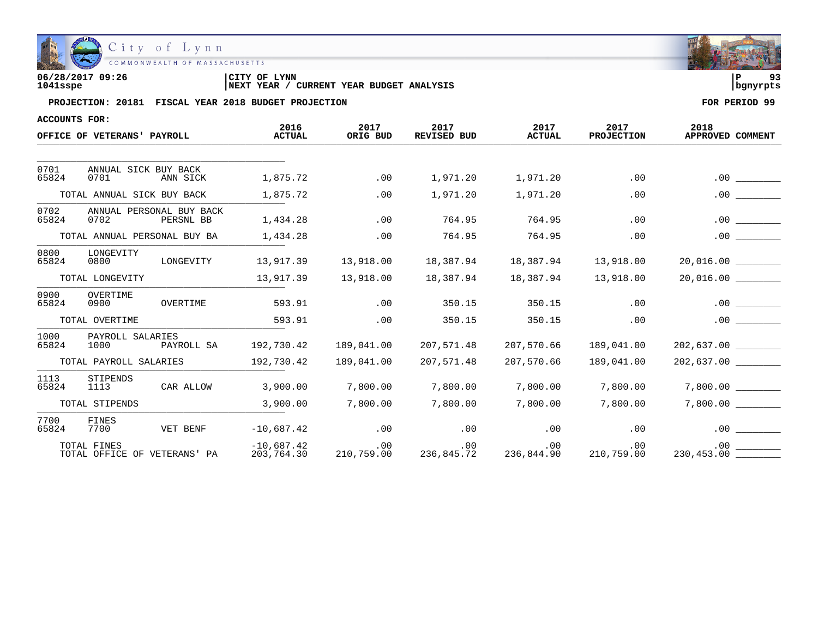

| 06/28/2017 09:26 | CITY OF LYNN                                           |          |  |
|------------------|--------------------------------------------------------|----------|--|
| 1041sspe         | YEAR BUDGET ANALYSIS<br>YEAR<br>CURRENT<br><b>NEXT</b> | banvrpts |  |

| ACCOUNTS FOR: |                                               |                            |                   |                                           |                       |                           |                          |
|---------------|-----------------------------------------------|----------------------------|-------------------|-------------------------------------------|-----------------------|---------------------------|--------------------------|
|               | OFFICE OF VETERANS' PAYROLL                   | 2016<br><b>ACTUAL</b>      | 2017<br>ORIG BUD  | 2017<br><b>REVISED BUD</b>                | 2017<br><b>ACTUAL</b> | 2017<br><b>PROJECTION</b> | 2018<br>APPROVED COMMENT |
|               |                                               |                            |                   |                                           |                       |                           |                          |
| 0701<br>65824 | ANNUAL SICK BUY BACK<br>0701<br>ANN SICK      | 1,875.72                   | .00               | 1,971.20                                  | 1,971.20              | .00                       | .00                      |
|               | TOTAL ANNUAL SICK BUY BACK                    | 1,875.72                   | .00               | 1,971.20                                  | 1,971.20              | .00                       | .00                      |
| 0702<br>65824 | ANNUAL PERSONAL BUY BACK<br>0702<br>PERSNL BB | 1,434.28                   | .00               | 764.95                                    | 764.95                | .00                       | .00                      |
|               | TOTAL ANNUAL PERSONAL BUY BA                  | 1,434.28                   | .00               | 764.95                                    | 764.95                | .00                       | .00                      |
| 0800<br>65824 | LONGEVITY<br>LONGEVITY<br>0800                | 13,917.39                  | 13,918.00         | 18,387.94                                 | 18,387.94             | 13,918.00                 |                          |
|               | TOTAL LONGEVITY                               | 13,917.39                  | 13,918.00         | 18,387.94                                 | 18,387.94             | 13,918.00                 |                          |
| 0900<br>65824 | OVERTIME<br>0900<br>OVERTIME                  | 593.91                     | .00               | 350.15                                    | 350.15                | .00                       | .00                      |
|               | TOTAL OVERTIME                                | 593.91                     | .00               | 350.15                                    | 350.15                | .00                       | .00                      |
| 1000<br>65824 | PAYROLL SALARIES<br>1000<br>PAYROLL SA        | 192,730.42                 | 189,041.00        | 207,571.48                                | 207,570.66            | 189,041.00                | 202,637.00               |
|               | TOTAL PAYROLL SALARIES                        | 192,730.42                 | 189,041.00        | 207,571.48                                | 207,570.66            | 189,041.00                |                          |
| 1113<br>65824 | STIPENDS<br>CAR ALLOW<br>1113                 | 3,900.00                   | 7,800.00          | 7,800.00                                  | 7,800.00              | 7,800.00                  | 7,800.00                 |
|               | TOTAL STIPENDS                                | 3,900.00                   | 7,800.00          | 7,800.00                                  | 7,800.00              | 7,800.00                  | 7,800.00                 |
| 7700<br>65824 | FINES<br>VET BENF<br>7700                     | $-10,687.42$               | .00               | .00                                       | .00                   | .00                       | .00                      |
|               | TOTAL FINES<br>TOTAL OFFICE OF VETERANS' PA   | $-10,687.42$<br>203,764.30 | .00<br>210,759.00 | .00<br>$236,845.\overline{72}$ 236,844.90 | .00                   | .00<br>210,759.00         | $.00 \,$<br>230, 453.00  |

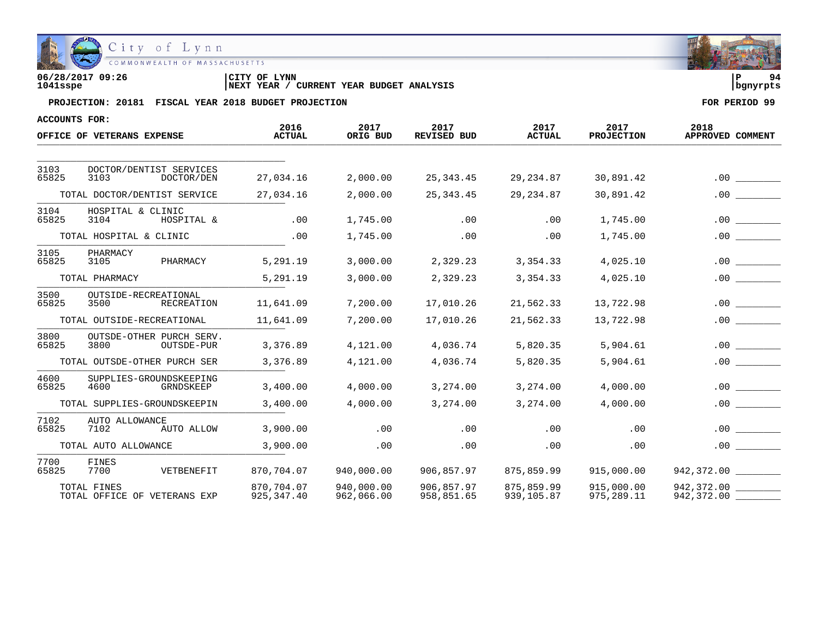

| 06/28/2017 09:26 | CITY OF LYNN                                      |            | ۹4 |
|------------------|---------------------------------------------------|------------|----|
| 1041sspe         | CURRENT YEAR BUDGET ANALYSIS<br><b>INEXT YEAR</b> | l banvrpts |    |

| <b>ACCOUNTS FOR:</b> |                                                       |                           |                          |                            |                          |                           |                                |
|----------------------|-------------------------------------------------------|---------------------------|--------------------------|----------------------------|--------------------------|---------------------------|--------------------------------|
|                      | OFFICE OF VETERANS EXPENSE                            | 2016<br><b>ACTUAL</b>     | 2017<br>ORIG BUD         | 2017<br><b>REVISED BUD</b> | 2017<br><b>ACTUAL</b>    | 2017<br><b>PROJECTION</b> | 2018<br>APPROVED COMMENT       |
|                      |                                                       |                           |                          |                            |                          |                           |                                |
| 3103<br>65825        | DOCTOR/DENTIST SERVICES<br>3103<br>DOCTOR/DEN         | 27,034.16                 | 2,000.00                 | 25, 343.45                 | 29, 234.87               | 30,891.42                 | .00                            |
|                      | TOTAL DOCTOR/DENTIST SERVICE                          | 27,034.16                 | 2,000.00                 | 25, 343.45                 | 29, 234.87               | 30,891.42                 | .00                            |
| 3104<br>65825        | HOSPITAL & CLINIC<br>3104<br>HOSPITAL &               | .00                       | 1,745.00                 | .00                        | .00                      | 1,745.00                  | .00                            |
|                      | TOTAL HOSPITAL & CLINIC                               | .00                       | 1,745.00                 | .00                        | .00                      | 1,745.00                  | .00                            |
| 3105<br>65825        | PHARMACY<br>3105<br>PHARMACY                          | 5,291.19                  | 3,000.00                 | 2,329.23                   | 3,354.33                 | 4,025.10                  | .00                            |
|                      | TOTAL PHARMACY                                        | 5,291.19                  | 3,000.00                 | 2,329.23                   | 3,354.33                 | 4,025.10                  | .00.                           |
| 3500<br>65825        | OUTSIDE-RECREATIONAL<br>3500<br><b>RECREATION</b>     | 11,641.09                 | 7,200.00                 | 17,010.26                  | 21,562.33                | 13,722.98                 | .00                            |
|                      | TOTAL OUTSIDE-RECREATIONAL                            | 11,641.09                 | 7,200.00                 | 17,010.26                  | 21,562.33                | 13,722.98                 | .00                            |
| 3800<br>65825        | OUTSDE-OTHER PURCH SERV.<br>3800<br><b>OUTSDE-PUR</b> | 3,376.89                  | 4,121.00                 | 4,036.74                   | 5,820.35                 | 5,904.61                  | .00                            |
|                      | TOTAL OUTSDE-OTHER PURCH SER                          | 3,376.89                  | 4,121.00                 | 4,036.74                   | 5,820.35                 | 5,904.61                  | .00.                           |
| 4600<br>65825        | SUPPLIES-GROUNDSKEEPING<br>4600<br>GRNDSKEEP          | 3,400.00                  | 4,000.00                 | 3,274.00                   | 3,274.00                 | 4,000.00                  | .00                            |
|                      | TOTAL SUPPLIES-GROUNDSKEEPIN                          | 3,400.00                  | 4,000.00                 | 3,274.00                   | 3,274.00                 | 4,000.00                  | .00.                           |
| 7102<br>65825        | AUTO ALLOWANCE<br>7102<br>AUTO ALLOW                  | 3,900.00                  | .00                      | .00                        | .00                      | .00                       | .00.                           |
|                      | TOTAL AUTO ALLOWANCE                                  | 3,900.00                  | .00                      | .00                        | .00                      | .00                       | .00                            |
| 7700<br>65825        | FINES<br>7700<br>VETBENEFIT                           | 870,704.07                | 940,000.00               | 906,857.97                 | 875,859.99               | 915,000.00                | 942,372.00                     |
|                      | TOTAL FINES<br>TOTAL OFFICE OF VETERANS EXP           | 870,704.07<br>925, 347.40 | 940,000.00<br>962,066.00 | 906,857.97<br>958,851.65   | 875,859.99<br>939,105.87 | 915,000.00<br>975, 289.11 | 942,372.00<br>942,372.00 _____ |

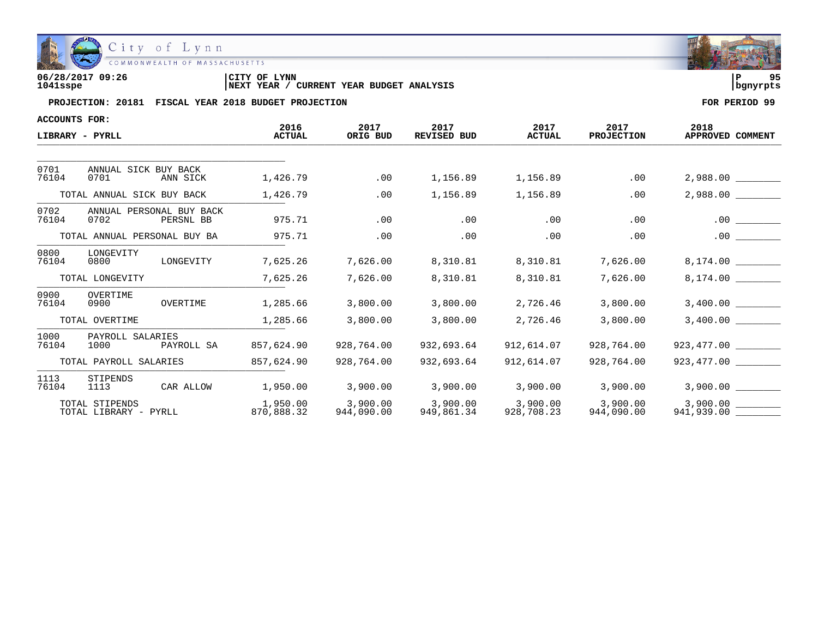

| 06/28/2017 09:26 | CITY OF LYNN                                      | l P        | $\Omega$ |
|------------------|---------------------------------------------------|------------|----------|
| 1041sspe         | CURRENT YEAR BUDGET ANALYSIS<br><b>INEXT YEAR</b> | l banvrpts |          |

| ACCOUNTS FOR: |                                         |                                       |                        |                        |                            |                        |                           |                          |
|---------------|-----------------------------------------|---------------------------------------|------------------------|------------------------|----------------------------|------------------------|---------------------------|--------------------------|
|               | LIBRARY - PYRLL                         |                                       | 2016<br><b>ACTUAL</b>  | 2017<br>ORIG BUD       | 2017<br><b>REVISED BUD</b> | 2017<br><b>ACTUAL</b>  | 2017<br><b>PROJECTION</b> | 2018<br>APPROVED COMMENT |
|               |                                         |                                       |                        |                        |                            |                        |                           |                          |
| 0701<br>76104 | ANNUAL SICK BUY BACK<br>0701            | ANN SICK                              | 1,426.79               | .00                    | 1,156.89                   | 1,156.89               | .00                       | 2,988.00                 |
|               | TOTAL ANNUAL SICK BUY BACK              |                                       | 1,426.79               | .00                    | 1,156.89                   | 1,156.89               | .00                       | 2,988.00                 |
| 0702<br>76104 | 0702                                    | ANNUAL PERSONAL BUY BACK<br>PERSNL BB | 975.71                 | .00                    | .00                        | .00                    | .00                       | .00                      |
|               | TOTAL ANNUAL PERSONAL BUY BA            |                                       | 975.71                 | .00                    | .00                        | .00                    | .00                       | .00                      |
| 0800<br>76104 | LONGEVITY<br>0800                       | LONGEVITY                             | 7,625.26               | 7,626.00               | 8,310.81                   | 8,310.81               | 7,626.00                  | 8,174.00                 |
|               | TOTAL LONGEVITY                         |                                       | 7,625.26               | 7,626.00               | 8,310.81                   | 8,310.81               | 7,626.00                  | 8,174.00                 |
| 0900<br>76104 | OVERTIME<br>0900                        | OVERTIME                              | 1,285.66               | 3,800.00               | 3,800.00                   | 2,726.46               | 3,800.00                  |                          |
|               | TOTAL OVERTIME                          |                                       | 1,285.66               | 3,800.00               | 3,800.00                   | 2,726.46               | 3,800.00                  | 3,400.00                 |
| 1000<br>76104 | PAYROLL SALARIES<br>1000                | PAYROLL SA                            | 857,624.90             | 928,764.00             | 932,693.64                 | 912,614.07             | 928,764.00                | 923,477.00               |
|               | TOTAL PAYROLL SALARIES                  |                                       | 857,624.90             | 928,764.00             | 932,693.64                 | 912,614.07             | 928,764.00                | 923,477.00               |
| 1113<br>76104 | STIPENDS<br>1113                        | CAR ALLOW                             | 1,950.00               | 3,900.00               | 3,900.00                   | 3,900.00               | 3,900.00                  | 3,900.00                 |
|               | TOTAL STIPENDS<br>TOTAL LIBRARY - PYRLL |                                       | 1,950.00<br>870,888.32 | 3,900.00<br>944,090.00 | 3,900,00<br>949,861.34     | 3,900.00<br>928,708.23 | 3,900.00<br>944,090.00    | 3,900.00<br>941,939.00   |

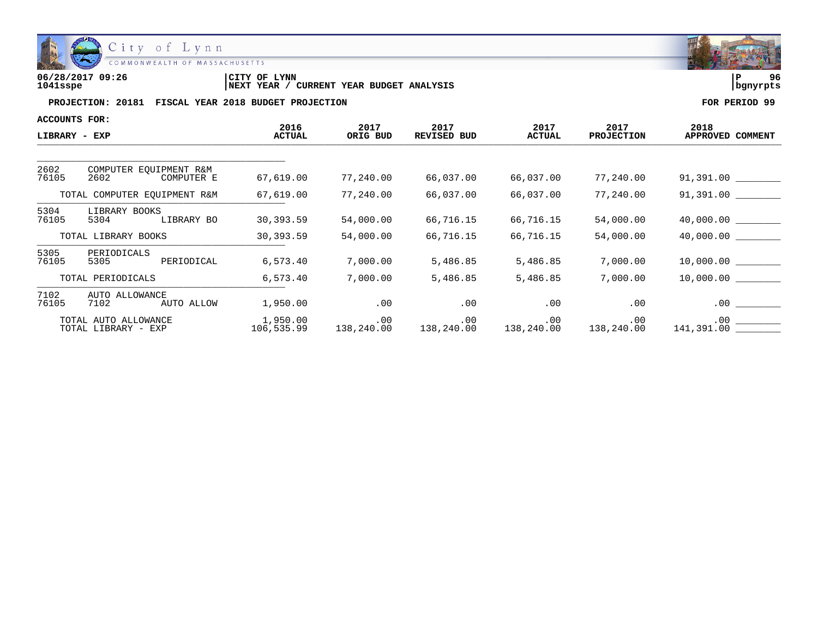

| 06/28/2017 09:26 | <b>LYNN</b><br>'CITY OF                    | i P      | 96 |
|------------------|--------------------------------------------|----------|----|
| 1041sspe         | CURRENT YEAR BUDGET ANALYSIS<br>'NEXT YEAR | banvrpts |    |

| <b>ACCOUNTS FOR:</b>         |                                             |                       |                              |                            |                       |                           |                              |
|------------------------------|---------------------------------------------|-----------------------|------------------------------|----------------------------|-----------------------|---------------------------|------------------------------|
| LIBRARY - EXP                |                                             | 2016<br><b>ACTUAL</b> | 2017<br>ORIG BUD             | 2017<br><b>REVISED BUD</b> | 2017<br><b>ACTUAL</b> | 2017<br><b>PROJECTION</b> | 2018<br>APPROVED COMMENT     |
| 2602                         | COMPUTER EOUIPMENT R&M                      |                       |                              |                            |                       |                           |                              |
| 76105                        | 2602<br>COMPUTER E                          | 67,619.00             | 77,240.00                    | 66,037.00                  | 66,037.00             | 77,240.00                 | 91,391.00 _________          |
| TOTAL COMPUTER EOUIPMENT R&M |                                             | 67,619.00             | 77,240.00                    | 66,037.00                  | 66,037.00             | 77,240.00                 | 91,391.00                    |
| 5304<br>76105                | LIBRARY BOOKS<br>LIBRARY BO<br>5304         | 30,393.59             | 54,000.00                    | 66,716.15                  | 66,716.15             | 54,000.00                 |                              |
|                              | TOTAL LIBRARY BOOKS                         | 30,393.59             | 54,000.00                    | 66,716.15                  | 66,716.15             | 54,000.00                 | 40,000.00                    |
| 5305<br>76105                | PERIODICALS<br>PERIODICAL<br>5305           | 6,573.40              | 7,000.00                     | 5,486.85                   | 5,486.85              | 7,000.00                  |                              |
|                              | TOTAL PERIODICALS                           | 6,573.40              | 7,000.00                     | 5,486.85                   | 5,486.85              | 7,000.00                  | 10,000.00                    |
| 7102<br>76105                | AUTO ALLOWANCE<br>7102<br>AUTO ALLOW        | 1,950.00              | .00                          | .00                        | .00                   | .00                       | $.00$ $\qquad \qquad \qquad$ |
|                              | TOTAL AUTO ALLOWANCE<br>TOTAL LIBRARY - EXP | 1,950.00              | .00<br>106,535.99 138,240.00 | $.00\,$                    | .00                   | $.00 \,$                  |                              |

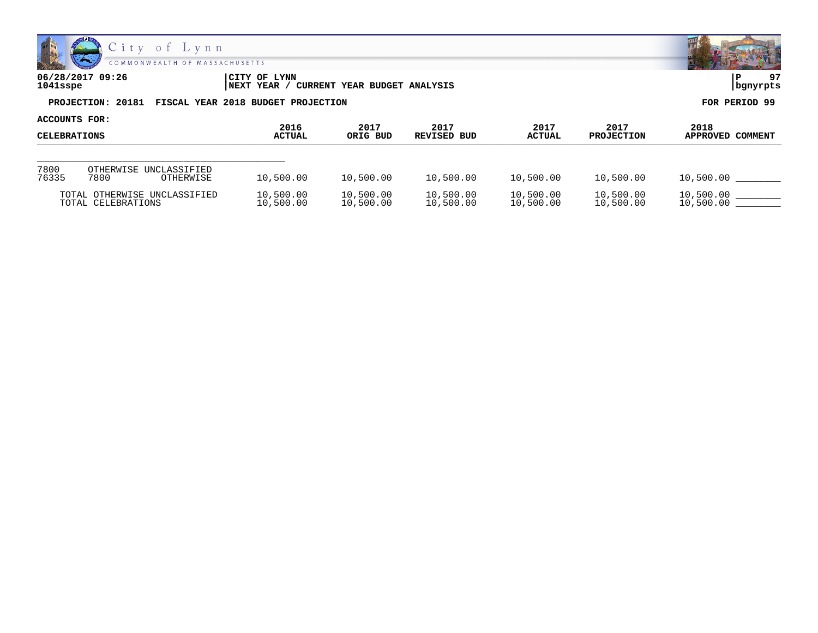

| 06/28/2017 09:26 | CITY OF LYNN                                         | 97            |
|------------------|------------------------------------------------------|---------------|
| 1041sspe         | NEXT YEAR / CURRENT YEAR BUDGET ANALYSIS             | bgnyrpts      |
|                  | PROJECTION: 20181 FISCAL YEAR 2018 BUDGET PROJECTION | FOR PERIOD 99 |

| <b>ACCOUNTS FOR:</b><br><b>CELEBRATIONS</b> |                                                    |                        |                        |                        |                        |                           |                          |
|---------------------------------------------|----------------------------------------------------|------------------------|------------------------|------------------------|------------------------|---------------------------|--------------------------|
|                                             |                                                    | 2016<br><b>ACTUAL</b>  | 2017<br>ORIG BUD       | 2017<br>REVISED BUD    | 2017<br><b>ACTUAL</b>  | 2017<br><b>PROJECTION</b> | 2018<br>APPROVED COMMENT |
|                                             |                                                    |                        |                        |                        |                        |                           |                          |
| 7800<br>76335                               | OTHERWISE UNCLASSIFIED<br>7800<br>OTHERWISE        | 10,500.00              | 10,500.00              | 10,500.00              | 10,500.00              | 10,500.00                 | 10,500.00                |
|                                             | TOTAL OTHERWISE UNCLASSIFIED<br>TOTAL CELEBRATIONS | 10,500.00<br>10,500.00 | 10,500.00<br>10,500.00 | 10,500.00<br>10,500.00 | 10,500.00<br>10,500.00 | 10,500.00<br>10,500.00    | 10,500.00<br>10,500.00   |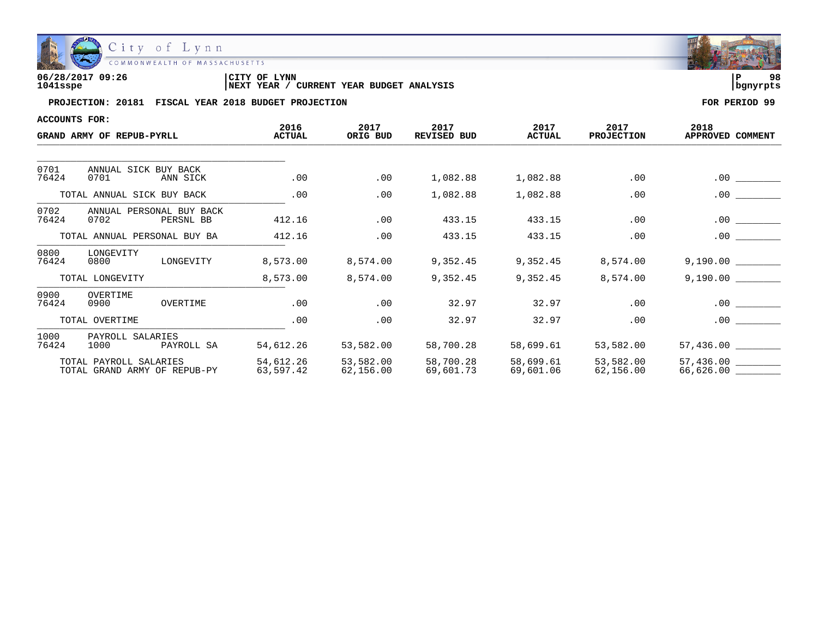

| 06/28/2017 09:26 | <b>LYNN</b>                                          | 98       |  |
|------------------|------------------------------------------------------|----------|--|
|                  | CITY OF                                              | ם י      |  |
| 1041sspe         | YEAR BUDGET ANALYSIS<br><b>INEXT YEAR</b><br>CURRENT | banvrpts |  |

| ACCOUNTS FOR:<br>GRAND ARMY OF REPUB-PYRLL |                                                        |                        | 2017<br>ORIG BUD       | 2017<br>REVISED BUD    | 2017<br><b>ACTUAL</b>  | 2017<br><b>PROJECTION</b> |                          |
|--------------------------------------------|--------------------------------------------------------|------------------------|------------------------|------------------------|------------------------|---------------------------|--------------------------|
|                                            |                                                        | 2016<br><b>ACTUAL</b>  |                        |                        |                        |                           | 2018<br>APPROVED COMMENT |
|                                            |                                                        |                        |                        |                        |                        |                           |                          |
| 0701<br>76424                              | ANNUAL SICK BUY BACK<br>0701<br>ANN SICK               | .00                    | .00                    | 1,082.88               | 1,082.88               | .00                       | $.00 \,$                 |
|                                            | TOTAL ANNUAL SICK BUY BACK                             | .00                    | .00                    | 1,082.88               | 1,082.88               | .00                       | .00                      |
| 0702<br>76424                              | ANNUAL PERSONAL BUY BACK<br>0702<br>PERSNL BB          | 412.16                 | .00                    | 433.15                 | 433.15                 | .00                       | .00                      |
|                                            | TOTAL ANNUAL PERSONAL BUY BA                           | 412.16                 | .00                    | 433.15                 | 433.15                 | .00                       | .00                      |
| 0800<br>76424                              | LONGEVITY<br>0800<br>LONGEVITY                         | 8,573.00               | 8,574.00               | 9,352.45               | 9,352.45               | 8,574.00                  |                          |
|                                            | TOTAL LONGEVITY                                        | 8,573.00               | 8,574.00               | 9,352.45               | 9,352.45               | 8,574.00                  | 9,190.00                 |
| 0900<br>76424                              | OVERTIME<br>OVERTIME<br>0900                           | .00                    | .00                    | 32.97                  | 32.97                  | .00                       | .00                      |
|                                            | TOTAL OVERTIME                                         | .00                    | .00                    | 32.97                  | 32.97                  | .00                       | .00                      |
| 1000<br>76424                              | PAYROLL SALARIES<br>1000<br>PAYROLL SA                 | 54,612.26              | 53,582.00              | 58,700.28              | 58,699.61              | 53,582.00                 | 57,436.00                |
|                                            | TOTAL PAYROLL SALARIES<br>TOTAL GRAND ARMY OF REPUB-PY | 54,612.26<br>63,597.42 | 53,582.00<br>62,156.00 | 58,700.28<br>69,601.73 | 58,699.61<br>69,601.06 | 53,582.00<br>62,156.00    | 57,436.00<br>66,626.00   |

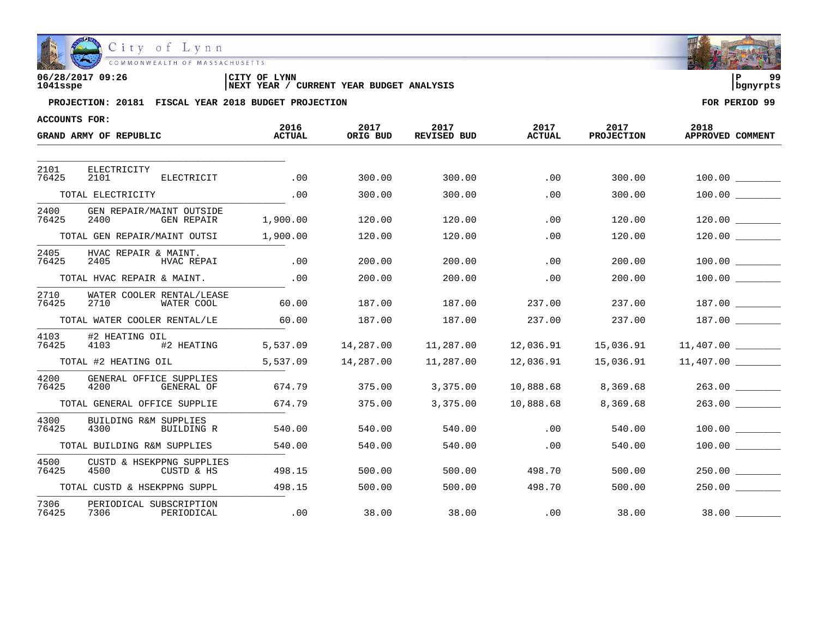

| 06/28/2017 09:26 | CITY OF LYNN                                      |            | ه ه |
|------------------|---------------------------------------------------|------------|-----|
| 1041sspe         | CURRENT YEAR BUDGET ANALYSIS<br><b>INEXT YEAR</b> | l banvrpts |     |

| ACCOUNTS FOR: |                                                        |                       |                  |                            |                       |                           |                          |
|---------------|--------------------------------------------------------|-----------------------|------------------|----------------------------|-----------------------|---------------------------|--------------------------|
|               | GRAND ARMY OF REPUBLIC                                 | 2016<br><b>ACTUAL</b> | 2017<br>ORIG BUD | 2017<br><b>REVISED BUD</b> | 2017<br><b>ACTUAL</b> | 2017<br><b>PROJECTION</b> | 2018<br>APPROVED COMMENT |
| 2101          | ELECTRICITY                                            |                       |                  |                            |                       |                           |                          |
| 76425         | 2101<br>ELECTRICIT                                     | .00                   | 300.00           | 300.00                     | .00                   | 300.00                    |                          |
|               | TOTAL ELECTRICITY                                      | .00                   | 300.00           | 300.00                     | .00                   | 300.00                    |                          |
| 2400<br>76425 | GEN REPAIR/MAINT OUTSIDE<br>2400<br>GEN REPAIR         | 1,900.00              | 120.00           | 120.00                     | .00                   | 120.00                    | 120.00                   |
|               | TOTAL GEN REPAIR/MAINT OUTSI                           | 1,900.00              | 120.00           | 120.00                     | .00                   | 120.00                    |                          |
| 2405<br>76425 | HVAC REPAIR & MAINT.<br>2405<br>HVAC REPAI             | .00                   | 200.00           | 200.00                     | .00                   | 200.00                    | 100.00                   |
|               | TOTAL HVAC REPAIR & MAINT.                             | .00                   | 200.00           | 200.00                     | .00                   | 200.00                    |                          |
| 2710<br>76425 | WATER COOLER RENTAL/LEASE<br>2710<br>WATER COOL        | 60.00                 | 187.00           | 187.00                     | 237.00                | 237.00                    |                          |
|               | TOTAL WATER COOLER RENTAL/LE                           | 60.00                 | 187.00           | 187.00                     | 237.00                | 237.00                    | 187.00                   |
| 4103<br>76425 | #2 HEATING OIL<br>#2 HEATING<br>4103                   | 5,537.09              | 14,287.00        | 11,287.00                  | 12,036.91             | 15,036.91                 |                          |
|               | TOTAL #2 HEATING OIL                                   | 5,537.09              | 14,287.00        | 11,287.00                  | 12,036.91             | 15,036.91                 | 11,407.00                |
| 4200<br>76425 | GENERAL OFFICE SUPPLIES<br>4200<br>GENERAL OF          | 674.79                | 375.00           | 3,375.00                   | 10,888.68             | 8,369.68                  | 263.00                   |
|               | TOTAL GENERAL OFFICE SUPPLIE                           | 674.79                | 375.00           | 3,375.00                   | 10,888.68             | 8,369.68                  | 263.00                   |
| 4300<br>76425 | <b>BUILDING R&amp;M SUPPLIES</b><br>4300<br>BUILDING R | 540.00                | 540.00           | 540.00                     | .00                   | 540.00                    | 100.00                   |
|               | TOTAL BUILDING R&M SUPPLIES                            | 540.00                | 540.00           | 540.00                     | .00                   | 540.00                    |                          |
| 4500<br>76425 | CUSTD & HSEKPPNG SUPPLIES<br>4500<br>CUSTD & HS        | 498.15                | 500.00           | 500.00                     | 498.70                | 500.00                    | 250.00                   |
|               | TOTAL CUSTD & HSEKPPNG SUPPL                           | 498.15                | 500.00           | 500.00                     | 498.70                | 500.00                    | 250.00                   |
| 7306<br>76425 | PERIODICAL SUBSCRIPTION<br>7306<br>PERIODICAL          | .00                   | 38.00            | 38.00                      | .00                   | 38.00                     | 38.00                    |

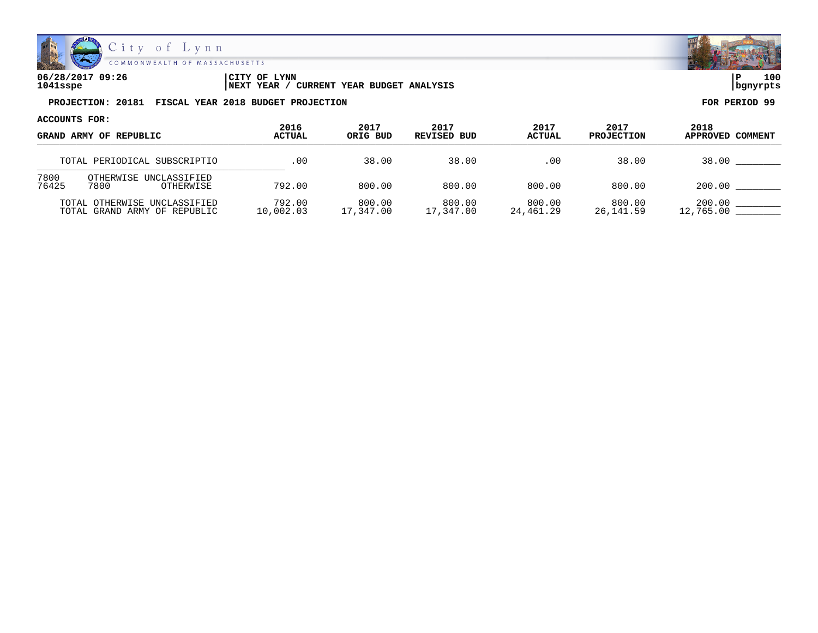

| 06/28/2017 09:26 | 'CITY OF<br><b>LYNN</b>                                  | 100<br>∣P  |
|------------------|----------------------------------------------------------|------------|
| 1041sspe         | <b>CURRENT YEAR BUDGET ANALYSIS</b><br><b>INEXT YEAR</b> | l banvrpts |

| ACCOUNTS FOR:                                                | 2016                | 2017                | 2017                | 2017                | 2017                |                          |
|--------------------------------------------------------------|---------------------|---------------------|---------------------|---------------------|---------------------|--------------------------|
| GRAND ARMY OF REPUBLIC                                       | <b>ACTUAL</b>       | ORIG BUD            | REVISED BUD         | <b>ACTUAL</b>       | <b>PROJECTION</b>   | 2018<br>APPROVED COMMENT |
| TOTAL PERIODICAL SUBSCRIPTIO                                 | .00                 | 38.00               | 38.00               | .00                 | 38.00               | 38.00                    |
| 7800<br>OTHERWISE UNCLASSIFIED<br>76425<br>7800<br>OTHERWISE | 792.00              | 800.00              | 800.00              | 800.00              | 800.00              | 200.00                   |
| TOTAL OTHERWISE UNCLASSIFIED<br>TOTAL GRAND ARMY OF REPUBLIC | 792.00<br>10,002.03 | 800.00<br>17,347.00 | 800.00<br>17,347.00 | 800.00<br>24,461.29 | 800.00<br>26,141.59 | 200.00<br>12,765.00      |

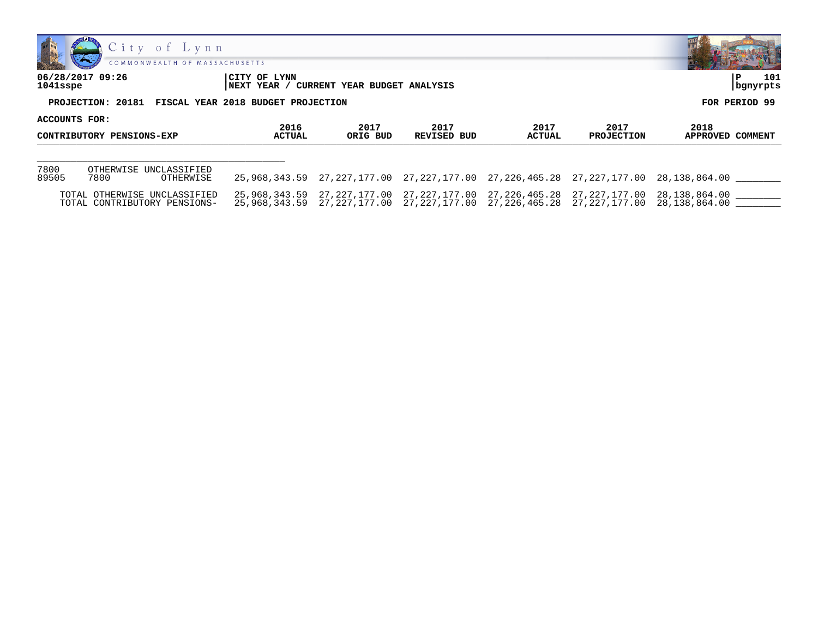



**06/28/2017 09:26 |CITY OF LYNN |P 101**

**1041sspe |NEXT YEAR / CURRENT YEAR BUDGET ANALYSIS |bgnyrpts**

| ACCOUNTS FOR:<br>CONTRIBUTORY PENSIONS-EXP |                                                              |                       |                  |                     |                       |                                                                                                                                                                            |                          |
|--------------------------------------------|--------------------------------------------------------------|-----------------------|------------------|---------------------|-----------------------|----------------------------------------------------------------------------------------------------------------------------------------------------------------------------|--------------------------|
|                                            |                                                              | 2016<br><b>ACTUAL</b> | 2017<br>ORIG BUD | 2017<br>REVISED BUD | 2017<br><b>ACTUAL</b> | 2017<br><b>PROJECTION</b>                                                                                                                                                  | 2018<br>APPROVED COMMENT |
|                                            |                                                              |                       |                  |                     |                       |                                                                                                                                                                            |                          |
| 7800<br>89505                              | OTHERWISE UNCLASSIFIED<br>7800<br>OTHERWISE                  |                       |                  |                     |                       | 25,968,343.59 27,227,177.00 27,227,177.00 27,226,465.28 27,227,177.00 28,138,864.00                                                                                        |                          |
|                                            | TOTAL OTHERWISE UNCLASSIFIED<br>TOTAL CONTRIBUTORY PENSIONS- |                       |                  |                     |                       | 25,968,343.59 27,227,177.00 27,227,177.00 27,226,465.28 27,227,177.00 28,138,864.00<br>25,968,343.59 27,227,177.00 27,227,177.00 27,226,465.28 27,227,177.00 28,138,864.00 |                          |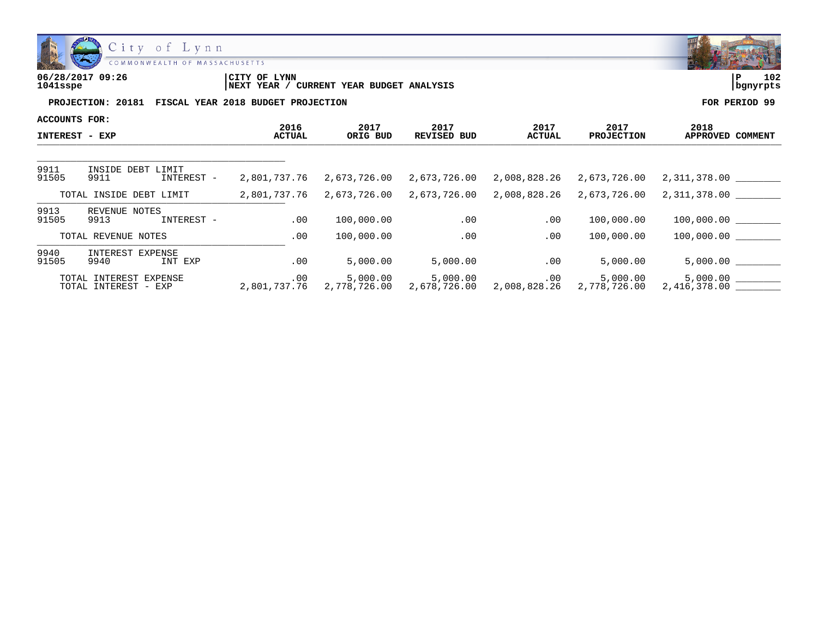

| 06/28/2017 09:26 | CITY OF LYNN                                         |          | 102 |
|------------------|------------------------------------------------------|----------|-----|
| 1041sspe         | / CURRENT YEAR BUDGET ANALYSIS<br><b>NEXT YEAR</b> / | bgnyrpts |     |
|                  |                                                      |          |     |

| ACCOUNTS FOR:         |                                                |                |                  |                     |                |                           |                                                                                                  |
|-----------------------|------------------------------------------------|----------------|------------------|---------------------|----------------|---------------------------|--------------------------------------------------------------------------------------------------|
| <b>INTEREST - EXP</b> |                                                | 2016<br>ACTUAL | 2017<br>ORIG BUD | 2017<br>REVISED BUD | 2017<br>ACTUAL | 2017<br><b>PROJECTION</b> | 2018<br>APPROVED COMMENT                                                                         |
|                       |                                                |                |                  |                     |                |                           |                                                                                                  |
| 9911<br>91505         | INSIDE DEBT LIMIT<br>9911<br>INTEREST -        | 2,801,737.76   | 2,673,726.00     | 2,673,726.00        | 2,008,828.26   | 2,673,726.00              | 2,311,378.00                                                                                     |
|                       | TOTAL INSIDE DEBT LIMIT                        | 2,801,737.76   | 2,673,726.00     | 2,673,726.00        |                | 2,008,828.26 2,673,726.00 | 2,311,378.00                                                                                     |
| 9913<br>91505         | REVENUE NOTES<br>9913<br>INTEREST -            | .00            | 100,000.00       | .00                 | $.00 \,$       | 100,000.00                | 100,000.00                                                                                       |
|                       | TOTAL REVENUE NOTES                            | .00            | 100,000.00       | .00                 | .00            | 100,000.00                | 100,000.00                                                                                       |
| 9940<br>91505         | INTEREST EXPENSE<br>9940<br>INT EXP            | .00            | 5,000.00         | 5,000.00            | $.00 \,$       | 5,000.00                  | 5,000.00                                                                                         |
|                       | TOTAL INTEREST EXPENSE<br>TOTAL INTEREST - EXP | .00            | 5,000.00         | 5,000.00            | .00            | 5,000.00                  | $2,801,737.76$ $2,778,726.00$ $2,678,726.00$ $2,008,828.26$ $2,778,726.00$ $2,416,378.00$ $\_\_$ |

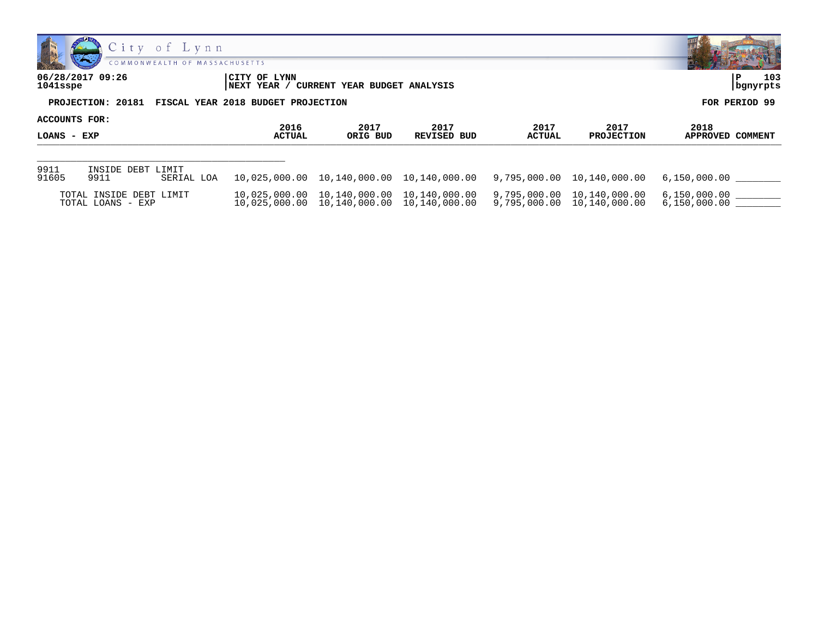



| 06/28/2017 09:26 | CITY OF LYNN                                         | CURRENT YEAR BUDGET ANALYSIS | 103           |
|------------------|------------------------------------------------------|------------------------------|---------------|
| 1041sspe         | <b>INEXT YEAR</b>                                    |                              | bgnyrpts      |
|                  | PROJECTION: 20181 FISCAL YEAR 2018 BUDGET PROJECTION |                              | FOR PERIOD 99 |

| <b>ACCOUNTS FOR:</b> |                                              |                       | 2017                                            | 2017        | 2017          | 2017                                                                                          |                              |
|----------------------|----------------------------------------------|-----------------------|-------------------------------------------------|-------------|---------------|-----------------------------------------------------------------------------------------------|------------------------------|
| <b>LOANS - EXP</b>   |                                              | 2016<br><b>ACTUAL</b> | ORIG BUD                                        | REVISED BUD | <b>ACTUAL</b> | <b>PROJECTION</b>                                                                             | 2018<br>APPROVED COMMENT     |
|                      |                                              |                       |                                                 |             |               |                                                                                               |                              |
| 9911<br>91605        | INSIDE DEBT LIMIT<br>9911<br>SERIAL LOA      |                       |                                                 |             |               | $10,025,000.00$ $10,140,000.00$ $10,140,000.00$ $9,795,000.00$ $10,140,000.00$ $6,150,000.00$ |                              |
|                      | TOTAL INSIDE DEBT LIMIT<br>TOTAL LOANS - EXP |                       | $10,025,000.00$ $10,140,000.00$ $10,140,000.00$ |             |               | 9,795,000.00 10,140,000.00                                                                    | 6,150,000.00<br>6,150,000.00 |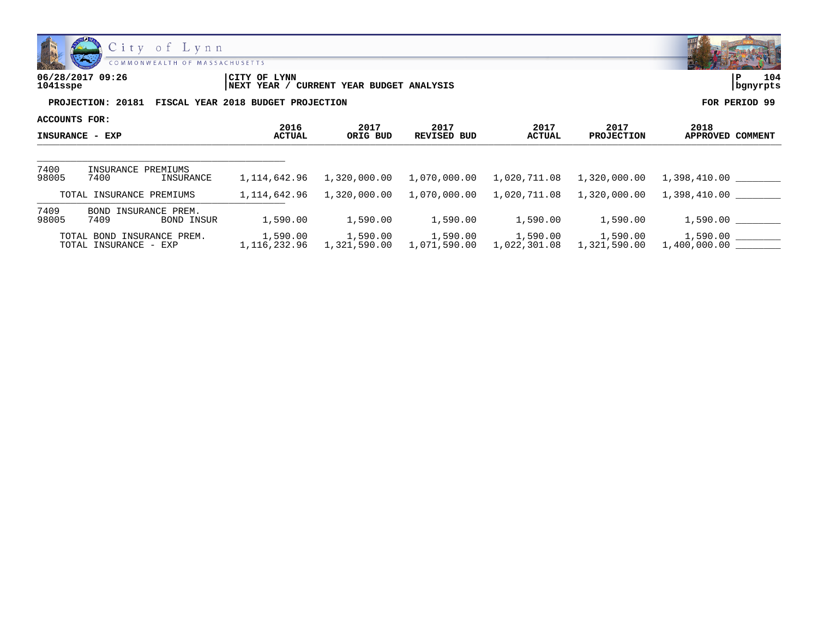

| 06/28/2017 09:26 | CITY OF LYNN                                         |          | 104 |
|------------------|------------------------------------------------------|----------|-----|
| 1041sspe         | / CURRENT YEAR BUDGET ANALYSIS<br><b>NEXT YEAR</b> / | bgnyrpts |     |
|                  |                                                      |          |     |

| ACCOUNTS FOR:          |                                                        |                             |                          |                            |                          |                           |                             |
|------------------------|--------------------------------------------------------|-----------------------------|--------------------------|----------------------------|--------------------------|---------------------------|-----------------------------|
| <b>INSURANCE - EXP</b> |                                                        | 2016<br><b>ACTUAL</b>       | 2017<br>ORIG BUD         | 2017<br><b>REVISED BUD</b> | 2017<br><b>ACTUAL</b>    | 2017<br><b>PROJECTION</b> | 2018<br>APPROVED<br>COMMENT |
|                        |                                                        |                             |                          |                            |                          |                           |                             |
| 7400<br>98005          | INSURANCE PREMIUMS<br>7400<br>INSURANCE                | 1,114,642.96                | 1,320,000.00             | 1,070,000.00               | 1,020,711.08             | 1,320,000.00              | 1,398,410.00                |
|                        | TOTAL INSURANCE PREMIUMS                               | 1,114,642.96                | 1,320,000.00             | 1,070,000.00               | 1,020,711.08             | 1,320,000.00              | 1,398,410.00                |
| 7409<br>98005          | INSURANCE PREM.<br>BOND<br>7409<br><b>BOND INSUR</b>   | 1,590.00                    | 1,590.00                 | 1,590.00                   | 1,590.00                 | 1,590.00                  | 1,590.00                    |
|                        | INSURANCE PREM.<br>TOTAL BOND<br>TOTAL INSURANCE - EXP | 1,590.00<br>1, 116, 232, 96 | 1,590.00<br>1,321,590.00 | 1,590.00<br>1,071,590.00   | 1,590.00<br>1,022,301.08 | 1,590.00<br>1,321,590.00  | 1,590.00<br>1,400,000.00    |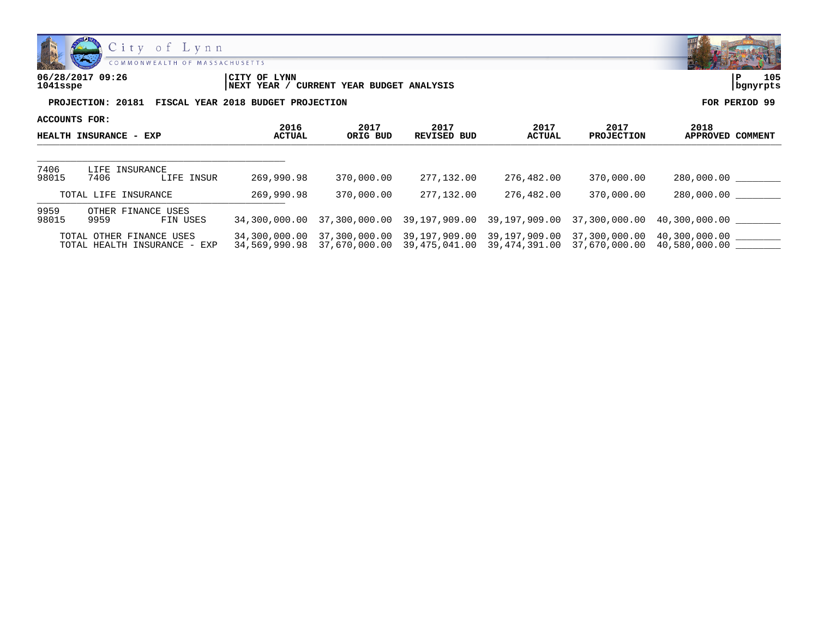



| 06/28/2017 09:26<br>$1041$ sspe |                                    | CITY OF LYNN<br>CURRENT YEAR BUDGET ANALYSIS<br><b>INEXT YEAR</b> |               |  |
|---------------------------------|------------------------------------|-------------------------------------------------------------------|---------------|--|
| PROJECTION: 20181               | FISCAL YEAR 2018 BUDGET PROJECTION |                                                                   | FOR PERIOD 99 |  |

| FOR PERIOD 99 |  |
|---------------|--|

| ACCOUNTS FOR:          |                                                          |                       |                                              |                     |                                                            |                             |                          |
|------------------------|----------------------------------------------------------|-----------------------|----------------------------------------------|---------------------|------------------------------------------------------------|-----------------------------|--------------------------|
| HEALTH INSURANCE - EXP |                                                          | 2016<br><b>ACTUAL</b> | 2017<br>ORIG BUD                             | 2017<br>REVISED BUD | 2017<br>ACTUAL                                             | 2017<br><b>PROJECTION</b>   | 2018<br>APPROVED COMMENT |
|                        |                                                          |                       |                                              |                     |                                                            |                             |                          |
| 7406<br>98015          | LIFE INSURANCE<br>7406<br>INSUR<br>LIFE                  | 269,990.98            | 370,000.00                                   | 277.132.00          | 276,482.00                                                 | 370,000.00                  | 280,000.00               |
|                        | TOTAL LIFE INSURANCE                                     | 269,990.98            | 370,000.00                                   | 277.132.00          | 276,482.00                                                 | 370,000.00                  | 280,000.00               |
| 9959<br>98015          | OTHER FINANCE USES<br>9959<br>FIN USES                   |                       | 34,300,000.00 37,300,000.00                  |                     | 39,197,909.00 39,197,909.00                                | 37,300,000.00 40,300,000.00 |                          |
|                        | TOTAL OTHER FINANCE USES<br>TOTAL HEALTH INSURANCE - EXP | 34,569,990.98         | 34,300,000.00 37,300,000.00<br>37,670,000.00 |                     | 39,197,909.00 39,197,909.00<br>39,475,041.00 39,474,391.00 | 37,300,000.00               | 40,300,000.00            |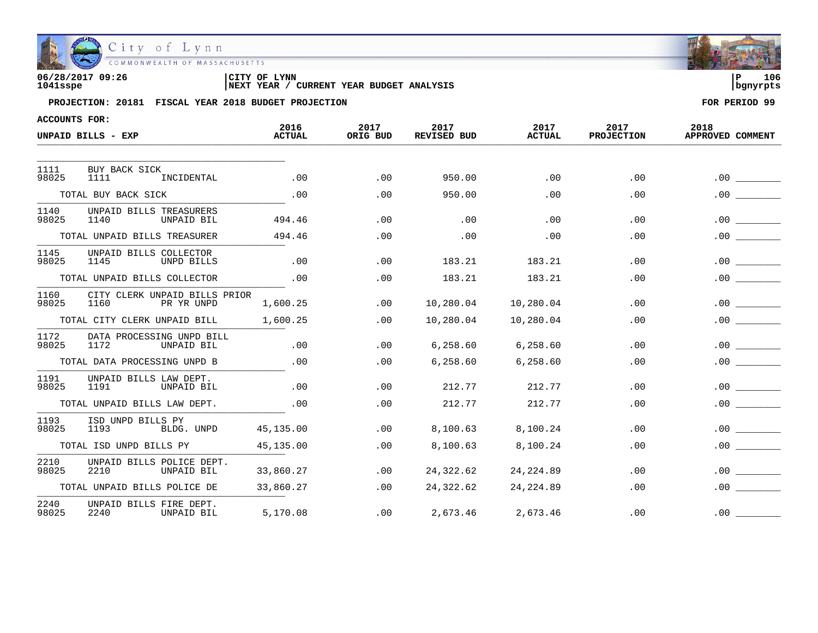

| 06/28/2017 09:26 | CITY OF LYNN                                      | 106<br>ם ו |
|------------------|---------------------------------------------------|------------|
| 1041sspe         | CURRENT YEAR BUDGET ANALYSIS<br><b>INEXT YEAR</b> | l banvrpts |

| <b>ACCOUNTS FOR:</b> |                                                     |                       |                  |                     |                       |                           |                          |  |
|----------------------|-----------------------------------------------------|-----------------------|------------------|---------------------|-----------------------|---------------------------|--------------------------|--|
|                      | UNPAID BILLS - EXP                                  | 2016<br><b>ACTUAL</b> | 2017<br>ORIG BUD | 2017<br>REVISED BUD | 2017<br><b>ACTUAL</b> | 2017<br><b>PROJECTION</b> | 2018<br>APPROVED COMMENT |  |
|                      |                                                     |                       |                  |                     |                       |                           |                          |  |
| 1111<br>98025        | BUY BACK SICK<br>1111<br>INCIDENTAL                 | .00                   | .00              | 950.00              | .00                   | .00                       | .00.                     |  |
|                      | TOTAL BUY BACK SICK                                 | .00                   | .00              | 950.00              | .00                   | .00                       | .00.                     |  |
| 1140<br>98025        | UNPAID BILLS TREASURERS<br>1140<br>UNPAID BIL       | 494.46                | .00              | .00                 | .00                   | .00                       | .00                      |  |
|                      | TOTAL UNPAID BILLS TREASURER                        | 494.46                | .00              | .00                 | .00                   | .00                       | .00                      |  |
| 1145<br>98025        | UNPAID BILLS COLLECTOR<br>1145<br>UNPD BILLS        | .00                   | .00              | 183.21              | 183.21                | .00                       | .00                      |  |
|                      | TOTAL UNPAID BILLS COLLECTOR                        | .00                   | .00              | 183.21              | 183.21                | .00                       | .00                      |  |
| 1160<br>98025        | CITY CLERK UNPAID BILLS PRIOR<br>1160<br>PR YR UNPD | 1,600.25              | .00              | 10,280.04           | 10,280.04             | .00.                      | .00                      |  |
|                      | TOTAL CITY CLERK UNPAID BILL                        | 1,600.25              | .00              | 10,280.04           | 10,280.04             | .00                       | . 00                     |  |
| 1172<br>98025        | DATA PROCESSING UNPD BILL<br>1172<br>UNPAID BIL     | .00                   | .00              | 6,258.60            | 6,258.60              | .00                       | .00                      |  |
|                      | TOTAL DATA PROCESSING UNPD B                        | .00                   | .00              | 6,258.60            | 6,258.60              | .00                       | .00                      |  |
| 1191<br>98025        | UNPAID BILLS LAW DEPT.<br>1191<br>UNPAID BIL        | .00                   | .00              | 212.77              | 212.77                | .00                       | . 00                     |  |
|                      | TOTAL UNPAID BILLS LAW DEPT.                        | .00                   | .00              | 212.77              | 212.77                | .00                       | .00                      |  |
| 1193<br>98025        | ISD UNPD BILLS PY<br>1193<br>BLDG. UNPD             | 45,135.00             | .00              | 8,100.63            | 8,100.24              | .00                       | .00.                     |  |
|                      | TOTAL ISD UNPD BILLS PY                             | 45,135.00             | .00              | 8,100.63            | 8,100.24              | .00                       | . 00                     |  |
| 2210<br>98025        | UNPAID BILLS POLICE DEPT.<br>2210<br>UNPAID BIL     | 33,860.27             | .00              | 24,322.62           | 24, 224.89            | .00                       | .00.                     |  |
|                      | TOTAL UNPAID BILLS POLICE DE                        | 33,860.27             | .00              | 24,322.62           | 24, 224.89            | .00                       | .00                      |  |
| 2240<br>98025        | UNPAID BILLS FIRE DEPT.<br>2240<br>UNPAID BIL       | 5,170.08              | .00              | 2,673.46            | 2,673.46              | .00                       | .00.                     |  |

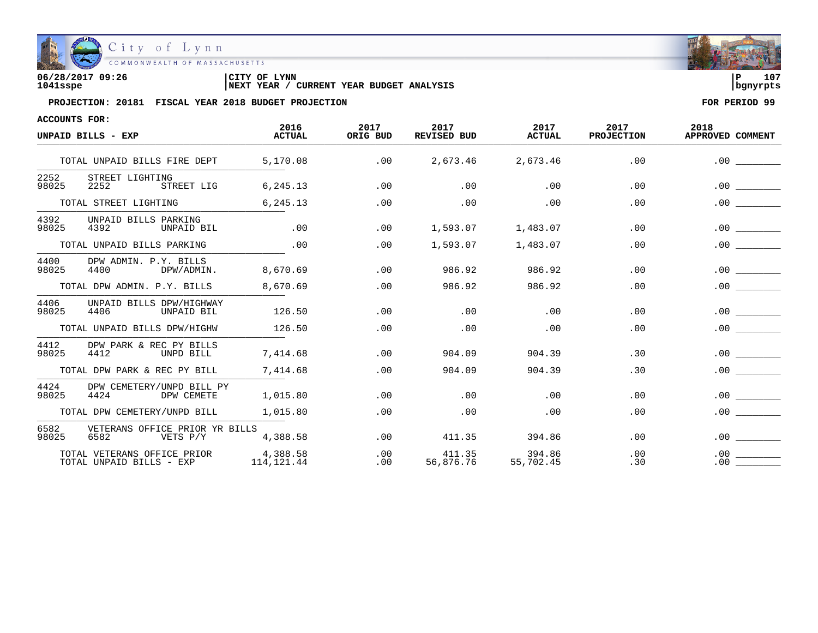

| 06/28/2017 09:26 | CITY OF<br>LYNN                                       | 107      |
|------------------|-------------------------------------------------------|----------|
| 1041sspe         | 'YEAR BUDGET ANALYSIS<br><b>INEXT YEAR</b><br>CURRENT | bqnyrpts |

| <b>ACCOUNTS FOR:</b>       |                                                         |                        |                  |                            |                       |                           |                          |
|----------------------------|---------------------------------------------------------|------------------------|------------------|----------------------------|-----------------------|---------------------------|--------------------------|
|                            | UNPAID BILLS - EXP                                      | 2016<br><b>ACTUAL</b>  | 2017<br>ORIG BUD | 2017<br><b>REVISED BUD</b> | 2017<br><b>ACTUAL</b> | 2017<br><b>PROJECTION</b> | 2018<br>APPROVED COMMENT |
|                            | TOTAL UNPAID BILLS FIRE DEPT                            | 5,170.08               | .00              | 2,673.46                   | 2,673.46              | .00                       | .00.                     |
| 2252<br>98025              | STREET LIGHTING<br>2252<br>STREET LIG                   | 6,245.13               | .00              | .00                        | .00                   | .00                       | .00                      |
|                            | TOTAL STREET LIGHTING                                   | 6,245.13               | .00              | .00                        | .00                   | .00                       | .00                      |
| 4392<br>98025              | UNPAID BILLS PARKING<br>4392<br>UNPAID BIL              | .00                    | .00              | 1,593.07                   | 1,483.07              | .00                       | .00                      |
| TOTAL UNPAID BILLS PARKING |                                                         | .00                    | .00              | 1,593.07                   | 1,483.07              | .00                       | .00                      |
| 4400<br>98025              | DPW ADMIN. P.Y. BILLS<br>DPW/ADMIN.<br>4400             | 8,670.69               | .00              | 986.92                     | 986.92                | .00                       | .00                      |
|                            | TOTAL DPW ADMIN. P.Y. BILLS                             | 8,670.69               | .00              | 986.92                     | 986.92                | .00                       | .00                      |
| 4406<br>98025              | UNPAID BILLS DPW/HIGHWAY<br>4406<br>UNPAID BIL          | 126.50                 | .00              | .00                        | .00                   | .00                       | .00                      |
|                            | TOTAL UNPAID BILLS DPW/HIGHW                            | 126.50                 | .00              | .00                        | .00                   | .00                       | .00                      |
| 4412<br>98025              | DPW PARK & REC PY BILLS<br>4412<br>UNPD BILL            | 7,414.68               | .00              | 904.09                     | 904.39                | .30                       | .00                      |
|                            | TOTAL DPW PARK & REC PY BILL                            | 7,414.68               | .00              | 904.09                     | 904.39                | .30                       | .00                      |
| 4424<br>98025              | DPW CEMETERY/UNPD BILL PY<br>4424<br>DPW CEMETE         | 1,015.80               | .00              | .00                        | .00                   | .00                       | .00.                     |
|                            | TOTAL DPW CEMETERY/UNPD BILL                            | 1,015.80               | .00              | .00                        | .00                   | .00                       | .00                      |
| 6582<br>98025              | VETERANS OFFICE PRIOR YR BILLS<br>6582<br>VETS P/Y      | 4,388.58               | .00              | 411.35                     | 394.86                | .00                       | .00                      |
|                            | TOTAL VETERANS OFFICE PRIOR<br>TOTAL UNPAID BILLS - EXP | 4,388.58<br>114,121.44 | .00<br>.00       | 411.35<br>56,876.76        | 394.86<br>55,702.45   | .00<br>.30                | .00<br>.00               |

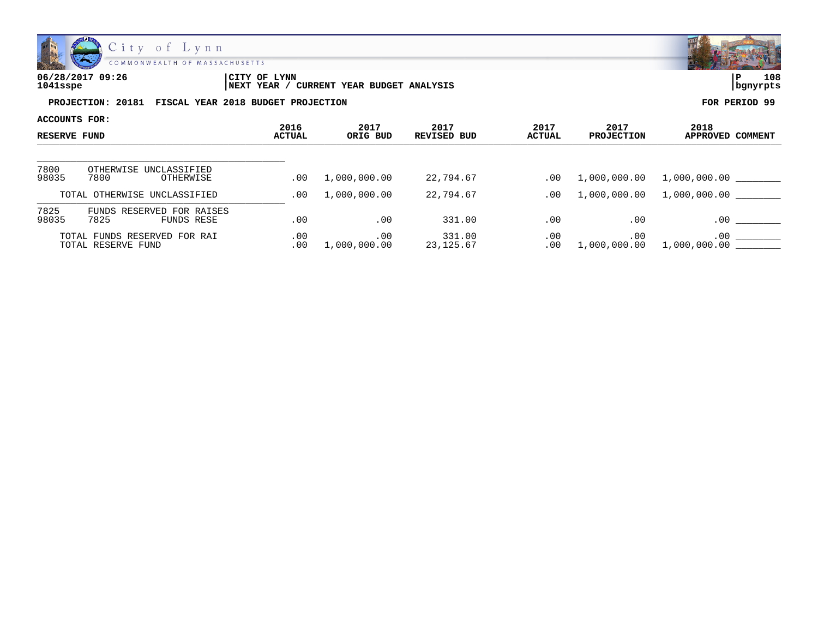

| 06/28/2017 09:26 | LYNN<br>CITY OF                                     | Ð        | 108 |
|------------------|-----------------------------------------------------|----------|-----|
| 1041sspe         | YEAR BUDGET ANALYSIS<br>CURRENT<br><b>NEXT YEAR</b> | banvrpts |     |

| ACCOUNTS FOR: |                                                    | 2016       | 2017                | 2017                 | 2017          | 2017                | 2018                     |
|---------------|----------------------------------------------------|------------|---------------------|----------------------|---------------|---------------------|--------------------------|
|               | <b>RESERVE FUND</b>                                |            | ORIG BUD            | REVISED BUD          | <b>ACTUAL</b> | <b>PROJECTION</b>   | APPROVED COMMENT         |
|               |                                                    |            |                     |                      |               |                     |                          |
| 7800<br>98035 | OTHERWISE UNCLASSIFIED<br>7800<br>OTHERWISE        | .00        | 1,000,000.00        | 22,794.67            | .00           | 1,000,000.00        | 1,000,000.00             |
|               | TOTAL OTHERWISE UNCLASSIFIED                       | .00        | 1,000,000.00        | 22,794.67            | .00           | 1,000,000.00        | 1,000,000.00             |
| 7825<br>98035 | FUNDS RESERVED FOR RAISES<br>7825<br>FUNDS RESE    | .00        | .00                 | 331.00               | .00           | .00                 | .00                      |
|               | TOTAL FUNDS RESERVED FOR RAI<br>TOTAL RESERVE FUND | .00<br>.00 | .00<br>1,000,000.00 | 331.00<br>23, 125.67 | .00<br>.00    | .00<br>1,000,000.00 | $.00 \,$<br>1,000,000.00 |

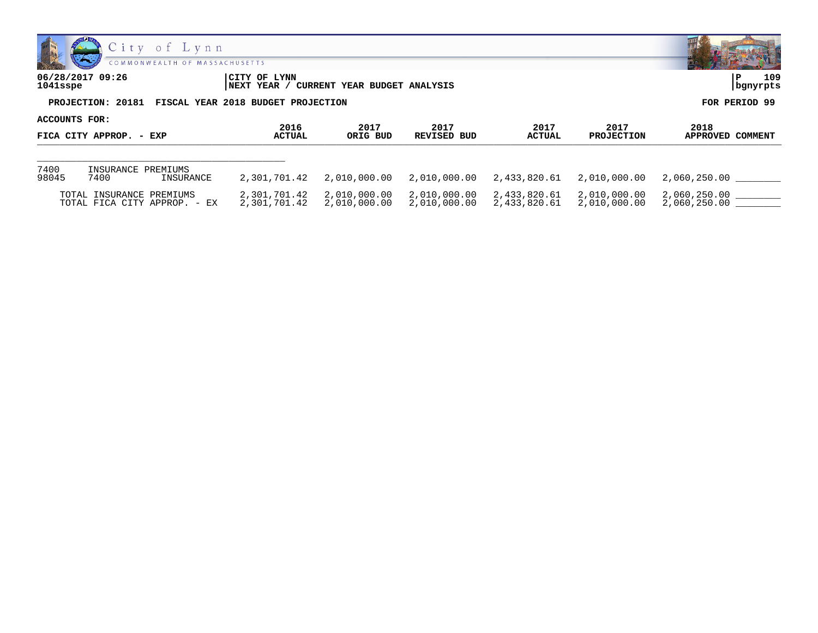

| <b>CONTRACTOR</b> CONTRACTOR                         |                                                                | <b><i>Contract Contract Contract Contract Contract Contract Contract Contract Contract Contract Contract Contract Contract Contract Contract Contract Contract Contract Contract Contract Contract Contract Contract Contract Cont</i></b> |
|------------------------------------------------------|----------------------------------------------------------------|--------------------------------------------------------------------------------------------------------------------------------------------------------------------------------------------------------------------------------------------|
| 06/28/2017 09:26<br>1041sspe                         | CITY OF LYNN<br>/ CURRENT YEAR BUDGET ANALYSIS<br> NEXT YEAR / | 109<br>  bgnyrpts                                                                                                                                                                                                                          |
| PROJECTION: 20181 FISCAL YEAR 2018 BUDGET PROJECTION |                                                                | FOR PERIOD 99                                                                                                                                                                                                                              |

| ACCOUNTS FOR:           |                            |                              | 2016                         | 2017                         | 2017                         | 2017                         | 2017                         | 2018                         |
|-------------------------|----------------------------|------------------------------|------------------------------|------------------------------|------------------------------|------------------------------|------------------------------|------------------------------|
| FICA CITY APPROP. - EXP |                            | ACTUAL                       | ORIG BUD<br>REVISED BUD      |                              | <b>ACTUAL</b>                | <b>PROJECTION</b>            | APPROVED COMMENT             |                              |
|                         |                            |                              |                              |                              |                              |                              |                              |                              |
| 7400<br>98045           | INSURANCE PREMIUMS<br>7400 | INSURANCE                    | 2,301,701.42                 | 2,010,000.00                 | 2,010,000.00                 | 2,433,820.61                 | 2,010,000.00                 | 2,060,250.00                 |
|                         | TOTAL INSURANCE PREMIUMS   | TOTAL FICA CITY APPROP. - EX | 2,301,701.42<br>2,301,701.42 | 2,010,000.00<br>2,010,000.00 | 2,010,000.00<br>2,010,000.00 | 2,433,820.61<br>2,433,820.61 | 2,010,000.00<br>2,010,000.00 | 2,060,250.00<br>2,060,250.00 |

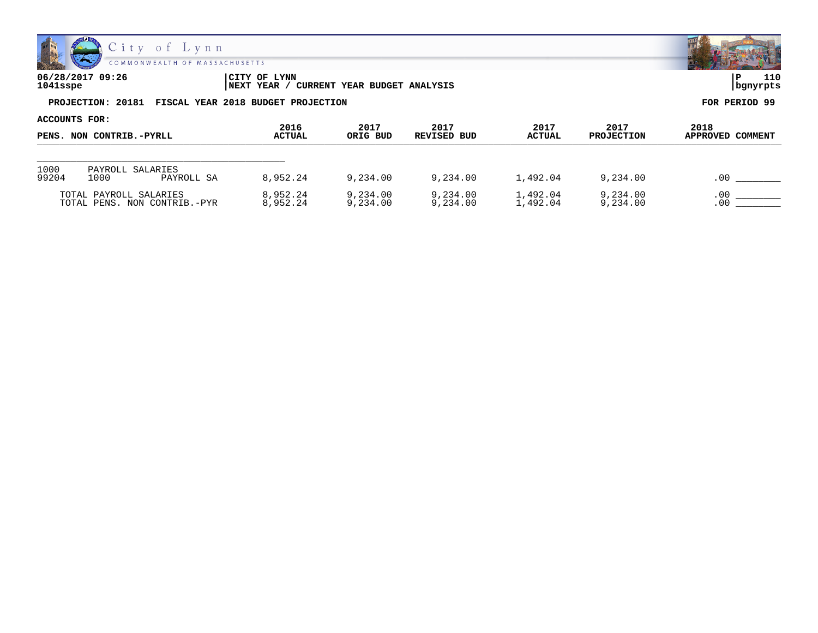

**06/28/2017 09:26 |CITY OF LYNN |P 110**

**1041sspe |NEXT YEAR / CURRENT YEAR BUDGET ANALYSIS |bgnyrpts**

**PROJECTION: 20181 FISCAL YEAR 2018 BUDGET PROJECTION FOR PERIOD 99**

| ACCOUNTS FOR:            |                          |                              |                                         |                      |                       |                           |                             |            |
|--------------------------|--------------------------|------------------------------|-----------------------------------------|----------------------|-----------------------|---------------------------|-----------------------------|------------|
| PENS. NON CONTRIB.-PYRLL |                          | 2016<br><b>ACTUAL</b>        | 2017<br>2017<br>ORIG BUD<br>REVISED BUD |                      | 2017<br><b>ACTUAL</b> | 2017<br><b>PROJECTION</b> | 2018<br>APPROVED<br>COMMENT |            |
|                          |                          |                              |                                         |                      |                       |                           |                             |            |
| 1000<br>99204            | PAYROLL SALARIES<br>1000 | PAYROLL SA                   | 8,952.24                                | 9,234.00             | 9,234.00              | 1,492.04                  | 9,234.00                    | .00        |
|                          | TOTAL PAYROLL SALARIES   | TOTAL PENS. NON CONTRIB.-PYR | 8,952.24<br>8,952.24                    | 9,234.00<br>9,234.00 | 9,234.00<br>9,234.00  | 1,492.04<br>1,492.04      | 9,234.00<br>9,234.00        | .00<br>.00 |

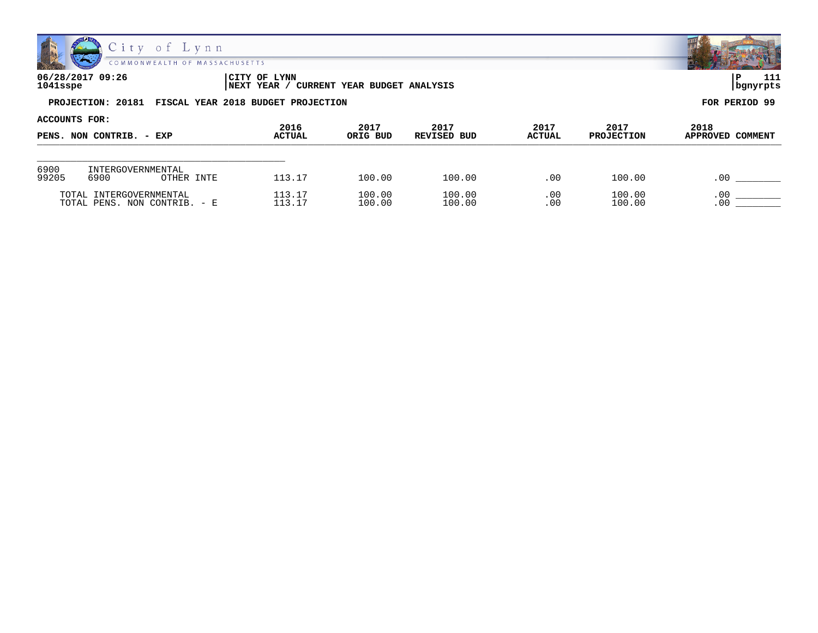

| 06/28/2017 09:26<br>1041sspe                         | ICITY OF LYNN<br>' CURRENT YEAR BUDGET ANALYSIS<br>NEXT YEAR / | 111<br>  bgnyrpts |
|------------------------------------------------------|----------------------------------------------------------------|-------------------|
| PROJECTION: 20181 FISCAL YEAR 2018 BUDGET PROJECTION |                                                                | FOR PERIOD 99     |

| ACCOUNTS FOR:            |                                         |               |          |             |               |                   |                  |
|--------------------------|-----------------------------------------|---------------|----------|-------------|---------------|-------------------|------------------|
| PENS. NON CONTRIB. - EXP |                                         | 2016          | 2017     | 2017        | 2017          | 2017              | 2018             |
|                          |                                         | <b>ACTUAL</b> | ORIG BUD | REVISED BUD | <b>ACTUAL</b> | <b>PROJECTION</b> | APPROVED COMMENT |
| 6900<br>99205            | INTERGOVERNMENTAL<br>6900<br>OTHER INTE | 113.17        | 100.00   | 100.00      | .00           | 100.00            | $.0^{\circ}$     |
|                          | TOTAL INTERGOVERNMENTAL                 | 113.17        | 100.00   | 100.00      | .00           | 100.00            | $.00 \times$     |
|                          | TOTAL PENS. NON CONTRIB. - E            | 113.17        | 100.00   | 100.00      | .00           | 100.00            | .00              |

嘂